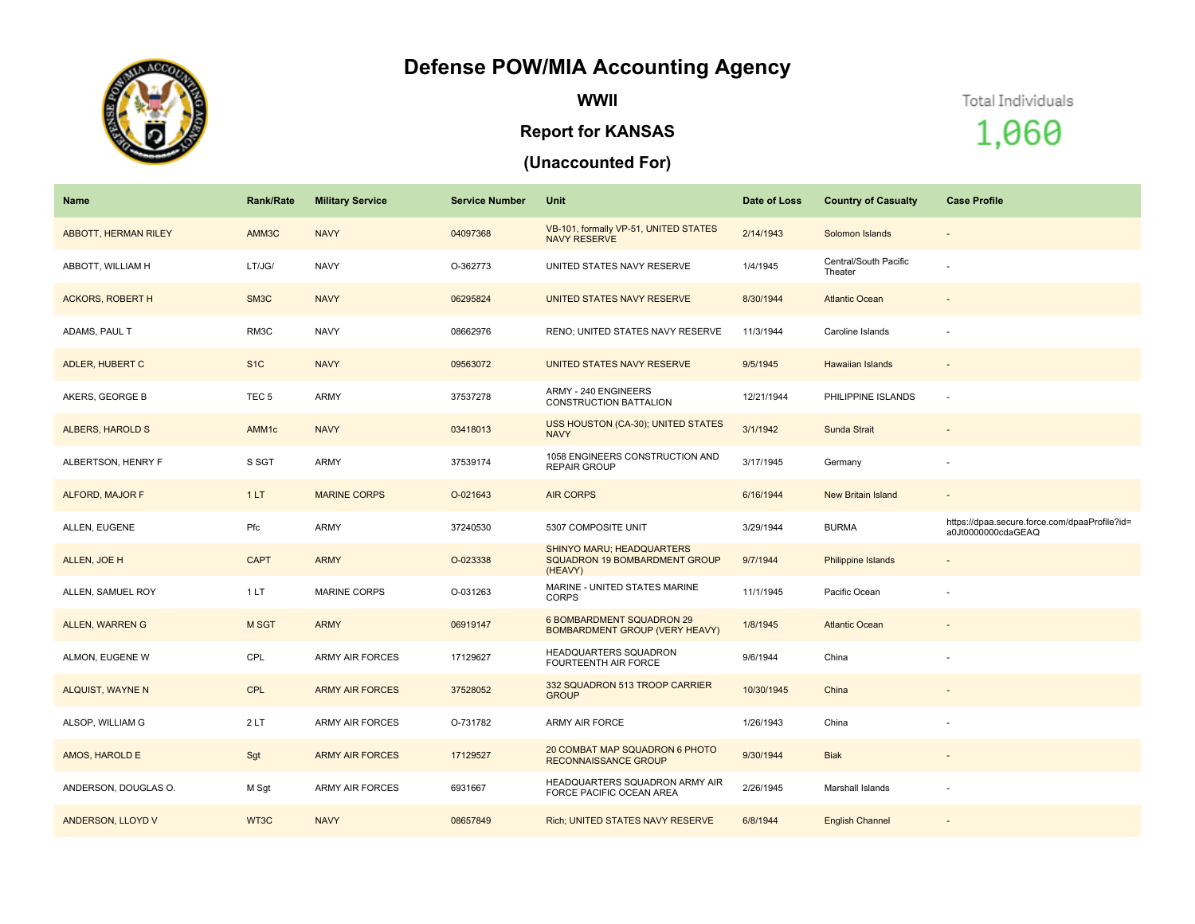## **Defense POW/MIA Accounting Agency**



**WWII**

#### **Report for KANSAS**

### **(Unaccounted For)**

Total Individuals

# 1,060

| Name                        | <b>Rank/Rate</b>  | <b>Military Service</b> | <b>Service Number</b> | Unit                                                                         | Date of Loss | <b>Country of Casualty</b>       | <b>Case Profile</b>                                                 |
|-----------------------------|-------------------|-------------------------|-----------------------|------------------------------------------------------------------------------|--------------|----------------------------------|---------------------------------------------------------------------|
| <b>ABBOTT, HERMAN RILEY</b> | AMM3C             | <b>NAVY</b>             | 04097368              | VB-101, formally VP-51, UNITED STATES<br><b>NAVY RESERVE</b>                 | 2/14/1943    | Solomon Islands                  | $\overline{\phantom{a}}$                                            |
| ABBOTT, WILLIAM H           | LT/JG/            | NAVY                    | O-362773              | UNITED STATES NAVY RESERVE                                                   | 1/4/1945     | Central/South Pacific<br>Theater |                                                                     |
| <b>ACKORS, ROBERT H</b>     | SM3C              | <b>NAVY</b>             | 06295824              | UNITED STATES NAVY RESERVE                                                   | 8/30/1944    | <b>Atlantic Ocean</b>            |                                                                     |
| ADAMS, PAUL T               | RM3C              | NAVY                    | 08662976              | RENO; UNITED STATES NAVY RESERVE                                             | 11/3/1944    | Caroline Islands                 |                                                                     |
| ADLER, HUBERT C             | S <sub>1C</sub>   | <b>NAVY</b>             | 09563072              | UNITED STATES NAVY RESERVE                                                   | 9/5/1945     | <b>Hawaiian Islands</b>          | $\overline{\phantom{a}}$                                            |
| AKERS, GEORGE B             | TEC <sub>5</sub>  | ARMY                    | 37537278              | ARMY - 240 ENGINEERS<br>CONSTRUCTION BATTALION                               | 12/21/1944   | PHILIPPINE ISLANDS               | $\sim$                                                              |
| <b>ALBERS, HAROLD S</b>     | AMM <sub>1c</sub> | <b>NAVY</b>             | 03418013              | USS HOUSTON (CA-30); UNITED STATES<br><b>NAVY</b>                            | 3/1/1942     | Sunda Strait                     |                                                                     |
| ALBERTSON, HENRY F          | S SGT             | ARMY                    | 37539174              | 1058 ENGINEERS CONSTRUCTION AND<br><b>REPAIR GROUP</b>                       | 3/17/1945    | Germany                          |                                                                     |
| ALFORD, MAJOR F             | 1LT               | <b>MARINE CORPS</b>     | O-021643              | <b>AIR CORPS</b>                                                             | 6/16/1944    | New Britain Island               | $\sim$                                                              |
| ALLEN, EUGENE               | Pfc               | ARMY                    | 37240530              | 5307 COMPOSITE UNIT                                                          | 3/29/1944    | <b>BURMA</b>                     | https://dpaa.secure.force.com/dpaaProfile?id=<br>a0Jt0000000cdaGEAQ |
| ALLEN, JOE H                | <b>CAPT</b>       | <b>ARMY</b>             | O-023338              | <b>SHINYO MARU; HEADQUARTERS</b><br>SQUADRON 19 BOMBARDMENT GROUP<br>(HEAVY) | 9/7/1944     | Philippine Islands               | $\sim$                                                              |
| ALLEN, SAMUEL ROY           | 1LT               | <b>MARINE CORPS</b>     | O-031263              | MARINE - UNITED STATES MARINE<br><b>CORPS</b>                                | 11/1/1945    | Pacific Ocean                    |                                                                     |
| <b>ALLEN, WARREN G</b>      | M SGT             | <b>ARMY</b>             | 06919147              | <b>6 BOMBARDMENT SQUADRON 29</b><br><b>BOMBARDMENT GROUP (VERY HEAVY)</b>    | 1/8/1945     | <b>Atlantic Ocean</b>            | $\overline{\phantom{a}}$                                            |
| ALMON, EUGENE W             | CPL               | <b>ARMY AIR FORCES</b>  | 17129627              | HEADQUARTERS SQUADRON<br><b>FOURTEENTH AIR FORCE</b>                         | 9/6/1944     | China                            |                                                                     |
| <b>ALQUIST, WAYNE N</b>     | <b>CPL</b>        | <b>ARMY AIR FORCES</b>  | 37528052              | 332 SQUADRON 513 TROOP CARRIER<br><b>GROUP</b>                               | 10/30/1945   | China                            |                                                                     |
| ALSOP, WILLIAM G            | 2LT               | <b>ARMY AIR FORCES</b>  | O-731782              | ARMY AIR FORCE                                                               | 1/26/1943    | China                            |                                                                     |
| AMOS, HAROLD E              | Sgt               | <b>ARMY AIR FORCES</b>  | 17129527              | 20 COMBAT MAP SQUADRON 6 PHOTO<br><b>RECONNAISSANCE GROUP</b>                | 9/30/1944    | <b>Biak</b>                      | $\overline{a}$                                                      |
| ANDERSON, DOUGLAS O.        | M Sgt             | <b>ARMY AIR FORCES</b>  | 6931667               | HEADQUARTERS SQUADRON ARMY AIR<br><b>FORCE PACIFIC OCEAN AREA</b>            | 2/26/1945    | Marshall Islands                 |                                                                     |
| ANDERSON, LLOYD V           | WT3C              | <b>NAVY</b>             | 08657849              | Rich; UNITED STATES NAVY RESERVE                                             | 6/8/1944     | <b>English Channel</b>           |                                                                     |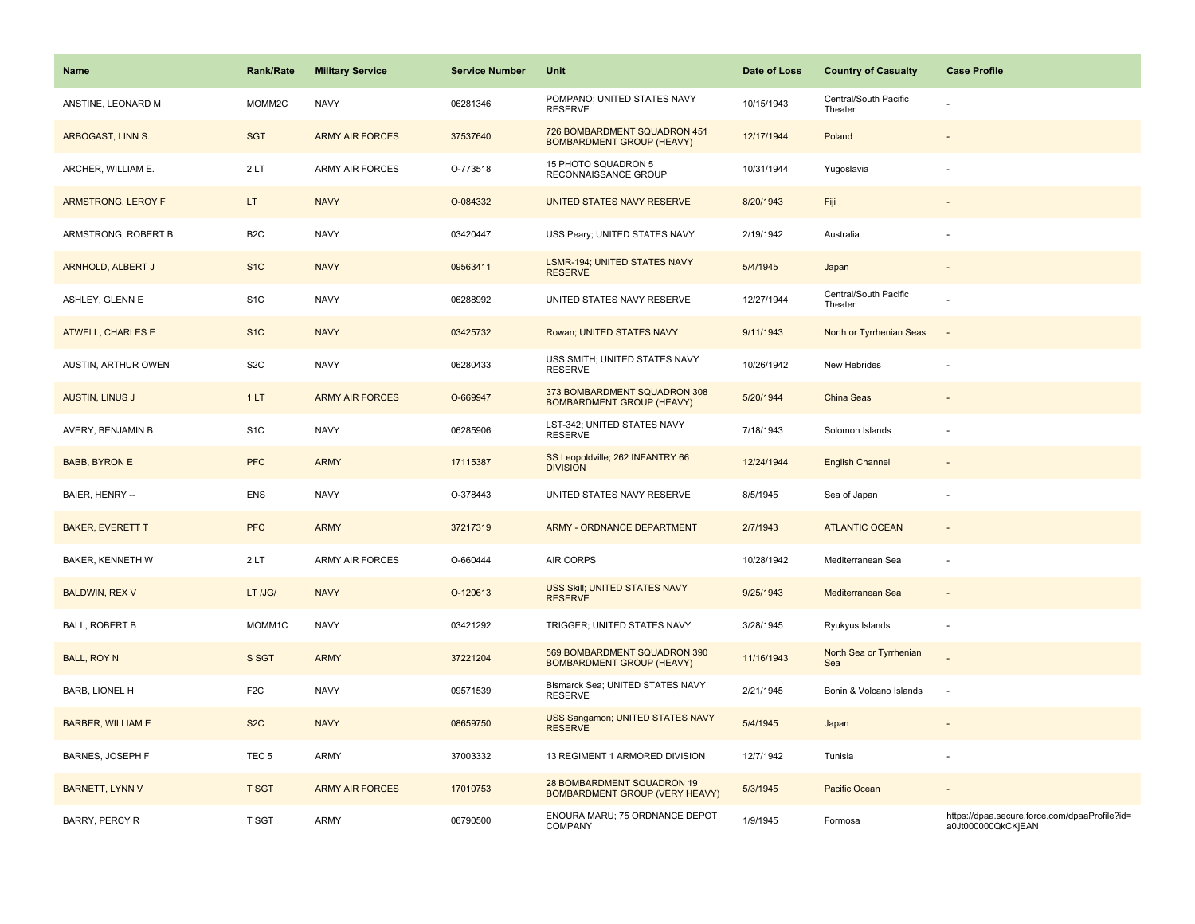| <b>Name</b>              | <b>Rank/Rate</b> | <b>Military Service</b> | <b>Service Number</b> | Unit                                                                | Date of Loss | <b>Country of Casualty</b>       | <b>Case Profile</b>                                                 |
|--------------------------|------------------|-------------------------|-----------------------|---------------------------------------------------------------------|--------------|----------------------------------|---------------------------------------------------------------------|
| ANSTINE, LEONARD M       | MOMM2C           | <b>NAVY</b>             | 06281346              | POMPANO; UNITED STATES NAVY<br><b>RESERVE</b>                       | 10/15/1943   | Central/South Pacific<br>Theater |                                                                     |
| ARBOGAST, LINN S.        | <b>SGT</b>       | <b>ARMY AIR FORCES</b>  | 37537640              | 726 BOMBARDMENT SQUADRON 451<br><b>BOMBARDMENT GROUP (HEAVY)</b>    | 12/17/1944   | Poland                           |                                                                     |
| ARCHER, WILLIAM E.       | 2LT              | ARMY AIR FORCES         | O-773518              | 15 PHOTO SQUADRON 5<br>RECONNAISSANCE GROUP                         | 10/31/1944   | Yugoslavia                       |                                                                     |
| ARMSTRONG, LEROY F       | LT.              | <b>NAVY</b>             | O-084332              | UNITED STATES NAVY RESERVE                                          | 8/20/1943    | Fiji                             |                                                                     |
| ARMSTRONG, ROBERT B      | B <sub>2</sub> C | <b>NAVY</b>             | 03420447              | USS Peary; UNITED STATES NAVY                                       | 2/19/1942    | Australia                        |                                                                     |
| ARNHOLD, ALBERT J        | S <sub>1</sub> C | <b>NAVY</b>             | 09563411              | <b>LSMR-194; UNITED STATES NAVY</b><br><b>RESERVE</b>               | 5/4/1945     | Japan                            | $\sim$                                                              |
| ASHLEY, GLENN E          | S <sub>1</sub> C | <b>NAVY</b>             | 06288992              | UNITED STATES NAVY RESERVE                                          | 12/27/1944   | Central/South Pacific<br>Theater |                                                                     |
| <b>ATWELL, CHARLES E</b> | S <sub>1</sub> C | <b>NAVY</b>             | 03425732              | Rowan; UNITED STATES NAVY                                           | 9/11/1943    | North or Tyrrhenian Seas         | $\overline{\phantom{a}}$                                            |
| AUSTIN, ARTHUR OWEN      | S <sub>2</sub> C | <b>NAVY</b>             | 06280433              | USS SMITH; UNITED STATES NAVY<br><b>RESERVE</b>                     | 10/26/1942   | New Hebrides                     |                                                                     |
| <b>AUSTIN, LINUS J</b>   | 1LT              | <b>ARMY AIR FORCES</b>  | O-669947              | 373 BOMBARDMENT SQUADRON 308<br><b>BOMBARDMENT GROUP (HEAVY)</b>    | 5/20/1944    | China Seas                       |                                                                     |
| AVERY, BENJAMIN B        | S <sub>1</sub> C | <b>NAVY</b>             | 06285906              | LST-342; UNITED STATES NAVY<br><b>RESERVE</b>                       | 7/18/1943    | Solomon Islands                  |                                                                     |
| <b>BABB, BYRON E</b>     | <b>PFC</b>       | <b>ARMY</b>             | 17115387              | SS Leopoldville; 262 INFANTRY 66<br><b>DIVISION</b>                 | 12/24/1944   | <b>English Channel</b>           |                                                                     |
| BAIER, HENRY --          | <b>ENS</b>       | <b>NAVY</b>             | O-378443              | UNITED STATES NAVY RESERVE                                          | 8/5/1945     | Sea of Japan                     |                                                                     |
| <b>BAKER, EVERETT T</b>  | <b>PFC</b>       | <b>ARMY</b>             | 37217319              | ARMY - ORDNANCE DEPARTMENT                                          | 2/7/1943     | <b>ATLANTIC OCEAN</b>            | $\blacksquare$                                                      |
| <b>BAKER, KENNETH W</b>  | 2LT              | <b>ARMY AIR FORCES</b>  | O-660444              | AIR CORPS                                                           | 10/28/1942   | Mediterranean Sea                | ÷,                                                                  |
| <b>BALDWIN, REX V</b>    | LT /JG/          | <b>NAVY</b>             | O-120613              | USS Skill; UNITED STATES NAVY<br><b>RESERVE</b>                     | 9/25/1943    | Mediterranean Sea                |                                                                     |
| <b>BALL, ROBERT B</b>    | MOMM1C           | <b>NAVY</b>             | 03421292              | TRIGGER; UNITED STATES NAVY                                         | 3/28/1945    | Ryukyus Islands                  | ÷,                                                                  |
| <b>BALL, ROY N</b>       | S SGT            | <b>ARMY</b>             | 37221204              | 569 BOMBARDMENT SQUADRON 390<br><b>BOMBARDMENT GROUP (HEAVY)</b>    | 11/16/1943   | North Sea or Tyrrhenian<br>Sea   |                                                                     |
| <b>BARB, LIONEL H</b>    | F <sub>2</sub> C | <b>NAVY</b>             | 09571539              | Bismarck Sea; UNITED STATES NAVY<br><b>RESERVE</b>                  | 2/21/1945    | Bonin & Volcano Islands          | ÷,                                                                  |
| <b>BARBER, WILLIAM E</b> | S <sub>2</sub> C | <b>NAVY</b>             | 08659750              | <b>USS Sangamon; UNITED STATES NAVY</b><br><b>RESERVE</b>           | 5/4/1945     | Japan                            |                                                                     |
| BARNES, JOSEPH F         | TEC <sub>5</sub> | <b>ARMY</b>             | 37003332              | 13 REGIMENT 1 ARMORED DIVISION                                      | 12/7/1942    | Tunisia                          |                                                                     |
| <b>BARNETT, LYNN V</b>   | <b>T SGT</b>     | <b>ARMY AIR FORCES</b>  | 17010753              | 28 BOMBARDMENT SQUADRON 19<br><b>BOMBARDMENT GROUP (VERY HEAVY)</b> | 5/3/1945     | Pacific Ocean                    |                                                                     |
| <b>BARRY, PERCY R</b>    | T SGT            | <b>ARMY</b>             | 06790500              | ENOURA MARU; 75 ORDNANCE DEPOT<br>COMPANY                           | 1/9/1945     | Formosa                          | https://dpaa.secure.force.com/dpaaProfile?id=<br>a0Jt000000QkCKjEAN |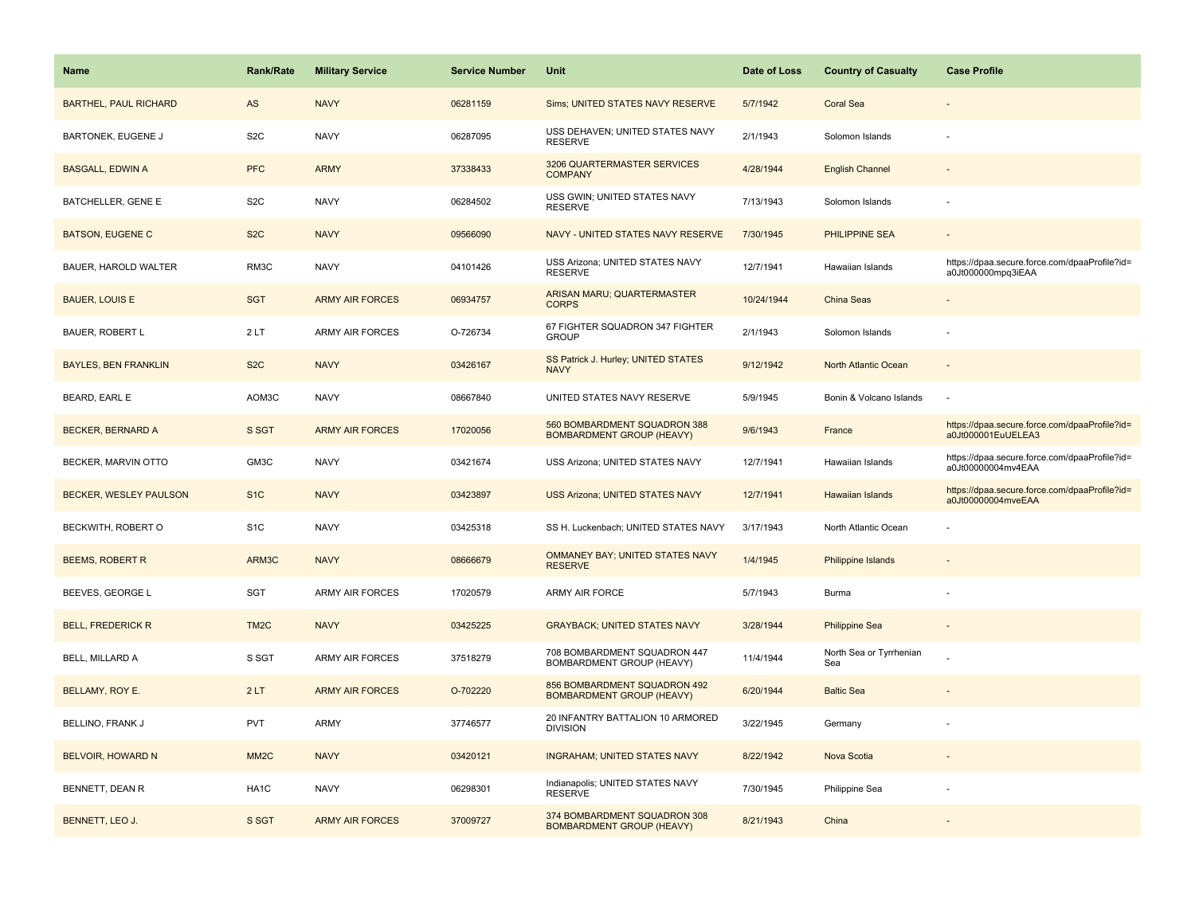| Name                         | <b>Rank/Rate</b>  | <b>Military Service</b> | <b>Service Number</b> | Unit                                                             | Date of Loss | <b>Country of Casualty</b>     | <b>Case Profile</b>                                                 |
|------------------------------|-------------------|-------------------------|-----------------------|------------------------------------------------------------------|--------------|--------------------------------|---------------------------------------------------------------------|
| <b>BARTHEL, PAUL RICHARD</b> | AS                | <b>NAVY</b>             | 06281159              | Sims; UNITED STATES NAVY RESERVE                                 | 5/7/1942     | <b>Coral Sea</b>               |                                                                     |
| <b>BARTONEK, EUGENE J</b>    | S <sub>2</sub> C  | <b>NAVY</b>             | 06287095              | USS DEHAVEN; UNITED STATES NAVY<br><b>RESERVE</b>                | 2/1/1943     | Solomon Islands                |                                                                     |
| <b>BASGALL, EDWIN A</b>      | <b>PFC</b>        | <b>ARMY</b>             | 37338433              | 3206 QUARTERMASTER SERVICES<br><b>COMPANY</b>                    | 4/28/1944    | <b>English Channel</b>         |                                                                     |
| <b>BATCHELLER, GENE E</b>    | S <sub>2</sub> C  | <b>NAVY</b>             | 06284502              | USS GWIN; UNITED STATES NAVY<br><b>RESERVE</b>                   | 7/13/1943    | Solomon Islands                |                                                                     |
| <b>BATSON, EUGENE C</b>      | S <sub>2</sub> C  | <b>NAVY</b>             | 09566090              | NAVY - UNITED STATES NAVY RESERVE                                | 7/30/1945    | <b>PHILIPPINE SEA</b>          |                                                                     |
| BAUER, HAROLD WALTER         | RM3C              | <b>NAVY</b>             | 04101426              | USS Arizona; UNITED STATES NAVY<br><b>RESERVE</b>                | 12/7/1941    | Hawaiian Islands               | https://dpaa.secure.force.com/dpaaProfile?id=<br>a0Jt000000mpq3iEAA |
| <b>BAUER, LOUIS E</b>        | <b>SGT</b>        | <b>ARMY AIR FORCES</b>  | 06934757              | ARISAN MARU; QUARTERMASTER<br><b>CORPS</b>                       | 10/24/1944   | <b>China Seas</b>              |                                                                     |
| <b>BAUER, ROBERT L</b>       | 2LT               | <b>ARMY AIR FORCES</b>  | O-726734              | 67 FIGHTER SQUADRON 347 FIGHTER<br><b>GROUP</b>                  | 2/1/1943     | Solomon Islands                |                                                                     |
| <b>BAYLES, BEN FRANKLIN</b>  | S <sub>2</sub> C  | <b>NAVY</b>             | 03426167              | SS Patrick J. Hurley; UNITED STATES<br><b>NAVY</b>               | 9/12/1942    | North Atlantic Ocean           |                                                                     |
| BEARD, EARL E                | AOM3C             | <b>NAVY</b>             | 08667840              | UNITED STATES NAVY RESERVE                                       | 5/9/1945     | Bonin & Volcano Islands        |                                                                     |
| <b>BECKER, BERNARD A</b>     | S SGT             | <b>ARMY AIR FORCES</b>  | 17020056              | 560 BOMBARDMENT SQUADRON 388<br><b>BOMBARDMENT GROUP (HEAVY)</b> | 9/6/1943     | France                         | https://dpaa.secure.force.com/dpaaProfile?id=<br>a0Jt000001EuUELEA3 |
| BECKER, MARVIN OTTO          | GM3C              | <b>NAVY</b>             | 03421674              | USS Arizona; UNITED STATES NAVY                                  | 12/7/1941    | Hawaiian Islands               | https://dpaa.secure.force.com/dpaaProfile?id=<br>a0Jt00000004mv4EAA |
| BECKER, WESLEY PAULSON       | S <sub>1</sub> C  | <b>NAVY</b>             | 03423897              | <b>USS Arizona; UNITED STATES NAVY</b>                           | 12/7/1941    | <b>Hawaiian Islands</b>        | https://dpaa.secure.force.com/dpaaProfile?id=<br>a0Jt00000004mveEAA |
| BECKWITH, ROBERT O           | S <sub>1</sub> C  | <b>NAVY</b>             | 03425318              | SS H. Luckenbach; UNITED STATES NAVY                             | 3/17/1943    | North Atlantic Ocean           |                                                                     |
| <b>BEEMS, ROBERT R</b>       | ARM3C             | <b>NAVY</b>             | 08666679              | OMMANEY BAY; UNITED STATES NAVY<br><b>RESERVE</b>                | 1/4/1945     | Philippine Islands             |                                                                     |
| BEEVES, GEORGE L             | <b>SGT</b>        | ARMY AIR FORCES         | 17020579              | ARMY AIR FORCE                                                   | 5/7/1943     | Burma                          |                                                                     |
| <b>BELL, FREDERICK R</b>     | TM <sub>2</sub> C | <b>NAVY</b>             | 03425225              | <b>GRAYBACK; UNITED STATES NAVY</b>                              | 3/28/1944    | <b>Philippine Sea</b>          |                                                                     |
| BELL, MILLARD A              | S SGT             | ARMY AIR FORCES         | 37518279              | 708 BOMBARDMENT SQUADRON 447<br>BOMBARDMENT GROUP (HEAVY)        | 11/4/1944    | North Sea or Tyrrhenian<br>Sea |                                                                     |
| BELLAMY, ROY E.              | 2LT               | <b>ARMY AIR FORCES</b>  | O-702220              | 856 BOMBARDMENT SQUADRON 492<br><b>BOMBARDMENT GROUP (HEAVY)</b> | 6/20/1944    | <b>Baltic Sea</b>              |                                                                     |
| BELLINO, FRANK J             | <b>PVT</b>        | <b>ARMY</b>             | 37746577              | 20 INFANTRY BATTALION 10 ARMORED<br><b>DIVISION</b>              | 3/22/1945    | Germany                        |                                                                     |
| <b>BELVOIR, HOWARD N</b>     | MM <sub>2</sub> C | <b>NAVY</b>             | 03420121              | <b>INGRAHAM; UNITED STATES NAVY</b>                              | 8/22/1942    | Nova Scotia                    |                                                                     |
| BENNETT, DEAN R              | HA <sub>1</sub> C | <b>NAVY</b>             | 06298301              | Indianapolis; UNITED STATES NAVY<br><b>RESERVE</b>               | 7/30/1945    | Philippine Sea                 |                                                                     |
| BENNETT, LEO J.              | S SGT             | <b>ARMY AIR FORCES</b>  | 37009727              | 374 BOMBARDMENT SQUADRON 308<br><b>BOMBARDMENT GROUP (HEAVY)</b> | 8/21/1943    | China                          |                                                                     |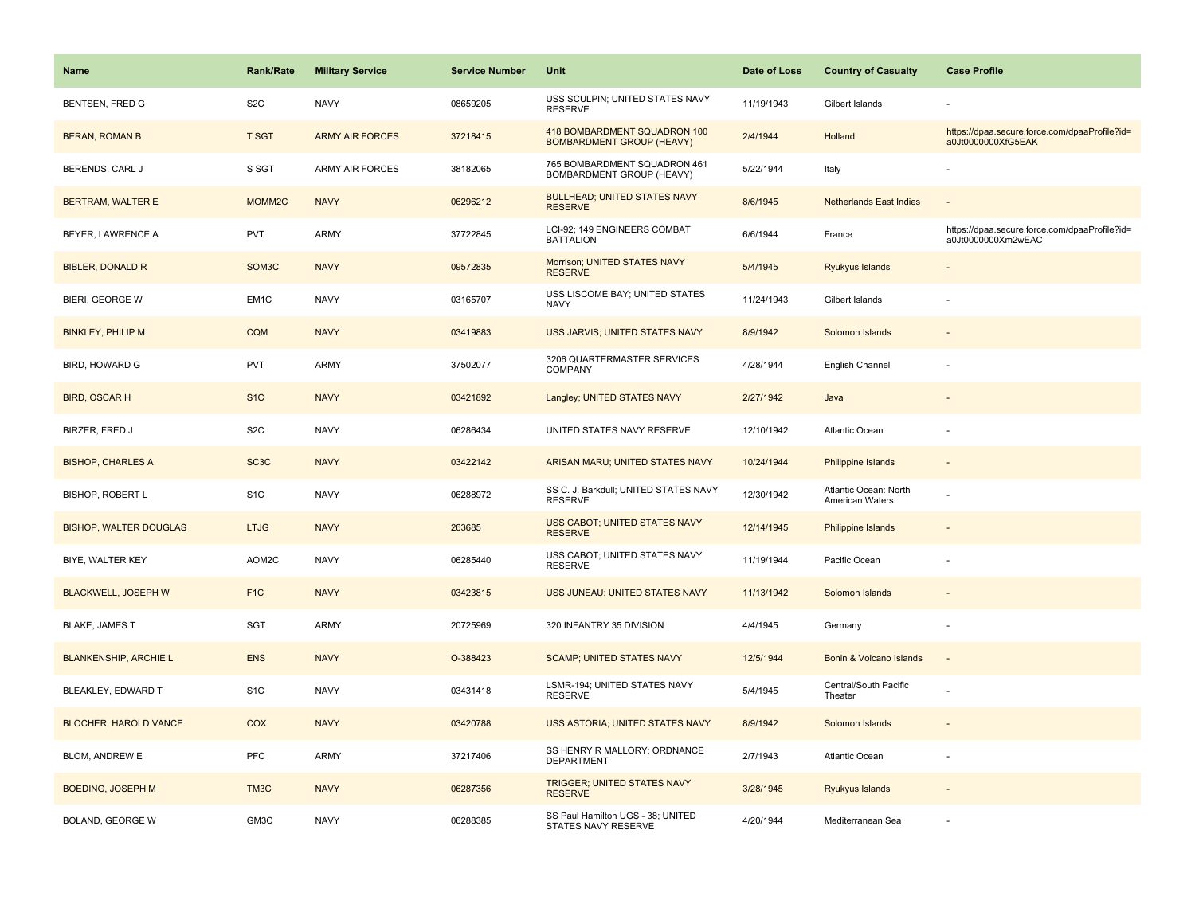| Name                          | Rank/Rate          | <b>Military Service</b> | <b>Service Number</b> | Unit                                                             | Date of Loss | <b>Country of Casualty</b>               | <b>Case Profile</b>                                                 |
|-------------------------------|--------------------|-------------------------|-----------------------|------------------------------------------------------------------|--------------|------------------------------------------|---------------------------------------------------------------------|
| <b>BENTSEN, FRED G</b>        | S <sub>2</sub> C   | <b>NAVY</b>             | 08659205              | USS SCULPIN; UNITED STATES NAVY<br><b>RESERVE</b>                | 11/19/1943   | Gilbert Islands                          |                                                                     |
| <b>BERAN, ROMAN B</b>         | <b>T SGT</b>       | <b>ARMY AIR FORCES</b>  | 37218415              | 418 BOMBARDMENT SQUADRON 100<br><b>BOMBARDMENT GROUP (HEAVY)</b> | 2/4/1944     | Holland                                  | https://dpaa.secure.force.com/dpaaProfile?id=<br>a0Jt0000000XfG5EAK |
| BERENDS, CARL J               | S SGT              | <b>ARMY AIR FORCES</b>  | 38182065              | 765 BOMBARDMENT SQUADRON 461<br>BOMBARDMENT GROUP (HEAVY)        | 5/22/1944    | Italy                                    |                                                                     |
| <b>BERTRAM, WALTER E</b>      | MOMM <sub>2C</sub> | <b>NAVY</b>             | 06296212              | <b>BULLHEAD; UNITED STATES NAVY</b><br><b>RESERVE</b>            | 8/6/1945     | <b>Netherlands East Indies</b>           |                                                                     |
| BEYER, LAWRENCE A             | <b>PVT</b>         | <b>ARMY</b>             | 37722845              | LCI-92; 149 ENGINEERS COMBAT<br><b>BATTALION</b>                 | 6/6/1944     | France                                   | https://dpaa.secure.force.com/dpaaProfile?id=<br>a0Jt0000000Xm2wEAC |
| <b>BIBLER, DONALD R</b>       | SOM <sub>3</sub> C | <b>NAVY</b>             | 09572835              | Morrison; UNITED STATES NAVY<br><b>RESERVE</b>                   | 5/4/1945     | Ryukyus Islands                          |                                                                     |
| BIERI, GEORGE W               | EM1C               | <b>NAVY</b>             | 03165707              | USS LISCOME BAY; UNITED STATES<br><b>NAVY</b>                    | 11/24/1943   | Gilbert Islands                          |                                                                     |
| <b>BINKLEY, PHILIP M</b>      | <b>CQM</b>         | <b>NAVY</b>             | 03419883              | USS JARVIS; UNITED STATES NAVY                                   | 8/9/1942     | Solomon Islands                          |                                                                     |
| <b>BIRD, HOWARD G</b>         | PVT                | ARMY                    | 37502077              | 3206 QUARTERMASTER SERVICES<br>COMPANY                           | 4/28/1944    | English Channel                          |                                                                     |
| <b>BIRD, OSCAR H</b>          | S <sub>1</sub> C   | <b>NAVY</b>             | 03421892              | Langley; UNITED STATES NAVY                                      | 2/27/1942    | Java                                     |                                                                     |
| BIRZER, FRED J                | S <sub>2</sub> C   | <b>NAVY</b>             | 06286434              | UNITED STATES NAVY RESERVE                                       | 12/10/1942   | Atlantic Ocean                           |                                                                     |
| <b>BISHOP, CHARLES A</b>      | SC <sub>3</sub> C  | <b>NAVY</b>             | 03422142              | ARISAN MARU; UNITED STATES NAVY                                  | 10/24/1944   | Philippine Islands                       | $\sim$                                                              |
| <b>BISHOP, ROBERT L</b>       | S <sub>1</sub> C   | <b>NAVY</b>             | 06288972              | SS C. J. Barkdull; UNITED STATES NAVY<br><b>RESERVE</b>          | 12/30/1942   | Atlantic Ocean: North<br>American Waters |                                                                     |
| <b>BISHOP, WALTER DOUGLAS</b> | <b>LTJG</b>        | <b>NAVY</b>             | 263685                | USS CABOT; UNITED STATES NAVY<br><b>RESERVE</b>                  | 12/14/1945   | Philippine Islands                       |                                                                     |
| BIYE, WALTER KEY              | AOM2C              | <b>NAVY</b>             | 06285440              | USS CABOT; UNITED STATES NAVY<br><b>RESERVE</b>                  | 11/19/1944   | Pacific Ocean                            |                                                                     |
| <b>BLACKWELL, JOSEPH W</b>    | F <sub>1</sub> C   | <b>NAVY</b>             | 03423815              | USS JUNEAU; UNITED STATES NAVY                                   | 11/13/1942   | Solomon Islands                          |                                                                     |
| <b>BLAKE, JAMES T</b>         | SGT                | <b>ARMY</b>             | 20725969              | 320 INFANTRY 35 DIVISION                                         | 4/4/1945     | Germany                                  | ÷,                                                                  |
| <b>BLANKENSHIP, ARCHIEL</b>   | <b>ENS</b>         | <b>NAVY</b>             | O-388423              | <b>SCAMP; UNITED STATES NAVY</b>                                 | 12/5/1944    | Bonin & Volcano Islands                  | ÷,                                                                  |
| BLEAKLEY, EDWARD T            | S <sub>1</sub> C   | <b>NAVY</b>             | 03431418              | LSMR-194; UNITED STATES NAVY<br><b>RESERVE</b>                   | 5/4/1945     | Central/South Pacific<br>Theater         |                                                                     |
| <b>BLOCHER, HAROLD VANCE</b>  | <b>COX</b>         | <b>NAVY</b>             | 03420788              | USS ASTORIA; UNITED STATES NAVY                                  | 8/9/1942     | Solomon Islands                          |                                                                     |
| BLOM, ANDREW E                | <b>PFC</b>         | ARMY                    | 37217406              | SS HENRY R MALLORY; ORDNANCE<br>DEPARTMENT                       | 2/7/1943     | Atlantic Ocean                           |                                                                     |
| <b>BOEDING, JOSEPH M</b>      | TM3C               | <b>NAVY</b>             | 06287356              | <b>TRIGGER; UNITED STATES NAVY</b><br><b>RESERVE</b>             | 3/28/1945    | Ryukyus Islands                          |                                                                     |
| BOLAND, GEORGE W              | GM3C               | <b>NAVY</b>             | 06288385              | SS Paul Hamilton UGS - 38; UNITED<br>STATES NAVY RESERVE         | 4/20/1944    | Mediterranean Sea                        |                                                                     |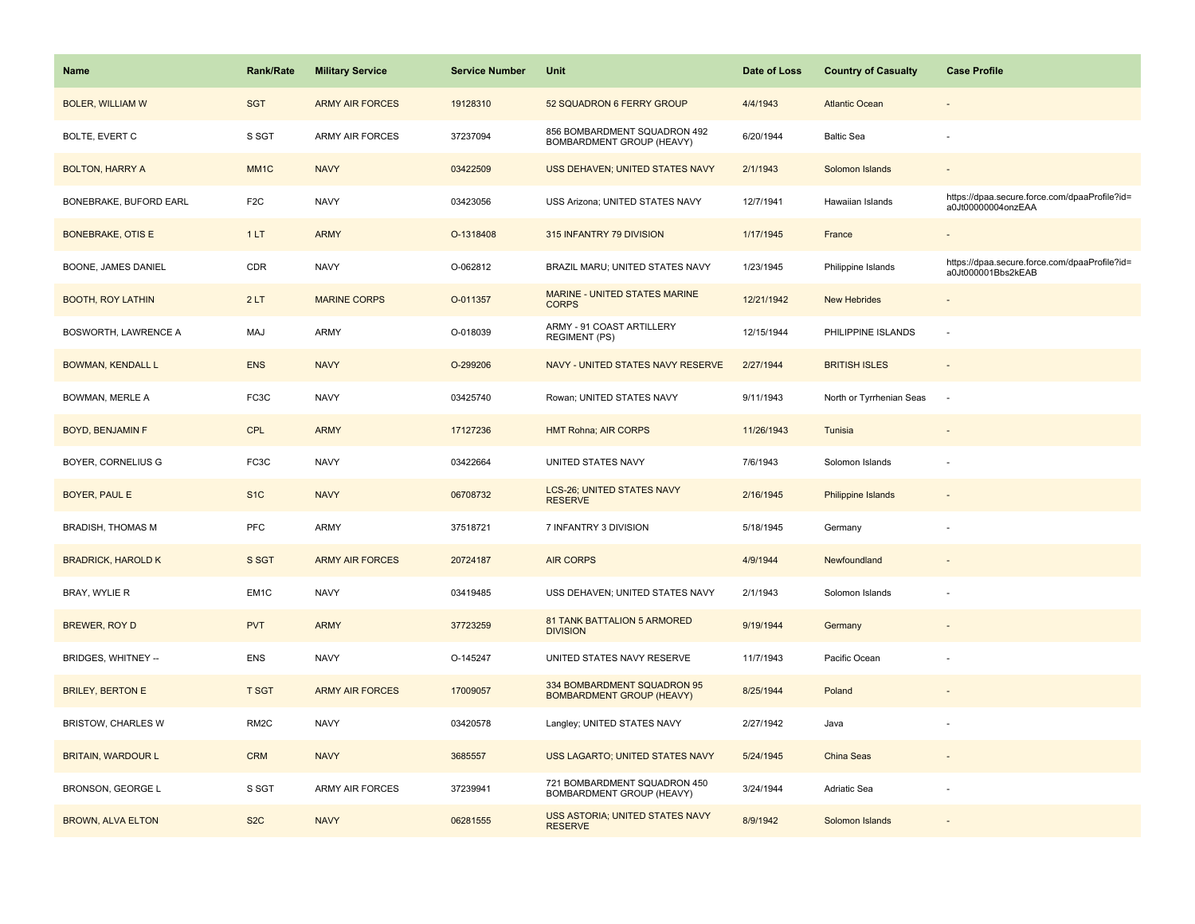| Name                        | <b>Rank/Rate</b>  | <b>Military Service</b> | <b>Service Number</b> | Unit                                                            | Date of Loss | <b>Country of Casualty</b> | <b>Case Profile</b>                                                 |
|-----------------------------|-------------------|-------------------------|-----------------------|-----------------------------------------------------------------|--------------|----------------------------|---------------------------------------------------------------------|
| <b>BOLER, WILLIAM W</b>     | <b>SGT</b>        | <b>ARMY AIR FORCES</b>  | 19128310              | 52 SQUADRON 6 FERRY GROUP                                       | 4/4/1943     | <b>Atlantic Ocean</b>      |                                                                     |
| BOLTE, EVERT C              | S SGT             | <b>ARMY AIR FORCES</b>  | 37237094              | 856 BOMBARDMENT SQUADRON 492<br>BOMBARDMENT GROUP (HEAVY)       | 6/20/1944    | <b>Baltic Sea</b>          |                                                                     |
| <b>BOLTON, HARRY A</b>      | MM <sub>1</sub> C | <b>NAVY</b>             | 03422509              | USS DEHAVEN; UNITED STATES NAVY                                 | 2/1/1943     | Solomon Islands            |                                                                     |
| BONEBRAKE, BUFORD EARL      | F <sub>2</sub> C  | <b>NAVY</b>             | 03423056              | USS Arizona; UNITED STATES NAVY                                 | 12/7/1941    | Hawaiian Islands           | https://dpaa.secure.force.com/dpaaProfile?id=<br>a0Jt00000004onzEAA |
| <b>BONEBRAKE, OTIS E</b>    | 1LT               | <b>ARMY</b>             | O-1318408             | 315 INFANTRY 79 DIVISION                                        | 1/17/1945    | France                     |                                                                     |
| BOONE, JAMES DANIEL         | CDR               | <b>NAVY</b>             | O-062812              | BRAZIL MARU; UNITED STATES NAVY                                 | 1/23/1945    | Philippine Islands         | https://dpaa.secure.force.com/dpaaProfile?id=<br>a0Jt000001Bbs2kEAB |
| <b>BOOTH, ROY LATHIN</b>    | 2LT               | <b>MARINE CORPS</b>     | O-011357              | <b>MARINE - UNITED STATES MARINE</b><br><b>CORPS</b>            | 12/21/1942   | <b>New Hebrides</b>        | $\overline{\phantom{a}}$                                            |
| <b>BOSWORTH, LAWRENCE A</b> | MAJ               | <b>ARMY</b>             | O-018039              | ARMY - 91 COAST ARTILLERY<br><b>REGIMENT (PS)</b>               | 12/15/1944   | PHILIPPINE ISLANDS         | ÷,                                                                  |
| <b>BOWMAN, KENDALL L</b>    | <b>ENS</b>        | <b>NAVY</b>             | O-299206              | NAVY - UNITED STATES NAVY RESERVE                               | 2/27/1944    | <b>BRITISH ISLES</b>       |                                                                     |
| <b>BOWMAN, MERLE A</b>      | FC3C              | <b>NAVY</b>             | 03425740              | Rowan; UNITED STATES NAVY                                       | 9/11/1943    | North or Tyrrhenian Seas   | $\sim$                                                              |
| <b>BOYD, BENJAMIN F</b>     | <b>CPL</b>        | <b>ARMY</b>             | 17127236              | <b>HMT Rohna; AIR CORPS</b>                                     | 11/26/1943   | Tunisia                    |                                                                     |
| BOYER, CORNELIUS G          | FC3C              | <b>NAVY</b>             | 03422664              | UNITED STATES NAVY                                              | 7/6/1943     | Solomon Islands            |                                                                     |
| <b>BOYER, PAUL E</b>        | S <sub>1C</sub>   | <b>NAVY</b>             | 06708732              | <b>LCS-26; UNITED STATES NAVY</b><br><b>RESERVE</b>             | 2/16/1945    | <b>Philippine Islands</b>  |                                                                     |
| <b>BRADISH, THOMAS M</b>    | PFC               | <b>ARMY</b>             | 37518721              | 7 INFANTRY 3 DIVISION                                           | 5/18/1945    | Germany                    |                                                                     |
| <b>BRADRICK, HAROLD K</b>   | S SGT             | <b>ARMY AIR FORCES</b>  | 20724187              | <b>AIR CORPS</b>                                                | 4/9/1944     | Newfoundland               |                                                                     |
| BRAY, WYLIE R               | EM1C              | <b>NAVY</b>             | 03419485              | USS DEHAVEN; UNITED STATES NAVY                                 | 2/1/1943     | Solomon Islands            |                                                                     |
| BREWER, ROY D               | <b>PVT</b>        | <b>ARMY</b>             | 37723259              | 81 TANK BATTALION 5 ARMORED<br><b>DIVISION</b>                  | 9/19/1944    | Germany                    |                                                                     |
| BRIDGES, WHITNEY --         | <b>ENS</b>        | <b>NAVY</b>             | O-145247              | UNITED STATES NAVY RESERVE                                      | 11/7/1943    | Pacific Ocean              |                                                                     |
| <b>BRILEY, BERTON E</b>     | <b>T SGT</b>      | <b>ARMY AIR FORCES</b>  | 17009057              | 334 BOMBARDMENT SQUADRON 95<br><b>BOMBARDMENT GROUP (HEAVY)</b> | 8/25/1944    | Poland                     |                                                                     |
| <b>BRISTOW, CHARLES W</b>   | RM <sub>2</sub> C | <b>NAVY</b>             | 03420578              | Langley; UNITED STATES NAVY                                     | 2/27/1942    | Java                       |                                                                     |
| <b>BRITAIN, WARDOUR L</b>   | <b>CRM</b>        | <b>NAVY</b>             | 3685557               | USS LAGARTO; UNITED STATES NAVY                                 | 5/24/1945    | China Seas                 |                                                                     |
| BRONSON, GEORGE L           | S SGT             | <b>ARMY AIR FORCES</b>  | 37239941              | 721 BOMBARDMENT SQUADRON 450<br>BOMBARDMENT GROUP (HEAVY)       | 3/24/1944    | Adriatic Sea               |                                                                     |
| <b>BROWN, ALVA ELTON</b>    | S <sub>2</sub> C  | <b>NAVY</b>             | 06281555              | USS ASTORIA; UNITED STATES NAVY<br><b>RESERVE</b>               | 8/9/1942     | Solomon Islands            |                                                                     |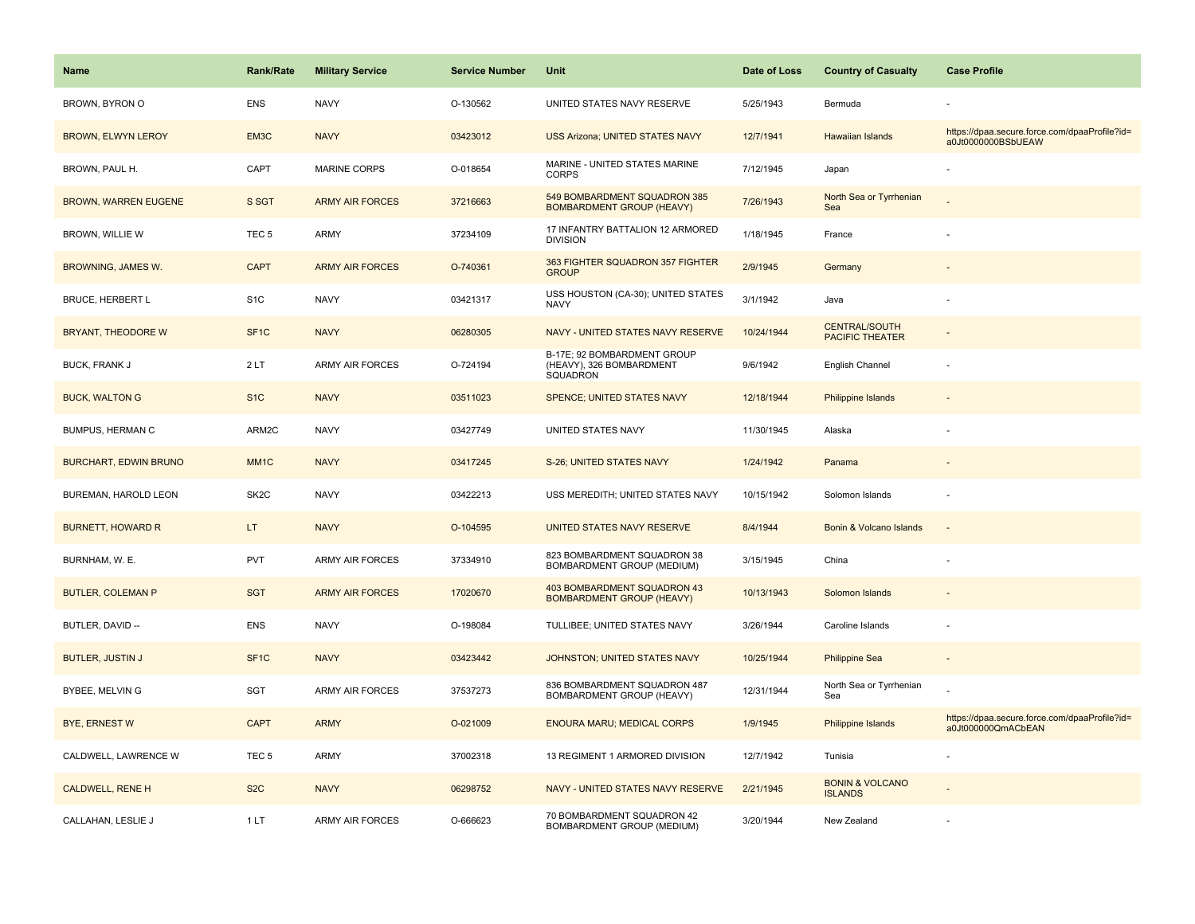| Name                         | <b>Rank/Rate</b>  | <b>Military Service</b> | <b>Service Number</b> | Unit                                                                | Date of Loss | <b>Country of Casualty</b>                     | <b>Case Profile</b>                                                 |
|------------------------------|-------------------|-------------------------|-----------------------|---------------------------------------------------------------------|--------------|------------------------------------------------|---------------------------------------------------------------------|
| BROWN, BYRON O               | <b>ENS</b>        | <b>NAVY</b>             | O-130562              | UNITED STATES NAVY RESERVE                                          | 5/25/1943    | Bermuda                                        |                                                                     |
| <b>BROWN, ELWYN LEROY</b>    | EM3C              | <b>NAVY</b>             | 03423012              | <b>USS Arizona: UNITED STATES NAVY</b>                              | 12/7/1941    | Hawaiian Islands                               | https://dpaa.secure.force.com/dpaaProfile?id=<br>a0Jt0000000BSbUEAW |
| BROWN, PAUL H.               | CAPT              | <b>MARINE CORPS</b>     | O-018654              | MARINE - UNITED STATES MARINE<br><b>CORPS</b>                       | 7/12/1945    | Japan                                          |                                                                     |
| <b>BROWN, WARREN EUGENE</b>  | S SGT             | <b>ARMY AIR FORCES</b>  | 37216663              | 549 BOMBARDMENT SQUADRON 385<br><b>BOMBARDMENT GROUP (HEAVY)</b>    | 7/26/1943    | North Sea or Tyrrhenian<br>Sea                 |                                                                     |
| <b>BROWN, WILLIE W</b>       | TEC <sub>5</sub>  | <b>ARMY</b>             | 37234109              | 17 INFANTRY BATTALION 12 ARMORED<br><b>DIVISION</b>                 | 1/18/1945    | France                                         |                                                                     |
| BROWNING, JAMES W.           | <b>CAPT</b>       | <b>ARMY AIR FORCES</b>  | O-740361              | 363 FIGHTER SQUADRON 357 FIGHTER<br><b>GROUP</b>                    | 2/9/1945     | Germany                                        |                                                                     |
| BRUCE, HERBERT L             | S <sub>1</sub> C  | <b>NAVY</b>             | 03421317              | USS HOUSTON (CA-30); UNITED STATES<br><b>NAVY</b>                   | 3/1/1942     | Java                                           |                                                                     |
| BRYANT, THEODORE W           | SF <sub>1C</sub>  | <b>NAVY</b>             | 06280305              | NAVY - UNITED STATES NAVY RESERVE                                   | 10/24/1944   | <b>CENTRAL/SOUTH</b><br><b>PACIFIC THEATER</b> |                                                                     |
| <b>BUCK, FRANK J</b>         | 2LT               | <b>ARMY AIR FORCES</b>  | O-724194              | B-17E; 92 BOMBARDMENT GROUP<br>(HEAVY), 326 BOMBARDMENT<br>SQUADRON | 9/6/1942     | English Channel                                |                                                                     |
| <b>BUCK, WALTON G</b>        | S <sub>1</sub> C  | <b>NAVY</b>             | 03511023              | SPENCE; UNITED STATES NAVY                                          | 12/18/1944   | <b>Philippine Islands</b>                      |                                                                     |
| BUMPUS, HERMAN C             | ARM2C             | <b>NAVY</b>             | 03427749              | UNITED STATES NAVY                                                  | 11/30/1945   | Alaska                                         |                                                                     |
| <b>BURCHART, EDWIN BRUNO</b> | MM <sub>1C</sub>  | <b>NAVY</b>             | 03417245              | S-26; UNITED STATES NAVY                                            | 1/24/1942    | Panama                                         |                                                                     |
| BUREMAN, HAROLD LEON         | SK <sub>2</sub> C | <b>NAVY</b>             | 03422213              | USS MEREDITH; UNITED STATES NAVY                                    | 10/15/1942   | Solomon Islands                                |                                                                     |
| <b>BURNETT, HOWARD R</b>     | LT.               | <b>NAVY</b>             | O-104595              | UNITED STATES NAVY RESERVE                                          | 8/4/1944     | Bonin & Volcano Islands                        | $\sim$                                                              |
| BURNHAM, W. E.               | <b>PVT</b>        | <b>ARMY AIR FORCES</b>  | 37334910              | 823 BOMBARDMENT SQUADRON 38<br>BOMBARDMENT GROUP (MEDIUM)           | 3/15/1945    | China                                          |                                                                     |
| <b>BUTLER, COLEMAN P</b>     | <b>SGT</b>        | <b>ARMY AIR FORCES</b>  | 17020670              | 403 BOMBARDMENT SQUADRON 43<br><b>BOMBARDMENT GROUP (HEAVY)</b>     | 10/13/1943   | Solomon Islands                                |                                                                     |
| BUTLER, DAVID --             | <b>ENS</b>        | <b>NAVY</b>             | O-198084              | TULLIBEE; UNITED STATES NAVY                                        | 3/26/1944    | Caroline Islands                               |                                                                     |
| <b>BUTLER, JUSTIN J</b>      | SF <sub>1</sub> C | <b>NAVY</b>             | 03423442              | JOHNSTON; UNITED STATES NAVY                                        | 10/25/1944   | <b>Philippine Sea</b>                          |                                                                     |
| BYBEE, MELVIN G              | SGT               | <b>ARMY AIR FORCES</b>  | 37537273              | 836 BOMBARDMENT SQUADRON 487<br>BOMBARDMENT GROUP (HEAVY)           | 12/31/1944   | North Sea or Tyrrhenian<br>Sea                 |                                                                     |
| <b>BYE, ERNEST W</b>         | <b>CAPT</b>       | <b>ARMY</b>             | O-021009              | <b>ENOURA MARU; MEDICAL CORPS</b>                                   | 1/9/1945     | Philippine Islands                             | https://dpaa.secure.force.com/dpaaProfile?id=<br>a0Jt000000QmACbEAN |
| CALDWELL, LAWRENCE W         | TEC <sub>5</sub>  | <b>ARMY</b>             | 37002318              | 13 REGIMENT 1 ARMORED DIVISION                                      | 12/7/1942    | Tunisia                                        |                                                                     |
| <b>CALDWELL, RENE H</b>      | S <sub>2</sub> C  | <b>NAVY</b>             | 06298752              | NAVY - UNITED STATES NAVY RESERVE                                   | 2/21/1945    | <b>BONIN &amp; VOLCANO</b><br><b>ISLANDS</b>   |                                                                     |
| CALLAHAN, LESLIE J           | 1LT               | <b>ARMY AIR FORCES</b>  | O-666623              | 70 BOMBARDMENT SQUADRON 42<br>BOMBARDMENT GROUP (MEDIUM)            | 3/20/1944    | New Zealand                                    |                                                                     |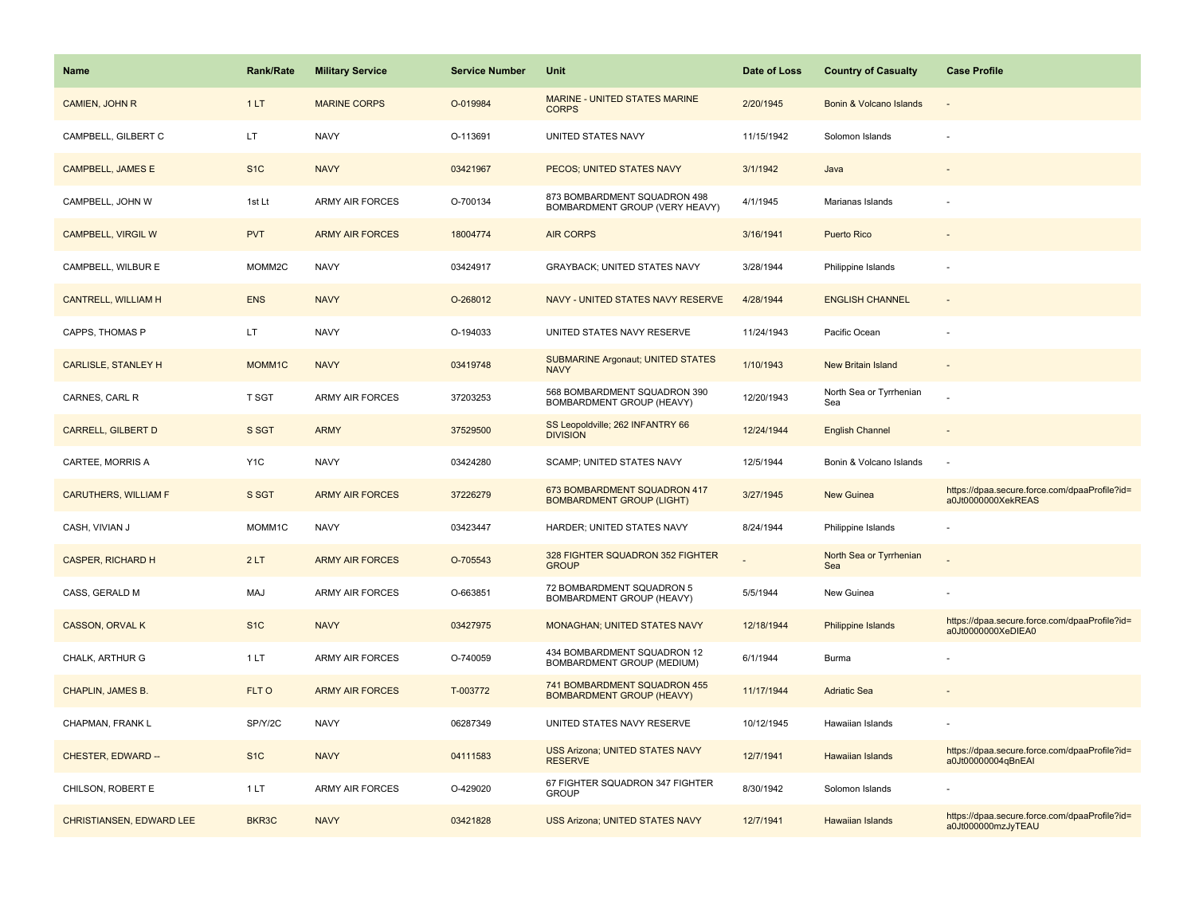| <b>Name</b>                     | <b>Rank/Rate</b> | <b>Military Service</b> | <b>Service Number</b> | Unit                                                             | Date of Loss | <b>Country of Casualty</b>     | <b>Case Profile</b>                                                 |
|---------------------------------|------------------|-------------------------|-----------------------|------------------------------------------------------------------|--------------|--------------------------------|---------------------------------------------------------------------|
| CAMIEN, JOHN R                  | 1LT              | <b>MARINE CORPS</b>     | O-019984              | MARINE - UNITED STATES MARINE<br><b>CORPS</b>                    | 2/20/1945    | Bonin & Volcano Islands        |                                                                     |
| CAMPBELL, GILBERT C             | LT.              | <b>NAVY</b>             | O-113691              | UNITED STATES NAVY                                               | 11/15/1942   | Solomon Islands                |                                                                     |
| <b>CAMPBELL, JAMES E</b>        | S <sub>1</sub> C | <b>NAVY</b>             | 03421967              | PECOS; UNITED STATES NAVY                                        | 3/1/1942     | Java                           |                                                                     |
| CAMPBELL, JOHN W                | 1st Lt           | <b>ARMY AIR FORCES</b>  | O-700134              | 873 BOMBARDMENT SQUADRON 498<br>BOMBARDMENT GROUP (VERY HEAVY)   | 4/1/1945     | Marianas Islands               |                                                                     |
| <b>CAMPBELL, VIRGIL W</b>       | <b>PVT</b>       | <b>ARMY AIR FORCES</b>  | 18004774              | <b>AIR CORPS</b>                                                 | 3/16/1941    | <b>Puerto Rico</b>             |                                                                     |
| CAMPBELL, WILBUR E              | MOMM2C           | <b>NAVY</b>             | 03424917              | <b>GRAYBACK; UNITED STATES NAVY</b>                              | 3/28/1944    | Philippine Islands             |                                                                     |
| <b>CANTRELL, WILLIAM H</b>      | <b>ENS</b>       | <b>NAVY</b>             | O-268012              | NAVY - UNITED STATES NAVY RESERVE                                | 4/28/1944    | <b>ENGLISH CHANNEL</b>         |                                                                     |
| CAPPS, THOMAS P                 | LT.              | <b>NAVY</b>             | O-194033              | UNITED STATES NAVY RESERVE                                       | 11/24/1943   | Pacific Ocean                  |                                                                     |
| <b>CARLISLE, STANLEY H</b>      | MOMM1C           | <b>NAVY</b>             | 03419748              | <b>SUBMARINE Argonaut; UNITED STATES</b><br><b>NAVY</b>          | 1/10/1943    | New Britain Island             |                                                                     |
| CARNES, CARL R                  | T SGT            | <b>ARMY AIR FORCES</b>  | 37203253              | 568 BOMBARDMENT SQUADRON 390<br>BOMBARDMENT GROUP (HEAVY)        | 12/20/1943   | North Sea or Tyrrhenian<br>Sea |                                                                     |
| <b>CARRELL, GILBERT D</b>       | S SGT            | <b>ARMY</b>             | 37529500              | SS Leopoldville; 262 INFANTRY 66<br><b>DIVISION</b>              | 12/24/1944   | <b>English Channel</b>         |                                                                     |
| CARTEE, MORRIS A                | Y <sub>1</sub> C | <b>NAVY</b>             | 03424280              | SCAMP; UNITED STATES NAVY                                        | 12/5/1944    | Bonin & Volcano Islands        |                                                                     |
| <b>CARUTHERS, WILLIAM F</b>     | S SGT            | <b>ARMY AIR FORCES</b>  | 37226279              | 673 BOMBARDMENT SQUADRON 417<br><b>BOMBARDMENT GROUP (LIGHT)</b> | 3/27/1945    | <b>New Guinea</b>              | https://dpaa.secure.force.com/dpaaProfile?id=<br>a0Jt0000000XekREAS |
| CASH, VIVIAN J                  | MOMM1C           | <b>NAVY</b>             | 03423447              | HARDER; UNITED STATES NAVY                                       | 8/24/1944    | Philippine Islands             |                                                                     |
| <b>CASPER, RICHARD H</b>        | 2LT              | <b>ARMY AIR FORCES</b>  | O-705543              | 328 FIGHTER SQUADRON 352 FIGHTER<br><b>GROUP</b>                 |              | North Sea or Tyrrhenian<br>Sea |                                                                     |
| CASS, GERALD M                  | MAJ              | <b>ARMY AIR FORCES</b>  | O-663851              | 72 BOMBARDMENT SQUADRON 5<br>BOMBARDMENT GROUP (HEAVY)           | 5/5/1944     | New Guinea                     |                                                                     |
| <b>CASSON, ORVAL K</b>          | S <sub>1</sub> C | <b>NAVY</b>             | 03427975              | MONAGHAN; UNITED STATES NAVY                                     | 12/18/1944   | Philippine Islands             | https://dpaa.secure.force.com/dpaaProfile?id=<br>a0Jt0000000XeDIEA0 |
| CHALK, ARTHUR G                 | 1LT              | <b>ARMY AIR FORCES</b>  | O-740059              | 434 BOMBARDMENT SQUADRON 12<br>BOMBARDMENT GROUP (MEDIUM)        | 6/1/1944     | Burma                          |                                                                     |
| CHAPLIN, JAMES B.               | FLT O            | <b>ARMY AIR FORCES</b>  | T-003772              | 741 BOMBARDMENT SQUADRON 455<br><b>BOMBARDMENT GROUP (HEAVY)</b> | 11/17/1944   | <b>Adriatic Sea</b>            |                                                                     |
| CHAPMAN, FRANK L                | SP/Y/2C          | <b>NAVY</b>             | 06287349              | UNITED STATES NAVY RESERVE                                       | 10/12/1945   | Hawaiian Islands               |                                                                     |
| CHESTER, EDWARD --              | S <sub>1</sub> C | <b>NAVY</b>             | 04111583              | <b>USS Arizona; UNITED STATES NAVY</b><br><b>RESERVE</b>         | 12/7/1941    | Hawaiian Islands               | https://dpaa.secure.force.com/dpaaProfile?id=<br>a0Jt00000004qBnEAI |
| CHILSON, ROBERT E               | 1LT              | <b>ARMY AIR FORCES</b>  | O-429020              | 67 FIGHTER SQUADRON 347 FIGHTER<br><b>GROUP</b>                  | 8/30/1942    | Solomon Islands                |                                                                     |
| <b>CHRISTIANSEN, EDWARD LEE</b> | BKR3C            | <b>NAVY</b>             | 03421828              | <b>USS Arizona; UNITED STATES NAVY</b>                           | 12/7/1941    | <b>Hawaiian Islands</b>        | https://dpaa.secure.force.com/dpaaProfile?id=<br>a0Jt000000mzJyTEAU |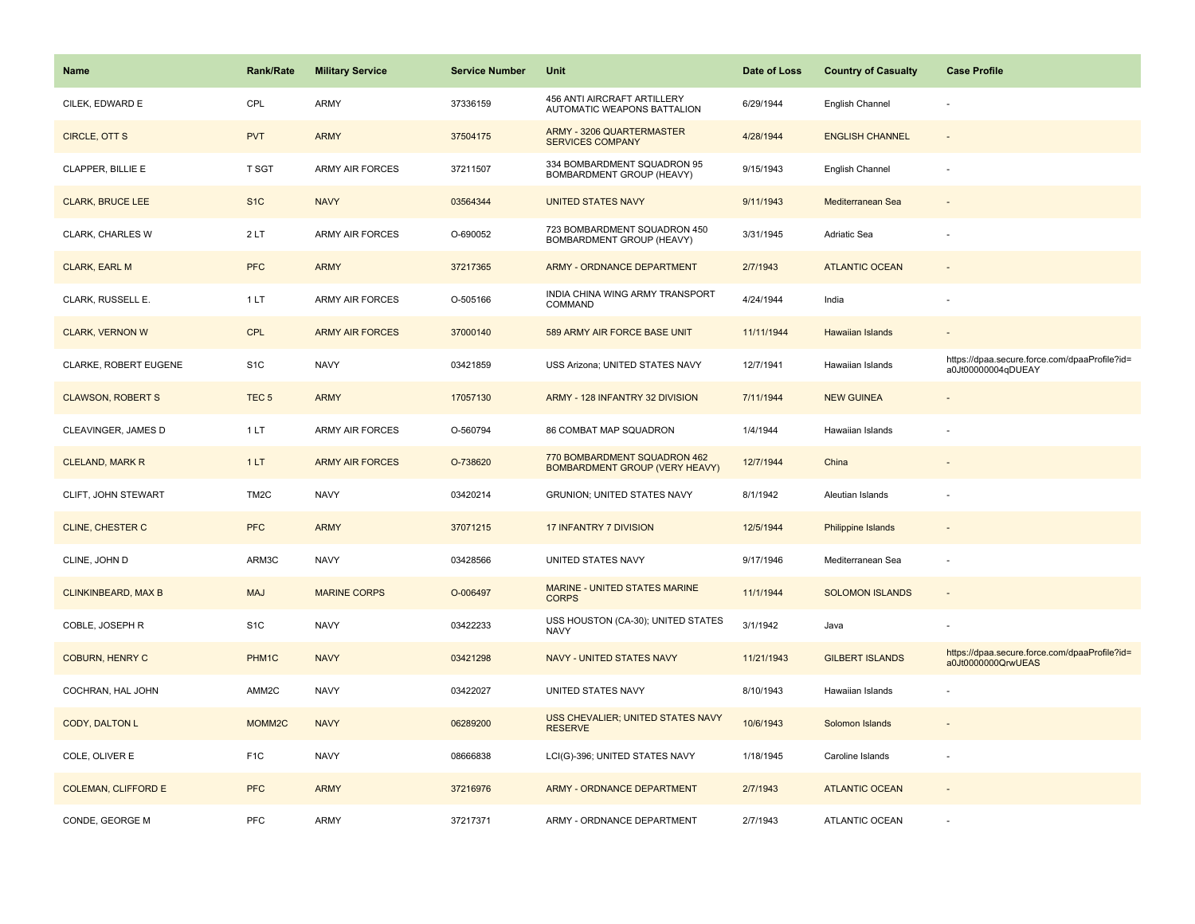| <b>Name</b>                | <b>Rank/Rate</b>  | <b>Military Service</b> | <b>Service Number</b> | Unit                                                                  | Date of Loss | <b>Country of Casualty</b> | <b>Case Profile</b>                                                 |
|----------------------------|-------------------|-------------------------|-----------------------|-----------------------------------------------------------------------|--------------|----------------------------|---------------------------------------------------------------------|
| CILEK, EDWARD E            | CPL               | <b>ARMY</b>             | 37336159              | 456 ANTI AIRCRAFT ARTILLERY<br>AUTOMATIC WEAPONS BATTALION            | 6/29/1944    | English Channel            |                                                                     |
| CIRCLE, OTT S              | <b>PVT</b>        | <b>ARMY</b>             | 37504175              | <b>ARMY - 3206 QUARTERMASTER</b><br><b>SERVICES COMPANY</b>           | 4/28/1944    | <b>ENGLISH CHANNEL</b>     |                                                                     |
| CLAPPER, BILLIE E          | T SGT             | <b>ARMY AIR FORCES</b>  | 37211507              | 334 BOMBARDMENT SQUADRON 95<br><b>BOMBARDMENT GROUP (HEAVY)</b>       | 9/15/1943    | English Channel            |                                                                     |
| <b>CLARK, BRUCE LEE</b>    | S <sub>1</sub> C  | <b>NAVY</b>             | 03564344              | <b>UNITED STATES NAVY</b>                                             | 9/11/1943    | Mediterranean Sea          |                                                                     |
| CLARK, CHARLES W           | 2LT               | <b>ARMY AIR FORCES</b>  | O-690052              | 723 BOMBARDMENT SQUADRON 450<br>BOMBARDMENT GROUP (HEAVY)             | 3/31/1945    | Adriatic Sea               |                                                                     |
| <b>CLARK, EARL M</b>       | <b>PFC</b>        | <b>ARMY</b>             | 37217365              | <b>ARMY - ORDNANCE DEPARTMENT</b>                                     | 2/7/1943     | <b>ATLANTIC OCEAN</b>      | $\sim$                                                              |
| CLARK, RUSSELL E.          | 1LT               | <b>ARMY AIR FORCES</b>  | O-505166              | INDIA CHINA WING ARMY TRANSPORT<br>COMMAND                            | 4/24/1944    | India                      |                                                                     |
| <b>CLARK, VERNON W</b>     | <b>CPL</b>        | <b>ARMY AIR FORCES</b>  | 37000140              | 589 ARMY AIR FORCE BASE UNIT                                          | 11/11/1944   | <b>Hawaiian Islands</b>    |                                                                     |
| CLARKE, ROBERT EUGENE      | S <sub>1</sub> C  | <b>NAVY</b>             | 03421859              | USS Arizona; UNITED STATES NAVY                                       | 12/7/1941    | Hawaiian Islands           | https://dpaa.secure.force.com/dpaaProfile?id=<br>a0Jt00000004qDUEAY |
| <b>CLAWSON, ROBERT S</b>   | TEC <sub>5</sub>  | <b>ARMY</b>             | 17057130              | ARMY - 128 INFANTRY 32 DIVISION                                       | 7/11/1944    | <b>NEW GUINEA</b>          |                                                                     |
| CLEAVINGER, JAMES D        | 1 LT              | <b>ARMY AIR FORCES</b>  | O-560794              | <b>86 COMBAT MAP SQUADRON</b>                                         | 1/4/1944     | Hawaiian Islands           |                                                                     |
| <b>CLELAND, MARK R</b>     | 1LT               | <b>ARMY AIR FORCES</b>  | O-738620              | 770 BOMBARDMENT SQUADRON 462<br><b>BOMBARDMENT GROUP (VERY HEAVY)</b> | 12/7/1944    | China                      |                                                                     |
| CLIFT, JOHN STEWART        | TM <sub>2</sub> C | <b>NAVY</b>             | 03420214              | GRUNION; UNITED STATES NAVY                                           | 8/1/1942     | Aleutian Islands           |                                                                     |
| <b>CLINE, CHESTER C</b>    | <b>PFC</b>        | <b>ARMY</b>             | 37071215              | <b>17 INFANTRY 7 DIVISION</b>                                         | 12/5/1944    | <b>Philippine Islands</b>  |                                                                     |
| CLINE, JOHN D              | ARM3C             | <b>NAVY</b>             | 03428566              | UNITED STATES NAVY                                                    | 9/17/1946    | Mediterranean Sea          | $\sim$                                                              |
| <b>CLINKINBEARD, MAX B</b> | <b>MAJ</b>        | <b>MARINE CORPS</b>     | O-006497              | MARINE - UNITED STATES MARINE<br><b>CORPS</b>                         | 11/1/1944    | <b>SOLOMON ISLANDS</b>     |                                                                     |
| COBLE, JOSEPH R            | S <sub>1</sub> C  | <b>NAVY</b>             | 03422233              | USS HOUSTON (CA-30); UNITED STATES<br><b>NAVY</b>                     | 3/1/1942     | Java                       |                                                                     |
| <b>COBURN, HENRY C</b>     | PHM1C             | <b>NAVY</b>             | 03421298              | NAVY - UNITED STATES NAVY                                             | 11/21/1943   | <b>GILBERT ISLANDS</b>     | https://dpaa.secure.force.com/dpaaProfile?id=<br>a0Jt0000000QrwUEAS |
| COCHRAN, HAL JOHN          | AMM2C             | <b>NAVY</b>             | 03422027              | UNITED STATES NAVY                                                    | 8/10/1943    | Hawaiian Islands           |                                                                     |
| CODY, DALTON L             | MOMM2C            | <b>NAVY</b>             | 06289200              | USS CHEVALIER; UNITED STATES NAVY<br><b>RESERVE</b>                   | 10/6/1943    | Solomon Islands            |                                                                     |
| COLE, OLIVER E             | F <sub>1</sub> C  | <b>NAVY</b>             | 08666838              | LCI(G)-396; UNITED STATES NAVY                                        | 1/18/1945    | Caroline Islands           | ÷.                                                                  |
| <b>COLEMAN, CLIFFORD E</b> | <b>PFC</b>        | <b>ARMY</b>             | 37216976              | ARMY - ORDNANCE DEPARTMENT                                            | 2/7/1943     | <b>ATLANTIC OCEAN</b>      |                                                                     |
| CONDE, GEORGE M            | PFC               | <b>ARMY</b>             | 37217371              | ARMY - ORDNANCE DEPARTMENT                                            | 2/7/1943     | <b>ATLANTIC OCEAN</b>      |                                                                     |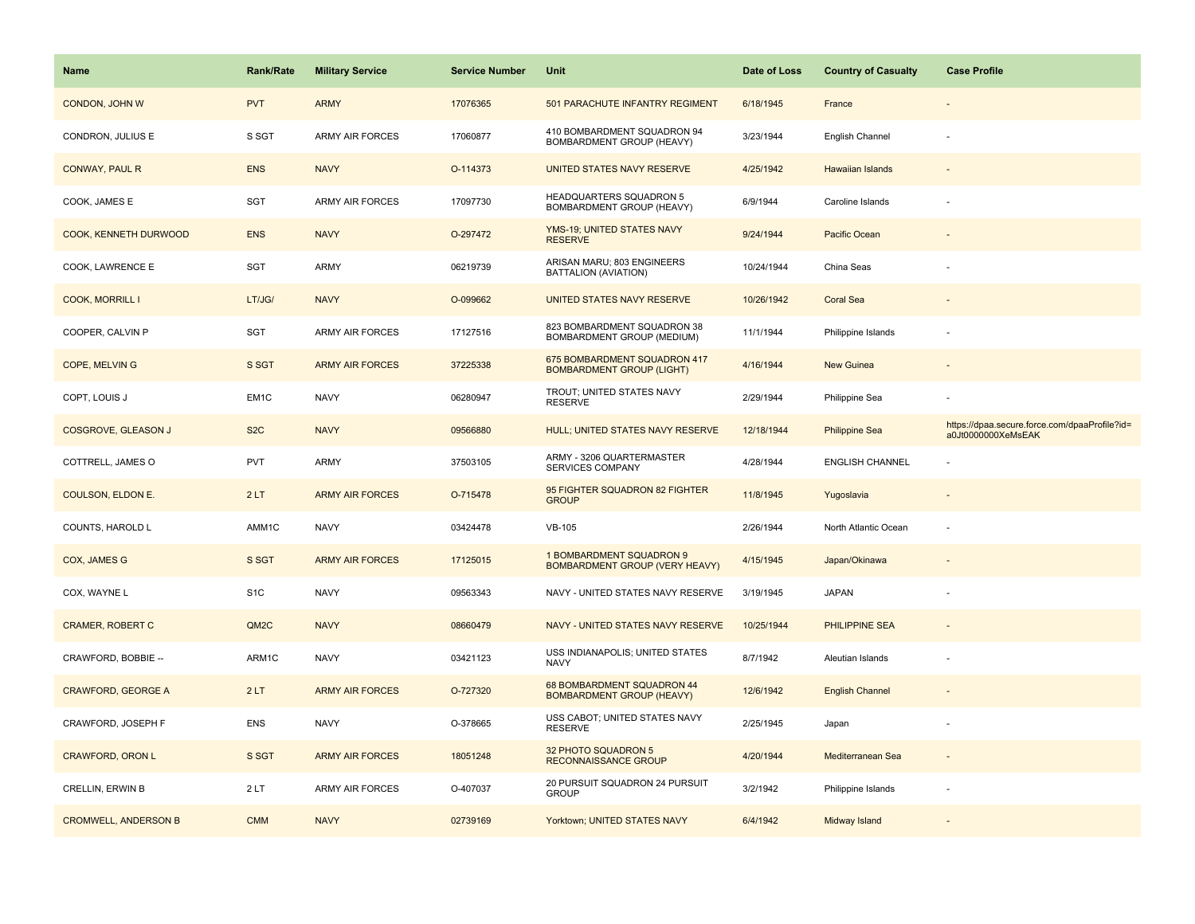| <b>Name</b>                 | <b>Rank/Rate</b>  | <b>Military Service</b> | <b>Service Number</b> | Unit                                                             | Date of Loss | <b>Country of Casualty</b> | <b>Case Profile</b>                                                 |
|-----------------------------|-------------------|-------------------------|-----------------------|------------------------------------------------------------------|--------------|----------------------------|---------------------------------------------------------------------|
| CONDON, JOHN W              | <b>PVT</b>        | <b>ARMY</b>             | 17076365              | 501 PARACHUTE INFANTRY REGIMENT                                  | 6/18/1945    | France                     |                                                                     |
| CONDRON, JULIUS E           | S SGT             | <b>ARMY AIR FORCES</b>  | 17060877              | 410 BOMBARDMENT SQUADRON 94<br>BOMBARDMENT GROUP (HEAVY)         | 3/23/1944    | English Channel            |                                                                     |
| <b>CONWAY, PAUL R</b>       | <b>ENS</b>        | <b>NAVY</b>             | O-114373              | UNITED STATES NAVY RESERVE                                       | 4/25/1942    | Hawaiian Islands           |                                                                     |
| COOK, JAMES E               | SGT               | <b>ARMY AIR FORCES</b>  | 17097730              | HEADQUARTERS SQUADRON 5<br>BOMBARDMENT GROUP (HEAVY)             | 6/9/1944     | Caroline Islands           |                                                                     |
| COOK, KENNETH DURWOOD       | <b>ENS</b>        | <b>NAVY</b>             | O-297472              | YMS-19; UNITED STATES NAVY<br><b>RESERVE</b>                     | 9/24/1944    | Pacific Ocean              |                                                                     |
| COOK, LAWRENCE E            | SGT               | ARMY                    | 06219739              | ARISAN MARU; 803 ENGINEERS<br>BATTALION (AVIATION)               | 10/24/1944   | China Seas                 |                                                                     |
| <b>COOK, MORRILL I</b>      | LT/JG/            | <b>NAVY</b>             | O-099662              | UNITED STATES NAVY RESERVE                                       | 10/26/1942   | <b>Coral Sea</b>           |                                                                     |
| COOPER, CALVIN P            | SGT               | ARMY AIR FORCES         | 17127516              | 823 BOMBARDMENT SQUADRON 38<br>BOMBARDMENT GROUP (MEDIUM)        | 11/1/1944    | Philippine Islands         |                                                                     |
| COPE, MELVIN G              | S SGT             | <b>ARMY AIR FORCES</b>  | 37225338              | 675 BOMBARDMENT SQUADRON 417<br><b>BOMBARDMENT GROUP (LIGHT)</b> | 4/16/1944    | New Guinea                 |                                                                     |
| COPT, LOUIS J               | EM1C              | <b>NAVY</b>             | 06280947              | TROUT; UNITED STATES NAVY<br><b>RESERVE</b>                      | 2/29/1944    | Philippine Sea             |                                                                     |
| <b>COSGROVE, GLEASON J</b>  | S <sub>2</sub> C  | <b>NAVY</b>             | 09566880              | HULL; UNITED STATES NAVY RESERVE                                 | 12/18/1944   | <b>Philippine Sea</b>      | https://dpaa.secure.force.com/dpaaProfile?id=<br>a0Jt0000000XeMsEAK |
| COTTRELL, JAMES O           | <b>PVT</b>        | ARMY                    | 37503105              | ARMY - 3206 QUARTERMASTER<br>SERVICES COMPANY                    | 4/28/1944    | <b>ENGLISH CHANNEL</b>     |                                                                     |
| <b>COULSON, ELDON E.</b>    | 2LT               | <b>ARMY AIR FORCES</b>  | O-715478              | 95 FIGHTER SQUADRON 82 FIGHTER<br><b>GROUP</b>                   | 11/8/1945    | Yugoslavia                 |                                                                     |
| COUNTS, HAROLD L            | AMM1C             | <b>NAVY</b>             | 03424478              | <b>VB-105</b>                                                    | 2/26/1944    | North Atlantic Ocean       |                                                                     |
| <b>COX, JAMES G</b>         | S SGT             | <b>ARMY AIR FORCES</b>  | 17125015              | 1 BOMBARDMENT SQUADRON 9<br>BOMBARDMENT GROUP (VERY HEAVY)       | 4/15/1945    | Japan/Okinawa              |                                                                     |
| COX, WAYNE L                | S <sub>1</sub> C  | <b>NAVY</b>             | 09563343              | NAVY - UNITED STATES NAVY RESERVE                                | 3/19/1945    | <b>JAPAN</b>               |                                                                     |
| <b>CRAMER, ROBERT C</b>     | QM <sub>2</sub> C | <b>NAVY</b>             | 08660479              | NAVY - UNITED STATES NAVY RESERVE                                | 10/25/1944   | PHILIPPINE SEA             |                                                                     |
| CRAWFORD, BOBBIE --         | ARM1C             | <b>NAVY</b>             | 03421123              | USS INDIANAPOLIS; UNITED STATES<br><b>NAVY</b>                   | 8/7/1942     | Aleutian Islands           |                                                                     |
| <b>CRAWFORD, GEORGE A</b>   | 2LT               | <b>ARMY AIR FORCES</b>  | O-727320              | 68 BOMBARDMENT SQUADRON 44<br><b>BOMBARDMENT GROUP (HEAVY)</b>   | 12/6/1942    | <b>English Channel</b>     |                                                                     |
| CRAWFORD, JOSEPH F          | <b>ENS</b>        | <b>NAVY</b>             | O-378665              | USS CABOT; UNITED STATES NAVY<br><b>RESERVE</b>                  | 2/25/1945    | Japan                      |                                                                     |
| <b>CRAWFORD, ORON L</b>     | S SGT             | <b>ARMY AIR FORCES</b>  | 18051248              | 32 PHOTO SQUADRON 5<br><b>RECONNAISSANCE GROUP</b>               | 4/20/1944    | Mediterranean Sea          |                                                                     |
| CRELLIN, ERWIN B            | 2LT               | <b>ARMY AIR FORCES</b>  | O-407037              | 20 PURSUIT SQUADRON 24 PURSUIT<br><b>GROUP</b>                   | 3/2/1942     | Philippine Islands         |                                                                     |
| <b>CROMWELL, ANDERSON B</b> | <b>CMM</b>        | <b>NAVY</b>             | 02739169              | Yorktown; UNITED STATES NAVY                                     | 6/4/1942     | Midway Island              |                                                                     |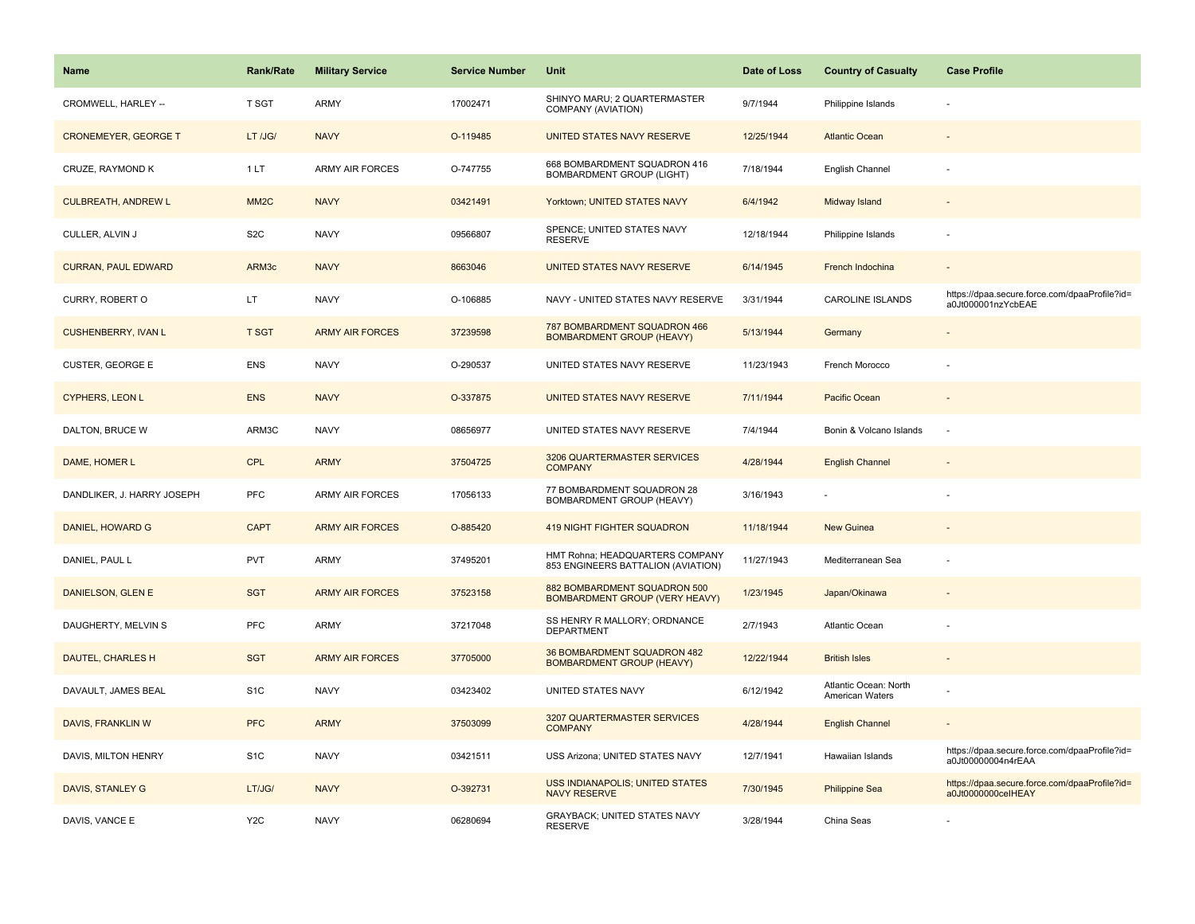| <b>Name</b>                 | <b>Rank/Rate</b>  | <b>Military Service</b> | <b>Service Number</b> | Unit                                                                  | Date of Loss | <b>Country of Casualty</b>               | <b>Case Profile</b>                                                 |
|-----------------------------|-------------------|-------------------------|-----------------------|-----------------------------------------------------------------------|--------------|------------------------------------------|---------------------------------------------------------------------|
| CROMWELL, HARLEY --         | T SGT             | ARMY                    | 17002471              | SHINYO MARU; 2 QUARTERMASTER<br>COMPANY (AVIATION)                    | 9/7/1944     | Philippine Islands                       |                                                                     |
| <b>CRONEMEYER, GEORGE T</b> | LT /JG/           | <b>NAVY</b>             | O-119485              | UNITED STATES NAVY RESERVE                                            | 12/25/1944   | <b>Atlantic Ocean</b>                    |                                                                     |
| CRUZE, RAYMOND K            | 1LT               | <b>ARMY AIR FORCES</b>  | O-747755              | 668 BOMBARDMENT SQUADRON 416<br><b>BOMBARDMENT GROUP (LIGHT)</b>      | 7/18/1944    | English Channel                          |                                                                     |
| <b>CULBREATH, ANDREW L</b>  | MM <sub>2</sub> C | <b>NAVY</b>             | 03421491              | Yorktown; UNITED STATES NAVY                                          | 6/4/1942     | Midway Island                            |                                                                     |
| CULLER, ALVIN J             | S <sub>2</sub> C  | <b>NAVY</b>             | 09566807              | SPENCE; UNITED STATES NAVY<br><b>RESERVE</b>                          | 12/18/1944   | Philippine Islands                       |                                                                     |
| <b>CURRAN, PAUL EDWARD</b>  | ARM3c             | <b>NAVY</b>             | 8663046               | UNITED STATES NAVY RESERVE                                            | 6/14/1945    | French Indochina                         |                                                                     |
| CURRY, ROBERT O             | LT                | <b>NAVY</b>             | O-106885              | NAVY - UNITED STATES NAVY RESERVE                                     | 3/31/1944    | CAROLINE ISLANDS                         | https://dpaa.secure.force.com/dpaaProfile?id=<br>a0Jt000001nzYcbEAE |
| <b>CUSHENBERRY, IVAN L</b>  | <b>T SGT</b>      | <b>ARMY AIR FORCES</b>  | 37239598              | 787 BOMBARDMENT SQUADRON 466<br><b>BOMBARDMENT GROUP (HEAVY)</b>      | 5/13/1944    | Germany                                  |                                                                     |
| <b>CUSTER, GEORGE E</b>     | <b>ENS</b>        | <b>NAVY</b>             | O-290537              | UNITED STATES NAVY RESERVE                                            | 11/23/1943   | French Morocco                           |                                                                     |
| <b>CYPHERS, LEON L</b>      | <b>ENS</b>        | <b>NAVY</b>             | O-337875              | UNITED STATES NAVY RESERVE                                            | 7/11/1944    | Pacific Ocean                            |                                                                     |
| DALTON, BRUCE W             | ARM3C             | <b>NAVY</b>             | 08656977              | UNITED STATES NAVY RESERVE                                            | 7/4/1944     | Bonin & Volcano Islands                  |                                                                     |
| DAME, HOMER L               | <b>CPL</b>        | <b>ARMY</b>             | 37504725              | 3206 QUARTERMASTER SERVICES<br><b>COMPANY</b>                         | 4/28/1944    | <b>English Channel</b>                   |                                                                     |
| DANDLIKER, J. HARRY JOSEPH  | <b>PFC</b>        | ARMY AIR FORCES         | 17056133              | 77 BOMBARDMENT SQUADRON 28<br>BOMBARDMENT GROUP (HEAVY)               | 3/16/1943    |                                          |                                                                     |
| DANIEL, HOWARD G            | <b>CAPT</b>       | <b>ARMY AIR FORCES</b>  | O-885420              | <b>419 NIGHT FIGHTER SQUADRON</b>                                     | 11/18/1944   | New Guinea                               |                                                                     |
| DANIEL, PAUL L              | <b>PVT</b>        | <b>ARMY</b>             | 37495201              | HMT Rohna; HEADQUARTERS COMPANY<br>853 ENGINEERS BATTALION (AVIATION) | 11/27/1943   | Mediterranean Sea                        |                                                                     |
| DANIELSON, GLEN E           | <b>SGT</b>        | <b>ARMY AIR FORCES</b>  | 37523158              | 882 BOMBARDMENT SQUADRON 500<br><b>BOMBARDMENT GROUP (VERY HEAVY)</b> | 1/23/1945    | Japan/Okinawa                            |                                                                     |
| DAUGHERTY, MELVIN S         | <b>PFC</b>        | ARMY                    | 37217048              | SS HENRY R MALLORY; ORDNANCE<br><b>DEPARTMENT</b>                     | 2/7/1943     | Atlantic Ocean                           |                                                                     |
| DAUTEL, CHARLES H           | <b>SGT</b>        | <b>ARMY AIR FORCES</b>  | 37705000              | 36 BOMBARDMENT SQUADRON 482<br><b>BOMBARDMENT GROUP (HEAVY)</b>       | 12/22/1944   | <b>British Isles</b>                     |                                                                     |
| DAVAULT, JAMES BEAL         | S <sub>1</sub> C  | <b>NAVY</b>             | 03423402              | UNITED STATES NAVY                                                    | 6/12/1942    | Atlantic Ocean: North<br>American Waters |                                                                     |
| DAVIS, FRANKLIN W           | <b>PFC</b>        | <b>ARMY</b>             | 37503099              | 3207 QUARTERMASTER SERVICES<br><b>COMPANY</b>                         | 4/28/1944    | <b>English Channel</b>                   |                                                                     |
| DAVIS, MILTON HENRY         | S <sub>1C</sub>   | <b>NAVY</b>             | 03421511              | USS Arizona; UNITED STATES NAVY                                       | 12/7/1941    | Hawaiian Islands                         | https://dpaa.secure.force.com/dpaaProfile?id=<br>a0Jt00000004n4rEAA |
| DAVIS, STANLEY G            | LT/JG/            | <b>NAVY</b>             | O-392731              | USS INDIANAPOLIS; UNITED STATES<br><b>NAVY RESERVE</b>                | 7/30/1945    | <b>Philippine Sea</b>                    | https://dpaa.secure.force.com/dpaaProfile?id=<br>a0Jt0000000celHEAY |
| DAVIS, VANCE E              | Y <sub>2</sub> C  | <b>NAVY</b>             | 06280694              | GRAYBACK; UNITED STATES NAVY<br><b>RESERVE</b>                        | 3/28/1944    | China Seas                               |                                                                     |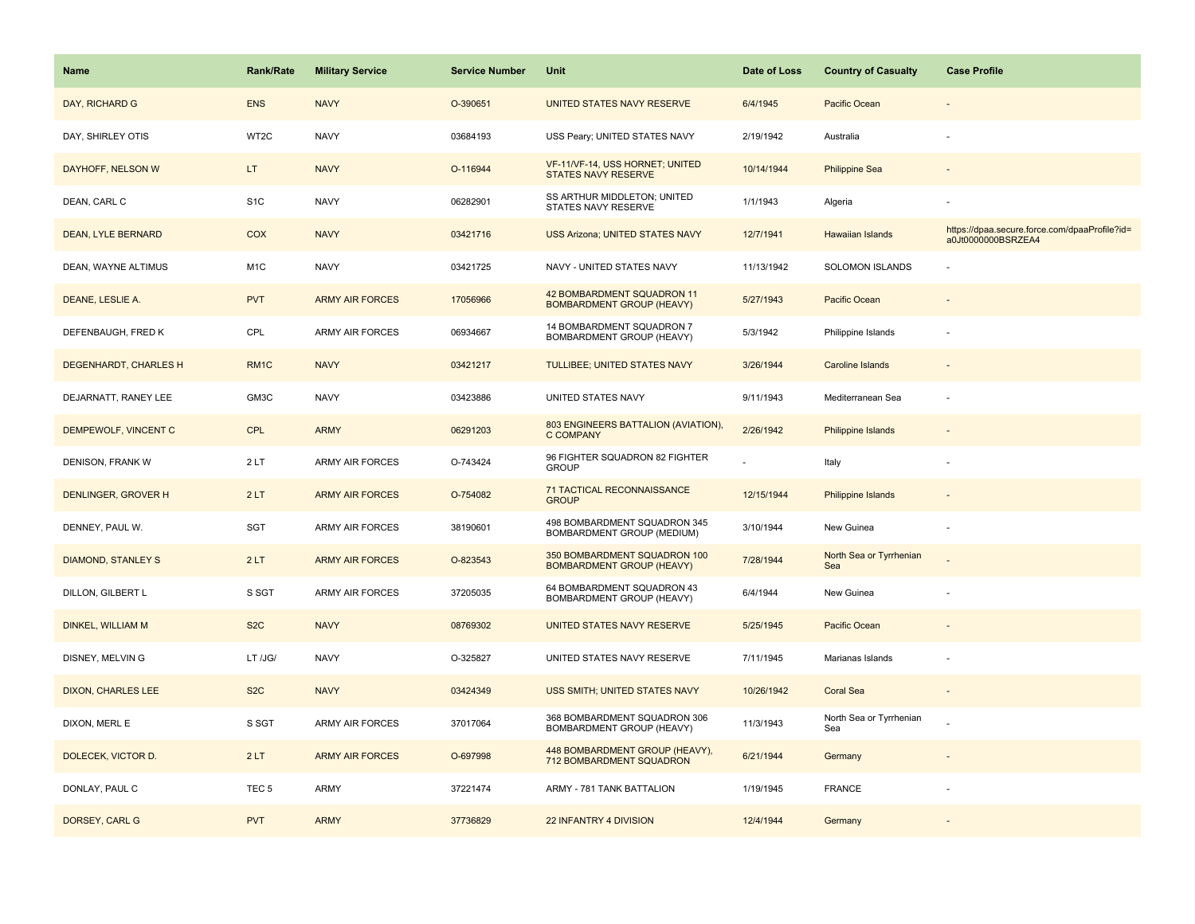| <b>Name</b>                  | Rank/Rate        | <b>Military Service</b> | <b>Service Number</b> | Unit                                                             | Date of Loss | <b>Country of Casualty</b>     | <b>Case Profile</b>                                                 |
|------------------------------|------------------|-------------------------|-----------------------|------------------------------------------------------------------|--------------|--------------------------------|---------------------------------------------------------------------|
| DAY, RICHARD G               | <b>ENS</b>       | <b>NAVY</b>             | O-390651              | UNITED STATES NAVY RESERVE                                       | 6/4/1945     | Pacific Ocean                  |                                                                     |
| DAY, SHIRLEY OTIS            | WT2C             | <b>NAVY</b>             | 03684193              | USS Peary; UNITED STATES NAVY                                    | 2/19/1942    | Australia                      |                                                                     |
| DAYHOFF, NELSON W            | LT               | <b>NAVY</b>             | O-116944              | VF-11/VF-14, USS HORNET; UNITED<br>STATES NAVY RESERVE           | 10/14/1944   | <b>Philippine Sea</b>          |                                                                     |
| DEAN, CARL C                 | S <sub>1</sub> C | <b>NAVY</b>             | 06282901              | SS ARTHUR MIDDLETON; UNITED<br>STATES NAVY RESERVE               | 1/1/1943     | Algeria                        |                                                                     |
| <b>DEAN, LYLE BERNARD</b>    | <b>COX</b>       | <b>NAVY</b>             | 03421716              | <b>USS Arizona; UNITED STATES NAVY</b>                           | 12/7/1941    | Hawaiian Islands               | https://dpaa.secure.force.com/dpaaProfile?id=<br>a0Jt0000000BSRZEA4 |
| DEAN, WAYNE ALTIMUS          | M <sub>1</sub> C | <b>NAVY</b>             | 03421725              | NAVY - UNITED STATES NAVY                                        | 11/13/1942   | SOLOMON ISLANDS                |                                                                     |
| DEANE, LESLIE A.             | <b>PVT</b>       | <b>ARMY AIR FORCES</b>  | 17056966              | 42 BOMBARDMENT SQUADRON 11<br><b>BOMBARDMENT GROUP (HEAVY)</b>   | 5/27/1943    | Pacific Ocean                  |                                                                     |
| DEFENBAUGH, FRED K           | CPL              | ARMY AIR FORCES         | 06934667              | 14 BOMBARDMENT SQUADRON 7<br>BOMBARDMENT GROUP (HEAVY)           | 5/3/1942     | Philippine Islands             |                                                                     |
| <b>DEGENHARDT, CHARLES H</b> | RM <sub>1C</sub> | <b>NAVY</b>             | 03421217              | <b>TULLIBEE; UNITED STATES NAVY</b>                              | 3/26/1944    | <b>Caroline Islands</b>        |                                                                     |
| DEJARNATT, RANEY LEE         | GM3C             | <b>NAVY</b>             | 03423886              | UNITED STATES NAVY                                               | 9/11/1943    | Mediterranean Sea              | ÷,                                                                  |
| DEMPEWOLF, VINCENT C         | <b>CPL</b>       | <b>ARMY</b>             | 06291203              | 803 ENGINEERS BATTALION (AVIATION),<br><b>C COMPANY</b>          | 2/26/1942    | Philippine Islands             |                                                                     |
| DENISON, FRANK W             | 2LT              | ARMY AIR FORCES         | O-743424              | 96 FIGHTER SQUADRON 82 FIGHTER<br><b>GROUP</b>                   |              | Italy                          |                                                                     |
| DENLINGER, GROVER H          | 2LT              | <b>ARMY AIR FORCES</b>  | O-754082              | 71 TACTICAL RECONNAISSANCE<br><b>GROUP</b>                       | 12/15/1944   | <b>Philippine Islands</b>      |                                                                     |
| DENNEY, PAUL W.              | SGT              | ARMY AIR FORCES         | 38190601              | 498 BOMBARDMENT SQUADRON 345<br>BOMBARDMENT GROUP (MEDIUM)       | 3/10/1944    | New Guinea                     |                                                                     |
| <b>DIAMOND, STANLEY S</b>    | 2LT              | <b>ARMY AIR FORCES</b>  | O-823543              | 350 BOMBARDMENT SQUADRON 100<br><b>BOMBARDMENT GROUP (HEAVY)</b> | 7/28/1944    | North Sea or Tyrrhenian<br>Sea |                                                                     |
| DILLON, GILBERT L            | S SGT            | <b>ARMY AIR FORCES</b>  | 37205035              | 64 BOMBARDMENT SQUADRON 43<br>BOMBARDMENT GROUP (HEAVY)          | 6/4/1944     | New Guinea                     | ÷,                                                                  |
| <b>DINKEL, WILLIAM M</b>     | S <sub>2</sub> C | <b>NAVY</b>             | 08769302              | UNITED STATES NAVY RESERVE                                       | 5/25/1945    | Pacific Ocean                  |                                                                     |
| DISNEY, MELVIN G             | LT /JG/          | <b>NAVY</b>             | O-325827              | UNITED STATES NAVY RESERVE                                       | 7/11/1945    | Marianas Islands               | ÷,                                                                  |
| <b>DIXON, CHARLES LEE</b>    | S <sub>2</sub> C | <b>NAVY</b>             | 03424349              | USS SMITH; UNITED STATES NAVY                                    | 10/26/1942   | <b>Coral Sea</b>               |                                                                     |
| DIXON, MERL E                | S SGT            | <b>ARMY AIR FORCES</b>  | 37017064              | 368 BOMBARDMENT SQUADRON 306<br>BOMBARDMENT GROUP (HEAVY)        | 11/3/1943    | North Sea or Tyrrhenian<br>Sea |                                                                     |
| DOLECEK, VICTOR D.           | 2LT              | <b>ARMY AIR FORCES</b>  | O-697998              | 448 BOMBARDMENT GROUP (HEAVY),<br>712 BOMBARDMENT SQUADRON       | 6/21/1944    | Germany                        |                                                                     |
| DONLAY, PAUL C               | TEC <sub>5</sub> | ARMY                    | 37221474              | ARMY - 781 TANK BATTALION                                        | 1/19/1945    | FRANCE                         |                                                                     |
| DORSEY, CARL G               | <b>PVT</b>       | <b>ARMY</b>             | 37736829              | 22 INFANTRY 4 DIVISION                                           | 12/4/1944    | Germany                        |                                                                     |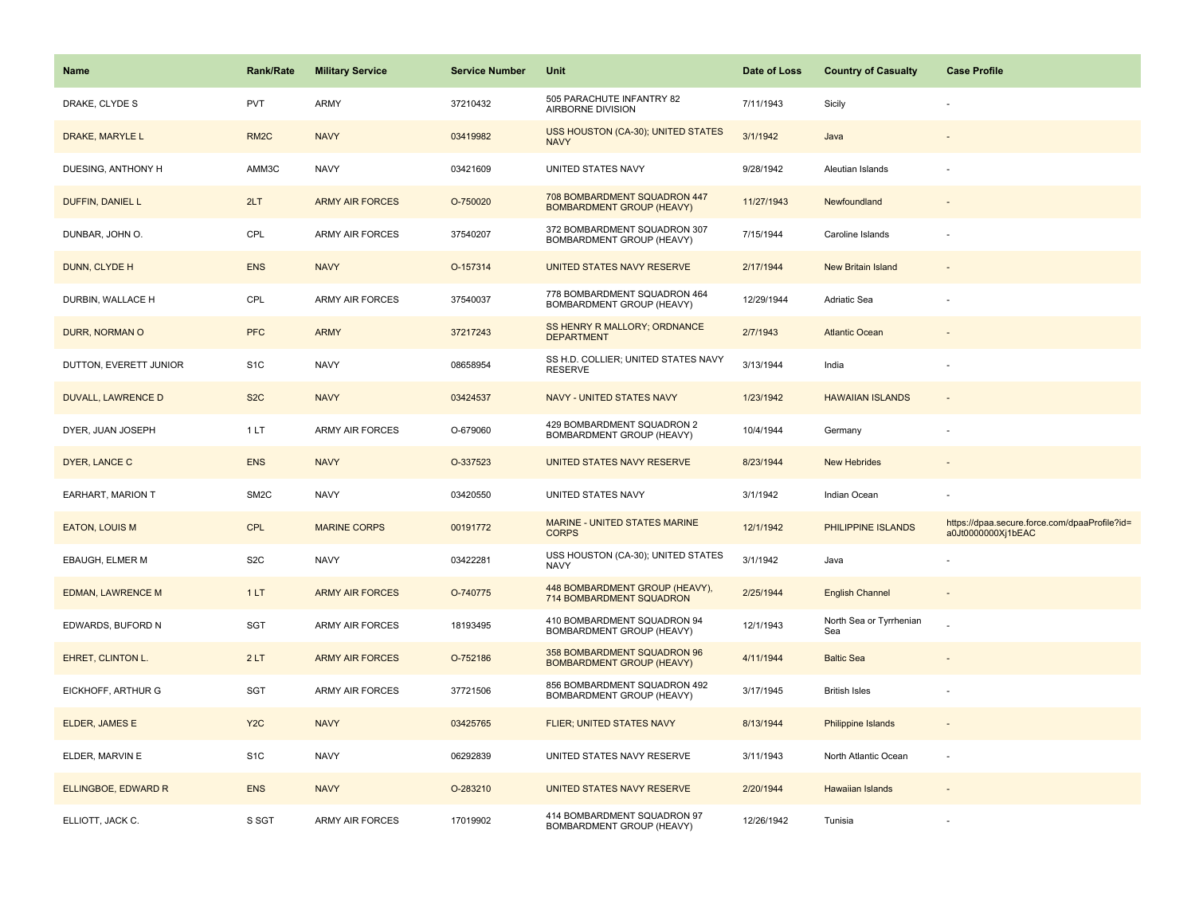| <b>Name</b>                | <b>Rank/Rate</b>  | <b>Military Service</b> | <b>Service Number</b> | Unit                                                             | Date of Loss | <b>Country of Casualty</b>     | <b>Case Profile</b>                                                 |
|----------------------------|-------------------|-------------------------|-----------------------|------------------------------------------------------------------|--------------|--------------------------------|---------------------------------------------------------------------|
| DRAKE, CLYDE S             | <b>PVT</b>        | <b>ARMY</b>             | 37210432              | 505 PARACHUTE INFANTRY 82<br>AIRBORNE DIVISION                   | 7/11/1943    | Sicily                         |                                                                     |
| DRAKE, MARYLE L            | RM <sub>2</sub> C | <b>NAVY</b>             | 03419982              | USS HOUSTON (CA-30); UNITED STATES<br><b>NAVY</b>                | 3/1/1942     | Java                           |                                                                     |
| DUESING, ANTHONY H         | AMM3C             | <b>NAVY</b>             | 03421609              | UNITED STATES NAVY                                               | 9/28/1942    | Aleutian Islands               |                                                                     |
| DUFFIN, DANIEL L           | 2LT               | <b>ARMY AIR FORCES</b>  | O-750020              | 708 BOMBARDMENT SQUADRON 447<br><b>BOMBARDMENT GROUP (HEAVY)</b> | 11/27/1943   | Newfoundland                   |                                                                     |
| DUNBAR, JOHN O.            | CPL               | <b>ARMY AIR FORCES</b>  | 37540207              | 372 BOMBARDMENT SQUADRON 307<br>BOMBARDMENT GROUP (HEAVY)        | 7/15/1944    | Caroline Islands               |                                                                     |
| DUNN, CLYDE H              | <b>ENS</b>        | <b>NAVY</b>             | O-157314              | UNITED STATES NAVY RESERVE                                       | 2/17/1944    | <b>New Britain Island</b>      |                                                                     |
| DURBIN, WALLACE H          | CPL               | ARMY AIR FORCES         | 37540037              | 778 BOMBARDMENT SQUADRON 464<br>BOMBARDMENT GROUP (HEAVY)        | 12/29/1944   | Adriatic Sea                   |                                                                     |
| DURR, NORMAN O             | <b>PFC</b>        | <b>ARMY</b>             | 37217243              | SS HENRY R MALLORY; ORDNANCE<br><b>DEPARTMENT</b>                | 2/7/1943     | <b>Atlantic Ocean</b>          |                                                                     |
| DUTTON, EVERETT JUNIOR     | S <sub>1</sub> C  | <b>NAVY</b>             | 08658954              | SS H.D. COLLIER; UNITED STATES NAVY<br><b>RESERVE</b>            | 3/13/1944    | India                          |                                                                     |
| <b>DUVALL, LAWRENCE D</b>  | S <sub>2</sub> C  | <b>NAVY</b>             | 03424537              | NAVY - UNITED STATES NAVY                                        | 1/23/1942    | <b>HAWAIIAN ISLANDS</b>        |                                                                     |
| DYER, JUAN JOSEPH          | 1 LT              | <b>ARMY AIR FORCES</b>  | O-679060              | 429 BOMBARDMENT SQUADRON 2<br>BOMBARDMENT GROUP (HEAVY)          | 10/4/1944    | Germany                        |                                                                     |
| DYER, LANCE C              | <b>ENS</b>        | <b>NAVY</b>             | O-337523              | UNITED STATES NAVY RESERVE                                       | 8/23/1944    | <b>New Hebrides</b>            |                                                                     |
| EARHART, MARION T          | SM <sub>2</sub> C | <b>NAVY</b>             | 03420550              | UNITED STATES NAVY                                               | 3/1/1942     | Indian Ocean                   |                                                                     |
| <b>EATON, LOUIS M</b>      | <b>CPL</b>        | <b>MARINE CORPS</b>     | 00191772              | MARINE - UNITED STATES MARINE<br><b>CORPS</b>                    | 12/1/1942    | PHILIPPINE ISLANDS             | https://dpaa.secure.force.com/dpaaProfile?id=<br>a0Jt0000000Xj1bEAC |
| EBAUGH, ELMER M            | S <sub>2</sub> C  | <b>NAVY</b>             | 03422281              | USS HOUSTON (CA-30); UNITED STATES<br><b>NAVY</b>                | 3/1/1942     | Java                           |                                                                     |
| <b>EDMAN, LAWRENCE M</b>   | 1LT               | <b>ARMY AIR FORCES</b>  | O-740775              | 448 BOMBARDMENT GROUP (HEAVY),<br>714 BOMBARDMENT SQUADRON       | 2/25/1944    | <b>English Channel</b>         |                                                                     |
| EDWARDS, BUFORD N          | SGT               | <b>ARMY AIR FORCES</b>  | 18193495              | 410 BOMBARDMENT SQUADRON 94<br>BOMBARDMENT GROUP (HEAVY)         | 12/1/1943    | North Sea or Tyrrhenian<br>Sea |                                                                     |
| EHRET, CLINTON L.          | 2LT               | <b>ARMY AIR FORCES</b>  | O-752186              | 358 BOMBARDMENT SQUADRON 96<br><b>BOMBARDMENT GROUP (HEAVY)</b>  | 4/11/1944    | <b>Baltic Sea</b>              |                                                                     |
| EICKHOFF, ARTHUR G         | SGT               | <b>ARMY AIR FORCES</b>  | 37721506              | 856 BOMBARDMENT SQUADRON 492<br>BOMBARDMENT GROUP (HEAVY)        | 3/17/1945    | <b>British Isles</b>           |                                                                     |
| ELDER, JAMES E             | Y <sub>2</sub> C  | <b>NAVY</b>             | 03425765              | <b>FLIER; UNITED STATES NAVY</b>                                 | 8/13/1944    | <b>Philippine Islands</b>      |                                                                     |
| ELDER, MARVIN E            | S <sub>1</sub> C  | <b>NAVY</b>             | 06292839              | UNITED STATES NAVY RESERVE                                       | 3/11/1943    | North Atlantic Ocean           | ÷.                                                                  |
| <b>ELLINGBOE, EDWARD R</b> | <b>ENS</b>        | <b>NAVY</b>             | O-283210              | UNITED STATES NAVY RESERVE                                       | 2/20/1944    | Hawaiian Islands               |                                                                     |
| ELLIOTT, JACK C.           | S SGT             | <b>ARMY AIR FORCES</b>  | 17019902              | 414 BOMBARDMENT SQUADRON 97<br>BOMBARDMENT GROUP (HEAVY)         | 12/26/1942   | Tunisia                        |                                                                     |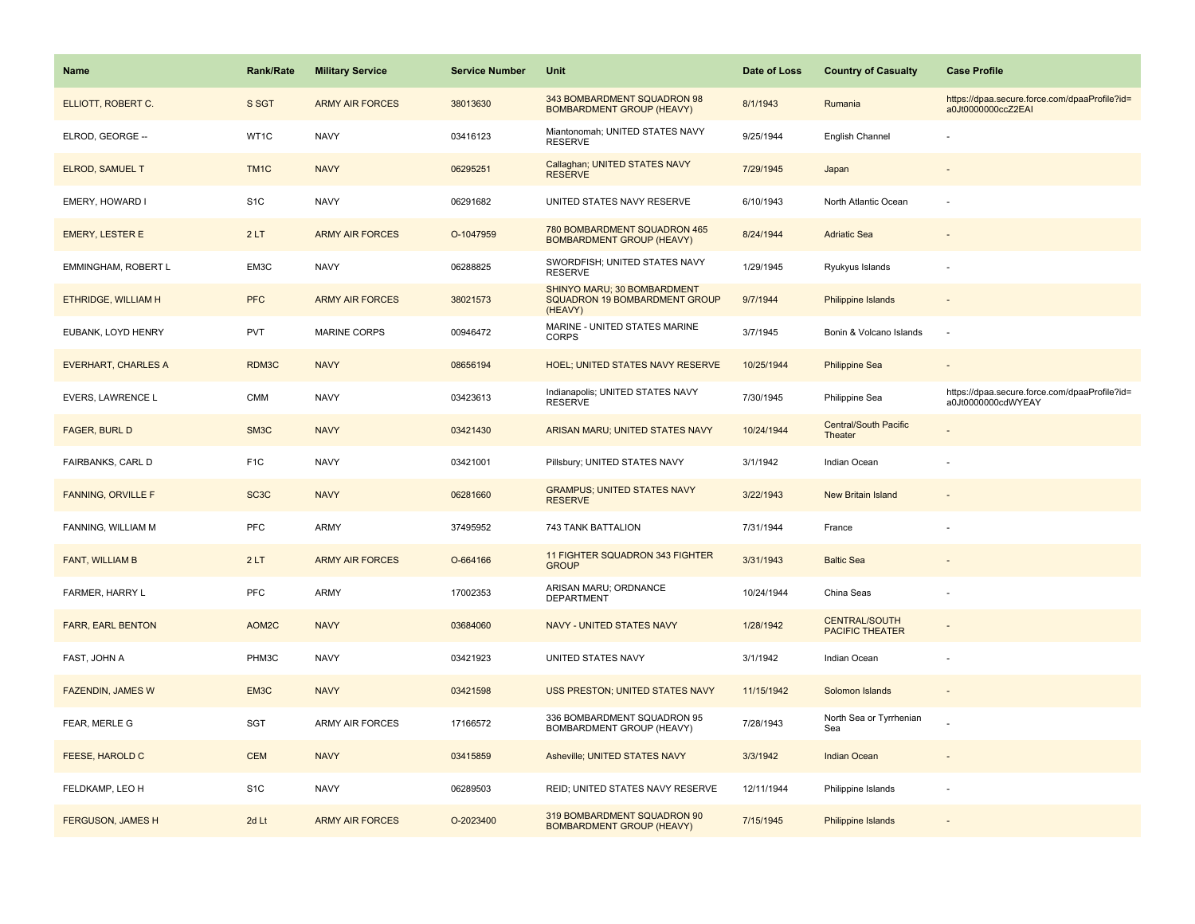| <b>Name</b>                | <b>Rank/Rate</b>  | <b>Military Service</b> | <b>Service Number</b> | Unit                                                                    | Date of Loss | <b>Country of Casualty</b>                     | <b>Case Profile</b>                                                 |
|----------------------------|-------------------|-------------------------|-----------------------|-------------------------------------------------------------------------|--------------|------------------------------------------------|---------------------------------------------------------------------|
| ELLIOTT, ROBERT C.         | S SGT             | <b>ARMY AIR FORCES</b>  | 38013630              | 343 BOMBARDMENT SQUADRON 98<br><b>BOMBARDMENT GROUP (HEAVY)</b>         | 8/1/1943     | Rumania                                        | https://dpaa.secure.force.com/dpaaProfile?id=<br>a0Jt0000000ccZ2EAI |
| ELROD, GEORGE --           | WT1C              | <b>NAVY</b>             | 03416123              | Miantonomah; UNITED STATES NAVY<br><b>RESERVE</b>                       | 9/25/1944    | English Channel                                |                                                                     |
| <b>ELROD, SAMUEL T</b>     | TM <sub>1</sub> C | <b>NAVY</b>             | 06295251              | Callaghan; UNITED STATES NAVY<br><b>RESERVE</b>                         | 7/29/1945    | Japan                                          |                                                                     |
| EMERY, HOWARD I            | S <sub>1</sub> C  | <b>NAVY</b>             | 06291682              | UNITED STATES NAVY RESERVE                                              | 6/10/1943    | North Atlantic Ocean                           |                                                                     |
| <b>EMERY, LESTER E</b>     | 2LT               | <b>ARMY AIR FORCES</b>  | O-1047959             | 780 BOMBARDMENT SQUADRON 465<br><b>BOMBARDMENT GROUP (HEAVY)</b>        | 8/24/1944    | <b>Adriatic Sea</b>                            |                                                                     |
| EMMINGHAM, ROBERT L        | EM3C              | <b>NAVY</b>             | 06288825              | SWORDFISH; UNITED STATES NAVY<br><b>RESERVE</b>                         | 1/29/1945    | Ryukyus Islands                                |                                                                     |
| ETHRIDGE, WILLIAM H        | <b>PFC</b>        | <b>ARMY AIR FORCES</b>  | 38021573              | SHINYO MARU; 30 BOMBARDMENT<br>SQUADRON 19 BOMBARDMENT GROUP<br>(HEAVY) | 9/7/1944     | <b>Philippine Islands</b>                      | $\sim$                                                              |
| EUBANK, LOYD HENRY         | PVT               | MARINE CORPS            | 00946472              | MARINE - UNITED STATES MARINE<br><b>CORPS</b>                           | 3/7/1945     | Bonin & Volcano Islands                        | $\sim$                                                              |
| <b>EVERHART, CHARLES A</b> | RDM3C             | <b>NAVY</b>             | 08656194              | HOEL; UNITED STATES NAVY RESERVE                                        | 10/25/1944   | <b>Philippine Sea</b>                          |                                                                     |
| EVERS, LAWRENCE L          | CMM               | <b>NAVY</b>             | 03423613              | Indianapolis; UNITED STATES NAVY<br><b>RESERVE</b>                      | 7/30/1945    | Philippine Sea                                 | https://dpaa.secure.force.com/dpaaProfile?id=<br>a0Jt0000000cdWYEAY |
| <b>FAGER, BURL D</b>       | SM3C              | <b>NAVY</b>             | 03421430              | ARISAN MARU; UNITED STATES NAVY                                         | 10/24/1944   | <b>Central/South Pacific</b><br>Theater        |                                                                     |
| <b>FAIRBANKS, CARL D</b>   | F <sub>1</sub> C  | <b>NAVY</b>             | 03421001              | Pillsbury; UNITED STATES NAVY                                           | 3/1/1942     | Indian Ocean                                   |                                                                     |
| <b>FANNING, ORVILLE F</b>  | SC <sub>3</sub> C | <b>NAVY</b>             | 06281660              | <b>GRAMPUS; UNITED STATES NAVY</b><br><b>RESERVE</b>                    | 3/22/1943    | <b>New Britain Island</b>                      |                                                                     |
| FANNING, WILLIAM M         | PFC               | <b>ARMY</b>             | 37495952              | 743 TANK BATTALION                                                      | 7/31/1944    | France                                         |                                                                     |
| FANT, WILLIAM B            | 2LT               | <b>ARMY AIR FORCES</b>  | O-664166              | 11 FIGHTER SQUADRON 343 FIGHTER<br><b>GROUP</b>                         | 3/31/1943    | <b>Baltic Sea</b>                              |                                                                     |
| FARMER, HARRY L            | PFC               | <b>ARMY</b>             | 17002353              | ARISAN MARU; ORDNANCE<br><b>DEPARTMENT</b>                              | 10/24/1944   | China Seas                                     |                                                                     |
| <b>FARR, EARL BENTON</b>   | AOM2C             | <b>NAVY</b>             | 03684060              | <b>NAVY - UNITED STATES NAVY</b>                                        | 1/28/1942    | <b>CENTRAL/SOUTH</b><br><b>PACIFIC THEATER</b> |                                                                     |
| FAST, JOHN A               | PHM3C             | <b>NAVY</b>             | 03421923              | UNITED STATES NAVY                                                      | 3/1/1942     | Indian Ocean                                   |                                                                     |
| <b>FAZENDIN, JAMES W</b>   | EM3C              | <b>NAVY</b>             | 03421598              | USS PRESTON; UNITED STATES NAVY                                         | 11/15/1942   | Solomon Islands                                |                                                                     |
| FEAR, MERLE G              | SGT               | <b>ARMY AIR FORCES</b>  | 17166572              | 336 BOMBARDMENT SQUADRON 95<br>BOMBARDMENT GROUP (HEAVY)                | 7/28/1943    | North Sea or Tyrrhenian<br>Sea                 |                                                                     |
| FEESE, HAROLD C            | <b>CEM</b>        | <b>NAVY</b>             | 03415859              | Asheville; UNITED STATES NAVY                                           | 3/3/1942     | <b>Indian Ocean</b>                            |                                                                     |
| FELDKAMP, LEO H            | S <sub>1</sub> C  | <b>NAVY</b>             | 06289503              | REID; UNITED STATES NAVY RESERVE                                        | 12/11/1944   | Philippine Islands                             | ÷.                                                                  |
| <b>FERGUSON, JAMES H</b>   | 2d Lt             | <b>ARMY AIR FORCES</b>  | O-2023400             | 319 BOMBARDMENT SQUADRON 90<br><b>BOMBARDMENT GROUP (HEAVY)</b>         | 7/15/1945    | <b>Philippine Islands</b>                      |                                                                     |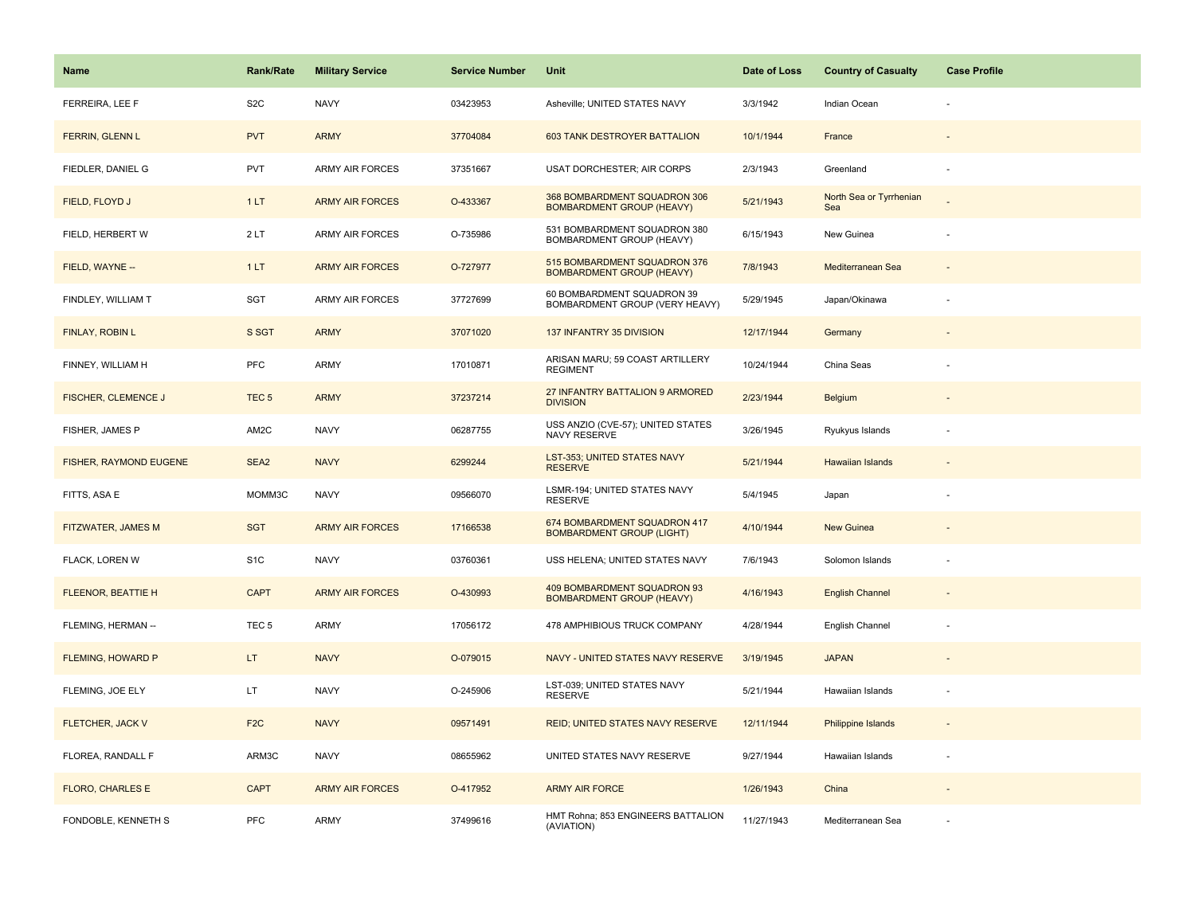| Name                       | <b>Rank/Rate</b> | <b>Military Service</b> | <b>Service Number</b> | Unit                                                             | Date of Loss | <b>Country of Casualty</b>     | <b>Case Profile</b> |
|----------------------------|------------------|-------------------------|-----------------------|------------------------------------------------------------------|--------------|--------------------------------|---------------------|
| FERREIRA, LEE F            | S <sub>2</sub> C | <b>NAVY</b>             | 03423953              | Asheville; UNITED STATES NAVY                                    | 3/3/1942     | Indian Ocean                   |                     |
| FERRIN, GLENN L            | <b>PVT</b>       | <b>ARMY</b>             | 37704084              | 603 TANK DESTROYER BATTALION                                     | 10/1/1944    | France                         |                     |
| FIEDLER, DANIEL G          | <b>PVT</b>       | <b>ARMY AIR FORCES</b>  | 37351667              | <b>USAT DORCHESTER; AIR CORPS</b>                                | 2/3/1943     | Greenland                      |                     |
| FIELD, FLOYD J             | 1LT              | <b>ARMY AIR FORCES</b>  | O-433367              | 368 BOMBARDMENT SQUADRON 306<br><b>BOMBARDMENT GROUP (HEAVY)</b> | 5/21/1943    | North Sea or Tyrrhenian<br>Sea |                     |
| FIELD, HERBERT W           | 2LT              | ARMY AIR FORCES         | O-735986              | 531 BOMBARDMENT SQUADRON 380<br>BOMBARDMENT GROUP (HEAVY)        | 6/15/1943    | New Guinea                     |                     |
| FIELD, WAYNE --            | 1LT              | <b>ARMY AIR FORCES</b>  | O-727977              | 515 BOMBARDMENT SQUADRON 376<br><b>BOMBARDMENT GROUP (HEAVY)</b> | 7/8/1943     | Mediterranean Sea              |                     |
| FINDLEY, WILLIAM T         | SGT              | ARMY AIR FORCES         | 37727699              | 60 BOMBARDMENT SQUADRON 39<br>BOMBARDMENT GROUP (VERY HEAVY)     | 5/29/1945    | Japan/Okinawa                  |                     |
| FINLAY, ROBIN L            | S SGT            | <b>ARMY</b>             | 37071020              | 137 INFANTRY 35 DIVISION                                         | 12/17/1944   | Germany                        |                     |
| FINNEY, WILLIAM H          | PFC              | ARMY                    | 17010871              | ARISAN MARU; 59 COAST ARTILLERY<br><b>REGIMENT</b>               | 10/24/1944   | China Seas                     |                     |
| <b>FISCHER, CLEMENCE J</b> | TEC <sub>5</sub> | <b>ARMY</b>             | 37237214              | 27 INFANTRY BATTALION 9 ARMORED<br><b>DIVISION</b>               | 2/23/1944    | <b>Belgium</b>                 |                     |
| FISHER, JAMES P            | AM2C             | <b>NAVY</b>             | 06287755              | USS ANZIO (CVE-57); UNITED STATES<br>NAVY RESERVE                | 3/26/1945    | Ryukyus Islands                |                     |
| FISHER, RAYMOND EUGENE     | SEA2             | <b>NAVY</b>             | 6299244               | LST-353; UNITED STATES NAVY<br><b>RESERVE</b>                    | 5/21/1944    | <b>Hawaiian Islands</b>        |                     |
| FITTS, ASA E               | MOMM3C           | <b>NAVY</b>             | 09566070              | LSMR-194; UNITED STATES NAVY<br><b>RESERVE</b>                   | 5/4/1945     | Japan                          |                     |
| FITZWATER, JAMES M         | <b>SGT</b>       | <b>ARMY AIR FORCES</b>  | 17166538              | 674 BOMBARDMENT SQUADRON 417<br><b>BOMBARDMENT GROUP (LIGHT)</b> | 4/10/1944    | New Guinea                     |                     |
| FLACK, LOREN W             | S <sub>1</sub> C | <b>NAVY</b>             | 03760361              | USS HELENA; UNITED STATES NAVY                                   | 7/6/1943     | Solomon Islands                |                     |
| <b>FLEENOR, BEATTIE H</b>  | <b>CAPT</b>      | <b>ARMY AIR FORCES</b>  | O-430993              | 409 BOMBARDMENT SQUADRON 93<br><b>BOMBARDMENT GROUP (HEAVY)</b>  | 4/16/1943    | <b>English Channel</b>         |                     |
| FLEMING, HERMAN --         | TEC <sub>5</sub> | ARMY                    | 17056172              | 478 AMPHIBIOUS TRUCK COMPANY                                     | 4/28/1944    | English Channel                |                     |
| <b>FLEMING, HOWARD P</b>   | LT.              | <b>NAVY</b>             | O-079015              | NAVY - UNITED STATES NAVY RESERVE                                | 3/19/1945    | <b>JAPAN</b>                   |                     |
| FLEMING, JOE ELY           | LT.              | <b>NAVY</b>             | O-245906              | LST-039; UNITED STATES NAVY<br><b>RESERVE</b>                    | 5/21/1944    | Hawaiian Islands               |                     |
| FLETCHER, JACK V           | F <sub>2C</sub>  | <b>NAVY</b>             | 09571491              | REID; UNITED STATES NAVY RESERVE                                 | 12/11/1944   | Philippine Islands             |                     |
| FLOREA, RANDALL F          | ARM3C            | <b>NAVY</b>             | 08655962              | UNITED STATES NAVY RESERVE                                       | 9/27/1944    | Hawaiian Islands               |                     |
| <b>FLORO, CHARLES E</b>    | <b>CAPT</b>      | <b>ARMY AIR FORCES</b>  | O-417952              | <b>ARMY AIR FORCE</b>                                            | 1/26/1943    | China                          |                     |
| FONDOBLE, KENNETH S        | <b>PFC</b>       | ARMY                    | 37499616              | HMT Rohna; 853 ENGINEERS BATTALION<br>(AVIATION)                 | 11/27/1943   | Mediterranean Sea              |                     |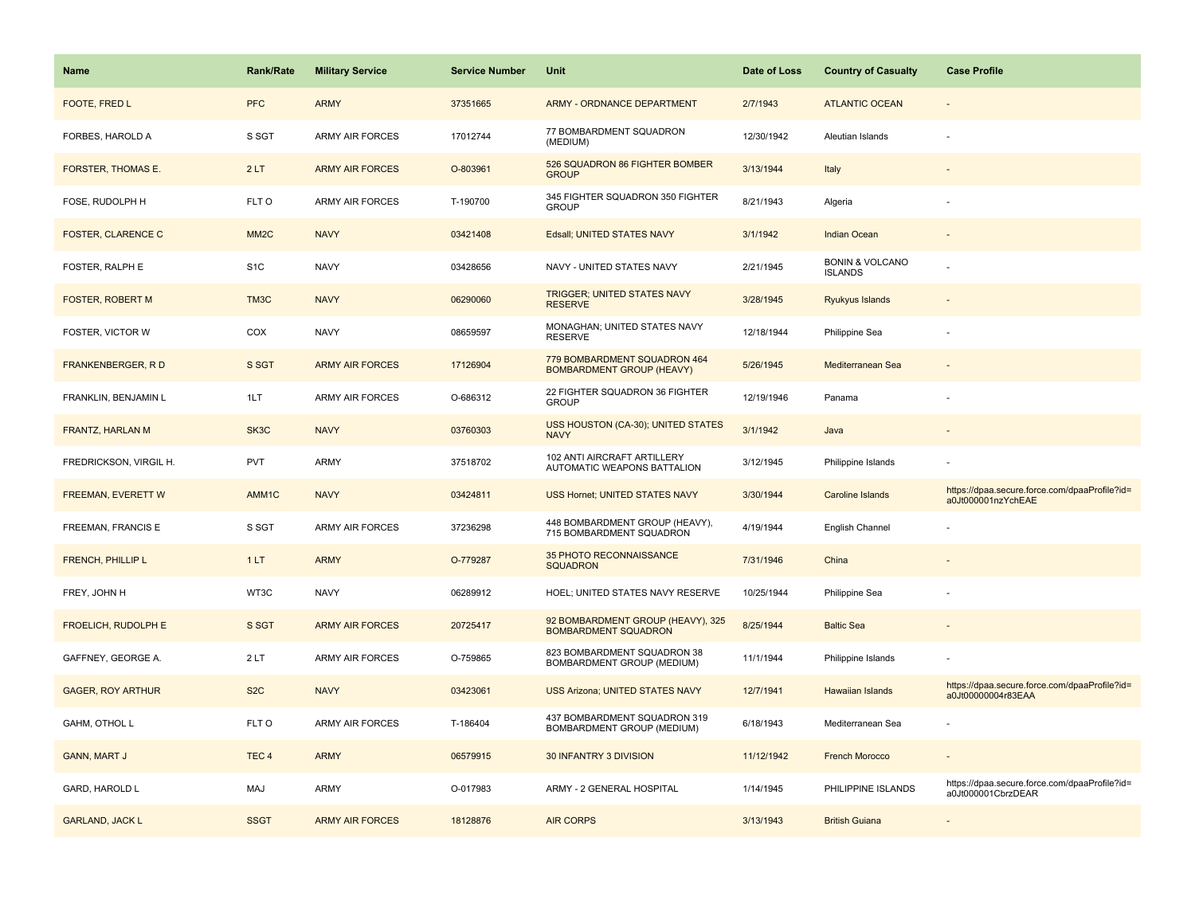| <b>Name</b>               | <b>Rank/Rate</b>  | <b>Military Service</b> | <b>Service Number</b> | Unit                                                             | Date of Loss | <b>Country of Casualty</b>                   | <b>Case Profile</b>                                                 |
|---------------------------|-------------------|-------------------------|-----------------------|------------------------------------------------------------------|--------------|----------------------------------------------|---------------------------------------------------------------------|
| FOOTE, FRED L             | <b>PFC</b>        | <b>ARMY</b>             | 37351665              | ARMY - ORDNANCE DEPARTMENT                                       | 2/7/1943     | <b>ATLANTIC OCEAN</b>                        |                                                                     |
| FORBES, HAROLD A          | S SGT             | <b>ARMY AIR FORCES</b>  | 17012744              | 77 BOMBARDMENT SQUADRON<br>(MEDIUM)                              | 12/30/1942   | Aleutian Islands                             |                                                                     |
| <b>FORSTER, THOMAS E.</b> | 2LT               | <b>ARMY AIR FORCES</b>  | O-803961              | 526 SQUADRON 86 FIGHTER BOMBER<br><b>GROUP</b>                   | 3/13/1944    | Italy                                        |                                                                     |
| FOSE, RUDOLPH H           | FLT O             | <b>ARMY AIR FORCES</b>  | T-190700              | 345 FIGHTER SQUADRON 350 FIGHTER<br><b>GROUP</b>                 | 8/21/1943    | Algeria                                      |                                                                     |
| <b>FOSTER, CLARENCE C</b> | MM <sub>2</sub> C | <b>NAVY</b>             | 03421408              | Edsall; UNITED STATES NAVY                                       | 3/1/1942     | Indian Ocean                                 |                                                                     |
| FOSTER, RALPH E           | S <sub>1</sub> C  | <b>NAVY</b>             | 03428656              | NAVY - UNITED STATES NAVY                                        | 2/21/1945    | <b>BONIN &amp; VOLCANO</b><br><b>ISLANDS</b> |                                                                     |
| FOSTER, ROBERT M          | TM3C              | <b>NAVY</b>             | 06290060              | <b>TRIGGER; UNITED STATES NAVY</b><br><b>RESERVE</b>             | 3/28/1945    | Ryukyus Islands                              |                                                                     |
| FOSTER, VICTOR W          | COX               | <b>NAVY</b>             | 08659597              | MONAGHAN; UNITED STATES NAVY<br><b>RESERVE</b>                   | 12/18/1944   | Philippine Sea                               |                                                                     |
| <b>FRANKENBERGER, RD</b>  | S SGT             | <b>ARMY AIR FORCES</b>  | 17126904              | 779 BOMBARDMENT SQUADRON 464<br><b>BOMBARDMENT GROUP (HEAVY)</b> | 5/26/1945    | Mediterranean Sea                            |                                                                     |
| FRANKLIN, BENJAMIN L      | 1LT               | ARMY AIR FORCES         | O-686312              | 22 FIGHTER SQUADRON 36 FIGHTER<br><b>GROUP</b>                   | 12/19/1946   | Panama                                       |                                                                     |
| <b>FRANTZ, HARLAN M</b>   | SK3C              | <b>NAVY</b>             | 03760303              | USS HOUSTON (CA-30); UNITED STATES<br><b>NAVY</b>                | 3/1/1942     | Java                                         |                                                                     |
| FREDRICKSON, VIRGIL H.    | <b>PVT</b>        | ARMY                    | 37518702              | 102 ANTI AIRCRAFT ARTILLERY<br>AUTOMATIC WEAPONS BATTALION       | 3/12/1945    | Philippine Islands                           |                                                                     |
| <b>FREEMAN, EVERETT W</b> | AMM1C             | <b>NAVY</b>             | 03424811              | <b>USS Hornet; UNITED STATES NAVY</b>                            | 3/30/1944    | <b>Caroline Islands</b>                      | https://dpaa.secure.force.com/dpaaProfile?id=<br>a0Jt000001nzYchEAE |
| FREEMAN, FRANCIS E        | S SGT             | ARMY AIR FORCES         | 37236298              | 448 BOMBARDMENT GROUP (HEAVY),<br>715 BOMBARDMENT SQUADRON       | 4/19/1944    | English Channel                              |                                                                     |
| <b>FRENCH, PHILLIP L</b>  | 1LT               | <b>ARMY</b>             | O-779287              | 35 PHOTO RECONNAISSANCE<br><b>SQUADRON</b>                       | 7/31/1946    | China                                        |                                                                     |
| FREY, JOHN H              | WT3C              | <b>NAVY</b>             | 06289912              | HOEL; UNITED STATES NAVY RESERVE                                 | 10/25/1944   | Philippine Sea                               |                                                                     |
| FROELICH, RUDOLPH E       | S SGT             | <b>ARMY AIR FORCES</b>  | 20725417              | 92 BOMBARDMENT GROUP (HEAVY), 325<br><b>BOMBARDMENT SQUADRON</b> | 8/25/1944    | <b>Baltic Sea</b>                            |                                                                     |
| GAFFNEY, GEORGE A.        | 2LT               | ARMY AIR FORCES         | O-759865              | 823 BOMBARDMENT SQUADRON 38<br>BOMBARDMENT GROUP (MEDIUM)        | 11/1/1944    | Philippine Islands                           |                                                                     |
| <b>GAGER, ROY ARTHUR</b>  | S <sub>2</sub> C  | <b>NAVY</b>             | 03423061              | <b>USS Arizona; UNITED STATES NAVY</b>                           | 12/7/1941    | <b>Hawaiian Islands</b>                      | https://dpaa.secure.force.com/dpaaProfile?id=<br>a0Jt00000004r83EAA |
| GAHM, OTHOL L             | FLT O             | ARMY AIR FORCES         | T-186404              | 437 BOMBARDMENT SQUADRON 319<br>BOMBARDMENT GROUP (MEDIUM)       | 6/18/1943    | Mediterranean Sea                            |                                                                     |
| <b>GANN, MART J</b>       | TEC <sub>4</sub>  | <b>ARMY</b>             | 06579915              | 30 INFANTRY 3 DIVISION                                           | 11/12/1942   | <b>French Morocco</b>                        |                                                                     |
| GARD, HAROLD L            | MAJ               | <b>ARMY</b>             | O-017983              | ARMY - 2 GENERAL HOSPITAL                                        | 1/14/1945    | PHILIPPINE ISLANDS                           | https://dpaa.secure.force.com/dpaaProfile?id=<br>a0Jt000001CbrzDEAR |
| <b>GARLAND, JACK L</b>    | <b>SSGT</b>       | <b>ARMY AIR FORCES</b>  | 18128876              | <b>AIR CORPS</b>                                                 | 3/13/1943    | <b>British Guiana</b>                        |                                                                     |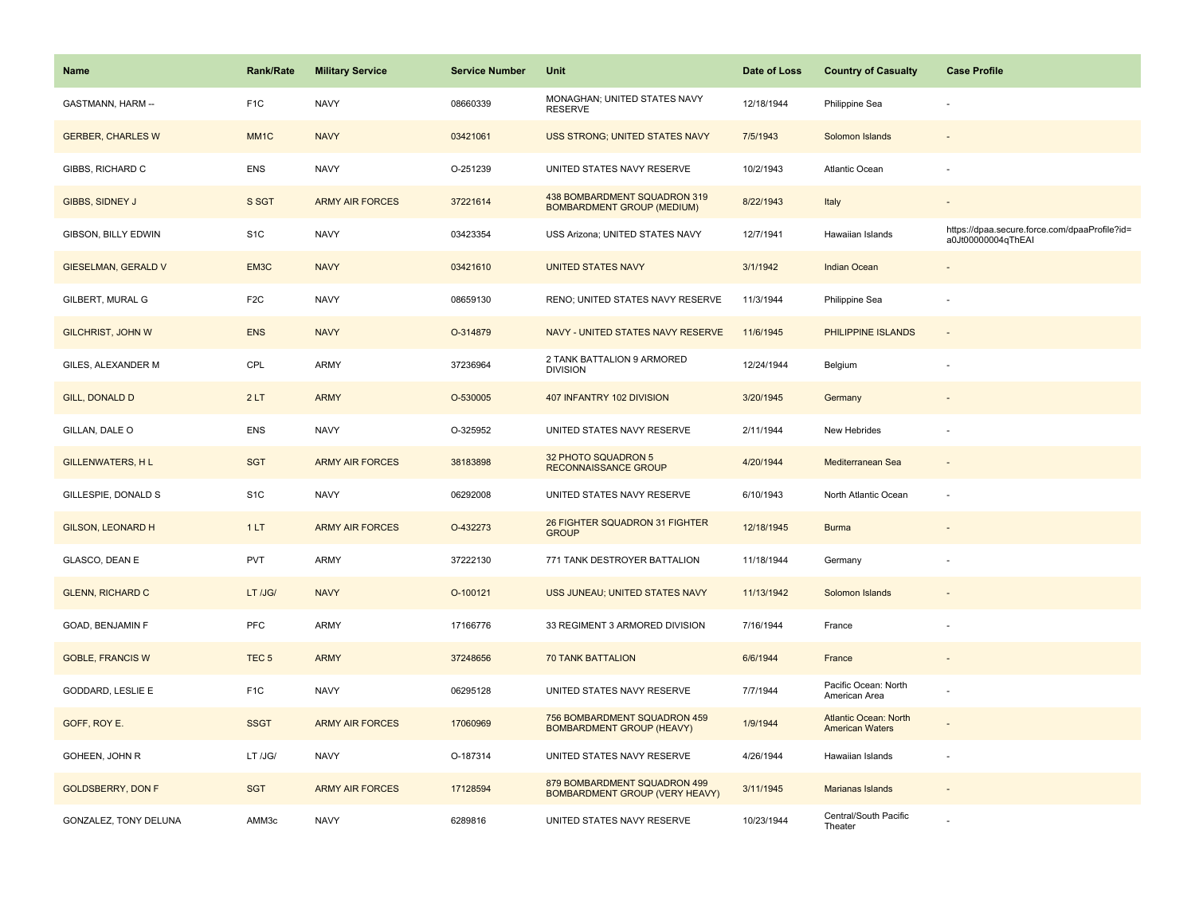| <b>Name</b>                | Rank/Rate         | <b>Military Service</b> | <b>Service Number</b> | Unit                                                              | Date of Loss | <b>Country of Casualty</b>                             | <b>Case Profile</b>                                                 |
|----------------------------|-------------------|-------------------------|-----------------------|-------------------------------------------------------------------|--------------|--------------------------------------------------------|---------------------------------------------------------------------|
| GASTMANN, HARM --          | F <sub>1</sub> C  | <b>NAVY</b>             | 08660339              | MONAGHAN; UNITED STATES NAVY<br><b>RESERVE</b>                    | 12/18/1944   | Philippine Sea                                         |                                                                     |
| <b>GERBER, CHARLES W</b>   | MM <sub>1</sub> C | <b>NAVY</b>             | 03421061              | USS STRONG; UNITED STATES NAVY                                    | 7/5/1943     | Solomon Islands                                        |                                                                     |
| GIBBS, RICHARD C           | <b>ENS</b>        | <b>NAVY</b>             | O-251239              | UNITED STATES NAVY RESERVE                                        | 10/2/1943    | Atlantic Ocean                                         |                                                                     |
| GIBBS, SIDNEY J            | S SGT             | <b>ARMY AIR FORCES</b>  | 37221614              | 438 BOMBARDMENT SQUADRON 319<br><b>BOMBARDMENT GROUP (MEDIUM)</b> | 8/22/1943    | Italy                                                  |                                                                     |
| GIBSON, BILLY EDWIN        | S <sub>1</sub> C  | <b>NAVY</b>             | 03423354              | USS Arizona; UNITED STATES NAVY                                   | 12/7/1941    | Hawaiian Islands                                       | https://dpaa.secure.force.com/dpaaProfile?id=<br>a0Jt00000004qThEAI |
| <b>GIESELMAN, GERALD V</b> | EM3C              | <b>NAVY</b>             | 03421610              | <b>UNITED STATES NAVY</b>                                         | 3/1/1942     | <b>Indian Ocean</b>                                    | $\overline{\phantom{a}}$                                            |
| GILBERT, MURAL G           | F <sub>2</sub> C  | <b>NAVY</b>             | 08659130              | RENO; UNITED STATES NAVY RESERVE                                  | 11/3/1944    | Philippine Sea                                         | ÷,                                                                  |
| <b>GILCHRIST, JOHN W</b>   | <b>ENS</b>        | <b>NAVY</b>             | O-314879              | NAVY - UNITED STATES NAVY RESERVE                                 | 11/6/1945    | PHILIPPINE ISLANDS                                     | $\omega$                                                            |
| GILES, ALEXANDER M         | CPL               | ARMY                    | 37236964              | 2 TANK BATTALION 9 ARMORED<br><b>DIVISION</b>                     | 12/24/1944   | Belgium                                                | ÷,                                                                  |
| <b>GILL, DONALD D</b>      | 2LT               | <b>ARMY</b>             | O-530005              | 407 INFANTRY 102 DIVISION                                         | 3/20/1945    | Germany                                                |                                                                     |
| GILLAN, DALE O             | <b>ENS</b>        | <b>NAVY</b>             | O-325952              | UNITED STATES NAVY RESERVE                                        | 2/11/1944    | New Hebrides                                           |                                                                     |
| <b>GILLENWATERS, HL</b>    | <b>SGT</b>        | <b>ARMY AIR FORCES</b>  | 38183898              | 32 PHOTO SQUADRON 5<br><b>RECONNAISSANCE GROUP</b>                | 4/20/1944    | Mediterranean Sea                                      |                                                                     |
| GILLESPIE, DONALD S        | S <sub>1</sub> C  | <b>NAVY</b>             | 06292008              | UNITED STATES NAVY RESERVE                                        | 6/10/1943    | North Atlantic Ocean                                   |                                                                     |
| <b>GILSON, LEONARD H</b>   | 1LT               | <b>ARMY AIR FORCES</b>  | O-432273              | 26 FIGHTER SQUADRON 31 FIGHTER<br><b>GROUP</b>                    | 12/18/1945   | <b>Burma</b>                                           |                                                                     |
| GLASCO, DEAN E             | <b>PVT</b>        | <b>ARMY</b>             | 37222130              | 771 TANK DESTROYER BATTALION                                      | 11/18/1944   | Germany                                                |                                                                     |
| <b>GLENN, RICHARD C</b>    | LT /JG/           | <b>NAVY</b>             | O-100121              | USS JUNEAU; UNITED STATES NAVY                                    | 11/13/1942   | Solomon Islands                                        |                                                                     |
| GOAD, BENJAMIN F           | <b>PFC</b>        | ARMY                    | 17166776              | 33 REGIMENT 3 ARMORED DIVISION                                    | 7/16/1944    | France                                                 |                                                                     |
| <b>GOBLE, FRANCIS W</b>    | TEC <sub>5</sub>  | <b>ARMY</b>             | 37248656              | <b>70 TANK BATTALION</b>                                          | 6/6/1944     | France                                                 |                                                                     |
| <b>GODDARD, LESLIE E</b>   | F <sub>1</sub> C  | <b>NAVY</b>             | 06295128              | UNITED STATES NAVY RESERVE                                        | 7/7/1944     | Pacific Ocean: North<br>American Area                  |                                                                     |
| GOFF, ROY E.               | <b>SSGT</b>       | <b>ARMY AIR FORCES</b>  | 17060969              | 756 BOMBARDMENT SQUADRON 459<br><b>BOMBARDMENT GROUP (HEAVY)</b>  | 1/9/1944     | <b>Atlantic Ocean: North</b><br><b>American Waters</b> |                                                                     |
| GOHEEN, JOHN R             | LT /JG/           | <b>NAVY</b>             | O-187314              | UNITED STATES NAVY RESERVE                                        | 4/26/1944    | Hawaiian Islands                                       | ÷,                                                                  |
| <b>GOLDSBERRY, DON F</b>   | <b>SGT</b>        | <b>ARMY AIR FORCES</b>  | 17128594              | 879 BOMBARDMENT SQUADRON 499<br>BOMBARDMENT GROUP (VERY HEAVY)    | 3/11/1945    | Marianas Islands                                       |                                                                     |
| GONZALEZ, TONY DELUNA      | AMM3c             | <b>NAVY</b>             | 6289816               | UNITED STATES NAVY RESERVE                                        | 10/23/1944   | Central/South Pacific<br>Theater                       |                                                                     |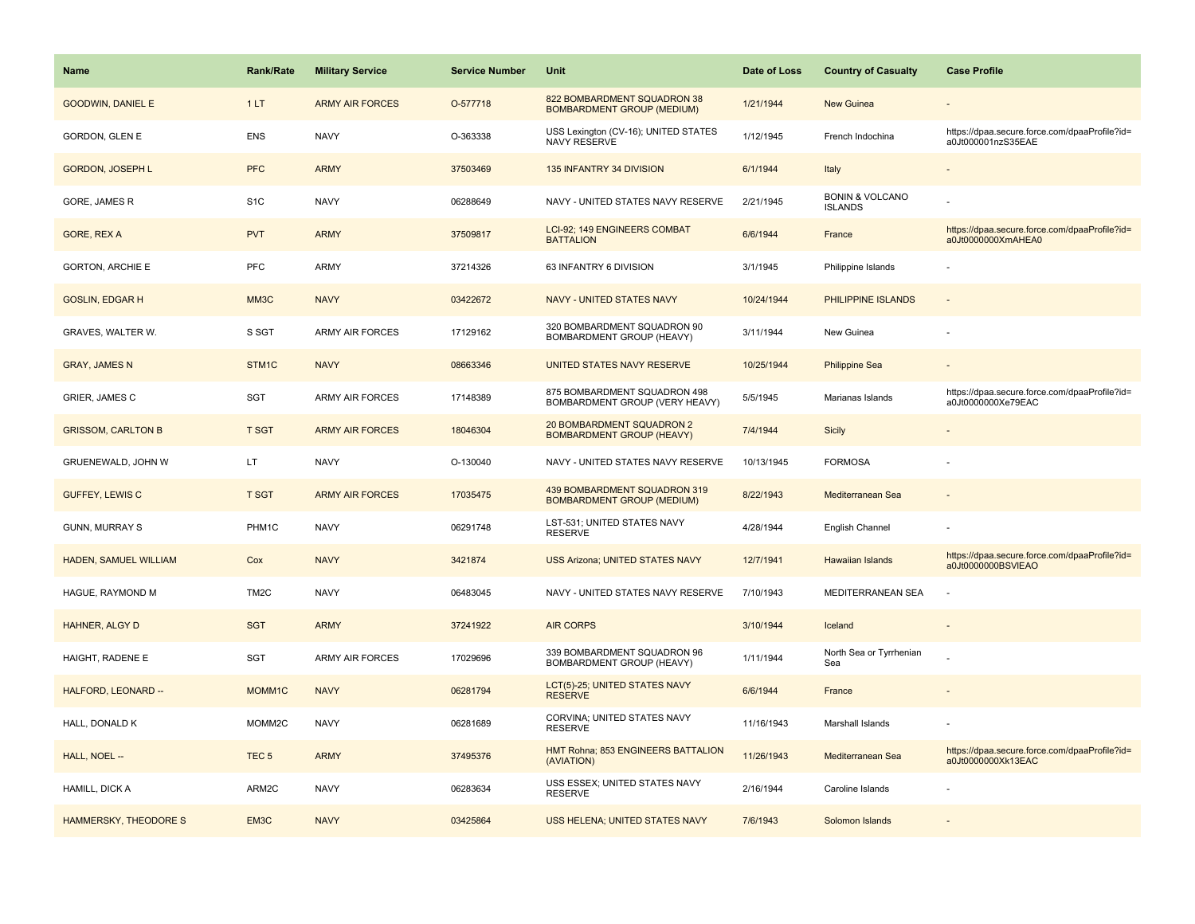| Name                      | <b>Rank/Rate</b>  | <b>Military Service</b> | <b>Service Number</b> | Unit                                                              | Date of Loss | <b>Country of Casualty</b>                   | <b>Case Profile</b>                                                 |
|---------------------------|-------------------|-------------------------|-----------------------|-------------------------------------------------------------------|--------------|----------------------------------------------|---------------------------------------------------------------------|
| <b>GOODWIN, DANIEL E</b>  | 1LT               | <b>ARMY AIR FORCES</b>  | O-577718              | 822 BOMBARDMENT SQUADRON 38<br><b>BOMBARDMENT GROUP (MEDIUM)</b>  | 1/21/1944    | <b>New Guinea</b>                            |                                                                     |
| GORDON, GLEN E            | ENS               | <b>NAVY</b>             | O-363338              | USS Lexington (CV-16); UNITED STATES<br>NAVY RESERVE              | 1/12/1945    | French Indochina                             | https://dpaa.secure.force.com/dpaaProfile?id=<br>a0Jt000001nzS35EAE |
| GORDON, JOSEPH L          | <b>PFC</b>        | <b>ARMY</b>             | 37503469              | 135 INFANTRY 34 DIVISION                                          | 6/1/1944     | Italy                                        |                                                                     |
| GORE, JAMES R             | S <sub>1</sub> C  | <b>NAVY</b>             | 06288649              | NAVY - UNITED STATES NAVY RESERVE                                 | 2/21/1945    | <b>BONIN &amp; VOLCANO</b><br><b>ISLANDS</b> |                                                                     |
| GORE, REX A               | <b>PVT</b>        | <b>ARMY</b>             | 37509817              | LCI-92; 149 ENGINEERS COMBAT<br><b>BATTALION</b>                  | 6/6/1944     | France                                       | https://dpaa.secure.force.com/dpaaProfile?id=<br>a0Jt0000000XmAHEA0 |
| <b>GORTON, ARCHIE E</b>   | <b>PFC</b>        | <b>ARMY</b>             | 37214326              | 63 INFANTRY 6 DIVISION                                            | 3/1/1945     | Philippine Islands                           |                                                                     |
| <b>GOSLIN, EDGAR H</b>    | MM3C              | <b>NAVY</b>             | 03422672              | NAVY - UNITED STATES NAVY                                         | 10/24/1944   | PHILIPPINE ISLANDS                           | $\sim$                                                              |
| GRAVES, WALTER W.         | S SGT             | ARMY AIR FORCES         | 17129162              | 320 BOMBARDMENT SQUADRON 90<br>BOMBARDMENT GROUP (HEAVY)          | 3/11/1944    | New Guinea                                   |                                                                     |
| <b>GRAY, JAMES N</b>      | STM1C             | <b>NAVY</b>             | 08663346              | UNITED STATES NAVY RESERVE                                        | 10/25/1944   | <b>Philippine Sea</b>                        |                                                                     |
| GRIER, JAMES C            | <b>SGT</b>        | ARMY AIR FORCES         | 17148389              | 875 BOMBARDMENT SQUADRON 498<br>BOMBARDMENT GROUP (VERY HEAVY)    | 5/5/1945     | Marianas Islands                             | https://dpaa.secure.force.com/dpaaProfile?id=<br>a0Jt0000000Xe79EAC |
| <b>GRISSOM, CARLTON B</b> | <b>T SGT</b>      | <b>ARMY AIR FORCES</b>  | 18046304              | 20 BOMBARDMENT SQUADRON 2<br><b>BOMBARDMENT GROUP (HEAVY)</b>     | 7/4/1944     | <b>Sicily</b>                                |                                                                     |
| GRUENEWALD, JOHN W        | LT                | <b>NAVY</b>             | O-130040              | NAVY - UNITED STATES NAVY RESERVE                                 | 10/13/1945   | <b>FORMOSA</b>                               |                                                                     |
| <b>GUFFEY, LEWIS C</b>    | <b>T SGT</b>      | <b>ARMY AIR FORCES</b>  | 17035475              | 439 BOMBARDMENT SQUADRON 319<br><b>BOMBARDMENT GROUP (MEDIUM)</b> | 8/22/1943    | Mediterranean Sea                            |                                                                     |
| <b>GUNN, MURRAY S</b>     | PHM1C             | <b>NAVY</b>             | 06291748              | LST-531: UNITED STATES NAVY<br><b>RESERVE</b>                     | 4/28/1944    | English Channel                              |                                                                     |
| HADEN, SAMUEL WILLIAM     | Cox               | <b>NAVY</b>             | 3421874               | USS Arizona; UNITED STATES NAVY                                   | 12/7/1941    | <b>Hawaiian Islands</b>                      | https://dpaa.secure.force.com/dpaaProfile?id=<br>a0Jt0000000BSVIEAO |
| HAGUE, RAYMOND M          | TM <sub>2</sub> C | <b>NAVY</b>             | 06483045              | NAVY - UNITED STATES NAVY RESERVE                                 | 7/10/1943    | MEDITERRANEAN SEA                            |                                                                     |
| HAHNER, ALGY D            | <b>SGT</b>        | <b>ARMY</b>             | 37241922              | <b>AIR CORPS</b>                                                  | 3/10/1944    | Iceland                                      |                                                                     |
| HAIGHT, RADENE E          | <b>SGT</b>        | <b>ARMY AIR FORCES</b>  | 17029696              | 339 BOMBARDMENT SQUADRON 96<br>BOMBARDMENT GROUP (HEAVY)          | 1/11/1944    | North Sea or Tyrrhenian<br>Sea               |                                                                     |
| HALFORD, LEONARD --       | MOMM1C            | <b>NAVY</b>             | 06281794              | LCT(5)-25; UNITED STATES NAVY<br><b>RESERVE</b>                   | 6/6/1944     | France                                       |                                                                     |
| HALL, DONALD K            | MOMM2C            | <b>NAVY</b>             | 06281689              | CORVINA; UNITED STATES NAVY<br><b>RESERVE</b>                     | 11/16/1943   | Marshall Islands                             |                                                                     |
| HALL, NOEL --             | TEC <sub>5</sub>  | <b>ARMY</b>             | 37495376              | HMT Rohna; 853 ENGINEERS BATTALION<br>(AVIATION)                  | 11/26/1943   | Mediterranean Sea                            | https://dpaa.secure.force.com/dpaaProfile?id=<br>a0Jt0000000Xk13EAC |
| HAMILL, DICK A            | ARM2C             | <b>NAVY</b>             | 06283634              | USS ESSEX; UNITED STATES NAVY<br><b>RESERVE</b>                   | 2/16/1944    | Caroline Islands                             |                                                                     |
| HAMMERSKY, THEODORE S     | EM3C              | <b>NAVY</b>             | 03425864              | <b>USS HELENA; UNITED STATES NAVY</b>                             | 7/6/1943     | Solomon Islands                              |                                                                     |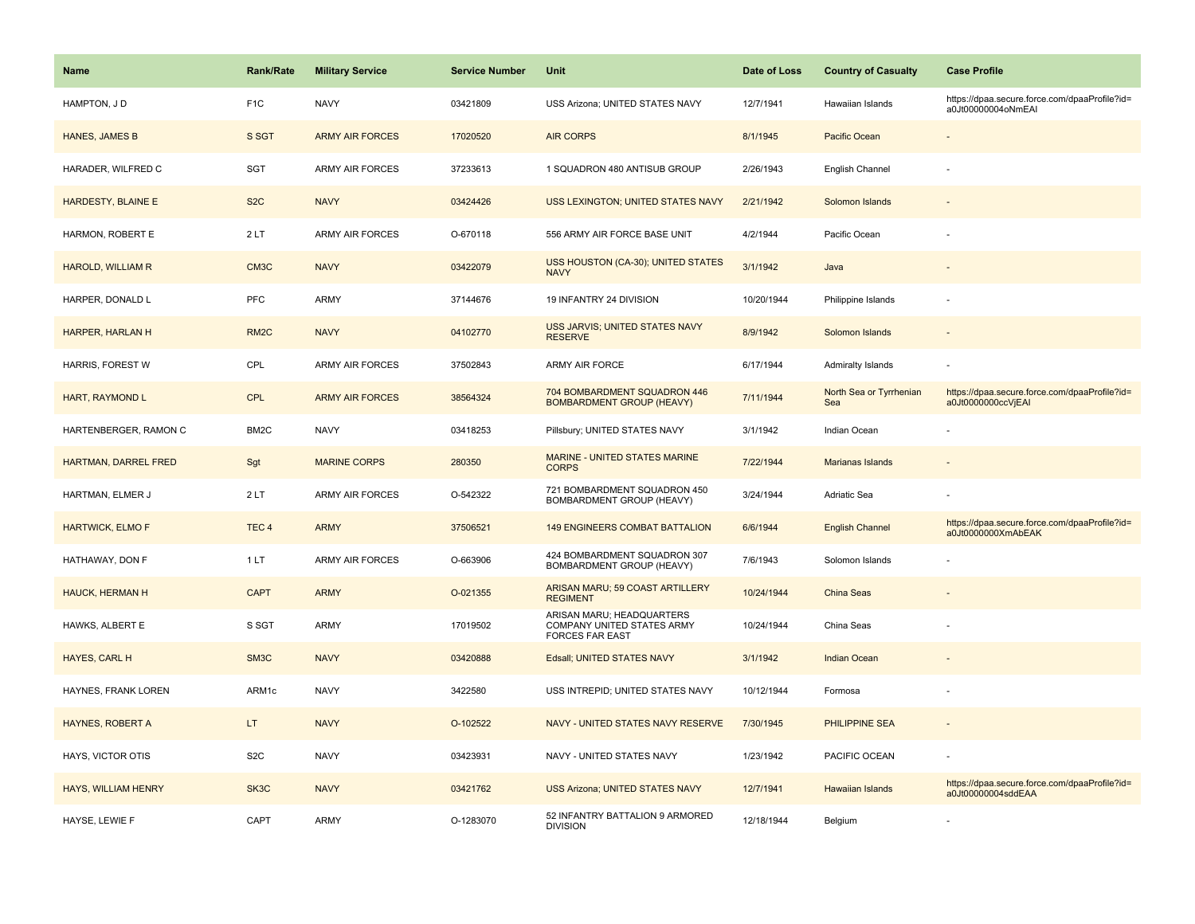| <b>Name</b>                | <b>Rank/Rate</b>  | <b>Military Service</b> | <b>Service Number</b> | Unit                                                                              | Date of Loss | <b>Country of Casualty</b>     | <b>Case Profile</b>                                                 |
|----------------------------|-------------------|-------------------------|-----------------------|-----------------------------------------------------------------------------------|--------------|--------------------------------|---------------------------------------------------------------------|
| HAMPTON, J D               | F <sub>1</sub> C  | <b>NAVY</b>             | 03421809              | USS Arizona; UNITED STATES NAVY                                                   | 12/7/1941    | Hawaiian Islands               | https://dpaa.secure.force.com/dpaaProfile?id=<br>a0Jt00000004oNmEAI |
| HANES, JAMES B             | S SGT             | <b>ARMY AIR FORCES</b>  | 17020520              | <b>AIR CORPS</b>                                                                  | 8/1/1945     | Pacific Ocean                  |                                                                     |
| HARADER, WILFRED C         | SGT               | <b>ARMY AIR FORCES</b>  | 37233613              | 1 SQUADRON 480 ANTISUB GROUP                                                      | 2/26/1943    | English Channel                |                                                                     |
| HARDESTY, BLAINE E         | S <sub>2</sub> C  | <b>NAVY</b>             | 03424426              | USS LEXINGTON; UNITED STATES NAVY                                                 | 2/21/1942    | Solomon Islands                |                                                                     |
| HARMON, ROBERT E           | 2LT               | <b>ARMY AIR FORCES</b>  | O-670118              | 556 ARMY AIR FORCE BASE UNIT                                                      | 4/2/1944     | Pacific Ocean                  |                                                                     |
| <b>HAROLD, WILLIAM R</b>   | CM3C              | <b>NAVY</b>             | 03422079              | USS HOUSTON (CA-30); UNITED STATES<br><b>NAVY</b>                                 | 3/1/1942     | Java                           |                                                                     |
| HARPER, DONALD L           | PFC               | <b>ARMY</b>             | 37144676              | 19 INFANTRY 24 DIVISION                                                           | 10/20/1944   | Philippine Islands             |                                                                     |
| HARPER, HARLAN H           | RM <sub>2</sub> C | <b>NAVY</b>             | 04102770              | USS JARVIS; UNITED STATES NAVY<br><b>RESERVE</b>                                  | 8/9/1942     | Solomon Islands                |                                                                     |
| HARRIS, FOREST W           | CPL               | <b>ARMY AIR FORCES</b>  | 37502843              | ARMY AIR FORCE                                                                    | 6/17/1944    | <b>Admiralty Islands</b>       |                                                                     |
| <b>HART, RAYMOND L</b>     | <b>CPL</b>        | <b>ARMY AIR FORCES</b>  | 38564324              | 704 BOMBARDMENT SQUADRON 446<br><b>BOMBARDMENT GROUP (HEAVY)</b>                  | 7/11/1944    | North Sea or Tyrrhenian<br>Sea | https://dpaa.secure.force.com/dpaaProfile?id=<br>a0Jt0000000ccVjEAI |
| HARTENBERGER, RAMON C      | BM2C              | <b>NAVY</b>             | 03418253              | Pillsbury; UNITED STATES NAVY                                                     | 3/1/1942     | Indian Ocean                   |                                                                     |
| HARTMAN, DARREL FRED       | Sgt               | <b>MARINE CORPS</b>     | 280350                | <b>MARINE - UNITED STATES MARINE</b><br><b>CORPS</b>                              | 7/22/1944    | Marianas Islands               |                                                                     |
| HARTMAN, ELMER J           | 2LT               | <b>ARMY AIR FORCES</b>  | O-542322              | 721 BOMBARDMENT SQUADRON 450<br>BOMBARDMENT GROUP (HEAVY)                         | 3/24/1944    | <b>Adriatic Sea</b>            |                                                                     |
| <b>HARTWICK, ELMO F</b>    | TEC <sub>4</sub>  | <b>ARMY</b>             | 37506521              | <b>149 ENGINEERS COMBAT BATTALION</b>                                             | 6/6/1944     | <b>English Channel</b>         | https://dpaa.secure.force.com/dpaaProfile?id=<br>a0Jt0000000XmAbEAK |
| HATHAWAY, DON F            | 1LT               | ARMY AIR FORCES         | O-663906              | 424 BOMBARDMENT SQUADRON 307<br>BOMBARDMENT GROUP (HEAVY)                         | 7/6/1943     | Solomon Islands                |                                                                     |
| <b>HAUCK, HERMAN H</b>     | <b>CAPT</b>       | <b>ARMY</b>             | O-021355              | ARISAN MARU; 59 COAST ARTILLERY<br><b>REGIMENT</b>                                | 10/24/1944   | China Seas                     |                                                                     |
| HAWKS, ALBERT E            | S SGT             | ARMY                    | 17019502              | ARISAN MARU; HEADQUARTERS<br>COMPANY UNITED STATES ARMY<br><b>FORCES FAR EAST</b> | 10/24/1944   | China Seas                     |                                                                     |
| HAYES, CARL H              | SM3C              | <b>NAVY</b>             | 03420888              | Edsall; UNITED STATES NAVY                                                        | 3/1/1942     | <b>Indian Ocean</b>            |                                                                     |
| HAYNES, FRANK LOREN        | ARM1c             | <b>NAVY</b>             | 3422580               | USS INTREPID; UNITED STATES NAVY                                                  | 10/12/1944   | Formosa                        |                                                                     |
| HAYNES, ROBERT A           | LT.               | <b>NAVY</b>             | O-102522              | NAVY - UNITED STATES NAVY RESERVE                                                 | 7/30/1945    | PHILIPPINE SEA                 |                                                                     |
| HAYS, VICTOR OTIS          | S <sub>2</sub> C  | <b>NAVY</b>             | 03423931              | NAVY - UNITED STATES NAVY                                                         | 1/23/1942    | PACIFIC OCEAN                  |                                                                     |
| <b>HAYS, WILLIAM HENRY</b> | SK3C              | <b>NAVY</b>             | 03421762              | <b>USS Arizona; UNITED STATES NAVY</b>                                            | 12/7/1941    | <b>Hawaiian Islands</b>        | https://dpaa.secure.force.com/dpaaProfile?id=<br>a0Jt00000004sddEAA |
| HAYSE, LEWIE F             | CAPT              | ARMY                    | O-1283070             | 52 INFANTRY BATTALION 9 ARMORED<br><b>DIVISION</b>                                | 12/18/1944   | Belgium                        |                                                                     |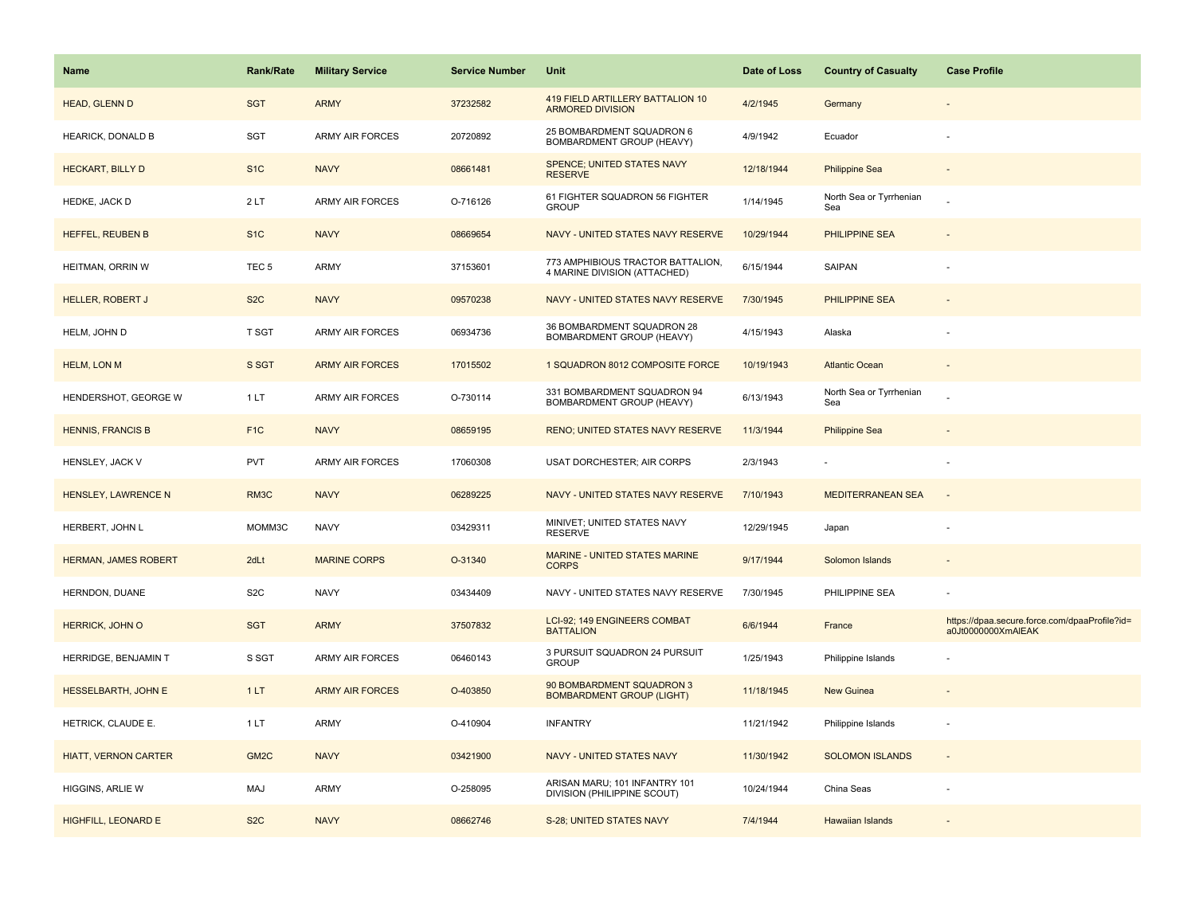| <b>Name</b>                 | <b>Rank/Rate</b> | <b>Military Service</b> | <b>Service Number</b> | Unit                                                              | Date of Loss | <b>Country of Casualty</b>     | <b>Case Profile</b>                                                 |
|-----------------------------|------------------|-------------------------|-----------------------|-------------------------------------------------------------------|--------------|--------------------------------|---------------------------------------------------------------------|
| HEAD, GLENN D               | <b>SGT</b>       | <b>ARMY</b>             | 37232582              | 419 FIELD ARTILLERY BATTALION 10<br><b>ARMORED DIVISION</b>       | 4/2/1945     | Germany                        |                                                                     |
| HEARICK, DONALD B           | SGT              | <b>ARMY AIR FORCES</b>  | 20720892              | 25 BOMBARDMENT SQUADRON 6<br>BOMBARDMENT GROUP (HEAVY)            | 4/9/1942     | Ecuador                        |                                                                     |
| <b>HECKART, BILLY D</b>     | S <sub>1</sub> C | <b>NAVY</b>             | 08661481              | <b>SPENCE: UNITED STATES NAVY</b><br><b>RESERVE</b>               | 12/18/1944   | <b>Philippine Sea</b>          |                                                                     |
| HEDKE, JACK D               | 2LT              | <b>ARMY AIR FORCES</b>  | O-716126              | 61 FIGHTER SQUADRON 56 FIGHTER<br><b>GROUP</b>                    | 1/14/1945    | North Sea or Tyrrhenian<br>Sea |                                                                     |
| HEFFEL, REUBEN B            | S <sub>1</sub> C | <b>NAVY</b>             | 08669654              | NAVY - UNITED STATES NAVY RESERVE                                 | 10/29/1944   | PHILIPPINE SEA                 |                                                                     |
| HEITMAN, ORRIN W            | TEC <sub>5</sub> | ARMY                    | 37153601              | 773 AMPHIBIOUS TRACTOR BATTALION,<br>4 MARINE DIVISION (ATTACHED) | 6/15/1944    | SAIPAN                         |                                                                     |
| <b>HELLER, ROBERT J</b>     | S <sub>2</sub> C | <b>NAVY</b>             | 09570238              | NAVY - UNITED STATES NAVY RESERVE                                 | 7/30/1945    | <b>PHILIPPINE SEA</b>          |                                                                     |
| HELM, JOHN D                | T SGT            | <b>ARMY AIR FORCES</b>  | 06934736              | 36 BOMBARDMENT SQUADRON 28<br>BOMBARDMENT GROUP (HEAVY)           | 4/15/1943    | Alaska                         |                                                                     |
| <b>HELM, LON M</b>          | S SGT            | <b>ARMY AIR FORCES</b>  | 17015502              | 1 SQUADRON 8012 COMPOSITE FORCE                                   | 10/19/1943   | <b>Atlantic Ocean</b>          |                                                                     |
| HENDERSHOT, GEORGE W        | 1LT              | ARMY AIR FORCES         | O-730114              | 331 BOMBARDMENT SQUADRON 94<br>BOMBARDMENT GROUP (HEAVY)          | 6/13/1943    | North Sea or Tyrrhenian<br>Sea |                                                                     |
| <b>HENNIS, FRANCIS B</b>    | F <sub>1C</sub>  | <b>NAVY</b>             | 08659195              | <b>RENO; UNITED STATES NAVY RESERVE</b>                           | 11/3/1944    | <b>Philippine Sea</b>          |                                                                     |
| HENSLEY, JACK V             | <b>PVT</b>       | ARMY AIR FORCES         | 17060308              | USAT DORCHESTER; AIR CORPS                                        | 2/3/1943     |                                |                                                                     |
| HENSLEY, LAWRENCE N         | RM3C             | <b>NAVY</b>             | 06289225              | NAVY - UNITED STATES NAVY RESERVE                                 | 7/10/1943    | <b>MEDITERRANEAN SEA</b>       |                                                                     |
| HERBERT, JOHN L             | MOMM3C           | <b>NAVY</b>             | 03429311              | MINIVET; UNITED STATES NAVY<br><b>RESERVE</b>                     | 12/29/1945   | Japan                          |                                                                     |
| <b>HERMAN, JAMES ROBERT</b> | 2dLt             | <b>MARINE CORPS</b>     | O-31340               | MARINE - UNITED STATES MARINE<br><b>CORPS</b>                     | 9/17/1944    | Solomon Islands                |                                                                     |
| HERNDON, DUANE              | S <sub>2</sub> C | <b>NAVY</b>             | 03434409              | NAVY - UNITED STATES NAVY RESERVE                                 | 7/30/1945    | PHILIPPINE SEA                 |                                                                     |
| HERRICK, JOHN O             | <b>SGT</b>       | <b>ARMY</b>             | 37507832              | LCI-92; 149 ENGINEERS COMBAT<br><b>BATTALION</b>                  | 6/6/1944     | France                         | https://dpaa.secure.force.com/dpaaProfile?id=<br>a0Jt0000000XmAIEAK |
| HERRIDGE, BENJAMIN T        | S SGT            | ARMY AIR FORCES         | 06460143              | 3 PURSUIT SQUADRON 24 PURSUIT<br><b>GROUP</b>                     | 1/25/1943    | Philippine Islands             |                                                                     |
| HESSELBARTH, JOHN E         | 1LT              | <b>ARMY AIR FORCES</b>  | O-403850              | 90 BOMBARDMENT SQUADRON 3<br><b>BOMBARDMENT GROUP (LIGHT)</b>     | 11/18/1945   | <b>New Guinea</b>              |                                                                     |
| HETRICK, CLAUDE E.          | 1 LT             | ARMY                    | O-410904              | <b>INFANTRY</b>                                                   | 11/21/1942   | Philippine Islands             |                                                                     |
| <b>HIATT, VERNON CARTER</b> | GM <sub>2C</sub> | <b>NAVY</b>             | 03421900              | NAVY - UNITED STATES NAVY                                         | 11/30/1942   | <b>SOLOMON ISLANDS</b>         | $\sim$                                                              |
| HIGGINS, ARLIE W            | MAJ              | ARMY                    | O-258095              | ARISAN MARU; 101 INFANTRY 101<br>DIVISION (PHILIPPINE SCOUT)      | 10/24/1944   | China Seas                     |                                                                     |
| <b>HIGHFILL, LEONARD E</b>  | S <sub>2</sub> C | <b>NAVY</b>             | 08662746              | S-28; UNITED STATES NAVY                                          | 7/4/1944     | <b>Hawaiian Islands</b>        |                                                                     |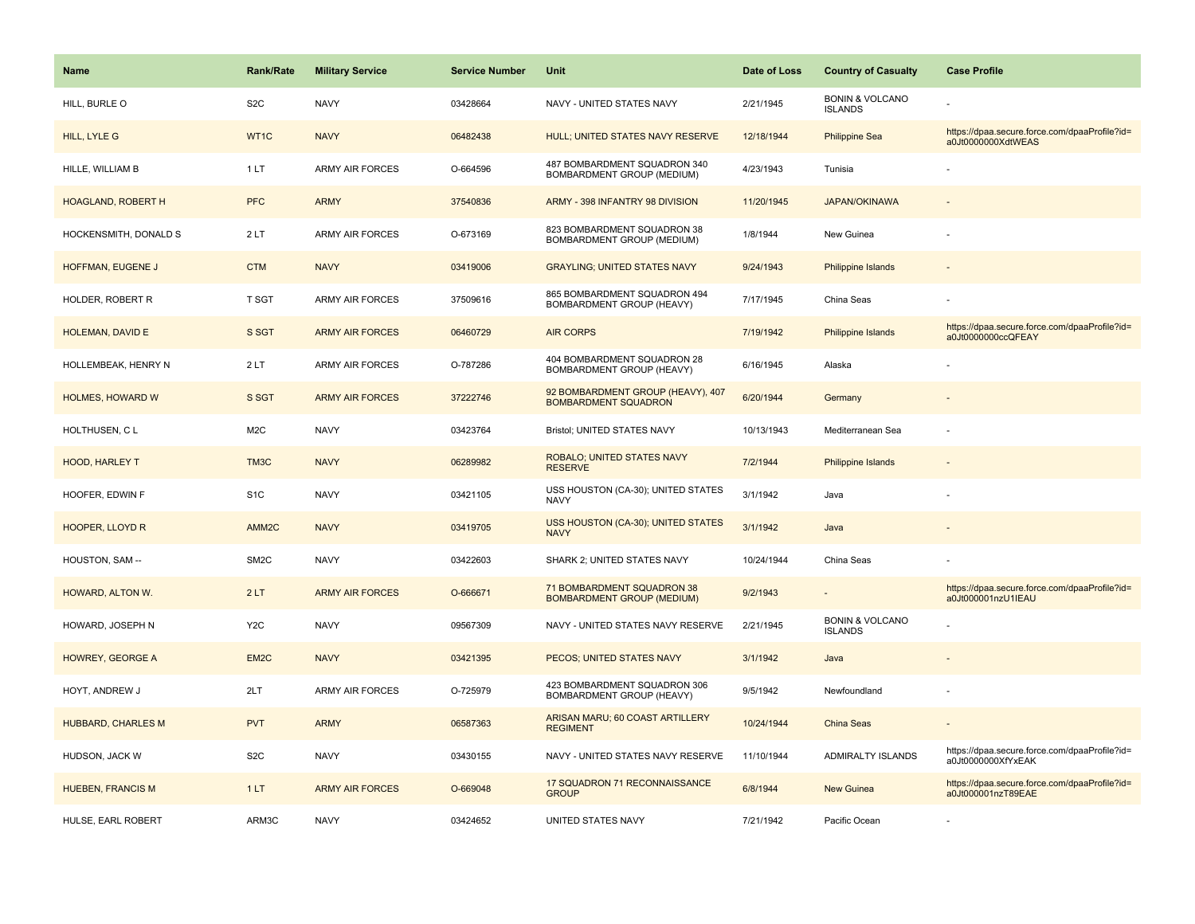| <b>Name</b>               | <b>Rank/Rate</b>  | <b>Military Service</b> | <b>Service Number</b> | Unit                                                             | Date of Loss | <b>Country of Casualty</b>                   | <b>Case Profile</b>                                                 |
|---------------------------|-------------------|-------------------------|-----------------------|------------------------------------------------------------------|--------------|----------------------------------------------|---------------------------------------------------------------------|
| HILL, BURLE O             | S <sub>2</sub> C  | <b>NAVY</b>             | 03428664              | NAVY - UNITED STATES NAVY                                        | 2/21/1945    | <b>BONIN &amp; VOLCANO</b><br><b>ISLANDS</b> |                                                                     |
| HILL, LYLE G              | WT1C              | <b>NAVY</b>             | 06482438              | HULL; UNITED STATES NAVY RESERVE                                 | 12/18/1944   | <b>Philippine Sea</b>                        | https://dpaa.secure.force.com/dpaaProfile?id=<br>a0Jt0000000XdtWEAS |
| HILLE, WILLIAM B          | 1LT               | <b>ARMY AIR FORCES</b>  | O-664596              | 487 BOMBARDMENT SQUADRON 340<br>BOMBARDMENT GROUP (MEDIUM)       | 4/23/1943    | Tunisia                                      |                                                                     |
| <b>HOAGLAND, ROBERT H</b> | <b>PFC</b>        | <b>ARMY</b>             | 37540836              | ARMY - 398 INFANTRY 98 DIVISION                                  | 11/20/1945   | <b>JAPAN/OKINAWA</b>                         |                                                                     |
| HOCKENSMITH, DONALD S     | 2LT               | <b>ARMY AIR FORCES</b>  | O-673169              | 823 BOMBARDMENT SQUADRON 38<br>BOMBARDMENT GROUP (MEDIUM)        | 1/8/1944     | New Guinea                                   |                                                                     |
| HOFFMAN, EUGENE J         | <b>CTM</b>        | <b>NAVY</b>             | 03419006              | <b>GRAYLING; UNITED STATES NAVY</b>                              | 9/24/1943    | Philippine Islands                           |                                                                     |
| HOLDER, ROBERT R          | <b>T SGT</b>      | ARMY AIR FORCES         | 37509616              | 865 BOMBARDMENT SQUADRON 494<br>BOMBARDMENT GROUP (HEAVY)        | 7/17/1945    | China Seas                                   |                                                                     |
| HOLEMAN, DAVID E          | S SGT             | <b>ARMY AIR FORCES</b>  | 06460729              | <b>AIR CORPS</b>                                                 | 7/19/1942    | Philippine Islands                           | https://dpaa.secure.force.com/dpaaProfile?id=<br>a0Jt0000000ccQFEAY |
| HOLLEMBEAK, HENRY N       | 2LT               | <b>ARMY AIR FORCES</b>  | O-787286              | 404 BOMBARDMENT SQUADRON 28<br>BOMBARDMENT GROUP (HEAVY)         | 6/16/1945    | Alaska                                       |                                                                     |
| <b>HOLMES, HOWARD W</b>   | S SGT             | <b>ARMY AIR FORCES</b>  | 37222746              | 92 BOMBARDMENT GROUP (HEAVY), 407<br><b>BOMBARDMENT SQUADRON</b> | 6/20/1944    | Germany                                      |                                                                     |
| HOLTHUSEN, CL             | M <sub>2</sub> C  | <b>NAVY</b>             | 03423764              | Bristol; UNITED STATES NAVY                                      | 10/13/1943   | Mediterranean Sea                            |                                                                     |
| HOOD, HARLEY T            | TM <sub>3</sub> C | <b>NAVY</b>             | 06289982              | ROBALO; UNITED STATES NAVY<br><b>RESERVE</b>                     | 7/2/1944     | Philippine Islands                           |                                                                     |
| HOOFER, EDWIN F           | S <sub>1</sub> C  | <b>NAVY</b>             | 03421105              | USS HOUSTON (CA-30); UNITED STATES<br><b>NAVY</b>                | 3/1/1942     | Java                                         |                                                                     |
| <b>HOOPER, LLOYD R</b>    | AMM <sub>2C</sub> | <b>NAVY</b>             | 03419705              | USS HOUSTON (CA-30); UNITED STATES<br><b>NAVY</b>                | 3/1/1942     | Java                                         |                                                                     |
| HOUSTON, SAM --           | SM <sub>2</sub> C | <b>NAVY</b>             | 03422603              | SHARK 2; UNITED STATES NAVY                                      | 10/24/1944   | China Seas                                   |                                                                     |
| HOWARD, ALTON W.          | 2LT               | <b>ARMY AIR FORCES</b>  | O-666671              | 71 BOMBARDMENT SQUADRON 38<br><b>BOMBARDMENT GROUP (MEDIUM)</b>  | 9/2/1943     |                                              | https://dpaa.secure.force.com/dpaaProfile?id=<br>a0Jt000001nzU1IEAU |
| HOWARD, JOSEPH N          | Y <sub>2</sub> C  | <b>NAVY</b>             | 09567309              | NAVY - UNITED STATES NAVY RESERVE                                | 2/21/1945    | <b>BONIN &amp; VOLCANO</b><br><b>ISLANDS</b> |                                                                     |
| <b>HOWREY, GEORGE A</b>   | EM <sub>2C</sub>  | <b>NAVY</b>             | 03421395              | PECOS; UNITED STATES NAVY                                        | 3/1/1942     | Java                                         |                                                                     |
| HOYT, ANDREW J            | 2LT               | <b>ARMY AIR FORCES</b>  | O-725979              | 423 BOMBARDMENT SQUADRON 306<br>BOMBARDMENT GROUP (HEAVY)        | 9/5/1942     | Newfoundland                                 |                                                                     |
| <b>HUBBARD, CHARLES M</b> | <b>PVT</b>        | <b>ARMY</b>             | 06587363              | ARISAN MARU; 60 COAST ARTILLERY<br><b>REGIMENT</b>               | 10/24/1944   | <b>China Seas</b>                            |                                                                     |
| HUDSON, JACK W            | S <sub>2</sub> C  | <b>NAVY</b>             | 03430155              | NAVY - UNITED STATES NAVY RESERVE                                | 11/10/1944   | ADMIRALTY ISLANDS                            | https://dpaa.secure.force.com/dpaaProfile?id=<br>a0Jt0000000XfYxEAK |
| <b>HUEBEN, FRANCIS M</b>  | 1LT               | <b>ARMY AIR FORCES</b>  | O-669048              | 17 SQUADRON 71 RECONNAISSANCE<br><b>GROUP</b>                    | 6/8/1944     | <b>New Guinea</b>                            | https://dpaa.secure.force.com/dpaaProfile?id=<br>a0Jt000001nzT89EAE |
| HULSE, EARL ROBERT        | ARM3C             | <b>NAVY</b>             | 03424652              | UNITED STATES NAVY                                               | 7/21/1942    | Pacific Ocean                                |                                                                     |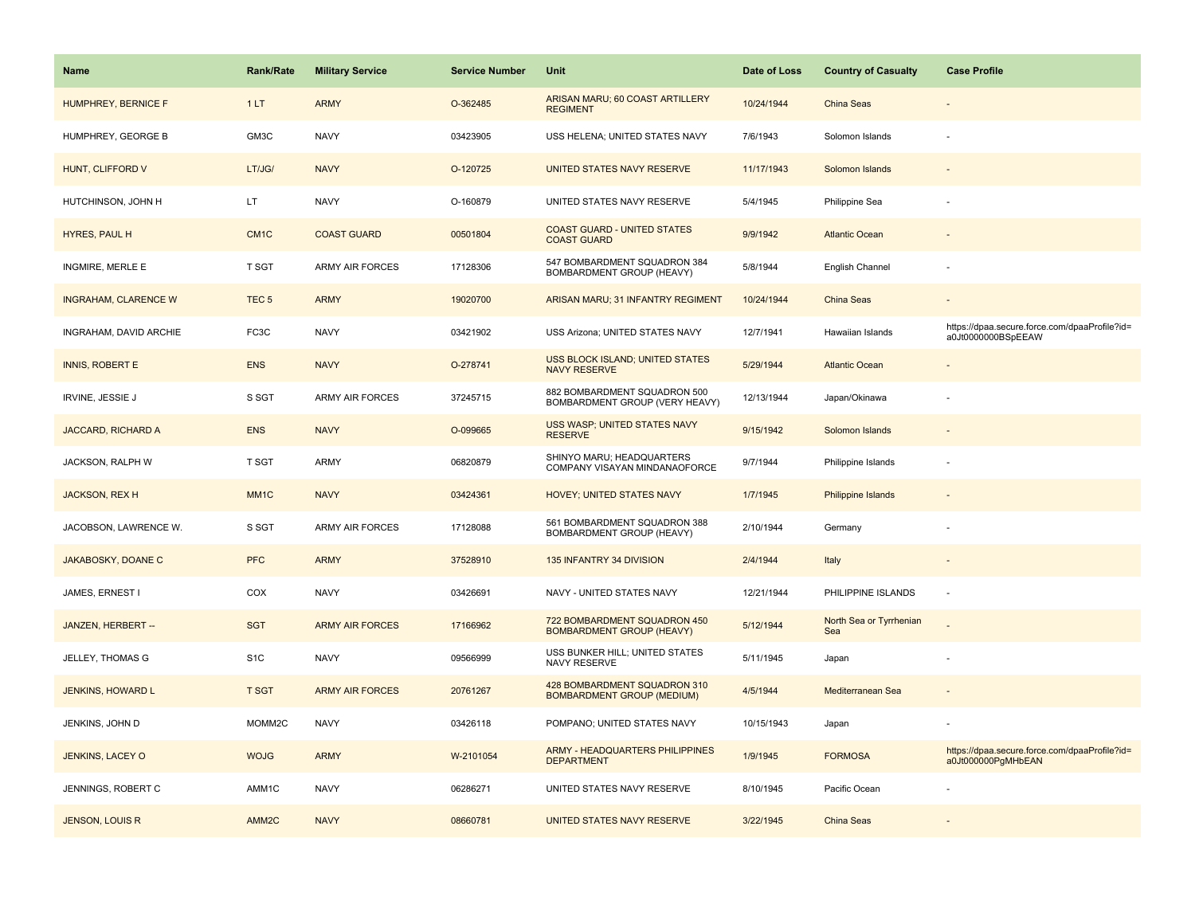| Name                        | <b>Rank/Rate</b>   | <b>Military Service</b> | <b>Service Number</b> | Unit                                                              | Date of Loss | <b>Country of Casualty</b>     | <b>Case Profile</b>                                                 |
|-----------------------------|--------------------|-------------------------|-----------------------|-------------------------------------------------------------------|--------------|--------------------------------|---------------------------------------------------------------------|
| <b>HUMPHREY, BERNICE F</b>  | 1LT                | <b>ARMY</b>             | O-362485              | ARISAN MARU; 60 COAST ARTILLERY<br><b>REGIMENT</b>                | 10/24/1944   | <b>China Seas</b>              |                                                                     |
| HUMPHREY, GEORGE B          | GM3C               | <b>NAVY</b>             | 03423905              | USS HELENA; UNITED STATES NAVY                                    | 7/6/1943     | Solomon Islands                |                                                                     |
| HUNT, CLIFFORD V            | LT/JG/             | <b>NAVY</b>             | O-120725              | UNITED STATES NAVY RESERVE                                        | 11/17/1943   | Solomon Islands                |                                                                     |
| HUTCHINSON, JOHN H          | LT.                | <b>NAVY</b>             | O-160879              | UNITED STATES NAVY RESERVE                                        | 5/4/1945     | Philippine Sea                 |                                                                     |
| HYRES, PAUL H               | CM <sub>1</sub> C  | <b>COAST GUARD</b>      | 00501804              | <b>COAST GUARD - UNITED STATES</b><br><b>COAST GUARD</b>          | 9/9/1942     | <b>Atlantic Ocean</b>          |                                                                     |
| <b>INGMIRE, MERLE E</b>     | T SGT              | <b>ARMY AIR FORCES</b>  | 17128306              | 547 BOMBARDMENT SQUADRON 384<br>BOMBARDMENT GROUP (HEAVY)         | 5/8/1944     | English Channel                |                                                                     |
| <b>INGRAHAM, CLARENCE W</b> | TEC <sub>5</sub>   | <b>ARMY</b>             | 19020700              | ARISAN MARU; 31 INFANTRY REGIMENT                                 | 10/24/1944   | <b>China Seas</b>              |                                                                     |
| INGRAHAM, DAVID ARCHIE      | FC3C               | <b>NAVY</b>             | 03421902              | USS Arizona; UNITED STATES NAVY                                   | 12/7/1941    | Hawaiian Islands               | https://dpaa.secure.force.com/dpaaProfile?id=<br>a0Jt0000000BSpEEAW |
| <b>INNIS, ROBERT E</b>      | <b>ENS</b>         | <b>NAVY</b>             | O-278741              | <b>USS BLOCK ISLAND; UNITED STATES</b><br><b>NAVY RESERVE</b>     | 5/29/1944    | <b>Atlantic Ocean</b>          |                                                                     |
| <b>IRVINE, JESSIE J</b>     | S SGT              | <b>ARMY AIR FORCES</b>  | 37245715              | 882 BOMBARDMENT SQUADRON 500<br>BOMBARDMENT GROUP (VERY HEAVY)    | 12/13/1944   | Japan/Okinawa                  |                                                                     |
| JACCARD, RICHARD A          | <b>ENS</b>         | <b>NAVY</b>             | O-099665              | USS WASP; UNITED STATES NAVY<br><b>RESERVE</b>                    | 9/15/1942    | Solomon Islands                |                                                                     |
| JACKSON, RALPH W            | <b>T SGT</b>       | <b>ARMY</b>             | 06820879              | SHINYO MARU; HEADQUARTERS<br>COMPANY VISAYAN MINDANAOFORCE        | 9/7/1944     | Philippine Islands             |                                                                     |
| JACKSON, REX H              | MM <sub>1</sub> C  | <b>NAVY</b>             | 03424361              | HOVEY; UNITED STATES NAVY                                         | 1/7/1945     | Philippine Islands             |                                                                     |
| JACOBSON, LAWRENCE W.       | S SGT              | ARMY AIR FORCES         | 17128088              | 561 BOMBARDMENT SQUADRON 388<br>BOMBARDMENT GROUP (HEAVY)         | 2/10/1944    | Germany                        |                                                                     |
| JAKABOSKY, DOANE C          | <b>PFC</b>         | <b>ARMY</b>             | 37528910              | 135 INFANTRY 34 DIVISION                                          | 2/4/1944     | Italy                          | $\sim$                                                              |
| JAMES, ERNEST I             | COX                | <b>NAVY</b>             | 03426691              | NAVY - UNITED STATES NAVY                                         | 12/21/1944   | PHILIPPINE ISLANDS             | $\sim$                                                              |
| JANZEN, HERBERT --          | <b>SGT</b>         | <b>ARMY AIR FORCES</b>  | 17166962              | 722 BOMBARDMENT SQUADRON 450<br><b>BOMBARDMENT GROUP (HEAVY)</b>  | 5/12/1944    | North Sea or Tyrrhenian<br>Sea |                                                                     |
| JELLEY, THOMAS G            | S <sub>1</sub> C   | <b>NAVY</b>             | 09566999              | USS BUNKER HILL; UNITED STATES<br>NAVY RESERVE                    | 5/11/1945    | Japan                          |                                                                     |
| JENKINS, HOWARD L           | <b>T SGT</b>       | <b>ARMY AIR FORCES</b>  | 20761267              | 428 BOMBARDMENT SQUADRON 310<br><b>BOMBARDMENT GROUP (MEDIUM)</b> | 4/5/1944     | Mediterranean Sea              |                                                                     |
| JENKINS, JOHN D             | MOMM <sub>2C</sub> | <b>NAVY</b>             | 03426118              | POMPANO; UNITED STATES NAVY                                       | 10/15/1943   | Japan                          |                                                                     |
| JENKINS, LACEY O            | <b>WOJG</b>        | <b>ARMY</b>             | W-2101054             | <b>ARMY - HEADQUARTERS PHILIPPINES</b><br><b>DEPARTMENT</b>       | 1/9/1945     | <b>FORMOSA</b>                 | https://dpaa.secure.force.com/dpaaProfile?id=<br>a0Jt000000PgMHbEAN |
| JENNINGS, ROBERT C          | AMM1C              | <b>NAVY</b>             | 06286271              | UNITED STATES NAVY RESERVE                                        | 8/10/1945    | Pacific Ocean                  |                                                                     |
| <b>JENSON, LOUIS R</b>      | AMM <sub>2C</sub>  | <b>NAVY</b>             | 08660781              | UNITED STATES NAVY RESERVE                                        | 3/22/1945    | China Seas                     |                                                                     |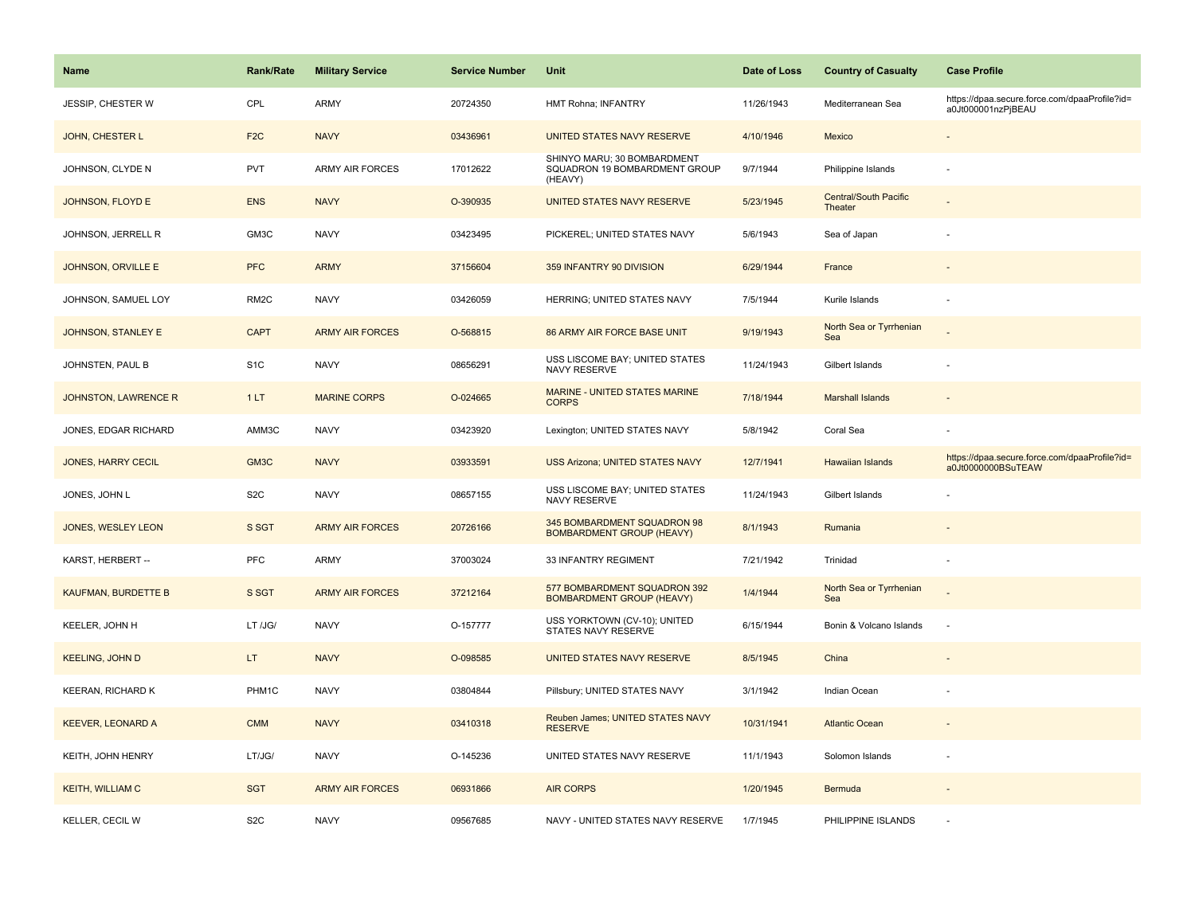| <b>Name</b>                | <b>Rank/Rate</b>  | <b>Military Service</b> | <b>Service Number</b> | Unit                                                                    | Date of Loss | <b>Country of Casualty</b>              | <b>Case Profile</b>                                                 |
|----------------------------|-------------------|-------------------------|-----------------------|-------------------------------------------------------------------------|--------------|-----------------------------------------|---------------------------------------------------------------------|
| JESSIP, CHESTER W          | CPL               | <b>ARMY</b>             | 20724350              | HMT Rohna; INFANTRY                                                     | 11/26/1943   | Mediterranean Sea                       | https://dpaa.secure.force.com/dpaaProfile?id=<br>a0Jt000001nzPjBEAU |
| JOHN, CHESTER L            | F <sub>2C</sub>   | <b>NAVY</b>             | 03436961              | <b>UNITED STATES NAVY RESERVE</b>                                       | 4/10/1946    | Mexico                                  |                                                                     |
| JOHNSON, CLYDE N           | <b>PVT</b>        | <b>ARMY AIR FORCES</b>  | 17012622              | SHINYO MARU; 30 BOMBARDMENT<br>SQUADRON 19 BOMBARDMENT GROUP<br>(HEAVY) | 9/7/1944     | Philippine Islands                      |                                                                     |
| JOHNSON, FLOYD E           | <b>ENS</b>        | <b>NAVY</b>             | O-390935              | UNITED STATES NAVY RESERVE                                              | 5/23/1945    | <b>Central/South Pacific</b><br>Theater |                                                                     |
| JOHNSON, JERRELL R         | GM3C              | <b>NAVY</b>             | 03423495              | PICKEREL; UNITED STATES NAVY                                            | 5/6/1943     | Sea of Japan                            |                                                                     |
| JOHNSON, ORVILLE E         | <b>PFC</b>        | <b>ARMY</b>             | 37156604              | 359 INFANTRY 90 DIVISION                                                | 6/29/1944    | France                                  |                                                                     |
| JOHNSON, SAMUEL LOY        | RM <sub>2</sub> C | <b>NAVY</b>             | 03426059              | HERRING; UNITED STATES NAVY                                             | 7/5/1944     | Kurile Islands                          |                                                                     |
| <b>JOHNSON, STANLEY E</b>  | <b>CAPT</b>       | <b>ARMY AIR FORCES</b>  | O-568815              | 86 ARMY AIR FORCE BASE UNIT                                             | 9/19/1943    | North Sea or Tyrrhenian<br>Sea          |                                                                     |
| JOHNSTEN, PAUL B           | S <sub>1</sub> C  | <b>NAVY</b>             | 08656291              | USS LISCOME BAY; UNITED STATES<br>NAVY RESERVE                          | 11/24/1943   | Gilbert Islands                         |                                                                     |
| JOHNSTON, LAWRENCE R       | 1LT               | <b>MARINE CORPS</b>     | O-024665              | <b>MARINE - UNITED STATES MARINE</b><br><b>CORPS</b>                    | 7/18/1944    | <b>Marshall Islands</b>                 |                                                                     |
| JONES, EDGAR RICHARD       | AMM3C             | <b>NAVY</b>             | 03423920              | Lexington; UNITED STATES NAVY                                           | 5/8/1942     | Coral Sea                               |                                                                     |
| <b>JONES, HARRY CECIL</b>  | GM3C              | <b>NAVY</b>             | 03933591              | <b>USS Arizona; UNITED STATES NAVY</b>                                  | 12/7/1941    | <b>Hawaiian Islands</b>                 | https://dpaa.secure.force.com/dpaaProfile?id=<br>a0Jt0000000BSuTEAW |
| JONES, JOHN L              | S <sub>2</sub> C  | <b>NAVY</b>             | 08657155              | USS LISCOME BAY; UNITED STATES<br>NAVY RESERVE                          | 11/24/1943   | Gilbert Islands                         |                                                                     |
| JONES, WESLEY LEON         | S SGT             | <b>ARMY AIR FORCES</b>  | 20726166              | 345 BOMBARDMENT SQUADRON 98<br><b>BOMBARDMENT GROUP (HEAVY)</b>         | 8/1/1943     | Rumania                                 |                                                                     |
| KARST, HERBERT --          | PFC               | <b>ARMY</b>             | 37003024              | 33 INFANTRY REGIMENT                                                    | 7/21/1942    | Trinidad                                | $\overline{\phantom{a}}$                                            |
| <b>KAUFMAN, BURDETTE B</b> | S SGT             | <b>ARMY AIR FORCES</b>  | 37212164              | 577 BOMBARDMENT SQUADRON 392<br><b>BOMBARDMENT GROUP (HEAVY)</b>        | 1/4/1944     | North Sea or Tyrrhenian<br>Sea          |                                                                     |
| KEELER, JOHN H             | LT /JG/           | <b>NAVY</b>             | O-157777              | USS YORKTOWN (CV-10); UNITED<br>STATES NAVY RESERVE                     | 6/15/1944    | Bonin & Volcano Islands                 |                                                                     |
| <b>KEELING, JOHN D</b>     | LT.               | <b>NAVY</b>             | O-098585              | UNITED STATES NAVY RESERVE                                              | 8/5/1945     | China                                   |                                                                     |
| <b>KEERAN, RICHARD K</b>   | PHM1C             | <b>NAVY</b>             | 03804844              | Pillsbury; UNITED STATES NAVY                                           | 3/1/1942     | Indian Ocean                            |                                                                     |
| <b>KEEVER, LEONARD A</b>   | <b>CMM</b>        | <b>NAVY</b>             | 03410318              | Reuben James; UNITED STATES NAVY<br><b>RESERVE</b>                      | 10/31/1941   | <b>Atlantic Ocean</b>                   |                                                                     |
| KEITH, JOHN HENRY          | LT/JG/            | <b>NAVY</b>             | O-145236              | UNITED STATES NAVY RESERVE                                              | 11/1/1943    | Solomon Islands                         |                                                                     |
| <b>KEITH, WILLIAM C</b>    | <b>SGT</b>        | <b>ARMY AIR FORCES</b>  | 06931866              | <b>AIR CORPS</b>                                                        | 1/20/1945    | Bermuda                                 |                                                                     |
| KELLER, CECIL W            | S <sub>2</sub> C  | <b>NAVY</b>             | 09567685              | NAVY - UNITED STATES NAVY RESERVE                                       | 1/7/1945     | PHILIPPINE ISLANDS                      |                                                                     |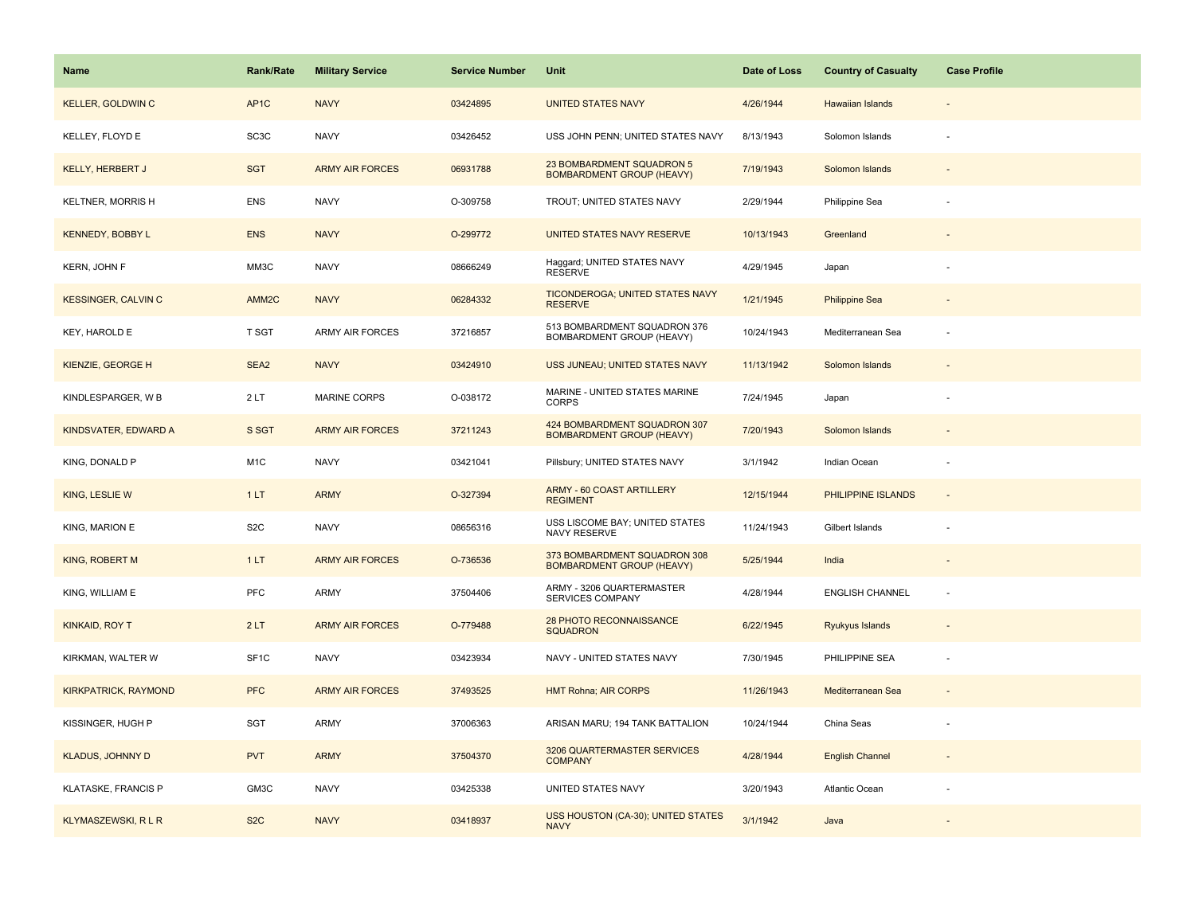| Name                        | <b>Rank/Rate</b>  | <b>Military Service</b> | <b>Service Number</b> | Unit                                                             | Date of Loss | <b>Country of Casualty</b> | <b>Case Profile</b>      |
|-----------------------------|-------------------|-------------------------|-----------------------|------------------------------------------------------------------|--------------|----------------------------|--------------------------|
| <b>KELLER, GOLDWIN C</b>    | AP <sub>1</sub> C | <b>NAVY</b>             | 03424895              | <b>UNITED STATES NAVY</b>                                        | 4/26/1944    | <b>Hawaiian Islands</b>    |                          |
| KELLEY, FLOYD E             | SC3C              | <b>NAVY</b>             | 03426452              | USS JOHN PENN; UNITED STATES NAVY                                | 8/13/1943    | Solomon Islands            |                          |
| KELLY, HERBERT J            | <b>SGT</b>        | <b>ARMY AIR FORCES</b>  | 06931788              | 23 BOMBARDMENT SQUADRON 5<br><b>BOMBARDMENT GROUP (HEAVY)</b>    | 7/19/1943    | Solomon Islands            |                          |
| <b>KELTNER, MORRISH</b>     | <b>ENS</b>        | <b>NAVY</b>             | O-309758              | TROUT; UNITED STATES NAVY                                        | 2/29/1944    | Philippine Sea             |                          |
| <b>KENNEDY, BOBBY L</b>     | <b>ENS</b>        | <b>NAVY</b>             | O-299772              | UNITED STATES NAVY RESERVE                                       | 10/13/1943   | Greenland                  |                          |
| KERN, JOHN F                | MM3C              | <b>NAVY</b>             | 08666249              | Haggard; UNITED STATES NAVY<br><b>RESERVE</b>                    | 4/29/1945    | Japan                      |                          |
| <b>KESSINGER, CALVIN C</b>  | AMM2C             | <b>NAVY</b>             | 06284332              | TICONDEROGA; UNITED STATES NAVY<br><b>RESERVE</b>                | 1/21/1945    | <b>Philippine Sea</b>      |                          |
| KEY, HAROLD E               | T SGT             | <b>ARMY AIR FORCES</b>  | 37216857              | 513 BOMBARDMENT SQUADRON 376<br>BOMBARDMENT GROUP (HEAVY)        | 10/24/1943   | Mediterranean Sea          |                          |
| KIENZIE, GEORGE H           | SEA <sub>2</sub>  | <b>NAVY</b>             | 03424910              | USS JUNEAU; UNITED STATES NAVY                                   | 11/13/1942   | Solomon Islands            |                          |
| KINDLESPARGER, W B          | 2LT               | <b>MARINE CORPS</b>     | O-038172              | MARINE - UNITED STATES MARINE<br><b>CORPS</b>                    | 7/24/1945    | Japan                      |                          |
| KINDSVATER, EDWARD A        | S SGT             | <b>ARMY AIR FORCES</b>  | 37211243              | 424 BOMBARDMENT SQUADRON 307<br><b>BOMBARDMENT GROUP (HEAVY)</b> | 7/20/1943    | Solomon Islands            |                          |
| KING, DONALD P              | M <sub>1</sub> C  | <b>NAVY</b>             | 03421041              | Pillsbury; UNITED STATES NAVY                                    | 3/1/1942     | Indian Ocean               |                          |
| KING, LESLIE W              | 1LT               | <b>ARMY</b>             | O-327394              | ARMY - 60 COAST ARTILLERY<br><b>REGIMENT</b>                     | 12/15/1944   | PHILIPPINE ISLANDS         |                          |
| KING, MARION E              | S <sub>2</sub> C  | <b>NAVY</b>             | 08656316              | USS LISCOME BAY; UNITED STATES<br>NAVY RESERVE                   | 11/24/1943   | Gilbert Islands            |                          |
| KING, ROBERT M              | 1LT               | <b>ARMY AIR FORCES</b>  | O-736536              | 373 BOMBARDMENT SQUADRON 308<br><b>BOMBARDMENT GROUP (HEAVY)</b> | 5/25/1944    | India                      |                          |
| KING, WILLIAM E             | PFC               | ARMY                    | 37504406              | ARMY - 3206 QUARTERMASTER<br>SERVICES COMPANY                    | 4/28/1944    | <b>ENGLISH CHANNEL</b>     | $\overline{\phantom{a}}$ |
| KINKAID, ROY T              | 2LT               | <b>ARMY AIR FORCES</b>  | O-779488              | 28 PHOTO RECONNAISSANCE<br><b>SQUADRON</b>                       | 6/22/1945    | Ryukyus Islands            |                          |
| KIRKMAN, WALTER W           | SF <sub>1C</sub>  | <b>NAVY</b>             | 03423934              | NAVY - UNITED STATES NAVY                                        | 7/30/1945    | PHILIPPINE SEA             |                          |
| <b>KIRKPATRICK, RAYMOND</b> | <b>PFC</b>        | <b>ARMY AIR FORCES</b>  | 37493525              | <b>HMT Rohna; AIR CORPS</b>                                      | 11/26/1943   | Mediterranean Sea          |                          |
| KISSINGER, HUGH P           | SGT               | <b>ARMY</b>             | 37006363              | ARISAN MARU; 194 TANK BATTALION                                  | 10/24/1944   | China Seas                 |                          |
| KLADUS, JOHNNY D            | <b>PVT</b>        | <b>ARMY</b>             | 37504370              | 3206 QUARTERMASTER SERVICES<br><b>COMPANY</b>                    | 4/28/1944    | <b>English Channel</b>     |                          |
| <b>KLATASKE, FRANCIS P</b>  | GM3C              | <b>NAVY</b>             | 03425338              | UNITED STATES NAVY                                               | 3/20/1943    | Atlantic Ocean             |                          |
| <b>KLYMASZEWSKI, R L R</b>  | S <sub>2</sub> C  | <b>NAVY</b>             | 03418937              | USS HOUSTON (CA-30); UNITED STATES<br><b>NAVY</b>                | 3/1/1942     | Java                       |                          |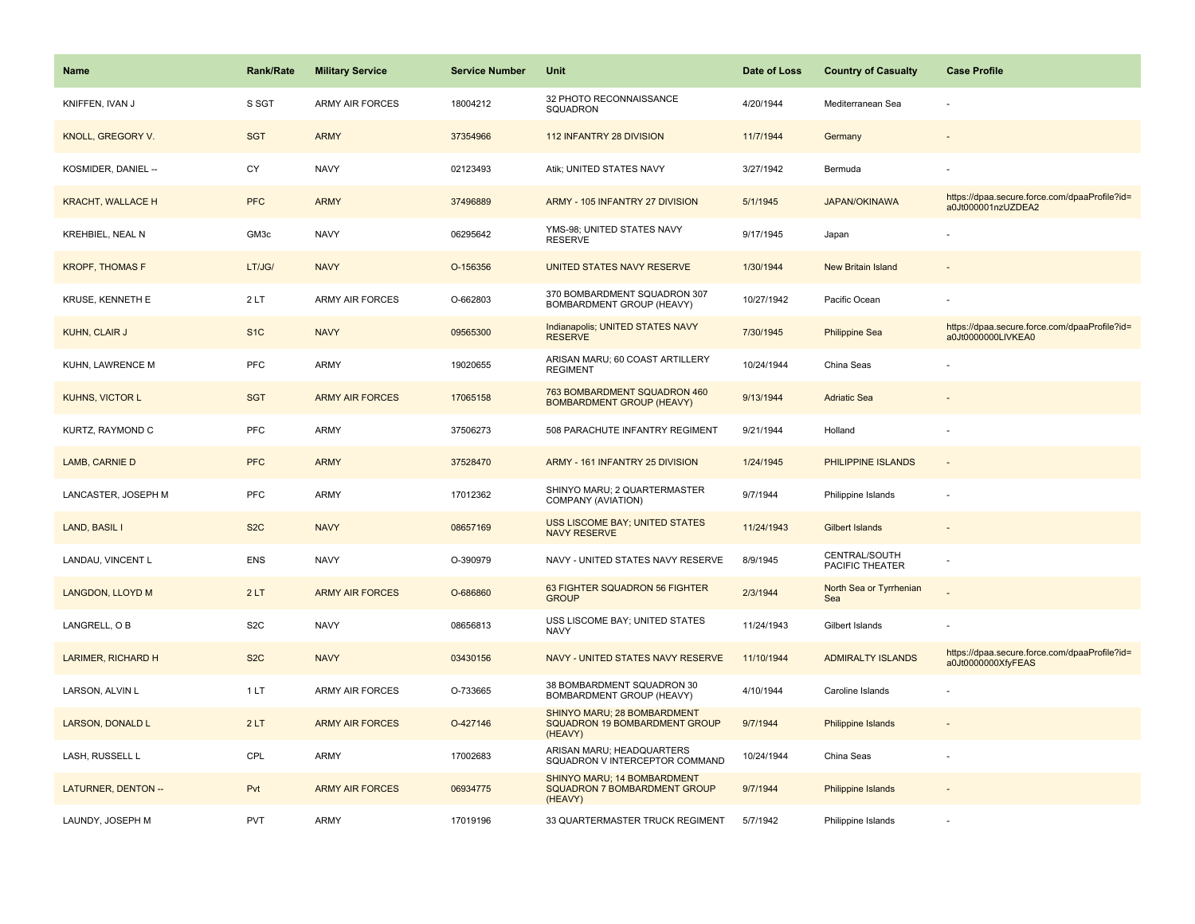| <b>Name</b>                | Rank/Rate        | <b>Military Service</b> | <b>Service Number</b> | Unit                                                                    | Date of Loss | <b>Country of Casualty</b>       | <b>Case Profile</b>                                                 |
|----------------------------|------------------|-------------------------|-----------------------|-------------------------------------------------------------------------|--------------|----------------------------------|---------------------------------------------------------------------|
| KNIFFEN, IVAN J            | S SGT            | <b>ARMY AIR FORCES</b>  | 18004212              | 32 PHOTO RECONNAISSANCE<br>SQUADRON                                     | 4/20/1944    | Mediterranean Sea                |                                                                     |
| KNOLL, GREGORY V.          | <b>SGT</b>       | <b>ARMY</b>             | 37354966              | 112 INFANTRY 28 DIVISION                                                | 11/7/1944    | Germany                          |                                                                     |
| KOSMIDER, DANIEL --        | CY               | <b>NAVY</b>             | 02123493              | Atik; UNITED STATES NAVY                                                | 3/27/1942    | Bermuda                          |                                                                     |
| <b>KRACHT, WALLACE H</b>   | <b>PFC</b>       | <b>ARMY</b>             | 37496889              | ARMY - 105 INFANTRY 27 DIVISION                                         | 5/1/1945     | <b>JAPAN/OKINAWA</b>             | https://dpaa.secure.force.com/dpaaProfile?id=<br>a0Jt000001nzUZDEA2 |
| KREHBIEL, NEAL N           | GM3c             | <b>NAVY</b>             | 06295642              | YMS-98; UNITED STATES NAVY<br><b>RESERVE</b>                            | 9/17/1945    | Japan                            |                                                                     |
| <b>KROPF, THOMAS F</b>     | LT/JG/           | <b>NAVY</b>             | O-156356              | <b>UNITED STATES NAVY RESERVE</b>                                       | 1/30/1944    | <b>New Britain Island</b>        |                                                                     |
| <b>KRUSE, KENNETH E</b>    | 2LT              | <b>ARMY AIR FORCES</b>  | O-662803              | 370 BOMBARDMENT SQUADRON 307<br>BOMBARDMENT GROUP (HEAVY)               | 10/27/1942   | Pacific Ocean                    |                                                                     |
| <b>KUHN, CLAIR J</b>       | S <sub>1</sub> C | <b>NAVY</b>             | 09565300              | Indianapolis; UNITED STATES NAVY<br><b>RESERVE</b>                      | 7/30/1945    | <b>Philippine Sea</b>            | https://dpaa.secure.force.com/dpaaProfile?id=<br>a0Jt0000000LIVKEA0 |
| KUHN, LAWRENCE M           | PFC              | <b>ARMY</b>             | 19020655              | ARISAN MARU; 60 COAST ARTILLERY<br><b>REGIMENT</b>                      | 10/24/1944   | China Seas                       |                                                                     |
| <b>KUHNS, VICTOR L</b>     | <b>SGT</b>       | <b>ARMY AIR FORCES</b>  | 17065158              | 763 BOMBARDMENT SQUADRON 460<br><b>BOMBARDMENT GROUP (HEAVY)</b>        | 9/13/1944    | <b>Adriatic Sea</b>              |                                                                     |
| KURTZ, RAYMOND C           | <b>PFC</b>       | <b>ARMY</b>             | 37506273              | 508 PARACHUTE INFANTRY REGIMENT                                         | 9/21/1944    | Holland                          |                                                                     |
| LAMB, CARNIE D             | <b>PFC</b>       | <b>ARMY</b>             | 37528470              | ARMY - 161 INFANTRY 25 DIVISION                                         | 1/24/1945    | PHILIPPINE ISLANDS               | $\blacksquare$                                                      |
| LANCASTER, JOSEPH M        | <b>PFC</b>       | <b>ARMY</b>             | 17012362              | SHINYO MARU; 2 QUARTERMASTER<br>COMPANY (AVIATION)                      | 9/7/1944     | Philippine Islands               |                                                                     |
| LAND, BASIL I              | S <sub>2</sub> C | <b>NAVY</b>             | 08657169              | USS LISCOME BAY; UNITED STATES<br><b>NAVY RESERVE</b>                   | 11/24/1943   | <b>Gilbert Islands</b>           |                                                                     |
| LANDAU, VINCENT L          | <b>ENS</b>       | <b>NAVY</b>             | O-390979              | NAVY - UNITED STATES NAVY RESERVE                                       | 8/9/1945     | CENTRAL/SOUTH<br>PACIFIC THEATER |                                                                     |
| LANGDON, LLOYD M           | 2LT              | <b>ARMY AIR FORCES</b>  | O-686860              | 63 FIGHTER SQUADRON 56 FIGHTER<br><b>GROUP</b>                          | 2/3/1944     | North Sea or Tyrrhenian<br>Sea   |                                                                     |
| LANGRELL, O B              | S <sub>2</sub> C | <b>NAVY</b>             | 08656813              | USS LISCOME BAY; UNITED STATES<br><b>NAVY</b>                           | 11/24/1943   | Gilbert Islands                  |                                                                     |
| LARIMER, RICHARD H         | S <sub>2</sub> C | <b>NAVY</b>             | 03430156              | NAVY - UNITED STATES NAVY RESERVE                                       | 11/10/1944   | <b>ADMIRALTY ISLANDS</b>         | https://dpaa.secure.force.com/dpaaProfile?id=<br>a0Jt0000000XfyFEAS |
| LARSON, ALVIN L            | 1LT              | ARMY AIR FORCES         | O-733665              | 38 BOMBARDMENT SQUADRON 30<br>BOMBARDMENT GROUP (HEAVY)                 | 4/10/1944    | Caroline Islands                 |                                                                     |
| <b>LARSON, DONALD L</b>    | 2LT              | <b>ARMY AIR FORCES</b>  | O-427146              | SHINYO MARU; 28 BOMBARDMENT<br>SQUADRON 19 BOMBARDMENT GROUP<br>(HEAVY) | 9/7/1944     | Philippine Islands               |                                                                     |
| LASH, RUSSELL L            | CPL              | <b>ARMY</b>             | 17002683              | ARISAN MARU; HEADQUARTERS<br>SQUADRON V INTERCEPTOR COMMAND             | 10/24/1944   | China Seas                       |                                                                     |
| <b>LATURNER, DENTON --</b> | Pvt              | <b>ARMY AIR FORCES</b>  | 06934775              | SHINYO MARU; 14 BOMBARDMENT<br>SQUADRON 7 BOMBARDMENT GROUP<br>(HEAVY)  | 9/7/1944     | Philippine Islands               |                                                                     |
| LAUNDY, JOSEPH M           | <b>PVT</b>       | <b>ARMY</b>             | 17019196              | 33 QUARTERMASTER TRUCK REGIMENT                                         | 5/7/1942     | Philippine Islands               |                                                                     |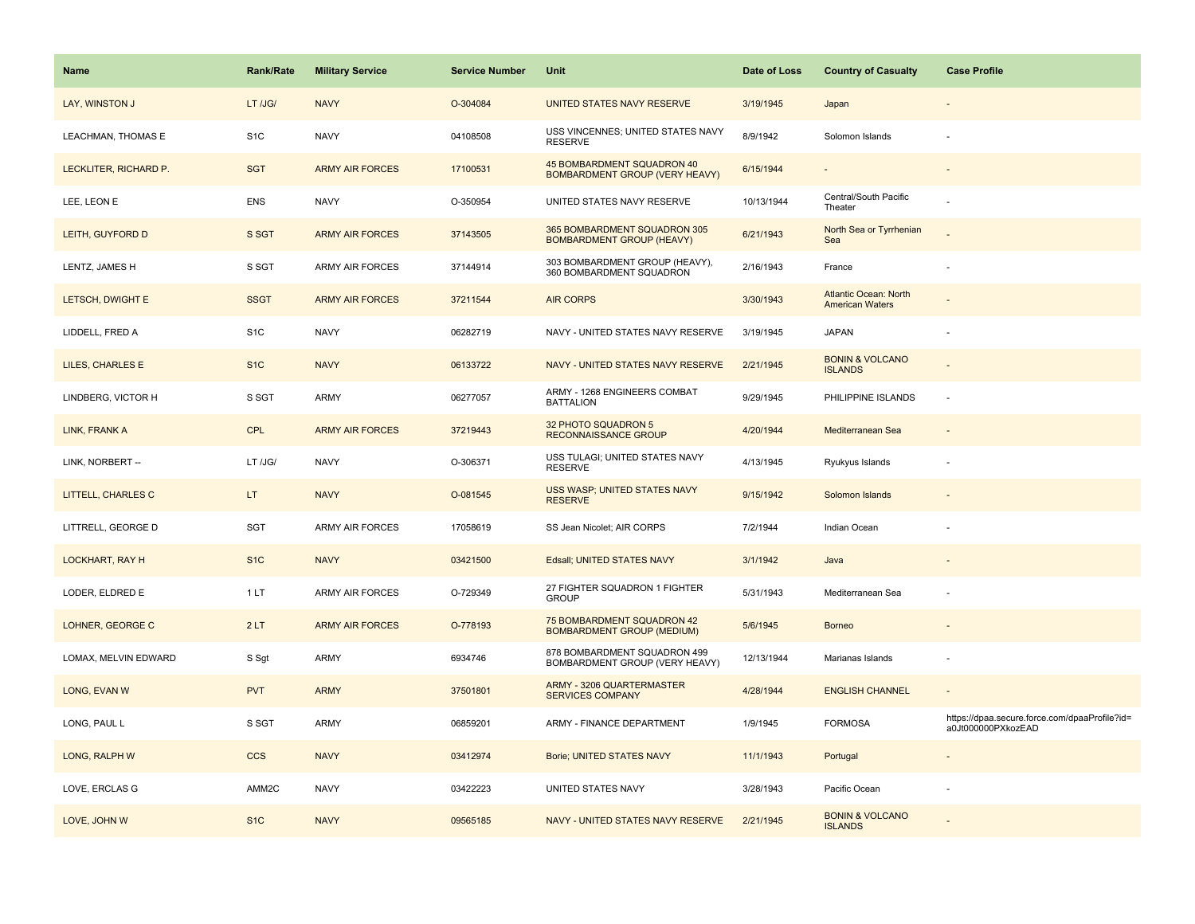| <b>Name</b>               | <b>Rank/Rate</b> | <b>Military Service</b> | <b>Service Number</b> | Unit                                                                | Date of Loss | <b>Country of Casualty</b>                             | <b>Case Profile</b>                                                 |
|---------------------------|------------------|-------------------------|-----------------------|---------------------------------------------------------------------|--------------|--------------------------------------------------------|---------------------------------------------------------------------|
| LAY, WINSTON J            | LT /JG/          | <b>NAVY</b>             | O-304084              | UNITED STATES NAVY RESERVE                                          | 3/19/1945    | Japan                                                  |                                                                     |
| LEACHMAN, THOMAS E        | S <sub>1</sub> C | <b>NAVY</b>             | 04108508              | USS VINCENNES; UNITED STATES NAVY<br><b>RESERVE</b>                 | 8/9/1942     | Solomon Islands                                        |                                                                     |
| LECKLITER, RICHARD P.     | <b>SGT</b>       | <b>ARMY AIR FORCES</b>  | 17100531              | 45 BOMBARDMENT SQUADRON 40<br><b>BOMBARDMENT GROUP (VERY HEAVY)</b> | 6/15/1944    |                                                        |                                                                     |
| LEE, LEON E               | <b>ENS</b>       | <b>NAVY</b>             | O-350954              | UNITED STATES NAVY RESERVE                                          | 10/13/1944   | Central/South Pacific<br>Theater                       |                                                                     |
| LEITH, GUYFORD D          | S SGT            | <b>ARMY AIR FORCES</b>  | 37143505              | 365 BOMBARDMENT SQUADRON 305<br><b>BOMBARDMENT GROUP (HEAVY)</b>    | 6/21/1943    | North Sea or Tyrrhenian<br>Sea                         |                                                                     |
| LENTZ, JAMES H            | S SGT            | ARMY AIR FORCES         | 37144914              | 303 BOMBARDMENT GROUP (HEAVY),<br>360 BOMBARDMENT SQUADRON          | 2/16/1943    | France                                                 |                                                                     |
| LETSCH, DWIGHT E          | <b>SSGT</b>      | <b>ARMY AIR FORCES</b>  | 37211544              | <b>AIR CORPS</b>                                                    | 3/30/1943    | <b>Atlantic Ocean: North</b><br><b>American Waters</b> |                                                                     |
| LIDDELL, FRED A           | S <sub>1</sub> C | <b>NAVY</b>             | 06282719              | NAVY - UNITED STATES NAVY RESERVE                                   | 3/19/1945    | <b>JAPAN</b>                                           |                                                                     |
| LILES, CHARLES E          | S <sub>1</sub> C | <b>NAVY</b>             | 06133722              | NAVY - UNITED STATES NAVY RESERVE                                   | 2/21/1945    | <b>BONIN &amp; VOLCANO</b><br><b>ISLANDS</b>           |                                                                     |
| LINDBERG, VICTOR H        | S SGT            | ARMY                    | 06277057              | ARMY - 1268 ENGINEERS COMBAT<br><b>BATTALION</b>                    | 9/29/1945    | PHILIPPINE ISLANDS                                     | $\sim$                                                              |
| LINK, FRANK A             | <b>CPL</b>       | <b>ARMY AIR FORCES</b>  | 37219443              | 32 PHOTO SQUADRON 5<br><b>RECONNAISSANCE GROUP</b>                  | 4/20/1944    | Mediterranean Sea                                      |                                                                     |
| LINK, NORBERT --          | LT /JG/          | <b>NAVY</b>             | O-306371              | USS TULAGI; UNITED STATES NAVY<br><b>RESERVE</b>                    | 4/13/1945    | Ryukyus Islands                                        |                                                                     |
| <b>LITTELL, CHARLES C</b> | LT.              | <b>NAVY</b>             | O-081545              | <b>USS WASP; UNITED STATES NAVY</b><br><b>RESERVE</b>               | 9/15/1942    | Solomon Islands                                        |                                                                     |
| LITTRELL, GEORGE D        | <b>SGT</b>       | ARMY AIR FORCES         | 17058619              | SS Jean Nicolet; AIR CORPS                                          | 7/2/1944     | Indian Ocean                                           |                                                                     |
| LOCKHART, RAY H           | S <sub>1C</sub>  | <b>NAVY</b>             | 03421500              | Edsall; UNITED STATES NAVY                                          | 3/1/1942     | Java                                                   |                                                                     |
| LODER, ELDRED E           | 1 LT             | ARMY AIR FORCES         | O-729349              | 27 FIGHTER SQUADRON 1 FIGHTER<br><b>GROUP</b>                       | 5/31/1943    | Mediterranean Sea                                      |                                                                     |
| LOHNER, GEORGE C          | 2LT              | <b>ARMY AIR FORCES</b>  | O-778193              | 75 BOMBARDMENT SQUADRON 42<br><b>BOMBARDMENT GROUP (MEDIUM)</b>     | 5/6/1945     | <b>Borneo</b>                                          |                                                                     |
| LOMAX, MELVIN EDWARD      | S Sgt            | ARMY                    | 6934746               | 878 BOMBARDMENT SQUADRON 499<br>BOMBARDMENT GROUP (VERY HEAVY)      | 12/13/1944   | Marianas Islands                                       |                                                                     |
| LONG, EVAN W              | <b>PVT</b>       | <b>ARMY</b>             | 37501801              | ARMY - 3206 QUARTERMASTER<br><b>SERVICES COMPANY</b>                | 4/28/1944    | <b>ENGLISH CHANNEL</b>                                 |                                                                     |
| LONG, PAUL L              | S SGT            | ARMY                    | 06859201              | ARMY - FINANCE DEPARTMENT                                           | 1/9/1945     | <b>FORMOSA</b>                                         | https://dpaa.secure.force.com/dpaaProfile?id=<br>a0Jt000000PXkozEAD |
| LONG, RALPH W             | <b>CCS</b>       | <b>NAVY</b>             | 03412974              | Borie; UNITED STATES NAVY                                           | 11/1/1943    | Portugal                                               |                                                                     |
| LOVE, ERCLAS G            | AMM2C            | <b>NAVY</b>             | 03422223              | UNITED STATES NAVY                                                  | 3/28/1943    | Pacific Ocean                                          |                                                                     |
| LOVE, JOHN W              | S <sub>1C</sub>  | <b>NAVY</b>             | 09565185              | NAVY - UNITED STATES NAVY RESERVE                                   | 2/21/1945    | <b>BONIN &amp; VOLCANO</b><br><b>ISLANDS</b>           |                                                                     |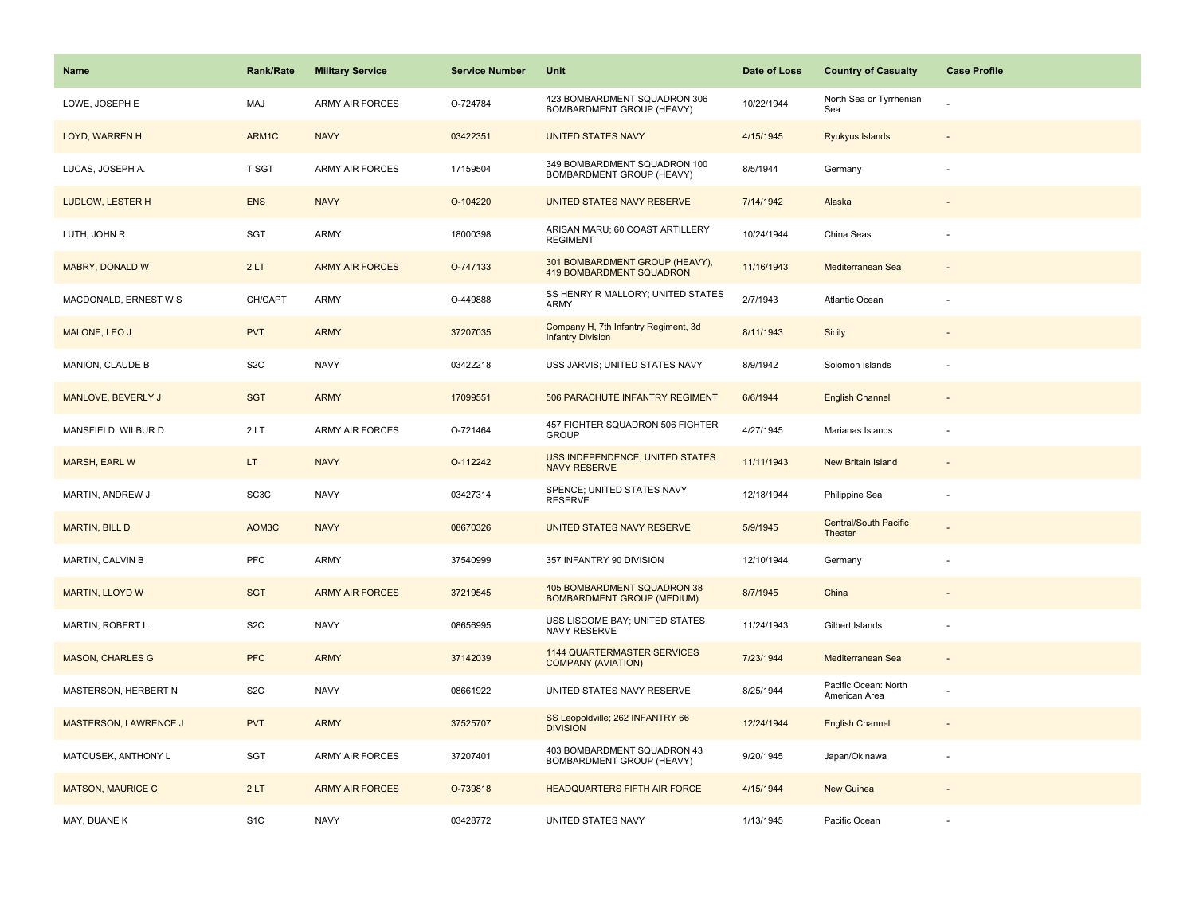| <b>Name</b>              | <b>Rank/Rate</b>  | <b>Military Service</b> | <b>Service Number</b> | Unit                                                             | Date of Loss | <b>Country of Casualty</b>              | <b>Case Profile</b> |
|--------------------------|-------------------|-------------------------|-----------------------|------------------------------------------------------------------|--------------|-----------------------------------------|---------------------|
| LOWE, JOSEPH E           | MAJ               | <b>ARMY AIR FORCES</b>  | O-724784              | 423 BOMBARDMENT SQUADRON 306<br>BOMBARDMENT GROUP (HEAVY)        | 10/22/1944   | North Sea or Tyrrhenian<br>Sea          |                     |
| LOYD, WARREN H           | ARM1C             | <b>NAVY</b>             | 03422351              | <b>UNITED STATES NAVY</b>                                        | 4/15/1945    | Ryukyus Islands                         |                     |
| LUCAS, JOSEPH A.         | T SGT             | <b>ARMY AIR FORCES</b>  | 17159504              | 349 BOMBARDMENT SQUADRON 100<br>BOMBARDMENT GROUP (HEAVY)        | 8/5/1944     | Germany                                 |                     |
| LUDLOW, LESTER H         | <b>ENS</b>        | <b>NAVY</b>             | O-104220              | UNITED STATES NAVY RESERVE                                       | 7/14/1942    | Alaska                                  |                     |
| LUTH, JOHN R             | <b>SGT</b>        | <b>ARMY</b>             | 18000398              | ARISAN MARU; 60 COAST ARTILLERY<br><b>REGIMENT</b>               | 10/24/1944   | China Seas                              |                     |
| MABRY, DONALD W          | 2LT               | <b>ARMY AIR FORCES</b>  | O-747133              | 301 BOMBARDMENT GROUP (HEAVY),<br>419 BOMBARDMENT SQUADRON       | 11/16/1943   | Mediterranean Sea                       |                     |
| MACDONALD, ERNEST W S    | CH/CAPT           | <b>ARMY</b>             | O-449888              | SS HENRY R MALLORY; UNITED STATES<br><b>ARMY</b>                 | 2/7/1943     | Atlantic Ocean                          |                     |
| MALONE, LEO J            | <b>PVT</b>        | <b>ARMY</b>             | 37207035              | Company H, 7th Infantry Regiment, 3d<br><b>Infantry Division</b> | 8/11/1943    | Sicily                                  |                     |
| MANION, CLAUDE B         | S <sub>2</sub> C  | <b>NAVY</b>             | 03422218              | USS JARVIS; UNITED STATES NAVY                                   | 8/9/1942     | Solomon Islands                         |                     |
| MANLOVE, BEVERLY J       | <b>SGT</b>        | <b>ARMY</b>             | 17099551              | 506 PARACHUTE INFANTRY REGIMENT                                  | 6/6/1944     | <b>English Channel</b>                  |                     |
| MANSFIELD, WILBUR D      | 2LT               | <b>ARMY AIR FORCES</b>  | O-721464              | 457 FIGHTER SQUADRON 506 FIGHTER<br><b>GROUP</b>                 | 4/27/1945    | Marianas Islands                        |                     |
| <b>MARSH, EARL W</b>     | LT.               | <b>NAVY</b>             | O-112242              | <b>USS INDEPENDENCE; UNITED STATES</b><br><b>NAVY RESERVE</b>    | 11/11/1943   | <b>New Britain Island</b>               |                     |
| MARTIN, ANDREW J         | SC <sub>3</sub> C | <b>NAVY</b>             | 03427314              | SPENCE; UNITED STATES NAVY<br><b>RESERVE</b>                     | 12/18/1944   | Philippine Sea                          |                     |
| <b>MARTIN, BILL D</b>    | AOM3C             | <b>NAVY</b>             | 08670326              | UNITED STATES NAVY RESERVE                                       | 5/9/1945     | <b>Central/South Pacific</b><br>Theater |                     |
| MARTIN, CALVIN B         | <b>PFC</b>        | ARMY                    | 37540999              | 357 INFANTRY 90 DIVISION                                         | 12/10/1944   | Germany                                 |                     |
| <b>MARTIN, LLOYD W</b>   | <b>SGT</b>        | <b>ARMY AIR FORCES</b>  | 37219545              | 405 BOMBARDMENT SQUADRON 38<br><b>BOMBARDMENT GROUP (MEDIUM)</b> | 8/7/1945     | China                                   |                     |
| MARTIN, ROBERT L         | S <sub>2</sub> C  | <b>NAVY</b>             | 08656995              | USS LISCOME BAY; UNITED STATES<br>NAVY RESERVE                   | 11/24/1943   | Gilbert Islands                         |                     |
| <b>MASON, CHARLES G</b>  | <b>PFC</b>        | <b>ARMY</b>             | 37142039              | <b>1144 QUARTERMASTER SERVICES</b><br><b>COMPANY (AVIATION)</b>  | 7/23/1944    | Mediterranean Sea                       |                     |
| MASTERSON, HERBERT N     | S <sub>2</sub> C  | <b>NAVY</b>             | 08661922              | UNITED STATES NAVY RESERVE                                       | 8/25/1944    | Pacific Ocean: North<br>American Area   |                     |
| MASTERSON, LAWRENCE J    | <b>PVT</b>        | <b>ARMY</b>             | 37525707              | SS Leopoldville; 262 INFANTRY 66<br><b>DIVISION</b>              | 12/24/1944   | <b>English Channel</b>                  |                     |
| MATOUSEK, ANTHONY L      | <b>SGT</b>        | <b>ARMY AIR FORCES</b>  | 37207401              | 403 BOMBARDMENT SQUADRON 43<br>BOMBARDMENT GROUP (HEAVY)         | 9/20/1945    | Japan/Okinawa                           |                     |
| <b>MATSON, MAURICE C</b> | 2LT               | <b>ARMY AIR FORCES</b>  | O-739818              | <b>HEADQUARTERS FIFTH AIR FORCE</b>                              | 4/15/1944    | New Guinea                              |                     |
| MAY, DUANE K             | S <sub>1</sub> C  | <b>NAVY</b>             | 03428772              | UNITED STATES NAVY                                               | 1/13/1945    | Pacific Ocean                           |                     |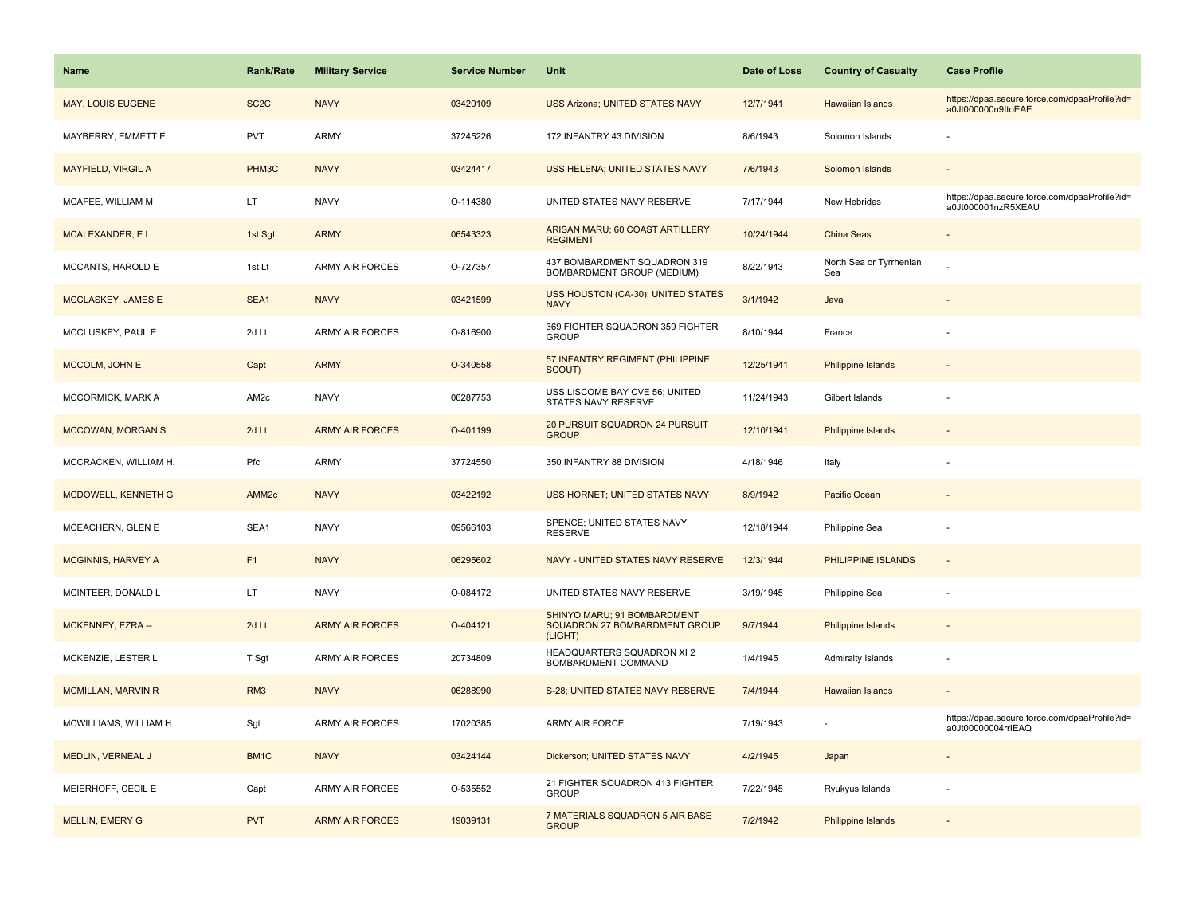| <b>Name</b>                | <b>Rank/Rate</b>  | <b>Military Service</b> | <b>Service Number</b> | Unit                                                                           | Date of Loss | <b>Country of Casualty</b>     | <b>Case Profile</b>                                                 |
|----------------------------|-------------------|-------------------------|-----------------------|--------------------------------------------------------------------------------|--------------|--------------------------------|---------------------------------------------------------------------|
| MAY, LOUIS EUGENE          | SC <sub>2</sub> C | <b>NAVY</b>             | 03420109              | <b>USS Arizona; UNITED STATES NAVY</b>                                         | 12/7/1941    | Hawaiian Islands               | https://dpaa.secure.force.com/dpaaProfile?id=<br>a0Jt000000n9ItoEAE |
| MAYBERRY, EMMETT E         | PVT               | ARMY                    | 37245226              | 172 INFANTRY 43 DIVISION                                                       | 8/6/1943     | Solomon Islands                |                                                                     |
| <b>MAYFIELD, VIRGIL A</b>  | PHM3C             | <b>NAVY</b>             | 03424417              | USS HELENA; UNITED STATES NAVY                                                 | 7/6/1943     | Solomon Islands                |                                                                     |
| MCAFEE, WILLIAM M          | LT.               | <b>NAVY</b>             | O-114380              | UNITED STATES NAVY RESERVE                                                     | 7/17/1944    | New Hebrides                   | https://dpaa.secure.force.com/dpaaProfile?id=<br>a0Jt000001nzR5XEAU |
| MCALEXANDER, EL            | 1st Sgt           | <b>ARMY</b>             | 06543323              | ARISAN MARU; 60 COAST ARTILLERY<br><b>REGIMENT</b>                             | 10/24/1944   | China Seas                     |                                                                     |
| MCCANTS, HAROLD E          | 1st Lt            | <b>ARMY AIR FORCES</b>  | O-727357              | 437 BOMBARDMENT SQUADRON 319<br>BOMBARDMENT GROUP (MEDIUM)                     | 8/22/1943    | North Sea or Tyrrhenian<br>Sea |                                                                     |
| MCCLASKEY, JAMES E         | SEA1              | <b>NAVY</b>             | 03421599              | USS HOUSTON (CA-30); UNITED STATES<br><b>NAVY</b>                              | 3/1/1942     | Java                           |                                                                     |
| MCCLUSKEY, PAUL E.         | 2d Lt             | <b>ARMY AIR FORCES</b>  | O-816900              | 369 FIGHTER SQUADRON 359 FIGHTER<br><b>GROUP</b>                               | 8/10/1944    | France                         |                                                                     |
| MCCOLM, JOHN E             | Capt              | <b>ARMY</b>             | O-340558              | 57 INFANTRY REGIMENT (PHILIPPINE<br>SCOUT)                                     | 12/25/1941   | <b>Philippine Islands</b>      |                                                                     |
| MCCORMICK, MARK A          | AM <sub>2c</sub>  | <b>NAVY</b>             | 06287753              | USS LISCOME BAY CVE 56; UNITED<br>STATES NAVY RESERVE                          | 11/24/1943   | Gilbert Islands                |                                                                     |
| <b>MCCOWAN, MORGAN S</b>   | 2d Lt             | <b>ARMY AIR FORCES</b>  | O-401199              | 20 PURSUIT SQUADRON 24 PURSUIT<br><b>GROUP</b>                                 | 12/10/1941   | Philippine Islands             |                                                                     |
| MCCRACKEN, WILLIAM H.      | Pfc               | <b>ARMY</b>             | 37724550              | 350 INFANTRY 88 DIVISION                                                       | 4/18/1946    | Italy                          |                                                                     |
| <b>MCDOWELL, KENNETH G</b> | AMM <sub>2c</sub> | <b>NAVY</b>             | 03422192              | USS HORNET; UNITED STATES NAVY                                                 | 8/9/1942     | Pacific Ocean                  |                                                                     |
| MCEACHERN, GLEN E          | SEA1              | <b>NAVY</b>             | 09566103              | SPENCE; UNITED STATES NAVY<br><b>RESERVE</b>                                   | 12/18/1944   | Philippine Sea                 |                                                                     |
| <b>MCGINNIS, HARVEY A</b>  | F1                | <b>NAVY</b>             | 06295602              | NAVY - UNITED STATES NAVY RESERVE                                              | 12/3/1944    | PHILIPPINE ISLANDS             | $\overline{\phantom{a}}$                                            |
| MCINTEER, DONALD L         | LT.               | <b>NAVY</b>             | O-084172              | UNITED STATES NAVY RESERVE                                                     | 3/19/1945    | Philippine Sea                 | $\overline{\phantom{a}}$                                            |
| MCKENNEY, EZRA --          | 2d Lt             | <b>ARMY AIR FORCES</b>  | O-404121              | SHINYO MARU; 91 BOMBARDMENT<br><b>SQUADRON 27 BOMBARDMENT GROUP</b><br>(LIGHT) | 9/7/1944     | <b>Philippine Islands</b>      |                                                                     |
| MCKENZIE, LESTER L         | T Sgt             | <b>ARMY AIR FORCES</b>  | 20734809              | HEADQUARTERS SQUADRON XI 2<br>BOMBARDMENT COMMAND                              | 1/4/1945     | Admiralty Islands              |                                                                     |
| <b>MCMILLAN, MARVIN R</b>  | RM <sub>3</sub>   | <b>NAVY</b>             | 06288990              | S-28; UNITED STATES NAVY RESERVE                                               | 7/4/1944     | Hawaiian Islands               |                                                                     |
| MCWILLIAMS, WILLIAM H      | Sgt               | <b>ARMY AIR FORCES</b>  | 17020385              | ARMY AIR FORCE                                                                 | 7/19/1943    |                                | https://dpaa.secure.force.com/dpaaProfile?id=<br>a0Jt00000004rrIEAQ |
| MEDLIN, VERNEAL J          | BM <sub>1</sub> C | <b>NAVY</b>             | 03424144              | Dickerson; UNITED STATES NAVY                                                  | 4/2/1945     | Japan                          |                                                                     |
| MEIERHOFF, CECIL E         | Capt              | <b>ARMY AIR FORCES</b>  | O-535552              | 21 FIGHTER SQUADRON 413 FIGHTER<br><b>GROUP</b>                                | 7/22/1945    | Ryukyus Islands                |                                                                     |
| <b>MELLIN, EMERY G</b>     | <b>PVT</b>        | <b>ARMY AIR FORCES</b>  | 19039131              | 7 MATERIALS SQUADRON 5 AIR BASE<br><b>GROUP</b>                                | 7/2/1942     | Philippine Islands             |                                                                     |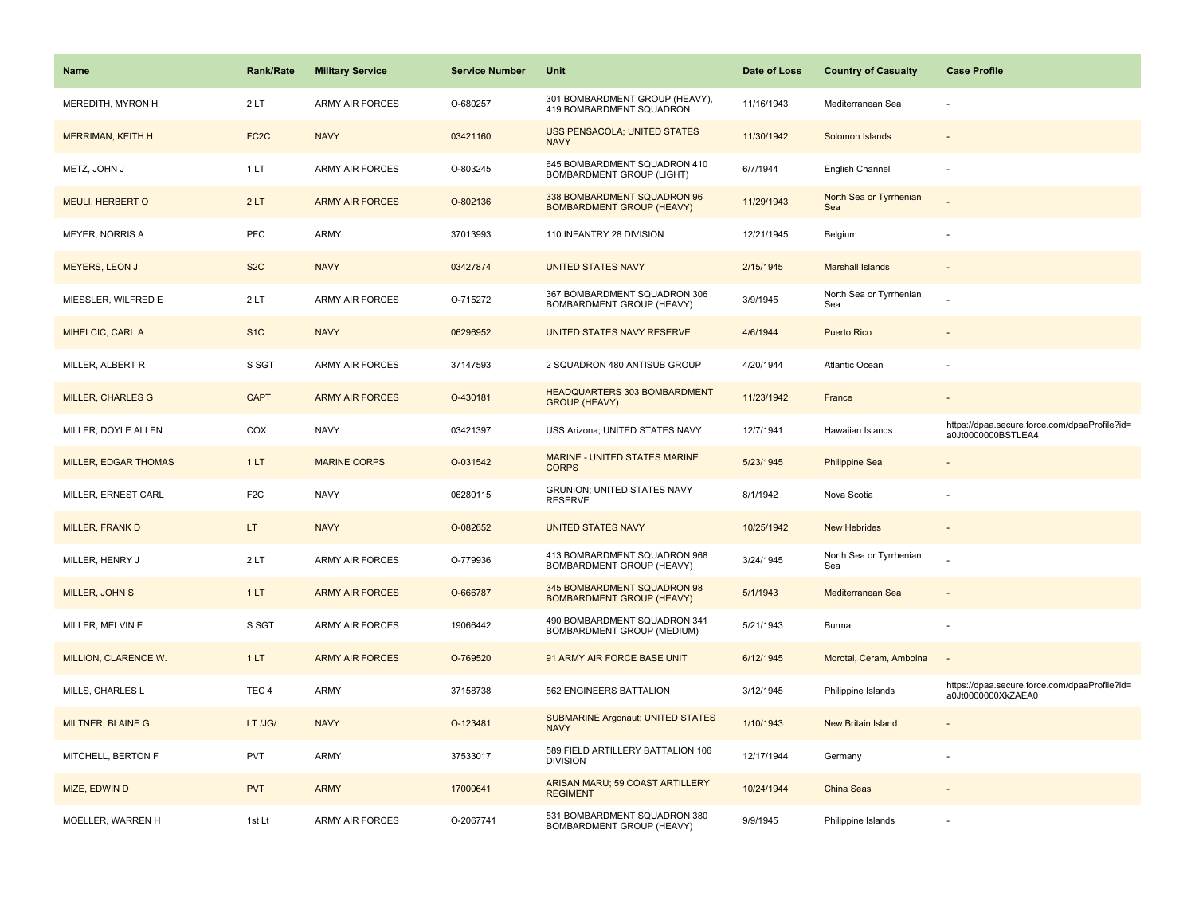| <b>Name</b>                 | <b>Rank/Rate</b>  | <b>Military Service</b> | <b>Service Number</b> | Unit                                                             | Date of Loss | <b>Country of Casualty</b>     | <b>Case Profile</b>                                                 |
|-----------------------------|-------------------|-------------------------|-----------------------|------------------------------------------------------------------|--------------|--------------------------------|---------------------------------------------------------------------|
| MEREDITH, MYRON H           | 2LT               | <b>ARMY AIR FORCES</b>  | O-680257              | 301 BOMBARDMENT GROUP (HEAVY),<br>419 BOMBARDMENT SQUADRON       | 11/16/1943   | Mediterranean Sea              |                                                                     |
| MERRIMAN, KEITH H           | FC <sub>2</sub> C | <b>NAVY</b>             | 03421160              | <b>USS PENSACOLA; UNITED STATES</b><br><b>NAVY</b>               | 11/30/1942   | Solomon Islands                |                                                                     |
| METZ, JOHN J                | 1 LT              | <b>ARMY AIR FORCES</b>  | O-803245              | 645 BOMBARDMENT SQUADRON 410<br><b>BOMBARDMENT GROUP (LIGHT)</b> | 6/7/1944     | English Channel                |                                                                     |
| <b>MEULI, HERBERT O</b>     | 2LT               | <b>ARMY AIR FORCES</b>  | O-802136              | 338 BOMBARDMENT SQUADRON 96<br><b>BOMBARDMENT GROUP (HEAVY)</b>  | 11/29/1943   | North Sea or Tyrrhenian<br>Sea |                                                                     |
| <b>MEYER, NORRIS A</b>      | <b>PFC</b>        | ARMY                    | 37013993              | 110 INFANTRY 28 DIVISION                                         | 12/21/1945   | Belgium                        |                                                                     |
| MEYERS, LEON J              | S <sub>2</sub> C  | <b>NAVY</b>             | 03427874              | <b>UNITED STATES NAVY</b>                                        | 2/15/1945    | <b>Marshall Islands</b>        |                                                                     |
| MIESSLER, WILFRED E         | 2LT               | <b>ARMY AIR FORCES</b>  | O-715272              | 367 BOMBARDMENT SQUADRON 306<br>BOMBARDMENT GROUP (HEAVY)        | 3/9/1945     | North Sea or Tyrrhenian<br>Sea |                                                                     |
| MIHELCIC, CARL A            | S <sub>1</sub> C  | <b>NAVY</b>             | 06296952              | UNITED STATES NAVY RESERVE                                       | 4/6/1944     | <b>Puerto Rico</b>             |                                                                     |
| MILLER, ALBERT R            | S SGT             | ARMY AIR FORCES         | 37147593              | 2 SQUADRON 480 ANTISUB GROUP                                     | 4/20/1944    | Atlantic Ocean                 |                                                                     |
| <b>MILLER, CHARLES G</b>    | <b>CAPT</b>       | <b>ARMY AIR FORCES</b>  | O-430181              | HEADQUARTERS 303 BOMBARDMENT<br><b>GROUP (HEAVY)</b>             | 11/23/1942   | France                         |                                                                     |
| MILLER, DOYLE ALLEN         | COX               | <b>NAVY</b>             | 03421397              | USS Arizona; UNITED STATES NAVY                                  | 12/7/1941    | Hawaiian Islands               | https://dpaa.secure.force.com/dpaaProfile?id=<br>a0Jt0000000BSTLEA4 |
| <b>MILLER, EDGAR THOMAS</b> | 1LT               | <b>MARINE CORPS</b>     | O-031542              | <b>MARINE - UNITED STATES MARINE</b><br><b>CORPS</b>             | 5/23/1945    | <b>Philippine Sea</b>          |                                                                     |
| MILLER, ERNEST CARL         | F <sub>2</sub> C  | <b>NAVY</b>             | 06280115              | GRUNION; UNITED STATES NAVY<br><b>RESERVE</b>                    | 8/1/1942     | Nova Scotia                    |                                                                     |
| <b>MILLER, FRANK D</b>      | LT.               | <b>NAVY</b>             | O-082652              | <b>UNITED STATES NAVY</b>                                        | 10/25/1942   | <b>New Hebrides</b>            |                                                                     |
| MILLER, HENRY J             | 2LT               | <b>ARMY AIR FORCES</b>  | O-779936              | 413 BOMBARDMENT SQUADRON 968<br>BOMBARDMENT GROUP (HEAVY)        | 3/24/1945    | North Sea or Tyrrhenian<br>Sea |                                                                     |
| MILLER, JOHN S              | 1LT               | <b>ARMY AIR FORCES</b>  | O-666787              | 345 BOMBARDMENT SQUADRON 98<br><b>BOMBARDMENT GROUP (HEAVY)</b>  | 5/1/1943     | Mediterranean Sea              |                                                                     |
| MILLER, MELVIN E            | S SGT             | <b>ARMY AIR FORCES</b>  | 19066442              | 490 BOMBARDMENT SQUADRON 341<br>BOMBARDMENT GROUP (MEDIUM)       | 5/21/1943    | Burma                          |                                                                     |
| MILLION, CLARENCE W.        | 1LT               | <b>ARMY AIR FORCES</b>  | O-769520              | 91 ARMY AIR FORCE BASE UNIT                                      | 6/12/1945    | Morotai, Ceram, Amboina        |                                                                     |
| MILLS, CHARLES L            | TEC <sub>4</sub>  | ARMY                    | 37158738              | 562 ENGINEERS BATTALION                                          | 3/12/1945    | Philippine Islands             | https://dpaa.secure.force.com/dpaaProfile?id=<br>a0Jt0000000XkZAEA0 |
| <b>MILTNER, BLAINE G</b>    | LT /JG/           | <b>NAVY</b>             | O-123481              | <b>SUBMARINE Argonaut; UNITED STATES</b><br><b>NAVY</b>          | 1/10/1943    | New Britain Island             |                                                                     |
| MITCHELL, BERTON F          | <b>PVT</b>        | ARMY                    | 37533017              | 589 FIELD ARTILLERY BATTALION 106<br><b>DIVISION</b>             | 12/17/1944   | Germany                        |                                                                     |
| MIZE, EDWIN D               | <b>PVT</b>        | <b>ARMY</b>             | 17000641              | ARISAN MARU; 59 COAST ARTILLERY<br><b>REGIMENT</b>               | 10/24/1944   | China Seas                     |                                                                     |
| MOELLER, WARREN H           | 1st Lt            | ARMY AIR FORCES         | O-2067741             | 531 BOMBARDMENT SQUADRON 380<br>BOMBARDMENT GROUP (HEAVY)        | 9/9/1945     | Philippine Islands             |                                                                     |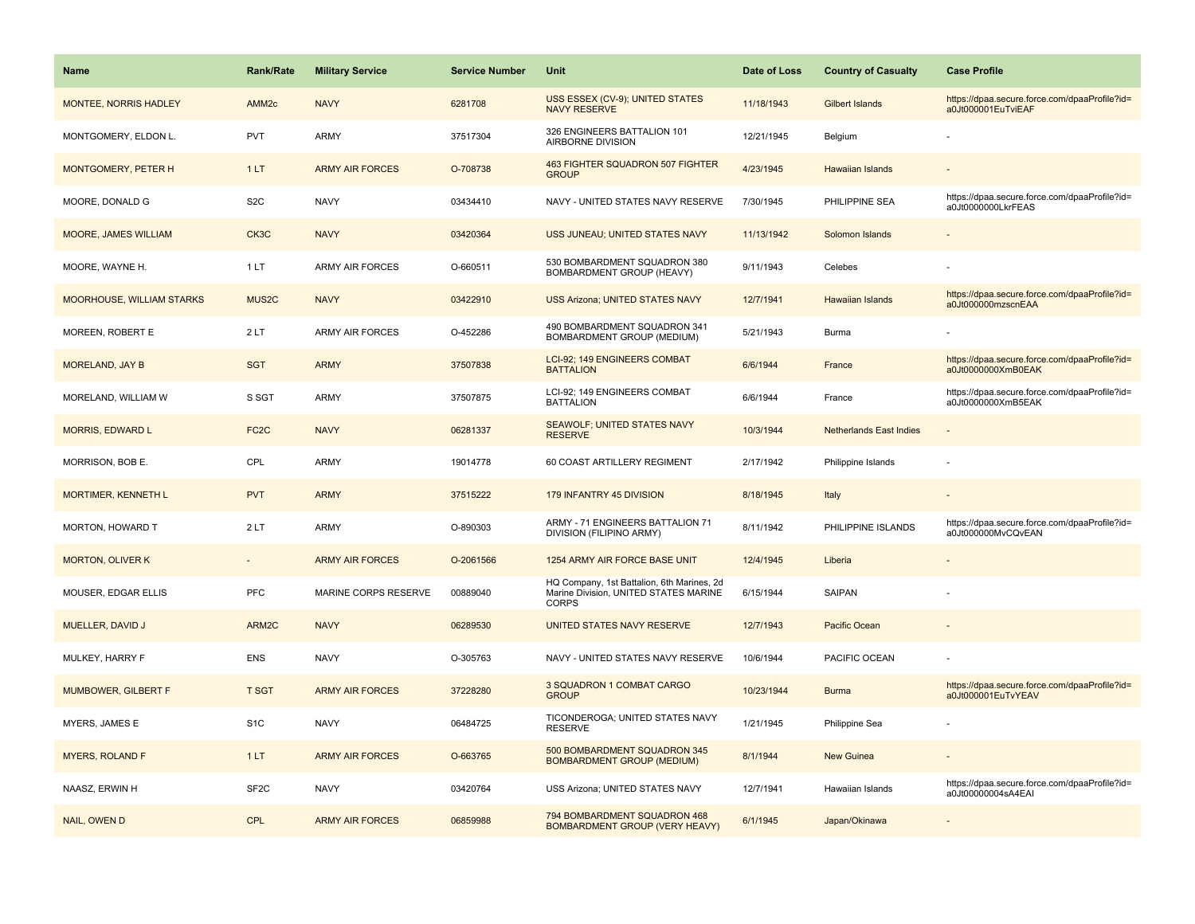| <b>Name</b>                      | <b>Rank/Rate</b>   | <b>Military Service</b> | <b>Service Number</b> | Unit                                                                                                | Date of Loss | <b>Country of Casualty</b>     | <b>Case Profile</b>                                                 |
|----------------------------------|--------------------|-------------------------|-----------------------|-----------------------------------------------------------------------------------------------------|--------------|--------------------------------|---------------------------------------------------------------------|
| MONTEE, NORRIS HADLEY            | AMM <sub>2c</sub>  | <b>NAVY</b>             | 6281708               | USS ESSEX (CV-9); UNITED STATES<br><b>NAVY RESERVE</b>                                              | 11/18/1943   | Gilbert Islands                | https://dpaa.secure.force.com/dpaaProfile?id=<br>a0Jt000001EuTviEAF |
| MONTGOMERY, ELDON L.             | <b>PVT</b>         | <b>ARMY</b>             | 37517304              | 326 ENGINEERS BATTALION 101<br>AIRBORNE DIVISION                                                    | 12/21/1945   | Belgium                        |                                                                     |
| MONTGOMERY, PETER H              | 1LT                | <b>ARMY AIR FORCES</b>  | O-708738              | <b>463 FIGHTER SQUADRON 507 FIGHTER</b><br><b>GROUP</b>                                             | 4/23/1945    | Hawaiian Islands               |                                                                     |
| MOORE, DONALD G                  | S <sub>2</sub> C   | <b>NAVY</b>             | 03434410              | NAVY - UNITED STATES NAVY RESERVE                                                                   | 7/30/1945    | PHILIPPINE SEA                 | https://dpaa.secure.force.com/dpaaProfile?id=<br>a0Jt0000000LkrFEAS |
| <b>MOORE, JAMES WILLIAM</b>      | CK3C               | <b>NAVY</b>             | 03420364              | USS JUNEAU; UNITED STATES NAVY                                                                      | 11/13/1942   | Solomon Islands                |                                                                     |
| MOORE, WAYNE H.                  | 1LT                | <b>ARMY AIR FORCES</b>  | O-660511              | 530 BOMBARDMENT SQUADRON 380<br><b>BOMBARDMENT GROUP (HEAVY)</b>                                    | 9/11/1943    | Celebes                        |                                                                     |
| <b>MOORHOUSE, WILLIAM STARKS</b> | MUS <sub>2</sub> C | <b>NAVY</b>             | 03422910              | <b>USS Arizona; UNITED STATES NAVY</b>                                                              | 12/7/1941    | <b>Hawaiian Islands</b>        | https://dpaa.secure.force.com/dpaaProfile?id=<br>a0Jt000000mzscnEAA |
| MOREEN, ROBERT E                 | 2LT                | <b>ARMY AIR FORCES</b>  | O-452286              | 490 BOMBARDMENT SQUADRON 341<br><b>BOMBARDMENT GROUP (MEDIUM)</b>                                   | 5/21/1943    | Burma                          |                                                                     |
| <b>MORELAND, JAY B</b>           | <b>SGT</b>         | <b>ARMY</b>             | 37507838              | <b>LCI-92: 149 ENGINEERS COMBAT</b><br><b>BATTALION</b>                                             | 6/6/1944     | France                         | https://dpaa.secure.force.com/dpaaProfile?id=<br>a0Jt0000000XmB0EAK |
| MORELAND, WILLIAM W              | S SGT              | <b>ARMY</b>             | 37507875              | LCI-92; 149 ENGINEERS COMBAT<br><b>BATTALION</b>                                                    | 6/6/1944     | France                         | https://dpaa.secure.force.com/dpaaProfile?id=<br>a0Jt0000000XmB5EAK |
| <b>MORRIS, EDWARD L</b>          | FC <sub>2</sub> C  | <b>NAVY</b>             | 06281337              | <b>SEAWOLF: UNITED STATES NAVY</b><br><b>RESERVE</b>                                                | 10/3/1944    | <b>Netherlands East Indies</b> |                                                                     |
| MORRISON, BOB E.                 | CPL                | <b>ARMY</b>             | 19014778              | 60 COAST ARTILLERY REGIMENT                                                                         | 2/17/1942    | Philippine Islands             |                                                                     |
| <b>MORTIMER, KENNETH L</b>       | <b>PVT</b>         | <b>ARMY</b>             | 37515222              | 179 INFANTRY 45 DIVISION                                                                            | 8/18/1945    | Italy                          |                                                                     |
| MORTON, HOWARD T                 | 2LT                | <b>ARMY</b>             | O-890303              | ARMY - 71 ENGINEERS BATTALION 71<br>DIVISION (FILIPINO ARMY)                                        | 8/11/1942    | PHILIPPINE ISLANDS             | https://dpaa.secure.force.com/dpaaProfile?id=<br>a0Jt000000MvCQvEAN |
| <b>MORTON, OLIVER K</b>          | $\sim$             | <b>ARMY AIR FORCES</b>  | O-2061566             | 1254 ARMY AIR FORCE BASE UNIT                                                                       | 12/4/1945    | Liberia                        |                                                                     |
| MOUSER, EDGAR ELLIS              | PFC                | MARINE CORPS RESERVE    | 00889040              | HQ Company, 1st Battalion, 6th Marines, 2d<br>Marine Division, UNITED STATES MARINE<br><b>CORPS</b> | 6/15/1944    | SAIPAN                         |                                                                     |
| MUELLER, DAVID J                 | ARM2C              | <b>NAVY</b>             | 06289530              | UNITED STATES NAVY RESERVE                                                                          | 12/7/1943    | Pacific Ocean                  |                                                                     |
| MULKEY, HARRY F                  | <b>ENS</b>         | <b>NAVY</b>             | O-305763              | NAVY - UNITED STATES NAVY RESERVE                                                                   | 10/6/1944    | PACIFIC OCEAN                  |                                                                     |
| <b>MUMBOWER, GILBERT F</b>       | <b>T SGT</b>       | <b>ARMY AIR FORCES</b>  | 37228280              | 3 SQUADRON 1 COMBAT CARGO<br><b>GROUP</b>                                                           | 10/23/1944   | <b>Burma</b>                   | https://dpaa.secure.force.com/dpaaProfile?id=<br>a0Jt000001EuTvYEAV |
| MYERS, JAMES E                   | S <sub>1</sub> C   | <b>NAVY</b>             | 06484725              | TICONDEROGA; UNITED STATES NAVY<br><b>RESERVE</b>                                                   | 1/21/1945    | Philippine Sea                 |                                                                     |
| <b>MYERS, ROLAND F</b>           | 1LT                | <b>ARMY AIR FORCES</b>  | O-663765              | 500 BOMBARDMENT SQUADRON 345<br><b>BOMBARDMENT GROUP (MEDIUM)</b>                                   | 8/1/1944     | <b>New Guinea</b>              |                                                                     |
| NAASZ, ERWIN H                   | SF <sub>2</sub> C  | <b>NAVY</b>             | 03420764              | USS Arizona; UNITED STATES NAVY                                                                     | 12/7/1941    | Hawaiian Islands               | https://dpaa.secure.force.com/dpaaProfile?id=<br>a0Jt00000004sA4EAI |
| NAIL, OWEN D                     | <b>CPL</b>         | <b>ARMY AIR FORCES</b>  | 06859988              | 794 BOMBARDMENT SQUADRON 468<br><b>BOMBARDMENT GROUP (VERY HEAVY)</b>                               | 6/1/1945     | Japan/Okinawa                  |                                                                     |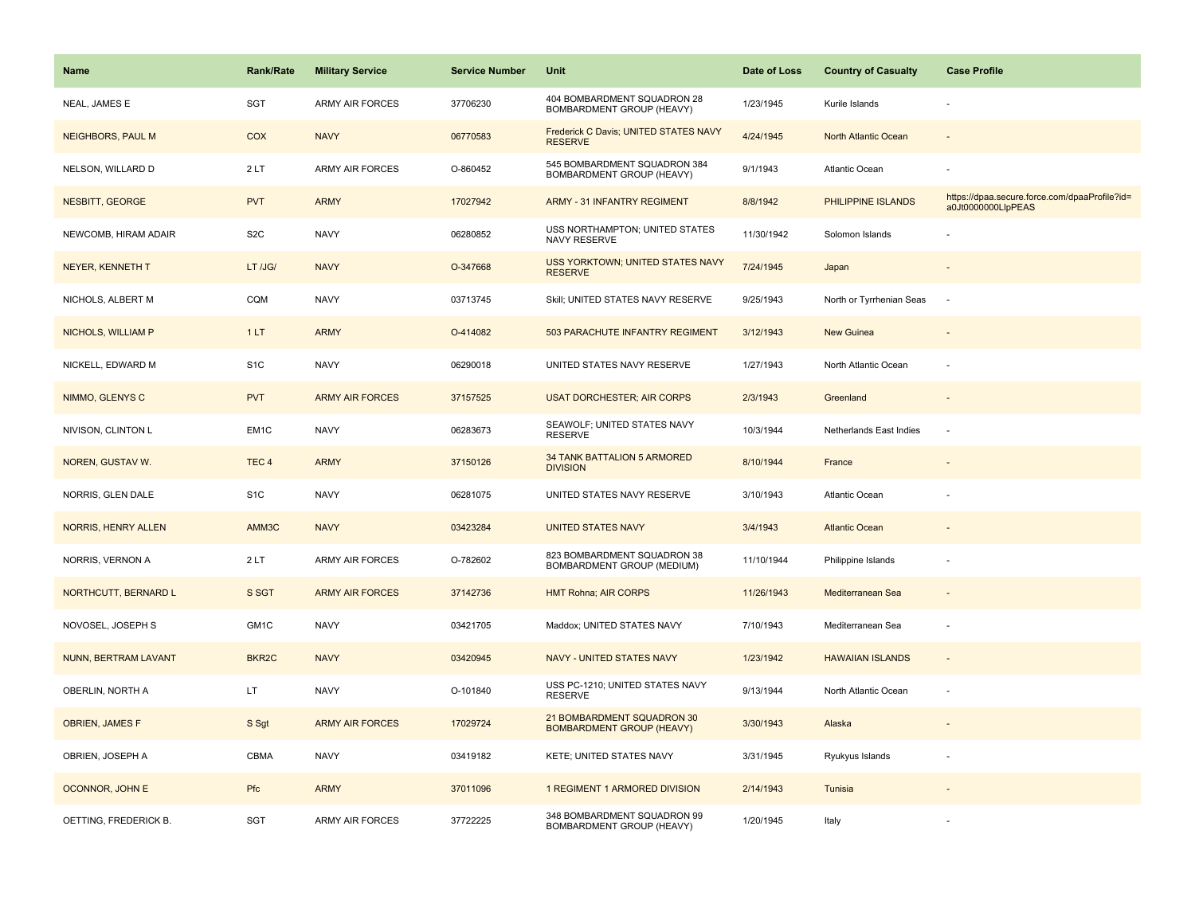| Name                       | <b>Rank/Rate</b>  | <b>Military Service</b> | <b>Service Number</b> | Unit                                                           | Date of Loss | <b>Country of Casualty</b> | <b>Case Profile</b>                                                 |
|----------------------------|-------------------|-------------------------|-----------------------|----------------------------------------------------------------|--------------|----------------------------|---------------------------------------------------------------------|
| NEAL, JAMES E              | <b>SGT</b>        | ARMY AIR FORCES         | 37706230              | 404 BOMBARDMENT SQUADRON 28<br>BOMBARDMENT GROUP (HEAVY)       | 1/23/1945    | Kurile Islands             |                                                                     |
| <b>NEIGHBORS, PAUL M</b>   | COX               | <b>NAVY</b>             | 06770583              | Frederick C Davis; UNITED STATES NAVY<br><b>RESERVE</b>        | 4/24/1945    | North Atlantic Ocean       |                                                                     |
| NELSON, WILLARD D          | 2LT               | <b>ARMY AIR FORCES</b>  | O-860452              | 545 BOMBARDMENT SQUADRON 384<br>BOMBARDMENT GROUP (HEAVY)      | 9/1/1943     | Atlantic Ocean             |                                                                     |
| <b>NESBITT, GEORGE</b>     | <b>PVT</b>        | <b>ARMY</b>             | 17027942              | <b>ARMY - 31 INFANTRY REGIMENT</b>                             | 8/8/1942     | PHILIPPINE ISLANDS         | https://dpaa.secure.force.com/dpaaProfile?id=<br>a0Jt0000000LlpPEAS |
| NEWCOMB, HIRAM ADAIR       | S <sub>2</sub> C  | <b>NAVY</b>             | 06280852              | USS NORTHAMPTON; UNITED STATES<br>NAVY RESERVE                 | 11/30/1942   | Solomon Islands            |                                                                     |
| <b>NEYER, KENNETH T</b>    | LT /JG/           | <b>NAVY</b>             | O-347668              | <b>USS YORKTOWN; UNITED STATES NAVY</b><br><b>RESERVE</b>      | 7/24/1945    | Japan                      |                                                                     |
| NICHOLS, ALBERT M          | CQM               | <b>NAVY</b>             | 03713745              | Skill; UNITED STATES NAVY RESERVE                              | 9/25/1943    | North or Tyrrhenian Seas   | ÷.                                                                  |
| NICHOLS, WILLIAM P         | 1LT               | <b>ARMY</b>             | O-414082              | 503 PARACHUTE INFANTRY REGIMENT                                | 3/12/1943    | <b>New Guinea</b>          |                                                                     |
| NICKELL, EDWARD M          | S <sub>1</sub> C  | <b>NAVY</b>             | 06290018              | UNITED STATES NAVY RESERVE                                     | 1/27/1943    | North Atlantic Ocean       |                                                                     |
| NIMMO, GLENYS C            | <b>PVT</b>        | <b>ARMY AIR FORCES</b>  | 37157525              | <b>USAT DORCHESTER; AIR CORPS</b>                              | 2/3/1943     | Greenland                  |                                                                     |
| NIVISON, CLINTON L         | EM <sub>1</sub> C | <b>NAVY</b>             | 06283673              | SEAWOLF; UNITED STATES NAVY<br><b>RESERVE</b>                  | 10/3/1944    | Netherlands East Indies    | ÷,                                                                  |
| NOREN, GUSTAV W.           | TEC <sub>4</sub>  | <b>ARMY</b>             | 37150126              | 34 TANK BATTALION 5 ARMORED<br><b>DIVISION</b>                 | 8/10/1944    | France                     | $\sim$                                                              |
| NORRIS, GLEN DALE          | S <sub>1</sub> C  | <b>NAVY</b>             | 06281075              | UNITED STATES NAVY RESERVE                                     | 3/10/1943    | Atlantic Ocean             |                                                                     |
| <b>NORRIS, HENRY ALLEN</b> | AMM3C             | <b>NAVY</b>             | 03423284              | <b>UNITED STATES NAVY</b>                                      | 3/4/1943     | <b>Atlantic Ocean</b>      |                                                                     |
| NORRIS, VERNON A           | 2LT               | <b>ARMY AIR FORCES</b>  | O-782602              | 823 BOMBARDMENT SQUADRON 38<br>BOMBARDMENT GROUP (MEDIUM)      | 11/10/1944   | Philippine Islands         | ÷,                                                                  |
| NORTHCUTT, BERNARD L       | S SGT             | <b>ARMY AIR FORCES</b>  | 37142736              | <b>HMT Rohna; AIR CORPS</b>                                    | 11/26/1943   | Mediterranean Sea          |                                                                     |
| NOVOSEL, JOSEPH S          | GM1C              | <b>NAVY</b>             | 03421705              | Maddox; UNITED STATES NAVY                                     | 7/10/1943    | Mediterranean Sea          | ÷                                                                   |
| NUNN, BERTRAM LAVANT       | BKR <sub>2C</sub> | <b>NAVY</b>             | 03420945              | NAVY - UNITED STATES NAVY                                      | 1/23/1942    | <b>HAWAIIAN ISLANDS</b>    |                                                                     |
| OBERLIN, NORTH A           | LT.               | <b>NAVY</b>             | O-101840              | USS PC-1210; UNITED STATES NAVY<br><b>RESERVE</b>              | 9/13/1944    | North Atlantic Ocean       | $\overline{\phantom{a}}$                                            |
| <b>OBRIEN, JAMES F</b>     | S Sgt             | <b>ARMY AIR FORCES</b>  | 17029724              | 21 BOMBARDMENT SQUADRON 30<br><b>BOMBARDMENT GROUP (HEAVY)</b> | 3/30/1943    | Alaska                     |                                                                     |
| OBRIEN, JOSEPH A           | CBMA              | <b>NAVY</b>             | 03419182              | KETE; UNITED STATES NAVY                                       | 3/31/1945    | Ryukyus Islands            |                                                                     |
| <b>OCONNOR, JOHN E</b>     | Pfc               | <b>ARMY</b>             | 37011096              | 1 REGIMENT 1 ARMORED DIVISION                                  | 2/14/1943    | Tunisia                    |                                                                     |
| OETTING, FREDERICK B.      | <b>SGT</b>        | <b>ARMY AIR FORCES</b>  | 37722225              | 348 BOMBARDMENT SQUADRON 99<br>BOMBARDMENT GROUP (HEAVY)       | 1/20/1945    | Italy                      |                                                                     |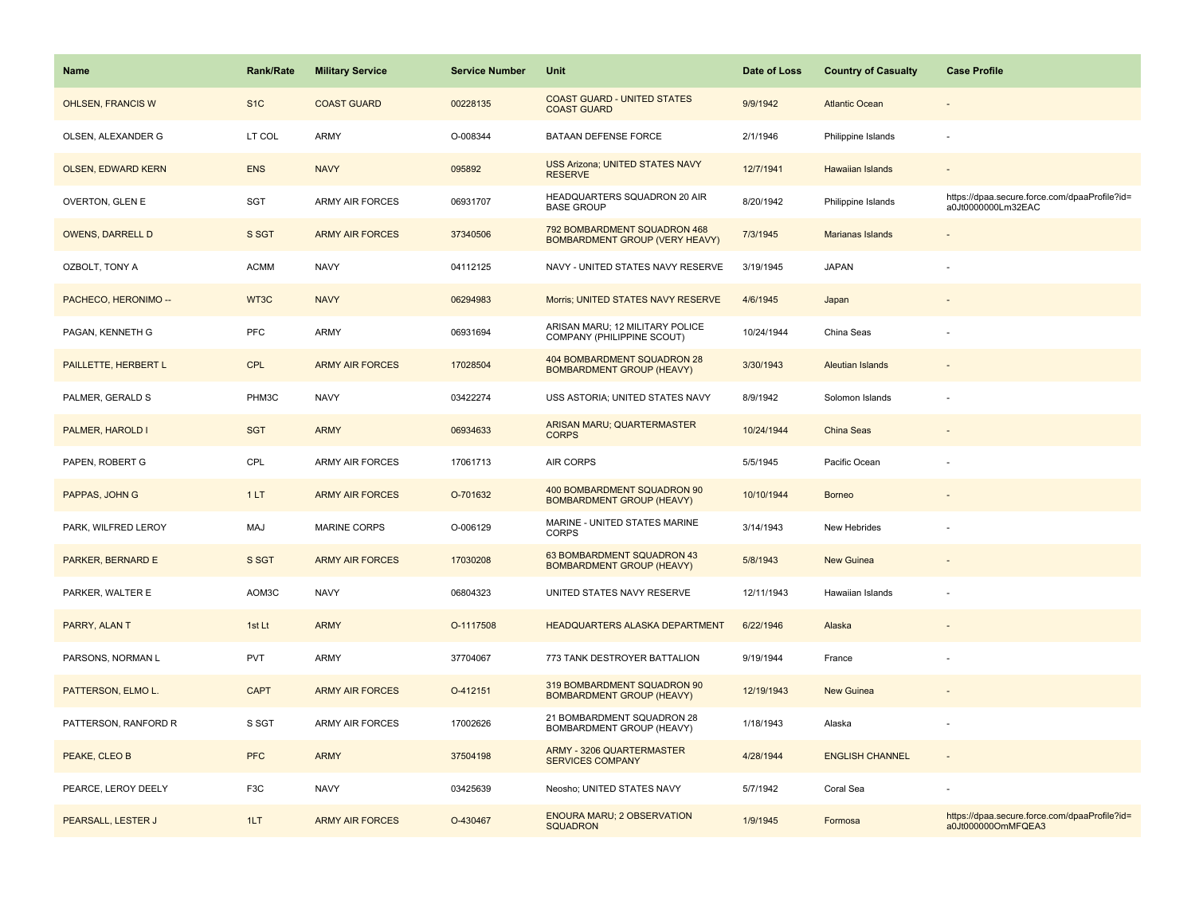| <b>Name</b>               | <b>Rank/Rate</b> | <b>Military Service</b> | <b>Service Number</b> | Unit                                                            | Date of Loss | <b>Country of Casualty</b> | <b>Case Profile</b>                                                 |
|---------------------------|------------------|-------------------------|-----------------------|-----------------------------------------------------------------|--------------|----------------------------|---------------------------------------------------------------------|
| <b>OHLSEN, FRANCIS W</b>  | S <sub>1</sub> C | <b>COAST GUARD</b>      | 00228135              | <b>COAST GUARD - UNITED STATES</b><br><b>COAST GUARD</b>        | 9/9/1942     | <b>Atlantic Ocean</b>      |                                                                     |
| OLSEN, ALEXANDER G        | LT COL           | <b>ARMY</b>             | O-008344              | BATAAN DEFENSE FORCE                                            | 2/1/1946     | Philippine Islands         | $\sim$                                                              |
| <b>OLSEN, EDWARD KERN</b> | <b>ENS</b>       | <b>NAVY</b>             | 095892                | <b>USS Arizona; UNITED STATES NAVY</b><br><b>RESERVE</b>        | 12/7/1941    | <b>Hawaiian Islands</b>    |                                                                     |
| OVERTON, GLEN E           | SGT              | <b>ARMY AIR FORCES</b>  | 06931707              | HEADQUARTERS SQUADRON 20 AIR<br><b>BASE GROUP</b>               | 8/20/1942    | Philippine Islands         | https://dpaa.secure.force.com/dpaaProfile?id=<br>a0Jt0000000Lm32EAC |
| <b>OWENS, DARRELL D</b>   | S SGT            | <b>ARMY AIR FORCES</b>  | 37340506              | 792 BOMBARDMENT SQUADRON 468<br>BOMBARDMENT GROUP (VERY HEAVY)  | 7/3/1945     | <b>Marianas Islands</b>    |                                                                     |
| OZBOLT, TONY A            | <b>ACMM</b>      | <b>NAVY</b>             | 04112125              | NAVY - UNITED STATES NAVY RESERVE                               | 3/19/1945    | <b>JAPAN</b>               |                                                                     |
| PACHECO, HERONIMO --      | WT3C             | <b>NAVY</b>             | 06294983              | Morris; UNITED STATES NAVY RESERVE                              | 4/6/1945     | Japan                      |                                                                     |
| PAGAN, KENNETH G          | <b>PFC</b>       | <b>ARMY</b>             | 06931694              | ARISAN MARU; 12 MILITARY POLICE<br>COMPANY (PHILIPPINE SCOUT)   | 10/24/1944   | China Seas                 |                                                                     |
| PAILLETTE, HERBERT L      | <b>CPL</b>       | <b>ARMY AIR FORCES</b>  | 17028504              | 404 BOMBARDMENT SQUADRON 28<br><b>BOMBARDMENT GROUP (HEAVY)</b> | 3/30/1943    | <b>Aleutian Islands</b>    |                                                                     |
| PALMER, GERALD S          | PHM3C            | <b>NAVY</b>             | 03422274              | USS ASTORIA; UNITED STATES NAVY                                 | 8/9/1942     | Solomon Islands            |                                                                     |
| PALMER, HAROLD I          | <b>SGT</b>       | <b>ARMY</b>             | 06934633              | ARISAN MARU; QUARTERMASTER<br><b>CORPS</b>                      | 10/24/1944   | <b>China Seas</b>          |                                                                     |
| PAPEN, ROBERT G           | CPL              | <b>ARMY AIR FORCES</b>  | 17061713              | AIR CORPS                                                       | 5/5/1945     | Pacific Ocean              |                                                                     |
| PAPPAS, JOHN G            | 1LT              | <b>ARMY AIR FORCES</b>  | O-701632              | 400 BOMBARDMENT SQUADRON 90<br><b>BOMBARDMENT GROUP (HEAVY)</b> | 10/10/1944   | <b>Borneo</b>              |                                                                     |
| PARK, WILFRED LEROY       | MAJ              | <b>MARINE CORPS</b>     | O-006129              | MARINE - UNITED STATES MARINE<br><b>CORPS</b>                   | 3/14/1943    | New Hebrides               |                                                                     |
| PARKER, BERNARD E         | S SGT            | <b>ARMY AIR FORCES</b>  | 17030208              | 63 BOMBARDMENT SQUADRON 43<br><b>BOMBARDMENT GROUP (HEAVY)</b>  | 5/8/1943     | <b>New Guinea</b>          |                                                                     |
| PARKER, WALTER E          | AOM3C            | <b>NAVY</b>             | 06804323              | UNITED STATES NAVY RESERVE                                      | 12/11/1943   | Hawaiian Islands           |                                                                     |
| PARRY, ALAN T             | 1st Lt           | <b>ARMY</b>             | O-1117508             | <b>HEADQUARTERS ALASKA DEPARTMENT</b>                           | 6/22/1946    | Alaska                     |                                                                     |
| PARSONS, NORMAN L         | <b>PVT</b>       | <b>ARMY</b>             | 37704067              | 773 TANK DESTROYER BATTALION                                    | 9/19/1944    | France                     |                                                                     |
| PATTERSON, ELMO L.        | <b>CAPT</b>      | <b>ARMY AIR FORCES</b>  | O-412151              | 319 BOMBARDMENT SQUADRON 90<br><b>BOMBARDMENT GROUP (HEAVY)</b> | 12/19/1943   | <b>New Guinea</b>          |                                                                     |
| PATTERSON, RANFORD R      | S SGT            | <b>ARMY AIR FORCES</b>  | 17002626              | 21 BOMBARDMENT SQUADRON 28<br>BOMBARDMENT GROUP (HEAVY)         | 1/18/1943    | Alaska                     |                                                                     |
| PEAKE, CLEO B             | <b>PFC</b>       | <b>ARMY</b>             | 37504198              | <b>ARMY - 3206 QUARTERMASTER</b><br><b>SERVICES COMPANY</b>     | 4/28/1944    | <b>ENGLISH CHANNEL</b>     |                                                                     |
| PEARCE, LEROY DEELY       | F <sub>3</sub> C | <b>NAVY</b>             | 03425639              | Neosho; UNITED STATES NAVY                                      | 5/7/1942     | Coral Sea                  |                                                                     |
| PEARSALL, LESTER J        | 1LT              | <b>ARMY AIR FORCES</b>  | O-430467              | <b>ENOURA MARU; 2 OBSERVATION</b><br><b>SQUADRON</b>            | 1/9/1945     | Formosa                    | https://dpaa.secure.force.com/dpaaProfile?id=<br>a0Jt000000OmMFQEA3 |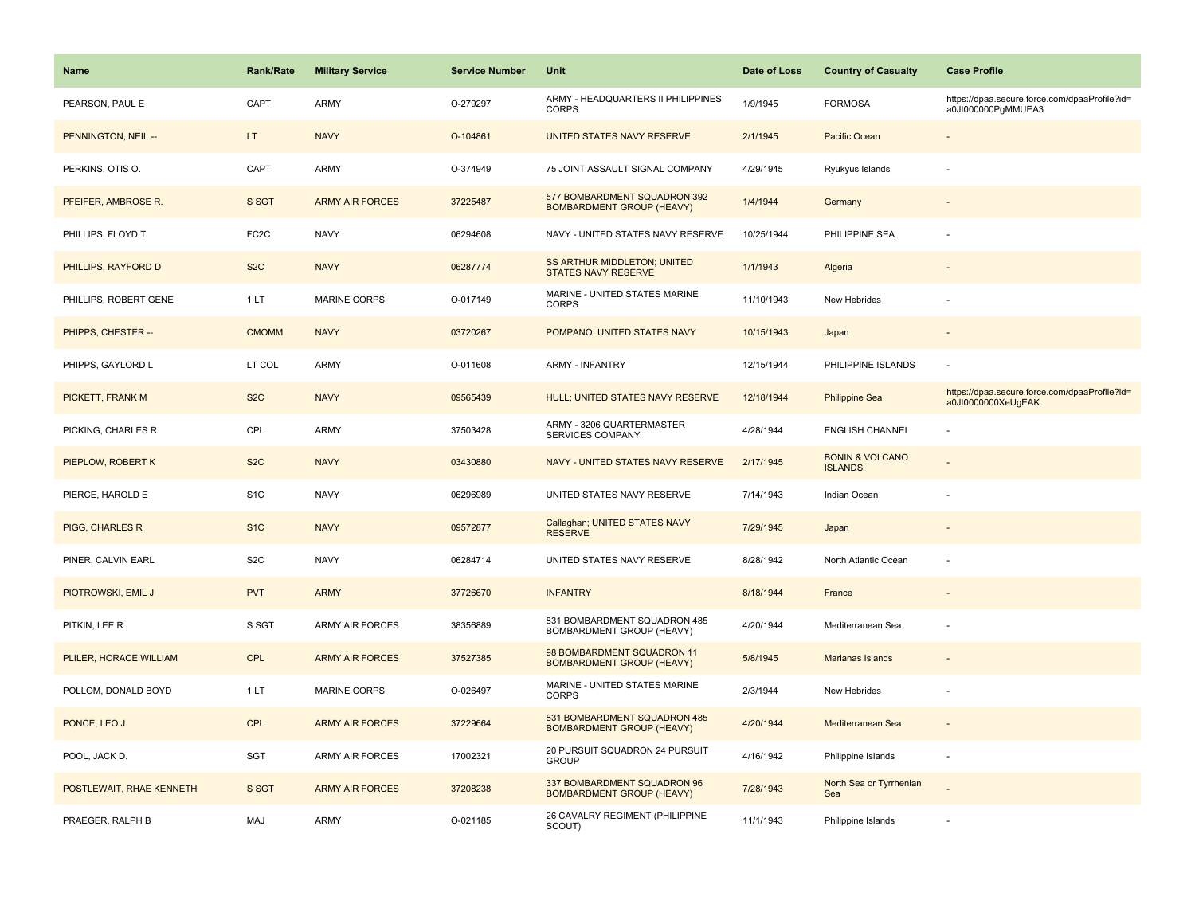| <b>Name</b>              | Rank/Rate         | <b>Military Service</b> | <b>Service Number</b> | Unit                                                             | Date of Loss | <b>Country of Casualty</b>                   | <b>Case Profile</b>                                                 |
|--------------------------|-------------------|-------------------------|-----------------------|------------------------------------------------------------------|--------------|----------------------------------------------|---------------------------------------------------------------------|
| PEARSON, PAUL E          | CAPT              | <b>ARMY</b>             | O-279297              | ARMY - HEADQUARTERS II PHILIPPINES<br><b>CORPS</b>               | 1/9/1945     | <b>FORMOSA</b>                               | https://dpaa.secure.force.com/dpaaProfile?id=<br>a0Jt000000PgMMUEA3 |
| PENNINGTON, NEIL --      | LT.               | <b>NAVY</b>             | O-104861              | UNITED STATES NAVY RESERVE                                       | 2/1/1945     | Pacific Ocean                                |                                                                     |
| PERKINS, OTIS O.         | CAPT              | <b>ARMY</b>             | O-374949              | 75 JOINT ASSAULT SIGNAL COMPANY                                  | 4/29/1945    | Ryukyus Islands                              |                                                                     |
| PFEIFER, AMBROSE R.      | S SGT             | <b>ARMY AIR FORCES</b>  | 37225487              | 577 BOMBARDMENT SQUADRON 392<br><b>BOMBARDMENT GROUP (HEAVY)</b> | 1/4/1944     | Germany                                      |                                                                     |
| PHILLIPS, FLOYD T        | FC <sub>2</sub> C | <b>NAVY</b>             | 06294608              | NAVY - UNITED STATES NAVY RESERVE                                | 10/25/1944   | PHILIPPINE SEA                               |                                                                     |
| PHILLIPS, RAYFORD D      | S <sub>2</sub> C  | <b>NAVY</b>             | 06287774              | SS ARTHUR MIDDLETON; UNITED<br><b>STATES NAVY RESERVE</b>        | 1/1/1943     | Algeria                                      |                                                                     |
| PHILLIPS, ROBERT GENE    | 1LT               | <b>MARINE CORPS</b>     | O-017149              | MARINE - UNITED STATES MARINE<br><b>CORPS</b>                    | 11/10/1943   | New Hebrides                                 |                                                                     |
| PHIPPS, CHESTER --       | <b>CMOMM</b>      | <b>NAVY</b>             | 03720267              | POMPANO; UNITED STATES NAVY                                      | 10/15/1943   | Japan                                        |                                                                     |
| PHIPPS, GAYLORD L        | LT COL            | ARMY                    | O-011608              | <b>ARMY - INFANTRY</b>                                           | 12/15/1944   | PHILIPPINE ISLANDS                           | ÷,                                                                  |
| PICKETT, FRANK M         | S <sub>2</sub> C  | <b>NAVY</b>             | 09565439              | HULL; UNITED STATES NAVY RESERVE                                 | 12/18/1944   | <b>Philippine Sea</b>                        | https://dpaa.secure.force.com/dpaaProfile?id=<br>a0Jt0000000XeUgEAK |
| PICKING, CHARLES R       | CPL               | ARMY                    | 37503428              | ARMY - 3206 QUARTERMASTER<br>SERVICES COMPANY                    | 4/28/1944    | <b>ENGLISH CHANNEL</b>                       |                                                                     |
| PIEPLOW, ROBERT K        | S <sub>2</sub> C  | <b>NAVY</b>             | 03430880              | NAVY - UNITED STATES NAVY RESERVE                                | 2/17/1945    | <b>BONIN &amp; VOLCANO</b><br><b>ISLANDS</b> |                                                                     |
| PIERCE, HAROLD E         | S <sub>1</sub> C  | <b>NAVY</b>             | 06296989              | UNITED STATES NAVY RESERVE                                       | 7/14/1943    | Indian Ocean                                 |                                                                     |
| PIGG, CHARLES R          | S <sub>1</sub> C  | <b>NAVY</b>             | 09572877              | Callaghan; UNITED STATES NAVY<br><b>RESERVE</b>                  | 7/29/1945    | Japan                                        | $\overline{a}$                                                      |
| PINER, CALVIN EARL       | S <sub>2</sub> C  | <b>NAVY</b>             | 06284714              | UNITED STATES NAVY RESERVE                                       | 8/28/1942    | North Atlantic Ocean                         |                                                                     |
| PIOTROWSKI, EMIL J       | <b>PVT</b>        | <b>ARMY</b>             | 37726670              | <b>INFANTRY</b>                                                  | 8/18/1944    | France                                       |                                                                     |
| PITKIN, LEE R            | S SGT             | <b>ARMY AIR FORCES</b>  | 38356889              | 831 BOMBARDMENT SQUADRON 485<br>BOMBARDMENT GROUP (HEAVY)        | 4/20/1944    | Mediterranean Sea                            |                                                                     |
| PLILER, HORACE WILLIAM   | <b>CPL</b>        | <b>ARMY AIR FORCES</b>  | 37527385              | 98 BOMBARDMENT SQUADRON 11<br><b>BOMBARDMENT GROUP (HEAVY)</b>   | 5/8/1945     | Marianas Islands                             |                                                                     |
| POLLOM, DONALD BOYD      | 1LT               | <b>MARINE CORPS</b>     | O-026497              | MARINE - UNITED STATES MARINE<br><b>CORPS</b>                    | 2/3/1944     | New Hebrides                                 |                                                                     |
| PONCE, LEO J             | <b>CPL</b>        | <b>ARMY AIR FORCES</b>  | 37229664              | 831 BOMBARDMENT SQUADRON 485<br><b>BOMBARDMENT GROUP (HEAVY)</b> | 4/20/1944    | Mediterranean Sea                            | $\sim$                                                              |
| POOL, JACK D.            | SGT               | <b>ARMY AIR FORCES</b>  | 17002321              | 20 PURSUIT SQUADRON 24 PURSUIT<br><b>GROUP</b>                   | 4/16/1942    | Philippine Islands                           | ÷                                                                   |
| POSTLEWAIT, RHAE KENNETH | S SGT             | <b>ARMY AIR FORCES</b>  | 37208238              | 337 BOMBARDMENT SQUADRON 96<br><b>BOMBARDMENT GROUP (HEAVY)</b>  | 7/28/1943    | North Sea or Tyrrhenian<br>Sea               |                                                                     |
| PRAEGER, RALPH B         | MAJ               | <b>ARMY</b>             | O-021185              | 26 CAVALRY REGIMENT (PHILIPPINE<br>SCOUT)                        | 11/1/1943    | Philippine Islands                           |                                                                     |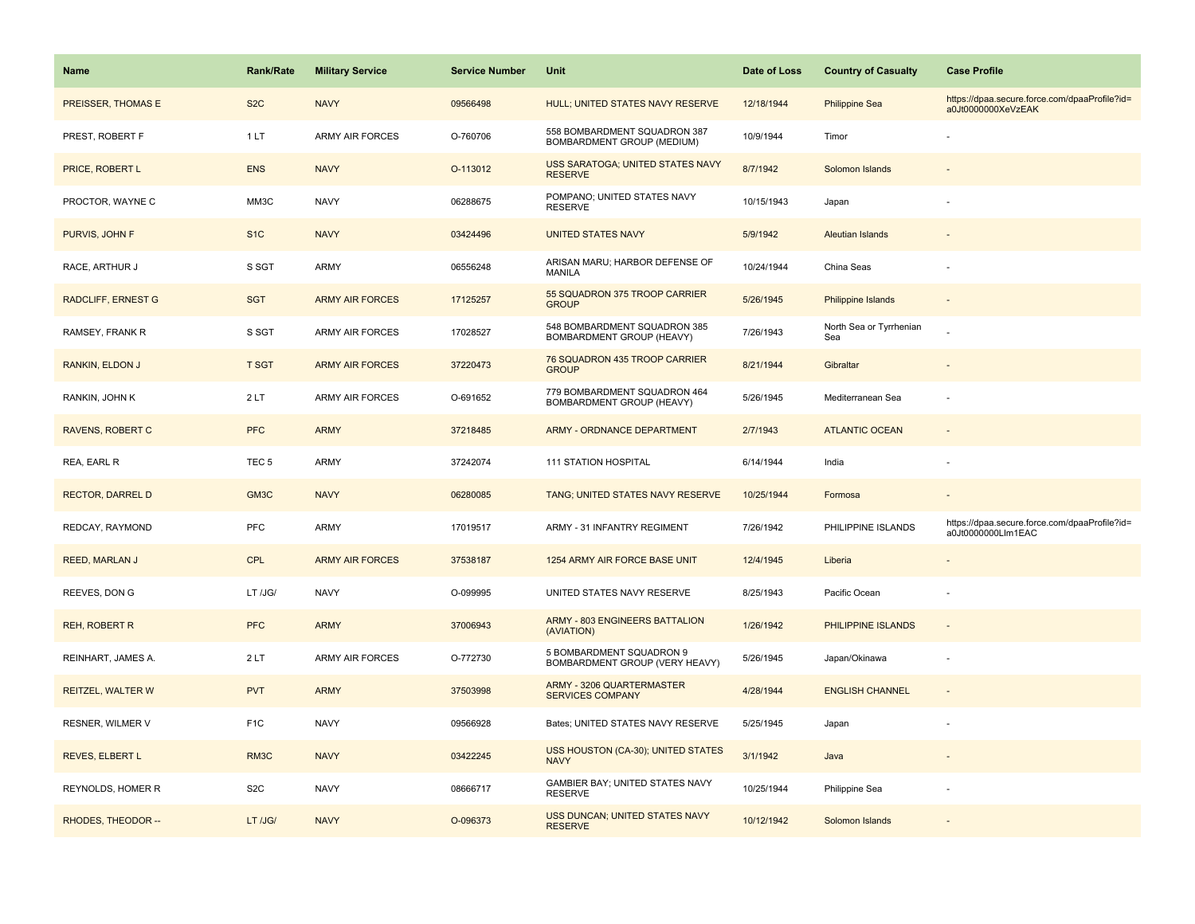| <b>Name</b>               | Rank/Rate         | <b>Military Service</b> | <b>Service Number</b> | Unit                                                        | Date of Loss | <b>Country of Casualty</b>     | <b>Case Profile</b>                                                 |
|---------------------------|-------------------|-------------------------|-----------------------|-------------------------------------------------------------|--------------|--------------------------------|---------------------------------------------------------------------|
| PREISSER, THOMAS E        | S <sub>2</sub> C  | <b>NAVY</b>             | 09566498              | HULL; UNITED STATES NAVY RESERVE                            | 12/18/1944   | <b>Philippine Sea</b>          | https://dpaa.secure.force.com/dpaaProfile?id=<br>a0Jt0000000XeVzEAK |
| PREST, ROBERT F           | 1LT               | <b>ARMY AIR FORCES</b>  | O-760706              | 558 BOMBARDMENT SQUADRON 387<br>BOMBARDMENT GROUP (MEDIUM)  | 10/9/1944    | Timor                          |                                                                     |
| PRICE, ROBERT L           | <b>ENS</b>        | <b>NAVY</b>             | O-113012              | USS SARATOGA; UNITED STATES NAVY<br><b>RESERVE</b>          | 8/7/1942     | Solomon Islands                |                                                                     |
| PROCTOR, WAYNE C          | MM3C              | <b>NAVY</b>             | 06288675              | POMPANO; UNITED STATES NAVY<br><b>RESERVE</b>               | 10/15/1943   | Japan                          |                                                                     |
| PURVIS, JOHN F            | S <sub>1</sub> C  | <b>NAVY</b>             | 03424496              | <b>UNITED STATES NAVY</b>                                   | 5/9/1942     | <b>Aleutian Islands</b>        |                                                                     |
| RACE, ARTHUR J            | S SGT             | ARMY                    | 06556248              | ARISAN MARU; HARBOR DEFENSE OF<br>MANILA                    | 10/24/1944   | China Seas                     |                                                                     |
| <b>RADCLIFF, ERNEST G</b> | <b>SGT</b>        | <b>ARMY AIR FORCES</b>  | 17125257              | 55 SQUADRON 375 TROOP CARRIER<br><b>GROUP</b>               | 5/26/1945    | Philippine Islands             | $\sim$                                                              |
| RAMSEY, FRANK R           | S SGT             | <b>ARMY AIR FORCES</b>  | 17028527              | 548 BOMBARDMENT SQUADRON 385<br>BOMBARDMENT GROUP (HEAVY)   | 7/26/1943    | North Sea or Tyrrhenian<br>Sea |                                                                     |
| <b>RANKIN, ELDON J</b>    | <b>T SGT</b>      | <b>ARMY AIR FORCES</b>  | 37220473              | 76 SQUADRON 435 TROOP CARRIER<br><b>GROUP</b>               | 8/21/1944    | Gibraltar                      |                                                                     |
| RANKIN, JOHN K            | 2LT               | <b>ARMY AIR FORCES</b>  | O-691652              | 779 BOMBARDMENT SQUADRON 464<br>BOMBARDMENT GROUP (HEAVY)   | 5/26/1945    | Mediterranean Sea              | ÷,                                                                  |
| <b>RAVENS, ROBERT C</b>   | <b>PFC</b>        | <b>ARMY</b>             | 37218485              | ARMY - ORDNANCE DEPARTMENT                                  | 2/7/1943     | <b>ATLANTIC OCEAN</b>          |                                                                     |
| REA, EARL R               | TEC <sub>5</sub>  | <b>ARMY</b>             | 37242074              | <b>111 STATION HOSPITAL</b>                                 | 6/14/1944    | India                          |                                                                     |
| <b>RECTOR, DARREL D</b>   | GM3C              | <b>NAVY</b>             | 06280085              | TANG; UNITED STATES NAVY RESERVE                            | 10/25/1944   | Formosa                        | $\sim$                                                              |
| REDCAY, RAYMOND           | PFC               | ARMY                    | 17019517              | ARMY - 31 INFANTRY REGIMENT                                 | 7/26/1942    | PHILIPPINE ISLANDS             | https://dpaa.secure.force.com/dpaaProfile?id=<br>a0Jt0000000Llm1EAC |
| REED, MARLAN J            | CPL               | <b>ARMY AIR FORCES</b>  | 37538187              | 1254 ARMY AIR FORCE BASE UNIT                               | 12/4/1945    | Liberia                        |                                                                     |
| REEVES, DON G             | LT/JG/            | <b>NAVY</b>             | O-099995              | UNITED STATES NAVY RESERVE                                  | 8/25/1943    | Pacific Ocean                  |                                                                     |
| <b>REH, ROBERT R</b>      | <b>PFC</b>        | <b>ARMY</b>             | 37006943              | ARMY - 803 ENGINEERS BATTALION<br>(AVIATION)                | 1/26/1942    | PHILIPPINE ISLANDS             | $\omega$                                                            |
| REINHART, JAMES A.        | 2LT               | <b>ARMY AIR FORCES</b>  | O-772730              | 5 BOMBARDMENT SQUADRON 9<br>BOMBARDMENT GROUP (VERY HEAVY)  | 5/26/1945    | Japan/Okinawa                  | ÷,                                                                  |
| REITZEL, WALTER W         | <b>PVT</b>        | <b>ARMY</b>             | 37503998              | <b>ARMY - 3206 QUARTERMASTER</b><br><b>SERVICES COMPANY</b> | 4/28/1944    | <b>ENGLISH CHANNEL</b>         |                                                                     |
| <b>RESNER, WILMER V</b>   | F <sub>1</sub> C  | <b>NAVY</b>             | 09566928              | Bates; UNITED STATES NAVY RESERVE                           | 5/25/1945    | Japan                          |                                                                     |
| <b>REVES, ELBERT L</b>    | RM <sub>3</sub> C | <b>NAVY</b>             | 03422245              | USS HOUSTON (CA-30); UNITED STATES<br><b>NAVY</b>           | 3/1/1942     | Java                           |                                                                     |
| REYNOLDS, HOMER R         | S <sub>2</sub> C  | <b>NAVY</b>             | 08666717              | GAMBIER BAY; UNITED STATES NAVY<br><b>RESERVE</b>           | 10/25/1944   | Philippine Sea                 |                                                                     |
| RHODES, THEODOR --        | LT /JG/           | <b>NAVY</b>             | O-096373              | USS DUNCAN; UNITED STATES NAVY<br><b>RESERVE</b>            | 10/12/1942   | Solomon Islands                |                                                                     |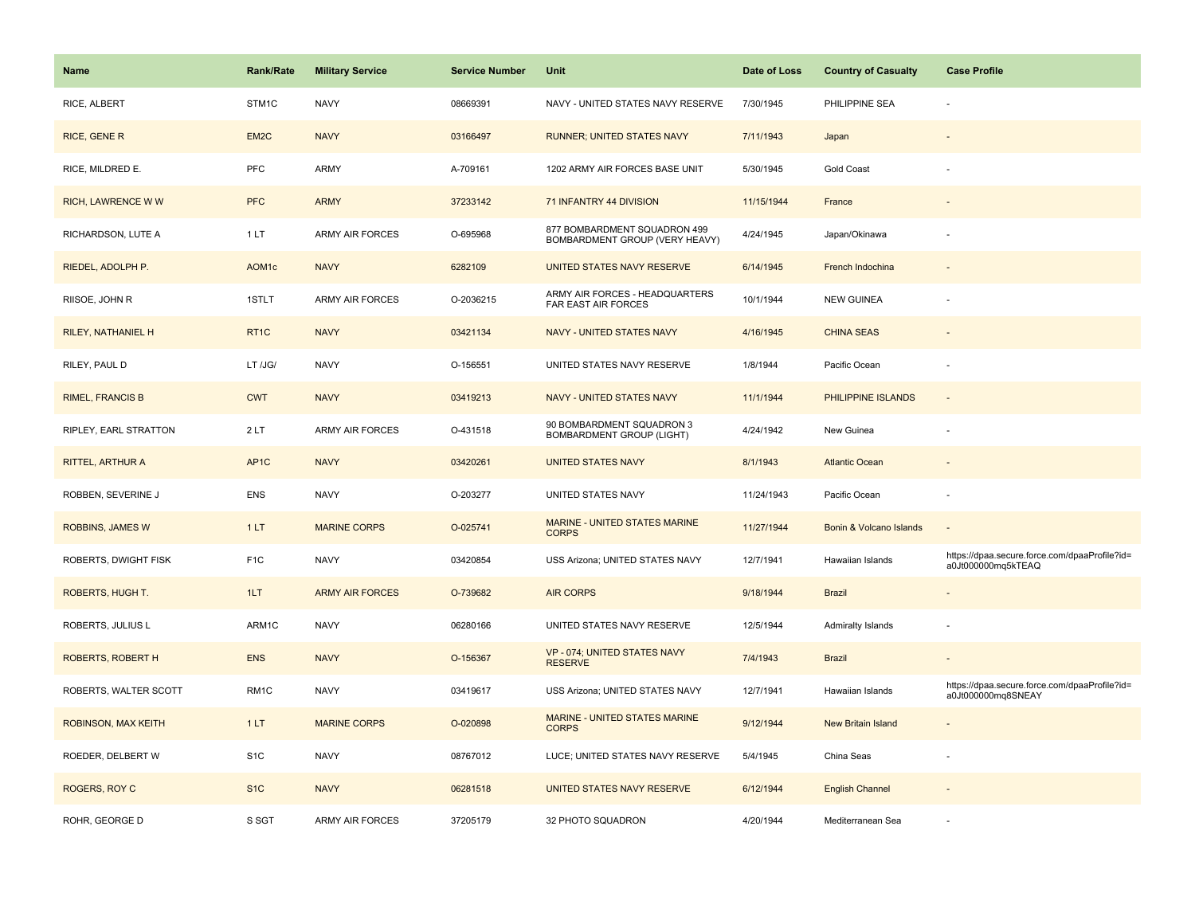| <b>Name</b>               | <b>Rank/Rate</b>   | <b>Military Service</b> | <b>Service Number</b> | Unit                                                           | Date of Loss | <b>Country of Casualty</b> | <b>Case Profile</b>                                                 |
|---------------------------|--------------------|-------------------------|-----------------------|----------------------------------------------------------------|--------------|----------------------------|---------------------------------------------------------------------|
| RICE, ALBERT              | STM1C              | <b>NAVY</b>             | 08669391              | NAVY - UNITED STATES NAVY RESERVE                              | 7/30/1945    | PHILIPPINE SEA             |                                                                     |
| RICE, GENE R              | EM <sub>2</sub> C  | <b>NAVY</b>             | 03166497              | <b>RUNNER; UNITED STATES NAVY</b>                              | 7/11/1943    | Japan                      |                                                                     |
| RICE, MILDRED E.          | <b>PFC</b>         | ARMY                    | A-709161              | 1202 ARMY AIR FORCES BASE UNIT                                 | 5/30/1945    | <b>Gold Coast</b>          |                                                                     |
| <b>RICH, LAWRENCE WW</b>  | <b>PFC</b>         | <b>ARMY</b>             | 37233142              | 71 INFANTRY 44 DIVISION                                        | 11/15/1944   | France                     |                                                                     |
| RICHARDSON, LUTE A        | 1LT                | <b>ARMY AIR FORCES</b>  | O-695968              | 877 BOMBARDMENT SQUADRON 499<br>BOMBARDMENT GROUP (VERY HEAVY) | 4/24/1945    | Japan/Okinawa              |                                                                     |
| RIEDEL, ADOLPH P.         | AOM <sub>1</sub> c | <b>NAVY</b>             | 6282109               | UNITED STATES NAVY RESERVE                                     | 6/14/1945    | French Indochina           |                                                                     |
| RIISOE, JOHN R            | 1STLT              | <b>ARMY AIR FORCES</b>  | O-2036215             | ARMY AIR FORCES - HEADQUARTERS<br>FAR EAST AIR FORCES          | 10/1/1944    | <b>NEW GUINEA</b>          |                                                                     |
| <b>RILEY, NATHANIEL H</b> | RT <sub>1C</sub>   | <b>NAVY</b>             | 03421134              | <b>NAVY - UNITED STATES NAVY</b>                               | 4/16/1945    | <b>CHINA SEAS</b>          |                                                                     |
| RILEY, PAUL D             | LT /JG/            | <b>NAVY</b>             | O-156551              | UNITED STATES NAVY RESERVE                                     | 1/8/1944     | Pacific Ocean              |                                                                     |
| <b>RIMEL, FRANCIS B</b>   | <b>CWT</b>         | <b>NAVY</b>             | 03419213              | NAVY - UNITED STATES NAVY                                      | 11/1/1944    | PHILIPPINE ISLANDS         |                                                                     |
| RIPLEY, EARL STRATTON     | 2LT                | <b>ARMY AIR FORCES</b>  | O-431518              | 90 BOMBARDMENT SQUADRON 3<br><b>BOMBARDMENT GROUP (LIGHT)</b>  | 4/24/1942    | New Guinea                 |                                                                     |
| RITTEL, ARTHUR A          | AP <sub>1</sub> C  | <b>NAVY</b>             | 03420261              | <b>UNITED STATES NAVY</b>                                      | 8/1/1943     | <b>Atlantic Ocean</b>      |                                                                     |
| ROBBEN, SEVERINE J        | <b>ENS</b>         | <b>NAVY</b>             | O-203277              | UNITED STATES NAVY                                             | 11/24/1943   | Pacific Ocean              |                                                                     |
| ROBBINS, JAMES W          | 1LT                | <b>MARINE CORPS</b>     | O-025741              | MARINE - UNITED STATES MARINE<br><b>CORPS</b>                  | 11/27/1944   | Bonin & Volcano Islands    |                                                                     |
| ROBERTS, DWIGHT FISK      | F <sub>1</sub> C   | <b>NAVY</b>             | 03420854              | USS Arizona; UNITED STATES NAVY                                | 12/7/1941    | Hawaiian Islands           | https://dpaa.secure.force.com/dpaaProfile?id=<br>a0Jt000000mq5kTEAQ |
| ROBERTS, HUGH T.          | 1LT                | <b>ARMY AIR FORCES</b>  | O-739682              | <b>AIR CORPS</b>                                               | 9/18/1944    | <b>Brazil</b>              |                                                                     |
| ROBERTS, JULIUS L         | ARM1C              | <b>NAVY</b>             | 06280166              | UNITED STATES NAVY RESERVE                                     | 12/5/1944    | Admiralty Islands          |                                                                     |
| <b>ROBERTS, ROBERT H</b>  | <b>ENS</b>         | <b>NAVY</b>             | O-156367              | VP - 074; UNITED STATES NAVY<br><b>RESERVE</b>                 | 7/4/1943     | <b>Brazil</b>              |                                                                     |
| ROBERTS, WALTER SCOTT     | RM1C               | <b>NAVY</b>             | 03419617              | USS Arizona; UNITED STATES NAVY                                | 12/7/1941    | Hawaiian Islands           | https://dpaa.secure.force.com/dpaaProfile?id=<br>a0Jt000000mq8SNEAY |
| ROBINSON, MAX KEITH       | 1LT                | <b>MARINE CORPS</b>     | O-020898              | MARINE - UNITED STATES MARINE<br><b>CORPS</b>                  | 9/12/1944    | New Britain Island         |                                                                     |
| ROEDER, DELBERT W         | S <sub>1</sub> C   | <b>NAVY</b>             | 08767012              | LUCE; UNITED STATES NAVY RESERVE                               | 5/4/1945     | China Seas                 |                                                                     |
| ROGERS, ROY C             | S <sub>1C</sub>    | <b>NAVY</b>             | 06281518              | UNITED STATES NAVY RESERVE                                     | 6/12/1944    | <b>English Channel</b>     |                                                                     |
| ROHR, GEORGE D            | S SGT              | <b>ARMY AIR FORCES</b>  | 37205179              | 32 PHOTO SQUADRON                                              | 4/20/1944    | Mediterranean Sea          |                                                                     |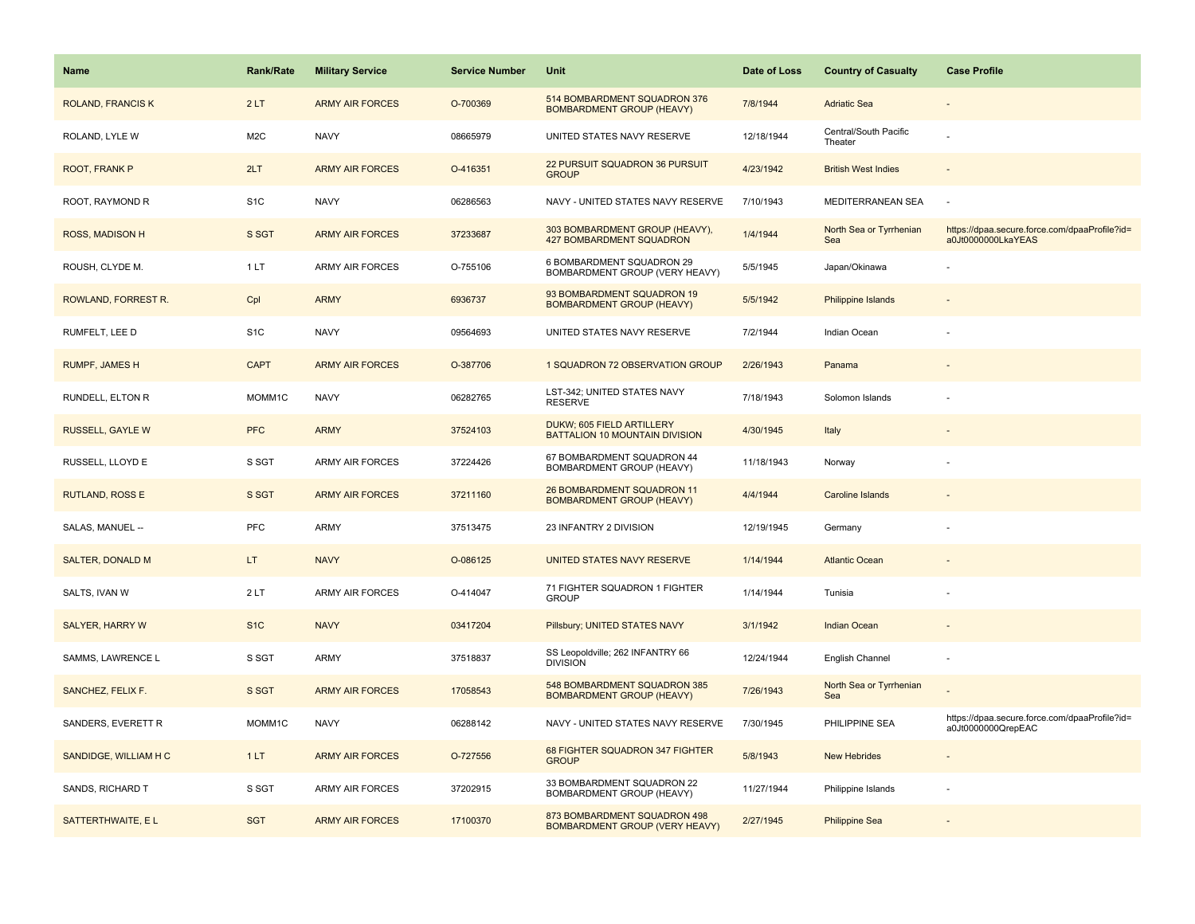| <b>Name</b>              | <b>Rank/Rate</b> | <b>Military Service</b> | <b>Service Number</b> | Unit                                                              | Date of Loss | <b>Country of Casualty</b>       | <b>Case Profile</b>                                                 |
|--------------------------|------------------|-------------------------|-----------------------|-------------------------------------------------------------------|--------------|----------------------------------|---------------------------------------------------------------------|
| <b>ROLAND, FRANCIS K</b> | 2LT              | <b>ARMY AIR FORCES</b>  | O-700369              | 514 BOMBARDMENT SQUADRON 376<br><b>BOMBARDMENT GROUP (HEAVY)</b>  | 7/8/1944     | <b>Adriatic Sea</b>              |                                                                     |
| ROLAND, LYLE W           | M <sub>2</sub> C | <b>NAVY</b>             | 08665979              | UNITED STATES NAVY RESERVE                                        | 12/18/1944   | Central/South Pacific<br>Theater |                                                                     |
| ROOT, FRANK P            | 2LT              | <b>ARMY AIR FORCES</b>  | O-416351              | 22 PURSUIT SQUADRON 36 PURSUIT<br><b>GROUP</b>                    | 4/23/1942    | <b>British West Indies</b>       |                                                                     |
| ROOT, RAYMOND R          | S <sub>1</sub> C | <b>NAVY</b>             | 06286563              | NAVY - UNITED STATES NAVY RESERVE                                 | 7/10/1943    | MEDITERRANEAN SEA                | $\sim$                                                              |
| ROSS, MADISON H          | S SGT            | <b>ARMY AIR FORCES</b>  | 37233687              | 303 BOMBARDMENT GROUP (HEAVY),<br><b>427 BOMBARDMENT SQUADRON</b> | 1/4/1944     | North Sea or Tyrrhenian<br>Sea   | https://dpaa.secure.force.com/dpaaProfile?id=<br>a0Jt0000000LkaYEAS |
| ROUSH, CLYDE M.          | 1LT              | <b>ARMY AIR FORCES</b>  | O-755106              | 6 BOMBARDMENT SQUADRON 29<br>BOMBARDMENT GROUP (VERY HEAVY)       | 5/5/1945     | Japan/Okinawa                    |                                                                     |
| ROWLAND, FORREST R.      | Cpl              | <b>ARMY</b>             | 6936737               | 93 BOMBARDMENT SQUADRON 19<br><b>BOMBARDMENT GROUP (HEAVY)</b>    | 5/5/1942     | Philippine Islands               |                                                                     |
| RUMFELT, LEE D           | S <sub>1</sub> C | <b>NAVY</b>             | 09564693              | UNITED STATES NAVY RESERVE                                        | 7/2/1944     | Indian Ocean                     |                                                                     |
| <b>RUMPF, JAMES H</b>    | <b>CAPT</b>      | <b>ARMY AIR FORCES</b>  | O-387706              | 1 SQUADRON 72 OBSERVATION GROUP                                   | 2/26/1943    | Panama                           |                                                                     |
| RUNDELL, ELTON R         | MOMM1C           | <b>NAVY</b>             | 06282765              | LST-342; UNITED STATES NAVY<br><b>RESERVE</b>                     | 7/18/1943    | Solomon Islands                  |                                                                     |
| <b>RUSSELL, GAYLE W</b>  | <b>PFC</b>       | <b>ARMY</b>             | 37524103              | DUKW; 605 FIELD ARTILLERY<br>BATTALION 10 MOUNTAIN DIVISION       | 4/30/1945    | Italy                            |                                                                     |
| RUSSELL, LLOYD E         | S SGT            | <b>ARMY AIR FORCES</b>  | 37224426              | 67 BOMBARDMENT SQUADRON 44<br>BOMBARDMENT GROUP (HEAVY)           | 11/18/1943   | Norway                           |                                                                     |
| <b>RUTLAND, ROSS E</b>   | S SGT            | <b>ARMY AIR FORCES</b>  | 37211160              | 26 BOMBARDMENT SQUADRON 11<br><b>BOMBARDMENT GROUP (HEAVY)</b>    | 4/4/1944     | <b>Caroline Islands</b>          |                                                                     |
| SALAS, MANUEL --         | PFC              | <b>ARMY</b>             | 37513475              | 23 INFANTRY 2 DIVISION                                            | 12/19/1945   | Germany                          |                                                                     |
| <b>SALTER, DONALD M</b>  | LT.              | <b>NAVY</b>             | O-086125              | UNITED STATES NAVY RESERVE                                        | 1/14/1944    | <b>Atlantic Ocean</b>            |                                                                     |
| SALTS, IVAN W            | 2LT              | <b>ARMY AIR FORCES</b>  | O-414047              | 71 FIGHTER SQUADRON 1 FIGHTER<br><b>GROUP</b>                     | 1/14/1944    | Tunisia                          |                                                                     |
| <b>SALYER, HARRY W</b>   | S <sub>1C</sub>  | <b>NAVY</b>             | 03417204              | Pillsbury; UNITED STATES NAVY                                     | 3/1/1942     | <b>Indian Ocean</b>              |                                                                     |
| SAMMS, LAWRENCE L        | S SGT            | ARMY                    | 37518837              | SS Leopoldville; 262 INFANTRY 66<br><b>DIVISION</b>               | 12/24/1944   | English Channel                  |                                                                     |
| SANCHEZ, FELIX F.        | S SGT            | <b>ARMY AIR FORCES</b>  | 17058543              | 548 BOMBARDMENT SQUADRON 385<br><b>BOMBARDMENT GROUP (HEAVY)</b>  | 7/26/1943    | North Sea or Tyrrhenian<br>Sea   |                                                                     |
| SANDERS, EVERETT R       | MOMM1C           | <b>NAVY</b>             | 06288142              | NAVY - UNITED STATES NAVY RESERVE                                 | 7/30/1945    | PHILIPPINE SEA                   | https://dpaa.secure.force.com/dpaaProfile?id=<br>a0Jt0000000QrepEAC |
| SANDIDGE, WILLIAM H C    | 1LT              | <b>ARMY AIR FORCES</b>  | O-727556              | 68 FIGHTER SQUADRON 347 FIGHTER<br><b>GROUP</b>                   | 5/8/1943     | <b>New Hebrides</b>              |                                                                     |
| SANDS, RICHARD T         | S SGT            | ARMY AIR FORCES         | 37202915              | 33 BOMBARDMENT SQUADRON 22<br>BOMBARDMENT GROUP (HEAVY)           | 11/27/1944   | Philippine Islands               |                                                                     |
| SATTERTHWAITE, EL        | <b>SGT</b>       | <b>ARMY AIR FORCES</b>  | 17100370              | 873 BOMBARDMENT SQUADRON 498<br>BOMBARDMENT GROUP (VERY HEAVY)    | 2/27/1945    | <b>Philippine Sea</b>            |                                                                     |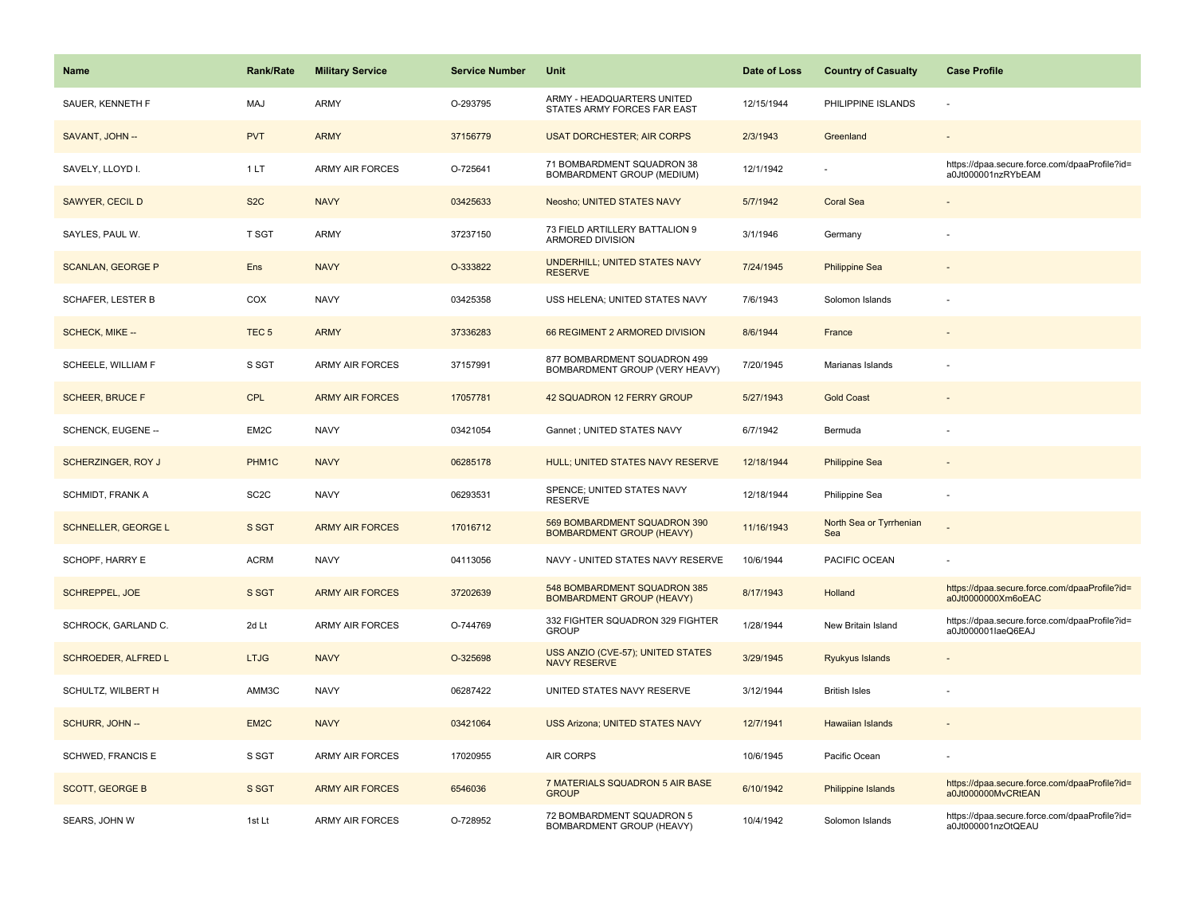| <b>Name</b>                | <b>Rank/Rate</b>  | <b>Military Service</b> | <b>Service Number</b> | Unit                                                             | Date of Loss | <b>Country of Casualty</b>     | <b>Case Profile</b>                                                 |
|----------------------------|-------------------|-------------------------|-----------------------|------------------------------------------------------------------|--------------|--------------------------------|---------------------------------------------------------------------|
| SAUER, KENNETH F           | MAJ               | ARMY                    | O-293795              | ARMY - HEADQUARTERS UNITED<br>STATES ARMY FORCES FAR EAST        | 12/15/1944   | PHILIPPINE ISLANDS             |                                                                     |
| SAVANT, JOHN --            | <b>PVT</b>        | <b>ARMY</b>             | 37156779              | <b>USAT DORCHESTER; AIR CORPS</b>                                | 2/3/1943     | Greenland                      |                                                                     |
| SAVELY, LLOYD I.           | 1LT               | <b>ARMY AIR FORCES</b>  | O-725641              | 71 BOMBARDMENT SQUADRON 38<br>BOMBARDMENT GROUP (MEDIUM)         | 12/1/1942    |                                | https://dpaa.secure.force.com/dpaaProfile?id=<br>a0Jt000001nzRYbEAM |
| SAWYER, CECIL D            | S <sub>2</sub> C  | <b>NAVY</b>             | 03425633              | Neosho; UNITED STATES NAVY                                       | 5/7/1942     | <b>Coral Sea</b>               |                                                                     |
| SAYLES, PAUL W.            | <b>T SGT</b>      | <b>ARMY</b>             | 37237150              | 73 FIELD ARTILLERY BATTALION 9<br>ARMORED DIVISION               | 3/1/1946     | Germany                        |                                                                     |
| <b>SCANLAN, GEORGE P</b>   | Ens               | <b>NAVY</b>             | O-333822              | <b>UNDERHILL; UNITED STATES NAVY</b><br><b>RESERVE</b>           | 7/24/1945    | <b>Philippine Sea</b>          |                                                                     |
| <b>SCHAFER, LESTER B</b>   | COX               | <b>NAVY</b>             | 03425358              | USS HELENA; UNITED STATES NAVY                                   | 7/6/1943     | Solomon Islands                |                                                                     |
| SCHECK, MIKE --            | TEC <sub>5</sub>  | <b>ARMY</b>             | 37336283              | 66 REGIMENT 2 ARMORED DIVISION                                   | 8/6/1944     | France                         |                                                                     |
| SCHEELE, WILLIAM F         | S SGT             | <b>ARMY AIR FORCES</b>  | 37157991              | 877 BOMBARDMENT SQUADRON 499<br>BOMBARDMENT GROUP (VERY HEAVY)   | 7/20/1945    | Marianas Islands               |                                                                     |
| <b>SCHEER, BRUCE F</b>     | CPL               | <b>ARMY AIR FORCES</b>  | 17057781              | 42 SQUADRON 12 FERRY GROUP                                       | 5/27/1943    | <b>Gold Coast</b>              |                                                                     |
| SCHENCK, EUGENE --         | EM2C              | <b>NAVY</b>             | 03421054              | Gannet ; UNITED STATES NAVY                                      | 6/7/1942     | Bermuda                        |                                                                     |
| <b>SCHERZINGER, ROY J</b>  | PHM <sub>1C</sub> | <b>NAVY</b>             | 06285178              | HULL; UNITED STATES NAVY RESERVE                                 | 12/18/1944   | <b>Philippine Sea</b>          |                                                                     |
| SCHMIDT, FRANK A           | SC <sub>2</sub> C | <b>NAVY</b>             | 06293531              | SPENCE; UNITED STATES NAVY<br><b>RESERVE</b>                     | 12/18/1944   | Philippine Sea                 |                                                                     |
| <b>SCHNELLER, GEORGE L</b> | S SGT             | <b>ARMY AIR FORCES</b>  | 17016712              | 569 BOMBARDMENT SQUADRON 390<br><b>BOMBARDMENT GROUP (HEAVY)</b> | 11/16/1943   | North Sea or Tyrrhenian<br>Sea |                                                                     |
| SCHOPF, HARRY E            | <b>ACRM</b>       | <b>NAVY</b>             | 04113056              | NAVY - UNITED STATES NAVY RESERVE                                | 10/6/1944    | PACIFIC OCEAN                  |                                                                     |
| SCHREPPEL, JOE             | S SGT             | <b>ARMY AIR FORCES</b>  | 37202639              | 548 BOMBARDMENT SQUADRON 385<br><b>BOMBARDMENT GROUP (HEAVY)</b> | 8/17/1943    | Holland                        | https://dpaa.secure.force.com/dpaaProfile?id=<br>a0Jt0000000Xm6oEAC |
| SCHROCK, GARLAND C.        | 2d Lt             | <b>ARMY AIR FORCES</b>  | O-744769              | 332 FIGHTER SQUADRON 329 FIGHTER<br><b>GROUP</b>                 | 1/28/1944    | New Britain Island             | https://dpaa.secure.force.com/dpaaProfile?id=<br>a0Jt000001laeQ6EAJ |
| SCHROEDER, ALFRED L        | <b>LTJG</b>       | <b>NAVY</b>             | O-325698              | USS ANZIO (CVE-57); UNITED STATES<br><b>NAVY RESERVE</b>         | 3/29/1945    | <b>Ryukyus Islands</b>         |                                                                     |
| SCHULTZ, WILBERT H         | AMM3C             | <b>NAVY</b>             | 06287422              | UNITED STATES NAVY RESERVE                                       | 3/12/1944    | <b>British Isles</b>           |                                                                     |
| SCHURR, JOHN --            | EM <sub>2</sub> C | <b>NAVY</b>             | 03421064              | <b>USS Arizona; UNITED STATES NAVY</b>                           | 12/7/1941    | <b>Hawaiian Islands</b>        |                                                                     |
| SCHWED, FRANCIS E          | S SGT             | <b>ARMY AIR FORCES</b>  | 17020955              | <b>AIR CORPS</b>                                                 | 10/6/1945    | Pacific Ocean                  |                                                                     |
| <b>SCOTT, GEORGE B</b>     | S SGT             | <b>ARMY AIR FORCES</b>  | 6546036               | 7 MATERIALS SQUADRON 5 AIR BASE<br><b>GROUP</b>                  | 6/10/1942    | Philippine Islands             | https://dpaa.secure.force.com/dpaaProfile?id=<br>a0Jt000000MvCRtEAN |
| SEARS, JOHN W              | 1st Lt            | <b>ARMY AIR FORCES</b>  | O-728952              | 72 BOMBARDMENT SQUADRON 5<br>BOMBARDMENT GROUP (HEAVY)           | 10/4/1942    | Solomon Islands                | https://dpaa.secure.force.com/dpaaProfile?id=<br>a0Jt000001nzOtQEAU |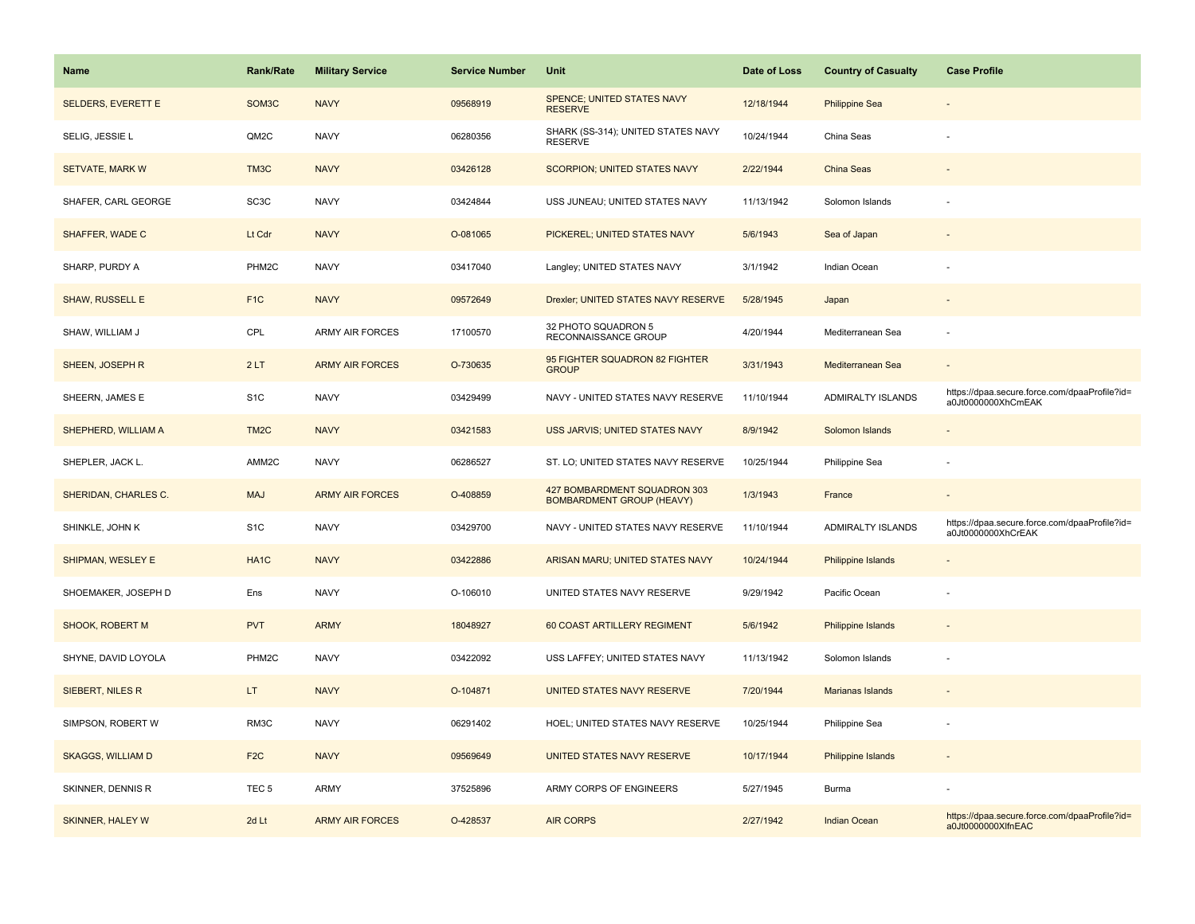| Name                      | <b>Rank/Rate</b>   | <b>Military Service</b> | <b>Service Number</b> | Unit                                                             | Date of Loss | <b>Country of Casualty</b> | <b>Case Profile</b>                                                 |
|---------------------------|--------------------|-------------------------|-----------------------|------------------------------------------------------------------|--------------|----------------------------|---------------------------------------------------------------------|
| <b>SELDERS, EVERETT E</b> | SOM <sub>3</sub> C | <b>NAVY</b>             | 09568919              | SPENCE; UNITED STATES NAVY<br><b>RESERVE</b>                     | 12/18/1944   | <b>Philippine Sea</b>      |                                                                     |
| SELIG, JESSIE L           | QM2C               | <b>NAVY</b>             | 06280356              | SHARK (SS-314); UNITED STATES NAVY<br><b>RESERVE</b>             | 10/24/1944   | China Seas                 |                                                                     |
| <b>SETVATE, MARK W</b>    | TM3C               | <b>NAVY</b>             | 03426128              | <b>SCORPION; UNITED STATES NAVY</b>                              | 2/22/1944    | China Seas                 |                                                                     |
| SHAFER, CARL GEORGE       | SC <sub>3</sub> C  | <b>NAVY</b>             | 03424844              | USS JUNEAU; UNITED STATES NAVY                                   | 11/13/1942   | Solomon Islands            |                                                                     |
| SHAFFER, WADE C           | Lt Cdr             | <b>NAVY</b>             | O-081065              | PICKEREL; UNITED STATES NAVY                                     | 5/6/1943     | Sea of Japan               |                                                                     |
| SHARP, PURDY A            | PHM <sub>2</sub> C | <b>NAVY</b>             | 03417040              | Langley; UNITED STATES NAVY                                      | 3/1/1942     | Indian Ocean               |                                                                     |
| <b>SHAW, RUSSELL E</b>    | F <sub>1C</sub>    | <b>NAVY</b>             | 09572649              | Drexler; UNITED STATES NAVY RESERVE                              | 5/28/1945    | Japan                      |                                                                     |
| SHAW, WILLIAM J           | CPL                | <b>ARMY AIR FORCES</b>  | 17100570              | 32 PHOTO SQUADRON 5<br>RECONNAISSANCE GROUP                      | 4/20/1944    | Mediterranean Sea          |                                                                     |
| SHEEN, JOSEPH R           | 2LT                | <b>ARMY AIR FORCES</b>  | O-730635              | 95 FIGHTER SQUADRON 82 FIGHTER<br><b>GROUP</b>                   | 3/31/1943    | Mediterranean Sea          |                                                                     |
| SHEERN, JAMES E           | S <sub>1</sub> C   | <b>NAVY</b>             | 03429499              | NAVY - UNITED STATES NAVY RESERVE                                | 11/10/1944   | <b>ADMIRALTY ISLANDS</b>   | https://dpaa.secure.force.com/dpaaProfile?id=<br>a0Jt0000000XhCmEAK |
| SHEPHERD, WILLIAM A       | TM <sub>2</sub> C  | <b>NAVY</b>             | 03421583              | USS JARVIS; UNITED STATES NAVY                                   | 8/9/1942     | Solomon Islands            |                                                                     |
| SHEPLER, JACK L.          | AMM2C              | <b>NAVY</b>             | 06286527              | ST. LO; UNITED STATES NAVY RESERVE                               | 10/25/1944   | Philippine Sea             |                                                                     |
| SHERIDAN, CHARLES C.      | <b>MAJ</b>         | <b>ARMY AIR FORCES</b>  | O-408859              | 427 BOMBARDMENT SQUADRON 303<br><b>BOMBARDMENT GROUP (HEAVY)</b> | 1/3/1943     | France                     |                                                                     |
| SHINKLE, JOHN K           | S <sub>1</sub> C   | <b>NAVY</b>             | 03429700              | NAVY - UNITED STATES NAVY RESERVE                                | 11/10/1944   | ADMIRALTY ISLANDS          | https://dpaa.secure.force.com/dpaaProfile?id=<br>a0Jt0000000XhCrEAK |
| <b>SHIPMAN, WESLEY E</b>  | HA <sub>1</sub> C  | <b>NAVY</b>             | 03422886              | ARISAN MARU; UNITED STATES NAVY                                  | 10/24/1944   | Philippine Islands         |                                                                     |
| SHOEMAKER, JOSEPH D       | Ens                | <b>NAVY</b>             | O-106010              | UNITED STATES NAVY RESERVE                                       | 9/29/1942    | Pacific Ocean              |                                                                     |
| SHOOK, ROBERT M           | <b>PVT</b>         | <b>ARMY</b>             | 18048927              | 60 COAST ARTILLERY REGIMENT                                      | 5/6/1942     | <b>Philippine Islands</b>  |                                                                     |
| SHYNE, DAVID LOYOLA       | PHM2C              | <b>NAVY</b>             | 03422092              | USS LAFFEY; UNITED STATES NAVY                                   | 11/13/1942   | Solomon Islands            |                                                                     |
| SIEBERT, NILES R          | LT.                | <b>NAVY</b>             | O-104871              | UNITED STATES NAVY RESERVE                                       | 7/20/1944    | <b>Marianas Islands</b>    |                                                                     |
| SIMPSON, ROBERT W         | RM3C               | <b>NAVY</b>             | 06291402              | HOEL; UNITED STATES NAVY RESERVE                                 | 10/25/1944   | Philippine Sea             |                                                                     |
| <b>SKAGGS, WILLIAM D</b>  | F <sub>2C</sub>    | <b>NAVY</b>             | 09569649              | UNITED STATES NAVY RESERVE                                       | 10/17/1944   | Philippine Islands         |                                                                     |
| SKINNER, DENNIS R         | TEC <sub>5</sub>   | <b>ARMY</b>             | 37525896              | ARMY CORPS OF ENGINEERS                                          | 5/27/1945    | Burma                      |                                                                     |
| <b>SKINNER, HALEY W</b>   | 2d Lt              | <b>ARMY AIR FORCES</b>  | O-428537              | <b>AIR CORPS</b>                                                 | 2/27/1942    | <b>Indian Ocean</b>        | https://dpaa.secure.force.com/dpaaProfile?id=<br>a0Jt0000000XlfnEAC |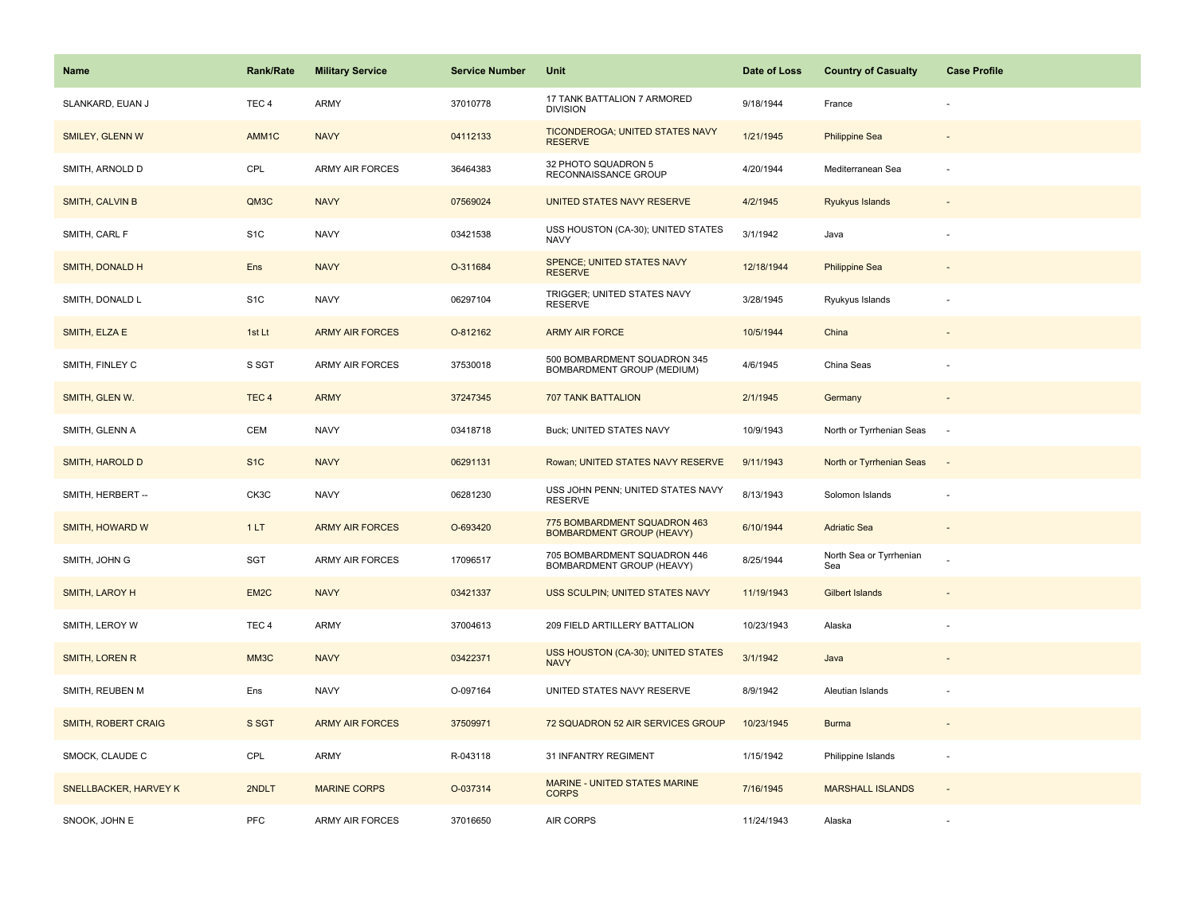| Name                         | Rank/Rate        | <b>Military Service</b> | <b>Service Number</b> | Unit                                                             | Date of Loss | <b>Country of Casualty</b>     | <b>Case Profile</b>      |
|------------------------------|------------------|-------------------------|-----------------------|------------------------------------------------------------------|--------------|--------------------------------|--------------------------|
| SLANKARD, EUAN J             | TEC <sub>4</sub> | ARMY                    | 37010778              | 17 TANK BATTALION 7 ARMORED<br><b>DIVISION</b>                   | 9/18/1944    | France                         |                          |
| <b>SMILEY, GLENN W</b>       | AMM1C            | <b>NAVY</b>             | 04112133              | TICONDEROGA; UNITED STATES NAVY<br><b>RESERVE</b>                | 1/21/1945    | <b>Philippine Sea</b>          |                          |
| SMITH, ARNOLD D              | CPL              | <b>ARMY AIR FORCES</b>  | 36464383              | 32 PHOTO SQUADRON 5<br>RECONNAISSANCE GROUP                      | 4/20/1944    | Mediterranean Sea              |                          |
| SMITH, CALVIN B              | QM3C             | <b>NAVY</b>             | 07569024              | UNITED STATES NAVY RESERVE                                       | 4/2/1945     | Ryukyus Islands                |                          |
| SMITH, CARL F                | S <sub>1</sub> C | <b>NAVY</b>             | 03421538              | USS HOUSTON (CA-30); UNITED STATES<br><b>NAVY</b>                | 3/1/1942     | Java                           |                          |
| SMITH, DONALD H              | Ens              | <b>NAVY</b>             | O-311684              | SPENCE; UNITED STATES NAVY<br><b>RESERVE</b>                     | 12/18/1944   | <b>Philippine Sea</b>          |                          |
| SMITH, DONALD L              | S <sub>1</sub> C | <b>NAVY</b>             | 06297104              | TRIGGER; UNITED STATES NAVY<br><b>RESERVE</b>                    | 3/28/1945    | Ryukyus Islands                |                          |
| SMITH, ELZA E                | 1st Lt           | <b>ARMY AIR FORCES</b>  | O-812162              | <b>ARMY AIR FORCE</b>                                            | 10/5/1944    | China                          |                          |
| SMITH, FINLEY C              | S SGT            | <b>ARMY AIR FORCES</b>  | 37530018              | 500 BOMBARDMENT SQUADRON 345<br>BOMBARDMENT GROUP (MEDIUM)       | 4/6/1945     | China Seas                     |                          |
| SMITH, GLEN W.               | TEC <sub>4</sub> | <b>ARMY</b>             | 37247345              | <b>707 TANK BATTALION</b>                                        | 2/1/1945     | Germany                        |                          |
| SMITH, GLENN A               | CEM              | <b>NAVY</b>             | 03418718              | Buck; UNITED STATES NAVY                                         | 10/9/1943    | North or Tyrrhenian Seas       |                          |
| SMITH, HAROLD D              | S <sub>1</sub> C | <b>NAVY</b>             | 06291131              | Rowan; UNITED STATES NAVY RESERVE                                | 9/11/1943    | North or Tyrrhenian Seas       | $\sim$                   |
| SMITH, HERBERT --            | CK3C             | <b>NAVY</b>             | 06281230              | USS JOHN PENN; UNITED STATES NAVY<br><b>RESERVE</b>              | 8/13/1943    | Solomon Islands                | ÷,                       |
| SMITH, HOWARD W              | 1LT              | <b>ARMY AIR FORCES</b>  | O-693420              | 775 BOMBARDMENT SQUADRON 463<br><b>BOMBARDMENT GROUP (HEAVY)</b> | 6/10/1944    | <b>Adriatic Sea</b>            |                          |
| SMITH, JOHN G                | SGT              | ARMY AIR FORCES         | 17096517              | 705 BOMBARDMENT SQUADRON 446<br>BOMBARDMENT GROUP (HEAVY)        | 8/25/1944    | North Sea or Tyrrhenian<br>Sea |                          |
| <b>SMITH, LAROY H</b>        | EM <sub>2C</sub> | <b>NAVY</b>             | 03421337              | USS SCULPIN; UNITED STATES NAVY                                  | 11/19/1943   | <b>Gilbert Islands</b>         |                          |
| SMITH, LEROY W               | TEC <sub>4</sub> | <b>ARMY</b>             | 37004613              | 209 FIELD ARTILLERY BATTALION                                    | 10/23/1943   | Alaska                         |                          |
| <b>SMITH, LOREN R</b>        | MM3C             | <b>NAVY</b>             | 03422371              | USS HOUSTON (CA-30); UNITED STATES<br><b>NAVY</b>                | 3/1/1942     | Java                           |                          |
| SMITH, REUBEN M              | Ens              | <b>NAVY</b>             | O-097164              | UNITED STATES NAVY RESERVE                                       | 8/9/1942     | Aleutian Islands               | ÷,                       |
| SMITH, ROBERT CRAIG          | S SGT            | <b>ARMY AIR FORCES</b>  | 37509971              | 72 SQUADRON 52 AIR SERVICES GROUP                                | 10/23/1945   | <b>Burma</b>                   |                          |
| SMOCK, CLAUDE C              | CPL              | ARMY                    | R-043118              | 31 INFANTRY REGIMENT                                             | 1/15/1942    | Philippine Islands             | $\overline{\phantom{a}}$ |
| <b>SNELLBACKER, HARVEY K</b> | 2NDLT            | <b>MARINE CORPS</b>     | O-037314              | <b>MARINE - UNITED STATES MARINE</b><br><b>CORPS</b>             | 7/16/1945    | <b>MARSHALL ISLANDS</b>        |                          |
| SNOOK, JOHN E                | <b>PFC</b>       | <b>ARMY AIR FORCES</b>  | 37016650              | <b>AIR CORPS</b>                                                 | 11/24/1943   | Alaska                         |                          |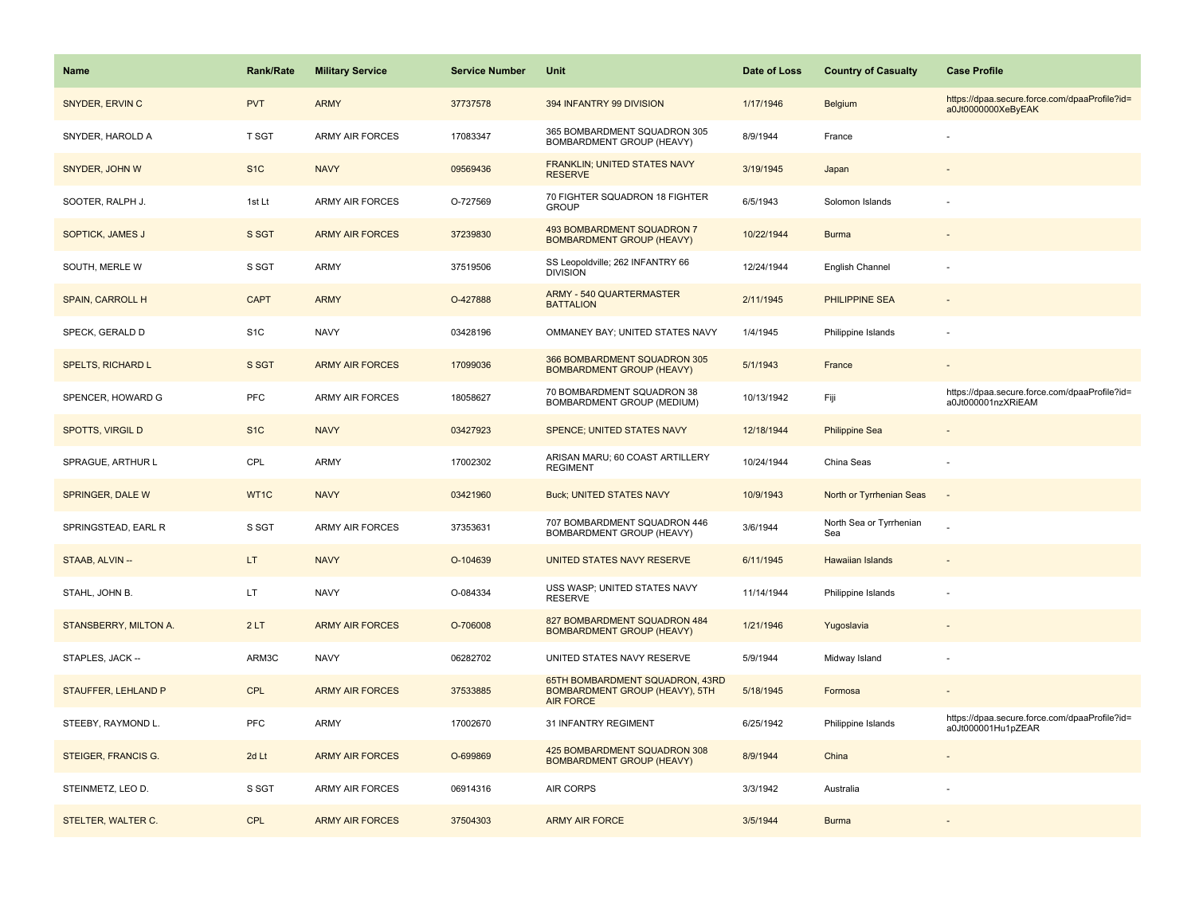| <b>Name</b>                | Rank/Rate        | <b>Military Service</b> | <b>Service Number</b> | Unit                                                                                  | Date of Loss | <b>Country of Casualty</b>     | <b>Case Profile</b>                                                 |
|----------------------------|------------------|-------------------------|-----------------------|---------------------------------------------------------------------------------------|--------------|--------------------------------|---------------------------------------------------------------------|
| SNYDER, ERVIN C            | <b>PVT</b>       | <b>ARMY</b>             | 37737578              | 394 INFANTRY 99 DIVISION                                                              | 1/17/1946    | <b>Belgium</b>                 | https://dpaa.secure.force.com/dpaaProfile?id=<br>a0Jt0000000XeByEAK |
| SNYDER, HAROLD A           | T SGT            | <b>ARMY AIR FORCES</b>  | 17083347              | 365 BOMBARDMENT SQUADRON 305<br>BOMBARDMENT GROUP (HEAVY)                             | 8/9/1944     | France                         |                                                                     |
| SNYDER, JOHN W             | S <sub>1</sub> C | <b>NAVY</b>             | 09569436              | FRANKLIN; UNITED STATES NAVY<br><b>RESERVE</b>                                        | 3/19/1945    | Japan                          |                                                                     |
| SOOTER, RALPH J.           | 1st Lt           | <b>ARMY AIR FORCES</b>  | O-727569              | 70 FIGHTER SQUADRON 18 FIGHTER<br><b>GROUP</b>                                        | 6/5/1943     | Solomon Islands                |                                                                     |
| SOPTICK, JAMES J           | S SGT            | <b>ARMY AIR FORCES</b>  | 37239830              | 493 BOMBARDMENT SQUADRON 7<br><b>BOMBARDMENT GROUP (HEAVY)</b>                        | 10/22/1944   | <b>Burma</b>                   |                                                                     |
| SOUTH, MERLE W             | S SGT            | ARMY                    | 37519506              | SS Leopoldville; 262 INFANTRY 66<br><b>DIVISION</b>                                   | 12/24/1944   | English Channel                |                                                                     |
| SPAIN, CARROLL H           | <b>CAPT</b>      | <b>ARMY</b>             | O-427888              | <b>ARMY - 540 QUARTERMASTER</b><br><b>BATTALION</b>                                   | 2/11/1945    | PHILIPPINE SEA                 | $\sim$                                                              |
| SPECK, GERALD D            | S <sub>1</sub> C | <b>NAVY</b>             | 03428196              | OMMANEY BAY; UNITED STATES NAVY                                                       | 1/4/1945     | Philippine Islands             |                                                                     |
| <b>SPELTS, RICHARD L</b>   | S SGT            | <b>ARMY AIR FORCES</b>  | 17099036              | 366 BOMBARDMENT SQUADRON 305<br><b>BOMBARDMENT GROUP (HEAVY)</b>                      | 5/1/1943     | France                         |                                                                     |
| SPENCER, HOWARD G          | <b>PFC</b>       | <b>ARMY AIR FORCES</b>  | 18058627              | 70 BOMBARDMENT SQUADRON 38<br>BOMBARDMENT GROUP (MEDIUM)                              | 10/13/1942   | Fiji                           | https://dpaa.secure.force.com/dpaaProfile?id=<br>a0Jt000001nzXRiEAM |
| <b>SPOTTS, VIRGIL D</b>    | S <sub>1</sub> C | <b>NAVY</b>             | 03427923              | <b>SPENCE: UNITED STATES NAVY</b>                                                     | 12/18/1944   | <b>Philippine Sea</b>          |                                                                     |
| SPRAGUE, ARTHUR L          | CPL              | <b>ARMY</b>             | 17002302              | ARISAN MARU; 60 COAST ARTILLERY<br><b>REGIMENT</b>                                    | 10/24/1944   | China Seas                     |                                                                     |
| SPRINGER, DALE W           | WT1C             | <b>NAVY</b>             | 03421960              | <b>Buck; UNITED STATES NAVY</b>                                                       | 10/9/1943    | North or Tyrrhenian Seas       | $\sim$                                                              |
| SPRINGSTEAD, EARL R        | S SGT            | <b>ARMY AIR FORCES</b>  | 37353631              | 707 BOMBARDMENT SQUADRON 446<br>BOMBARDMENT GROUP (HEAVY)                             | 3/6/1944     | North Sea or Tyrrhenian<br>Sea |                                                                     |
| STAAB, ALVIN --            | LT.              | <b>NAVY</b>             | O-104639              | UNITED STATES NAVY RESERVE                                                            | 6/11/1945    | <b>Hawaiian Islands</b>        |                                                                     |
| STAHL, JOHN B.             | LT               | <b>NAVY</b>             | O-084334              | USS WASP; UNITED STATES NAVY<br><b>RESERVE</b>                                        | 11/14/1944   | Philippine Islands             |                                                                     |
| STANSBERRY, MILTON A.      | 2LT              | <b>ARMY AIR FORCES</b>  | O-706008              | 827 BOMBARDMENT SQUADRON 484<br><b>BOMBARDMENT GROUP (HEAVY)</b>                      | 1/21/1946    | Yugoslavia                     |                                                                     |
| STAPLES, JACK --           | ARM3C            | <b>NAVY</b>             | 06282702              | UNITED STATES NAVY RESERVE                                                            | 5/9/1944     | Midway Island                  |                                                                     |
| <b>STAUFFER, LEHLAND P</b> | <b>CPL</b>       | <b>ARMY AIR FORCES</b>  | 37533885              | 65TH BOMBARDMENT SQUADRON, 43RD<br>BOMBARDMENT GROUP (HEAVY), 5TH<br><b>AIR FORCE</b> | 5/18/1945    | Formosa                        |                                                                     |
| STEEBY, RAYMOND L.         | <b>PFC</b>       | <b>ARMY</b>             | 17002670              | 31 INFANTRY REGIMENT                                                                  | 6/25/1942    | Philippine Islands             | https://dpaa.secure.force.com/dpaaProfile?id=<br>a0Jt000001Hu1pZEAR |
| STEIGER, FRANCIS G.        | 2d Lt            | <b>ARMY AIR FORCES</b>  | O-699869              | 425 BOMBARDMENT SQUADRON 308<br><b>BOMBARDMENT GROUP (HEAVY)</b>                      | 8/9/1944     | China                          |                                                                     |
| STEINMETZ, LEO D.          | S SGT            | ARMY AIR FORCES         | 06914316              | AIR CORPS                                                                             | 3/3/1942     | Australia                      |                                                                     |
| STELTER, WALTER C.         | <b>CPL</b>       | <b>ARMY AIR FORCES</b>  | 37504303              | <b>ARMY AIR FORCE</b>                                                                 | 3/5/1944     | <b>Burma</b>                   |                                                                     |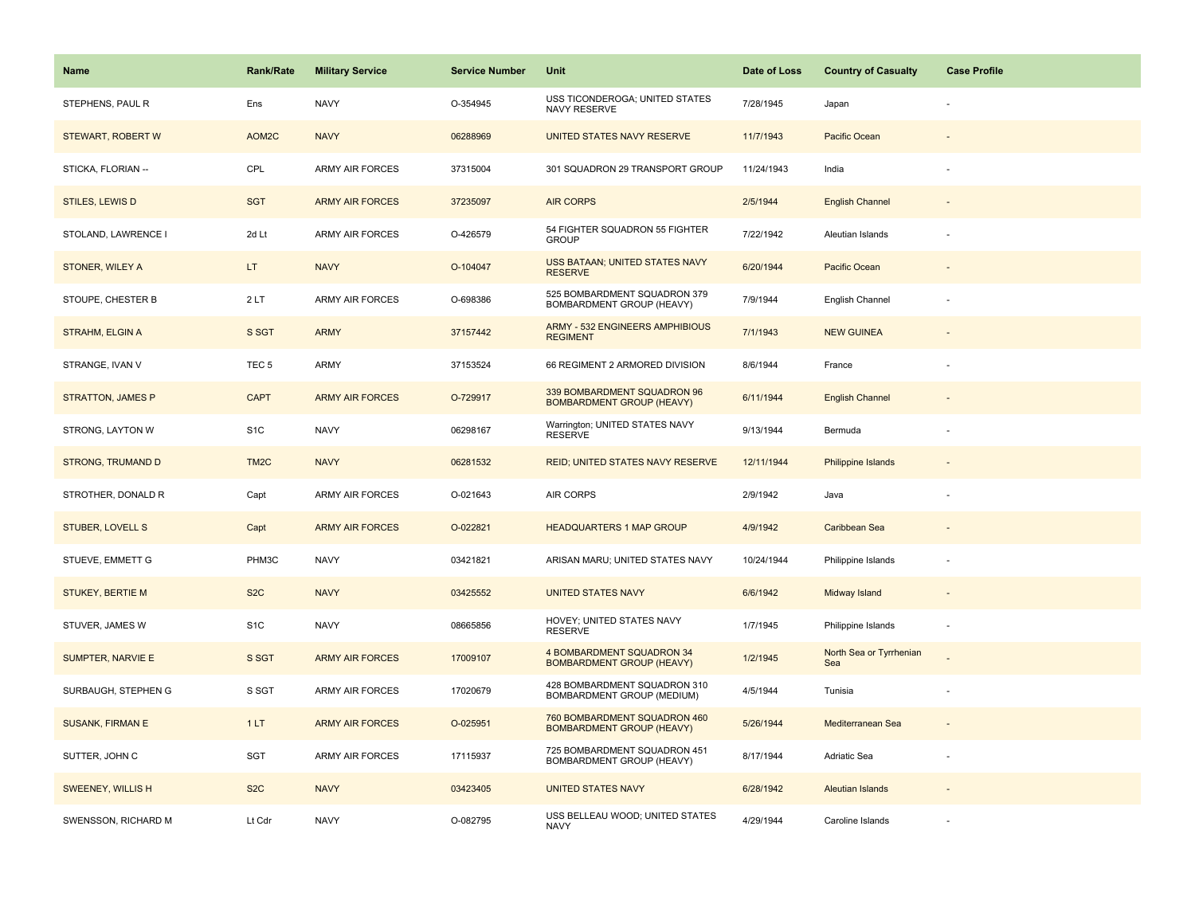| <b>Name</b>              | <b>Rank/Rate</b>  | <b>Military Service</b> | <b>Service Number</b> | Unit                                                             | Date of Loss | <b>Country of Casualty</b>     | <b>Case Profile</b>      |
|--------------------------|-------------------|-------------------------|-----------------------|------------------------------------------------------------------|--------------|--------------------------------|--------------------------|
| STEPHENS, PAUL R         | Ens               | <b>NAVY</b>             | O-354945              | USS TICONDEROGA; UNITED STATES<br>NAVY RESERVE                   | 7/28/1945    | Japan                          |                          |
| STEWART, ROBERT W        | AOM2C             | <b>NAVY</b>             | 06288969              | UNITED STATES NAVY RESERVE                                       | 11/7/1943    | Pacific Ocean                  |                          |
| STICKA, FLORIAN --       | CPL               | ARMY AIR FORCES         | 37315004              | 301 SQUADRON 29 TRANSPORT GROUP                                  | 11/24/1943   | India                          |                          |
| <b>STILES, LEWIS D</b>   | <b>SGT</b>        | <b>ARMY AIR FORCES</b>  | 37235097              | <b>AIR CORPS</b>                                                 | 2/5/1944     | <b>English Channel</b>         |                          |
| STOLAND, LAWRENCE I      | 2d Lt             | ARMY AIR FORCES         | O-426579              | 54 FIGHTER SQUADRON 55 FIGHTER<br><b>GROUP</b>                   | 7/22/1942    | Aleutian Islands               |                          |
| STONER, WILEY A          | LT.               | <b>NAVY</b>             | O-104047              | <b>USS BATAAN; UNITED STATES NAVY</b><br><b>RESERVE</b>          | 6/20/1944    | Pacific Ocean                  |                          |
| STOUPE, CHESTER B        | 2LT               | <b>ARMY AIR FORCES</b>  | O-698386              | 525 BOMBARDMENT SQUADRON 379<br>BOMBARDMENT GROUP (HEAVY)        | 7/9/1944     | English Channel                |                          |
| <b>STRAHM, ELGIN A</b>   | S SGT             | <b>ARMY</b>             | 37157442              | <b>ARMY - 532 ENGINEERS AMPHIBIOUS</b><br><b>REGIMENT</b>        | 7/1/1943     | <b>NEW GUINEA</b>              |                          |
| STRANGE, IVAN V          | TEC <sub>5</sub>  | ARMY                    | 37153524              | 66 REGIMENT 2 ARMORED DIVISION                                   | 8/6/1944     | France                         |                          |
| <b>STRATTON, JAMES P</b> | <b>CAPT</b>       | <b>ARMY AIR FORCES</b>  | O-729917              | 339 BOMBARDMENT SQUADRON 96<br><b>BOMBARDMENT GROUP (HEAVY)</b>  | 6/11/1944    | <b>English Channel</b>         |                          |
| STRONG, LAYTON W         | S <sub>1</sub> C  | <b>NAVY</b>             | 06298167              | Warrington; UNITED STATES NAVY<br><b>RESERVE</b>                 | 9/13/1944    | Bermuda                        |                          |
| <b>STRONG, TRUMAND D</b> | TM <sub>2</sub> C | <b>NAVY</b>             | 06281532              | REID; UNITED STATES NAVY RESERVE                                 | 12/11/1944   | <b>Philippine Islands</b>      |                          |
| STROTHER, DONALD R       | Capt              | ARMY AIR FORCES         | O-021643              | AIR CORPS                                                        | 2/9/1942     | Java                           |                          |
| <b>STUBER, LOVELL S</b>  | Capt              | <b>ARMY AIR FORCES</b>  | O-022821              | <b>HEADQUARTERS 1 MAP GROUP</b>                                  | 4/9/1942     | Caribbean Sea                  |                          |
| STUEVE, EMMETT G         | PHM3C             | <b>NAVY</b>             | 03421821              | ARISAN MARU; UNITED STATES NAVY                                  | 10/24/1944   | Philippine Islands             |                          |
| <b>STUKEY, BERTIE M</b>  | S <sub>2</sub> C  | <b>NAVY</b>             | 03425552              | <b>UNITED STATES NAVY</b>                                        | 6/6/1942     | Midway Island                  |                          |
| STUVER, JAMES W          | S <sub>1</sub> C  | <b>NAVY</b>             | 08665856              | HOVEY; UNITED STATES NAVY<br><b>RESERVE</b>                      | 1/7/1945     | Philippine Islands             | $\overline{\phantom{a}}$ |
| SUMPTER, NARVIE E        | S SGT             | <b>ARMY AIR FORCES</b>  | 17009107              | 4 BOMBARDMENT SQUADRON 34<br><b>BOMBARDMENT GROUP (HEAVY)</b>    | 1/2/1945     | North Sea or Tyrrhenian<br>Sea |                          |
| SURBAUGH, STEPHEN G      | S SGT             | ARMY AIR FORCES         | 17020679              | 428 BOMBARDMENT SQUADRON 310<br>BOMBARDMENT GROUP (MEDIUM)       | 4/5/1944     | Tunisia                        |                          |
| <b>SUSANK, FIRMAN E</b>  | 1LT               | <b>ARMY AIR FORCES</b>  | O-025951              | 760 BOMBARDMENT SQUADRON 460<br><b>BOMBARDMENT GROUP (HEAVY)</b> | 5/26/1944    | Mediterranean Sea              |                          |
| SUTTER, JOHN C           | SGT               | <b>ARMY AIR FORCES</b>  | 17115937              | 725 BOMBARDMENT SQUADRON 451<br>BOMBARDMENT GROUP (HEAVY)        | 8/17/1944    | Adriatic Sea                   |                          |
| <b>SWEENEY, WILLIS H</b> | S <sub>2</sub> C  | <b>NAVY</b>             | 03423405              | <b>UNITED STATES NAVY</b>                                        | 6/28/1942    | Aleutian Islands               |                          |
| SWENSSON, RICHARD M      | Lt Cdr            | <b>NAVY</b>             | O-082795              | USS BELLEAU WOOD; UNITED STATES<br><b>NAVY</b>                   | 4/29/1944    | Caroline Islands               |                          |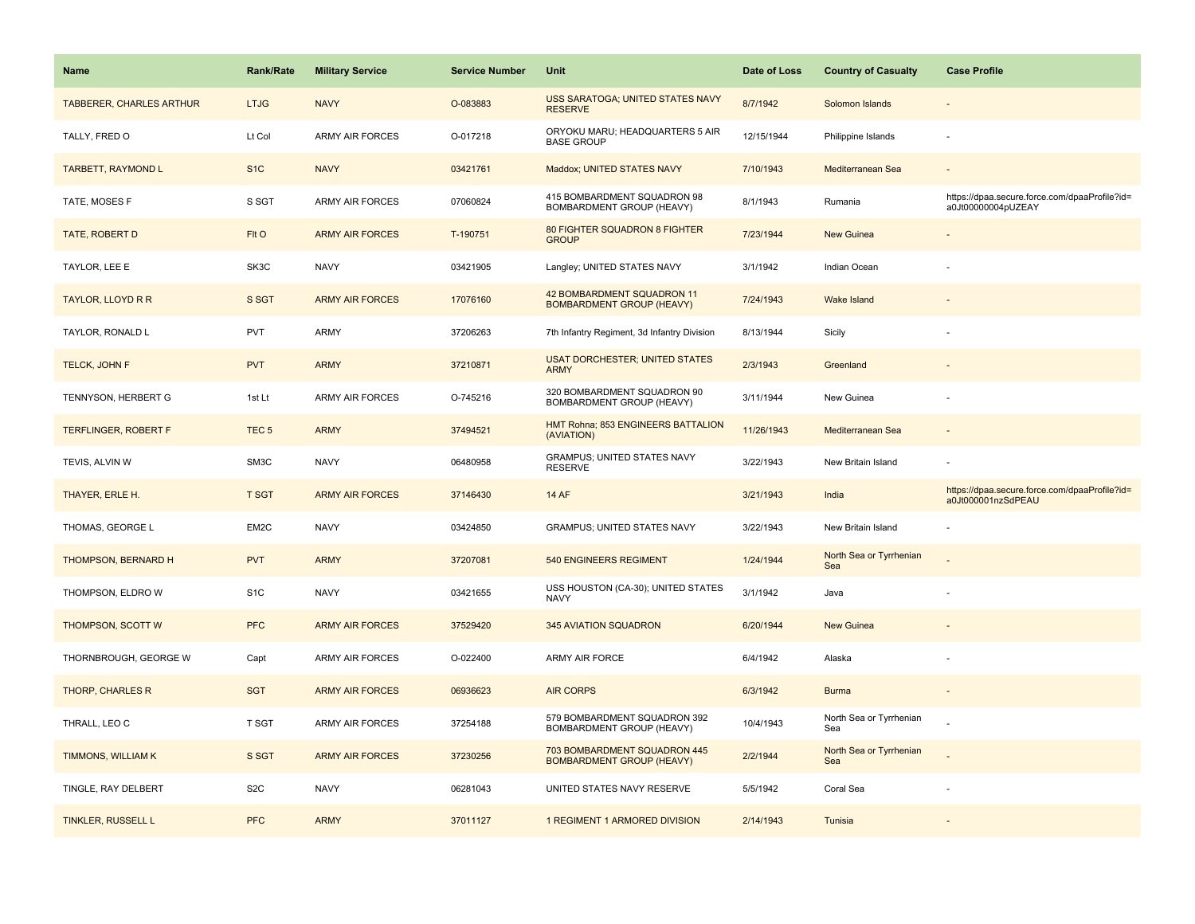| <b>Name</b>                     | <b>Rank/Rate</b> | <b>Military Service</b> | <b>Service Number</b> | Unit                                                             | Date of Loss | <b>Country of Casualty</b>     | <b>Case Profile</b>                                                 |
|---------------------------------|------------------|-------------------------|-----------------------|------------------------------------------------------------------|--------------|--------------------------------|---------------------------------------------------------------------|
| <b>TABBERER, CHARLES ARTHUR</b> | <b>LTJG</b>      | <b>NAVY</b>             | O-083883              | USS SARATOGA; UNITED STATES NAVY<br><b>RESERVE</b>               | 8/7/1942     | Solomon Islands                |                                                                     |
| TALLY, FRED O                   | Lt Col           | <b>ARMY AIR FORCES</b>  | O-017218              | ORYOKU MARU; HEADQUARTERS 5 AIR<br><b>BASE GROUP</b>             | 12/15/1944   | Philippine Islands             | $\sim$                                                              |
| <b>TARBETT, RAYMOND L</b>       | S <sub>1</sub> C | <b>NAVY</b>             | 03421761              | Maddox; UNITED STATES NAVY                                       | 7/10/1943    | Mediterranean Sea              |                                                                     |
| TATE, MOSES F                   | S SGT            | ARMY AIR FORCES         | 07060824              | 415 BOMBARDMENT SQUADRON 98<br>BOMBARDMENT GROUP (HEAVY)         | 8/1/1943     | Rumania                        | https://dpaa.secure.force.com/dpaaProfile?id=<br>a0Jt00000004pUZEAY |
| <b>TATE, ROBERT D</b>           | FIt O            | <b>ARMY AIR FORCES</b>  | T-190751              | 80 FIGHTER SQUADRON 8 FIGHTER<br><b>GROUP</b>                    | 7/23/1944    | <b>New Guinea</b>              |                                                                     |
| TAYLOR, LEE E                   | SK3C             | <b>NAVY</b>             | 03421905              | Langley; UNITED STATES NAVY                                      | 3/1/1942     | Indian Ocean                   |                                                                     |
| TAYLOR, LLOYD R R               | S SGT            | <b>ARMY AIR FORCES</b>  | 17076160              | 42 BOMBARDMENT SQUADRON 11<br><b>BOMBARDMENT GROUP (HEAVY)</b>   | 7/24/1943    | Wake Island                    |                                                                     |
| TAYLOR, RONALD L                | <b>PVT</b>       | <b>ARMY</b>             | 37206263              | 7th Infantry Regiment, 3d Infantry Division                      | 8/13/1944    | Sicily                         |                                                                     |
| TELCK, JOHN F                   | <b>PVT</b>       | <b>ARMY</b>             | 37210871              | <b>USAT DORCHESTER; UNITED STATES</b><br><b>ARMY</b>             | 2/3/1943     | Greenland                      |                                                                     |
| TENNYSON, HERBERT G             | 1st Lt           | ARMY AIR FORCES         | O-745216              | 320 BOMBARDMENT SQUADRON 90<br>BOMBARDMENT GROUP (HEAVY)         | 3/11/1944    | New Guinea                     |                                                                     |
| <b>TERFLINGER, ROBERT F</b>     | TEC <sub>5</sub> | <b>ARMY</b>             | 37494521              | HMT Rohna; 853 ENGINEERS BATTALION<br>(AVIATION)                 | 11/26/1943   | Mediterranean Sea              |                                                                     |
| TEVIS, ALVIN W                  | SM3C             | <b>NAVY</b>             | 06480958              | GRAMPUS; UNITED STATES NAVY<br><b>RESERVE</b>                    | 3/22/1943    | New Britain Island             |                                                                     |
| THAYER, ERLE H.                 | <b>T SGT</b>     | <b>ARMY AIR FORCES</b>  | 37146430              | <b>14 AF</b>                                                     | 3/21/1943    | India                          | https://dpaa.secure.force.com/dpaaProfile?id=<br>a0Jt000001nzSdPEAU |
| THOMAS, GEORGE L                | EM2C             | <b>NAVY</b>             | 03424850              | <b>GRAMPUS; UNITED STATES NAVY</b>                               | 3/22/1943    | New Britain Island             |                                                                     |
| THOMPSON, BERNARD H             | <b>PVT</b>       | <b>ARMY</b>             | 37207081              | 540 ENGINEERS REGIMENT                                           | 1/24/1944    | North Sea or Tyrrhenian<br>Sea |                                                                     |
| THOMPSON, ELDRO W               | S <sub>1</sub> C | <b>NAVY</b>             | 03421655              | USS HOUSTON (CA-30); UNITED STATES<br>NAVY                       | 3/1/1942     | Java                           |                                                                     |
| THOMPSON, SCOTT W               | <b>PFC</b>       | <b>ARMY AIR FORCES</b>  | 37529420              | <b>345 AVIATION SQUADRON</b>                                     | 6/20/1944    | New Guinea                     |                                                                     |
| THORNBROUGH, GEORGE W           | Capt             | <b>ARMY AIR FORCES</b>  | O-022400              | ARMY AIR FORCE                                                   | 6/4/1942     | Alaska                         |                                                                     |
| THORP, CHARLES R                | <b>SGT</b>       | <b>ARMY AIR FORCES</b>  | 06936623              | <b>AIR CORPS</b>                                                 | 6/3/1942     | <b>Burma</b>                   |                                                                     |
| THRALL, LEO C                   | <b>T SGT</b>     | <b>ARMY AIR FORCES</b>  | 37254188              | 579 BOMBARDMENT SQUADRON 392<br>BOMBARDMENT GROUP (HEAVY)        | 10/4/1943    | North Sea or Tyrrhenian<br>Sea |                                                                     |
| TIMMONS, WILLIAM K              | S SGT            | <b>ARMY AIR FORCES</b>  | 37230256              | 703 BOMBARDMENT SQUADRON 445<br><b>BOMBARDMENT GROUP (HEAVY)</b> | 2/2/1944     | North Sea or Tyrrhenian<br>Sea |                                                                     |
| TINGLE, RAY DELBERT             | S <sub>2</sub> C | <b>NAVY</b>             | 06281043              | UNITED STATES NAVY RESERVE                                       | 5/5/1942     | Coral Sea                      |                                                                     |
| TINKLER, RUSSELL L              | <b>PFC</b>       | <b>ARMY</b>             | 37011127              | 1 REGIMENT 1 ARMORED DIVISION                                    | 2/14/1943    | Tunisia                        |                                                                     |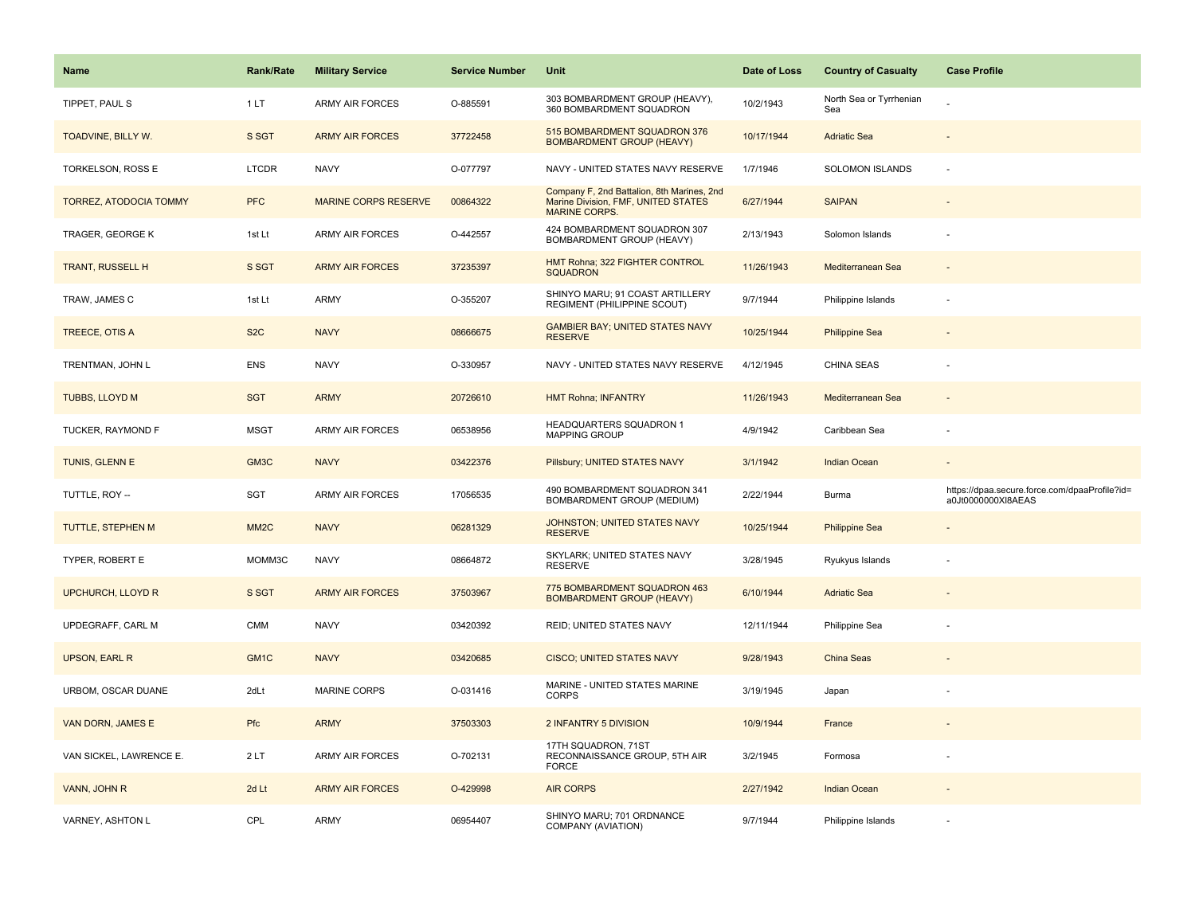| Name                          | <b>Rank/Rate</b>  | <b>Military Service</b>     | <b>Service Number</b> | Unit                                                                                                      | Date of Loss | <b>Country of Casualty</b>     | <b>Case Profile</b>                                                 |
|-------------------------------|-------------------|-----------------------------|-----------------------|-----------------------------------------------------------------------------------------------------------|--------------|--------------------------------|---------------------------------------------------------------------|
| TIPPET, PAUL S                | 1LT               | ARMY AIR FORCES             | O-885591              | 303 BOMBARDMENT GROUP (HEAVY),<br>360 BOMBARDMENT SQUADRON                                                | 10/2/1943    | North Sea or Tyrrhenian<br>Sea |                                                                     |
| TOADVINE, BILLY W.            | S SGT             | <b>ARMY AIR FORCES</b>      | 37722458              | 515 BOMBARDMENT SQUADRON 376<br><b>BOMBARDMENT GROUP (HEAVY)</b>                                          | 10/17/1944   | <b>Adriatic Sea</b>            |                                                                     |
| TORKELSON, ROSS E             | <b>LTCDR</b>      | <b>NAVY</b>                 | O-077797              | NAVY - UNITED STATES NAVY RESERVE                                                                         | 1/7/1946     | <b>SOLOMON ISLANDS</b>         |                                                                     |
| <b>TORREZ, ATODOCIA TOMMY</b> | <b>PFC</b>        | <b>MARINE CORPS RESERVE</b> | 00864322              | Company F, 2nd Battalion, 8th Marines, 2nd<br>Marine Division, FMF, UNITED STATES<br><b>MARINE CORPS.</b> | 6/27/1944    | <b>SAIPAN</b>                  |                                                                     |
| TRAGER, GEORGE K              | 1st Lt            | <b>ARMY AIR FORCES</b>      | O-442557              | 424 BOMBARDMENT SQUADRON 307<br>BOMBARDMENT GROUP (HEAVY)                                                 | 2/13/1943    | Solomon Islands                |                                                                     |
| <b>TRANT, RUSSELL H</b>       | S SGT             | <b>ARMY AIR FORCES</b>      | 37235397              | HMT Rohna; 322 FIGHTER CONTROL<br><b>SQUADRON</b>                                                         | 11/26/1943   | Mediterranean Sea              |                                                                     |
| TRAW, JAMES C                 | 1st Lt            | ARMY                        | O-355207              | SHINYO MARU; 91 COAST ARTILLERY<br>REGIMENT (PHILIPPINE SCOUT)                                            | 9/7/1944     | Philippine Islands             |                                                                     |
| TREECE, OTIS A                | S <sub>2</sub> C  | <b>NAVY</b>                 | 08666675              | <b>GAMBIER BAY; UNITED STATES NAVY</b><br><b>RESERVE</b>                                                  | 10/25/1944   | <b>Philippine Sea</b>          |                                                                     |
| TRENTMAN, JOHN L              | <b>ENS</b>        | <b>NAVY</b>                 | O-330957              | NAVY - UNITED STATES NAVY RESERVE                                                                         | 4/12/1945    | <b>CHINA SEAS</b>              |                                                                     |
| TUBBS, LLOYD M                | <b>SGT</b>        | <b>ARMY</b>                 | 20726610              | <b>HMT Rohna; INFANTRY</b>                                                                                | 11/26/1943   | Mediterranean Sea              |                                                                     |
| TUCKER, RAYMOND F             | <b>MSGT</b>       | ARMY AIR FORCES             | 06538956              | HEADQUARTERS SQUADRON 1<br><b>MAPPING GROUP</b>                                                           | 4/9/1942     | Caribbean Sea                  |                                                                     |
| TUNIS, GLENN E                | GM3C              | <b>NAVY</b>                 | 03422376              | Pillsbury; UNITED STATES NAVY                                                                             | 3/1/1942     | <b>Indian Ocean</b>            |                                                                     |
| TUTTLE, ROY --                | SGT               | ARMY AIR FORCES             | 17056535              | 490 BOMBARDMENT SQUADRON 341<br>BOMBARDMENT GROUP (MEDIUM)                                                | 2/22/1944    | Burma                          | https://dpaa.secure.force.com/dpaaProfile?id=<br>a0Jt0000000XI8AEAS |
| <b>TUTTLE, STEPHEN M</b>      | MM <sub>2</sub> C | <b>NAVY</b>                 | 06281329              | JOHNSTON; UNITED STATES NAVY<br><b>RESERVE</b>                                                            | 10/25/1944   | <b>Philippine Sea</b>          |                                                                     |
| TYPER, ROBERT E               | MOMM3C            | <b>NAVY</b>                 | 08664872              | SKYLARK; UNITED STATES NAVY<br><b>RESERVE</b>                                                             | 3/28/1945    | Ryukyus Islands                |                                                                     |
| <b>UPCHURCH, LLOYD R</b>      | S SGT             | <b>ARMY AIR FORCES</b>      | 37503967              | 775 BOMBARDMENT SQUADRON 463<br><b>BOMBARDMENT GROUP (HEAVY)</b>                                          | 6/10/1944    | <b>Adriatic Sea</b>            |                                                                     |
| UPDEGRAFF, CARL M             | CMM               | <b>NAVY</b>                 | 03420392              | REID; UNITED STATES NAVY                                                                                  | 12/11/1944   | Philippine Sea                 |                                                                     |
| <b>UPSON, EARL R</b>          | GM <sub>1</sub> C | <b>NAVY</b>                 | 03420685              | <b>CISCO; UNITED STATES NAVY</b>                                                                          | 9/28/1943    | China Seas                     |                                                                     |
| URBOM, OSCAR DUANE            | 2dLt              | MARINE CORPS                | O-031416              | MARINE - UNITED STATES MARINE<br><b>CORPS</b>                                                             | 3/19/1945    | Japan                          |                                                                     |
| VAN DORN, JAMES E             | Pfc               | <b>ARMY</b>                 | 37503303              | 2 INFANTRY 5 DIVISION                                                                                     | 10/9/1944    | France                         |                                                                     |
| VAN SICKEL, LAWRENCE E.       | 2LT               | <b>ARMY AIR FORCES</b>      | O-702131              | 17TH SQUADRON, 71ST<br>RECONNAISSANCE GROUP, 5TH AIR<br><b>FORCE</b>                                      | 3/2/1945     | Formosa                        |                                                                     |
| VANN, JOHN R                  | 2d Lt             | <b>ARMY AIR FORCES</b>      | O-429998              | <b>AIR CORPS</b>                                                                                          | 2/27/1942    | <b>Indian Ocean</b>            |                                                                     |
| VARNEY, ASHTON L              | CPL               | <b>ARMY</b>                 | 06954407              | SHINYO MARU; 701 ORDNANCE<br>COMPANY (AVIATION)                                                           | 9/7/1944     | Philippine Islands             |                                                                     |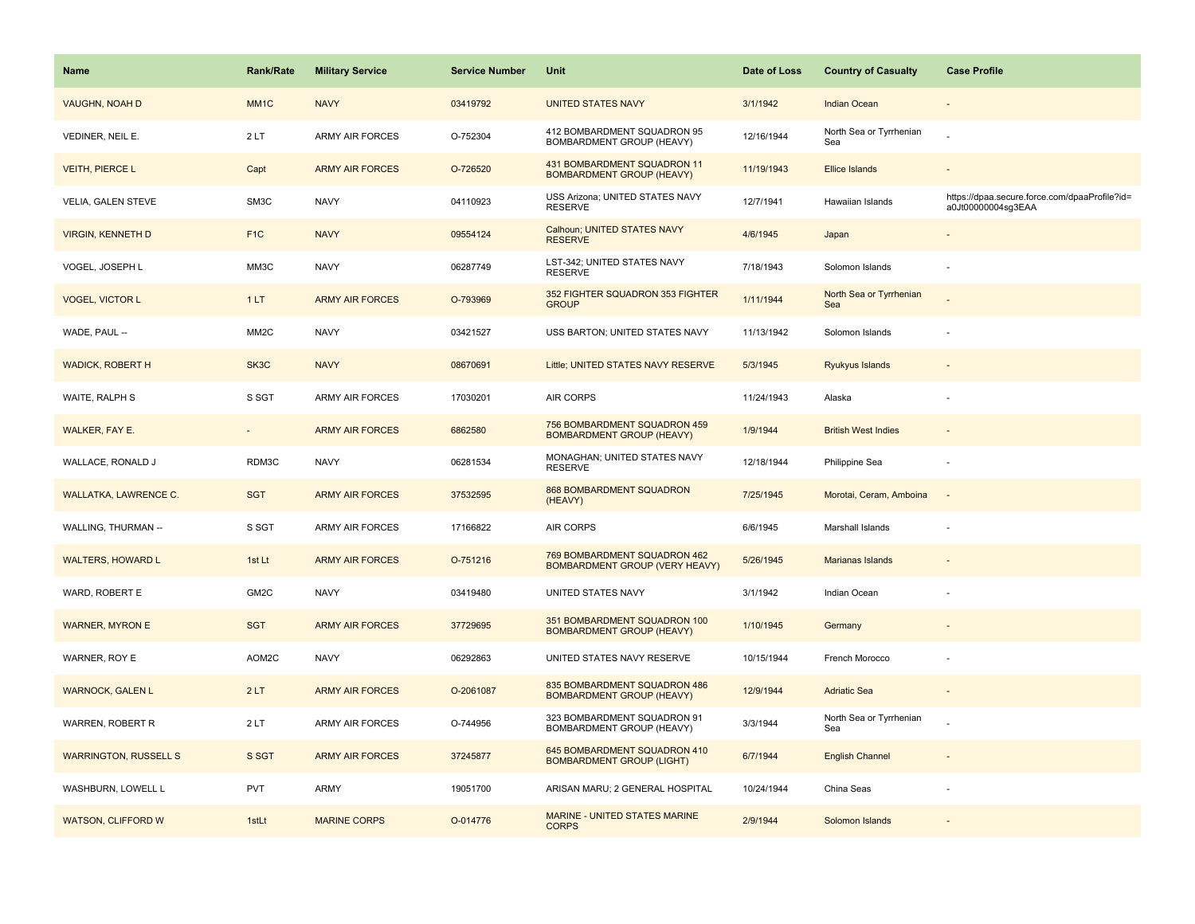| <b>Name</b>                  | Rank/Rate         | <b>Military Service</b> | <b>Service Number</b> | Unit                                                             | Date of Loss | <b>Country of Casualty</b>     | <b>Case Profile</b>                                                 |
|------------------------------|-------------------|-------------------------|-----------------------|------------------------------------------------------------------|--------------|--------------------------------|---------------------------------------------------------------------|
| <b>VAUGHN, NOAH D</b>        | MM <sub>1</sub> C | <b>NAVY</b>             | 03419792              | <b>UNITED STATES NAVY</b>                                        | 3/1/1942     | <b>Indian Ocean</b>            |                                                                     |
| VEDINER, NEIL E.             | 2LT               | <b>ARMY AIR FORCES</b>  | O-752304              | 412 BOMBARDMENT SQUADRON 95<br>BOMBARDMENT GROUP (HEAVY)         | 12/16/1944   | North Sea or Tyrrhenian<br>Sea |                                                                     |
| <b>VEITH, PIERCE L</b>       | Capt              | <b>ARMY AIR FORCES</b>  | O-726520              | 431 BOMBARDMENT SQUADRON 11<br><b>BOMBARDMENT GROUP (HEAVY)</b>  | 11/19/1943   | <b>Ellice Islands</b>          |                                                                     |
| <b>VELIA, GALEN STEVE</b>    | SM3C              | <b>NAVY</b>             | 04110923              | USS Arizona; UNITED STATES NAVY<br><b>RESERVE</b>                | 12/7/1941    | Hawaiian Islands               | https://dpaa.secure.force.com/dpaaProfile?id=<br>a0Jt00000004sg3EAA |
| <b>VIRGIN, KENNETH D</b>     | F <sub>1</sub> C  | <b>NAVY</b>             | 09554124              | Calhoun; UNITED STATES NAVY<br><b>RESERVE</b>                    | 4/6/1945     | Japan                          |                                                                     |
| VOGEL, JOSEPH L              | MM3C              | <b>NAVY</b>             | 06287749              | LST-342; UNITED STATES NAVY<br><b>RESERVE</b>                    | 7/18/1943    | Solomon Islands                |                                                                     |
| <b>VOGEL, VICTOR L</b>       | 1LT               | <b>ARMY AIR FORCES</b>  | O-793969              | 352 FIGHTER SQUADRON 353 FIGHTER<br><b>GROUP</b>                 | 1/11/1944    | North Sea or Tyrrhenian<br>Sea |                                                                     |
| WADE, PAUL --                | MM <sub>2</sub> C | <b>NAVY</b>             | 03421527              | USS BARTON; UNITED STATES NAVY                                   | 11/13/1942   | Solomon Islands                |                                                                     |
| <b>WADICK, ROBERT H</b>      | SK3C              | <b>NAVY</b>             | 08670691              | Little; UNITED STATES NAVY RESERVE                               | 5/3/1945     | Ryukyus Islands                |                                                                     |
| WAITE, RALPH S               | S SGT             | ARMY AIR FORCES         | 17030201              | AIR CORPS                                                        | 11/24/1943   | Alaska                         |                                                                     |
| <b>WALKER, FAY E.</b>        |                   | <b>ARMY AIR FORCES</b>  | 6862580               | 756 BOMBARDMENT SQUADRON 459<br><b>BOMBARDMENT GROUP (HEAVY)</b> | 1/9/1944     | <b>British West Indies</b>     |                                                                     |
| WALLACE, RONALD J            | RDM3C             | <b>NAVY</b>             | 06281534              | MONAGHAN; UNITED STATES NAVY<br><b>RESERVE</b>                   | 12/18/1944   | Philippine Sea                 |                                                                     |
| <b>WALLATKA, LAWRENCE C.</b> | <b>SGT</b>        | <b>ARMY AIR FORCES</b>  | 37532595              | <b>868 BOMBARDMENT SQUADRON</b><br>(HEAVY)                       | 7/25/1945    | Morotai, Ceram, Amboina        |                                                                     |
| WALLING, THURMAN --          | S SGT             | <b>ARMY AIR FORCES</b>  | 17166822              | AIR CORPS                                                        | 6/6/1945     | Marshall Islands               |                                                                     |
| <b>WALTERS, HOWARD L</b>     | 1st Lt            | <b>ARMY AIR FORCES</b>  | O-751216              | 769 BOMBARDMENT SQUADRON 462<br>BOMBARDMENT GROUP (VERY HEAVY)   | 5/26/1945    | <b>Marianas Islands</b>        |                                                                     |
| WARD, ROBERT E               | GM2C              | <b>NAVY</b>             | 03419480              | UNITED STATES NAVY                                               | 3/1/1942     | Indian Ocean                   |                                                                     |
| <b>WARNER, MYRON E</b>       | <b>SGT</b>        | <b>ARMY AIR FORCES</b>  | 37729695              | 351 BOMBARDMENT SQUADRON 100<br><b>BOMBARDMENT GROUP (HEAVY)</b> | 1/10/1945    | Germany                        |                                                                     |
| WARNER, ROY E                | AOM2C             | <b>NAVY</b>             | 06292863              | UNITED STATES NAVY RESERVE                                       | 10/15/1944   | French Morocco                 | ÷,                                                                  |
| <b>WARNOCK, GALEN L</b>      | 2LT               | <b>ARMY AIR FORCES</b>  | O-2061087             | 835 BOMBARDMENT SQUADRON 486<br><b>BOMBARDMENT GROUP (HEAVY)</b> | 12/9/1944    | <b>Adriatic Sea</b>            |                                                                     |
| WARREN, ROBERT R             | 2LT               | <b>ARMY AIR FORCES</b>  | O-744956              | 323 BOMBARDMENT SQUADRON 91<br>BOMBARDMENT GROUP (HEAVY)         | 3/3/1944     | North Sea or Tyrrhenian<br>Sea |                                                                     |
| <b>WARRINGTON, RUSSELL S</b> | S SGT             | <b>ARMY AIR FORCES</b>  | 37245877              | 645 BOMBARDMENT SQUADRON 410<br><b>BOMBARDMENT GROUP (LIGHT)</b> | 6/7/1944     | <b>English Channel</b>         |                                                                     |
| WASHBURN, LOWELL L           | <b>PVT</b>        | ARMY                    | 19051700              | ARISAN MARU; 2 GENERAL HOSPITAL                                  | 10/24/1944   | China Seas                     |                                                                     |
| <b>WATSON, CLIFFORD W</b>    | 1stLt             | <b>MARINE CORPS</b>     | O-014776              | <b>MARINE - UNITED STATES MARINE</b><br><b>CORPS</b>             | 2/9/1944     | Solomon Islands                |                                                                     |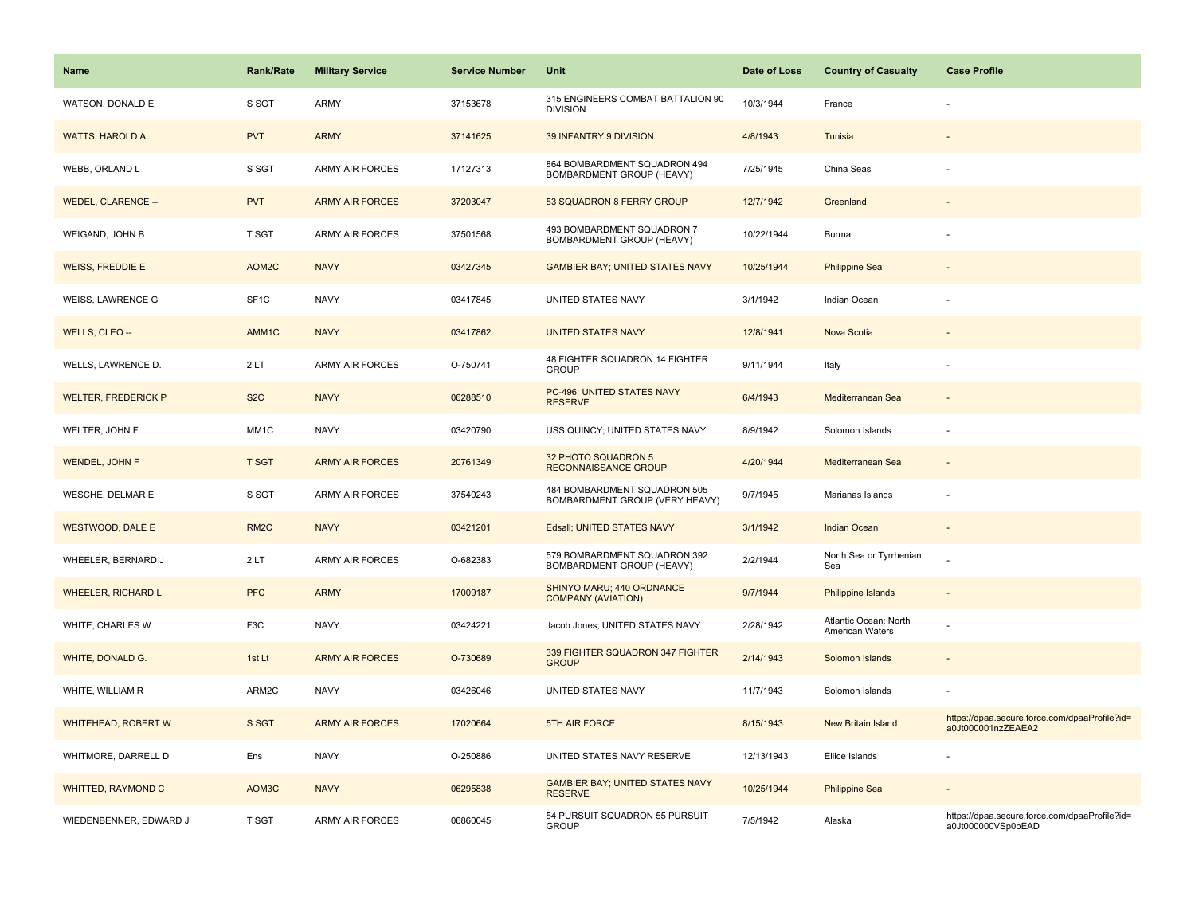| Name                       | <b>Rank/Rate</b>  | <b>Military Service</b> | <b>Service Number</b> | Unit                                                           | Date of Loss | <b>Country of Casualty</b>               | <b>Case Profile</b>                                                 |
|----------------------------|-------------------|-------------------------|-----------------------|----------------------------------------------------------------|--------------|------------------------------------------|---------------------------------------------------------------------|
| WATSON, DONALD E           | S SGT             | <b>ARMY</b>             | 37153678              | 315 ENGINEERS COMBAT BATTALION 90<br><b>DIVISION</b>           | 10/3/1944    | France                                   |                                                                     |
| <b>WATTS, HAROLD A</b>     | <b>PVT</b>        | <b>ARMY</b>             | 37141625              | 39 INFANTRY 9 DIVISION                                         | 4/8/1943     | Tunisia                                  |                                                                     |
| WEBB, ORLAND L             | S SGT             | <b>ARMY AIR FORCES</b>  | 17127313              | 864 BOMBARDMENT SQUADRON 494<br>BOMBARDMENT GROUP (HEAVY)      | 7/25/1945    | China Seas                               |                                                                     |
| WEDEL, CLARENCE --         | <b>PVT</b>        | <b>ARMY AIR FORCES</b>  | 37203047              | 53 SQUADRON 8 FERRY GROUP                                      | 12/7/1942    | Greenland                                |                                                                     |
| WEIGAND, JOHN B            | <b>T SGT</b>      | ARMY AIR FORCES         | 37501568              | 493 BOMBARDMENT SQUADRON 7<br>BOMBARDMENT GROUP (HEAVY)        | 10/22/1944   | Burma                                    |                                                                     |
| <b>WEISS, FREDDIE E</b>    | AOM2C             | <b>NAVY</b>             | 03427345              | <b>GAMBIER BAY; UNITED STATES NAVY</b>                         | 10/25/1944   | <b>Philippine Sea</b>                    |                                                                     |
| <b>WEISS, LAWRENCE G</b>   | SF <sub>1</sub> C | <b>NAVY</b>             | 03417845              | UNITED STATES NAVY                                             | 3/1/1942     | Indian Ocean                             |                                                                     |
| WELLS, CLEO --             | AMM1C             | <b>NAVY</b>             | 03417862              | <b>UNITED STATES NAVY</b>                                      | 12/8/1941    | Nova Scotia                              |                                                                     |
| WELLS, LAWRENCE D.         | 2LT               | <b>ARMY AIR FORCES</b>  | O-750741              | 48 FIGHTER SQUADRON 14 FIGHTER<br><b>GROUP</b>                 | 9/11/1944    | Italy                                    |                                                                     |
| <b>WELTER, FREDERICK P</b> | S <sub>2</sub> C  | <b>NAVY</b>             | 06288510              | PC-496; UNITED STATES NAVY<br><b>RESERVE</b>                   | 6/4/1943     | Mediterranean Sea                        |                                                                     |
| WELTER, JOHN F             | MM1C              | <b>NAVY</b>             | 03420790              | USS QUINCY; UNITED STATES NAVY                                 | 8/9/1942     | Solomon Islands                          |                                                                     |
| <b>WENDEL, JOHN F</b>      | <b>T SGT</b>      | <b>ARMY AIR FORCES</b>  | 20761349              | 32 PHOTO SQUADRON 5<br><b>RECONNAISSANCE GROUP</b>             | 4/20/1944    | Mediterranean Sea                        |                                                                     |
| WESCHE, DELMAR E           | S SGT             | <b>ARMY AIR FORCES</b>  | 37540243              | 484 BOMBARDMENT SQUADRON 505<br>BOMBARDMENT GROUP (VERY HEAVY) | 9/7/1945     | Marianas Islands                         |                                                                     |
| <b>WESTWOOD, DALE E</b>    | RM <sub>2</sub> C | <b>NAVY</b>             | 03421201              | Edsall; UNITED STATES NAVY                                     | 3/1/1942     | <b>Indian Ocean</b>                      | $\overline{\phantom{a}}$                                            |
| WHEELER, BERNARD J         | 2LT               | <b>ARMY AIR FORCES</b>  | O-682383              | 579 BOMBARDMENT SQUADRON 392<br>BOMBARDMENT GROUP (HEAVY)      | 2/2/1944     | North Sea or Tyrrhenian<br>Sea           |                                                                     |
| <b>WHEELER, RICHARD L</b>  | <b>PFC</b>        | <b>ARMY</b>             | 17009187              | SHINYO MARU; 440 ORDNANCE<br><b>COMPANY (AVIATION)</b>         | 9/7/1944     | <b>Philippine Islands</b>                |                                                                     |
| WHITE, CHARLES W           | F3C               | <b>NAVY</b>             | 03424221              | Jacob Jones; UNITED STATES NAVY                                | 2/28/1942    | Atlantic Ocean: North<br>American Waters |                                                                     |
| <b>WHITE, DONALD G.</b>    | 1st Lt            | <b>ARMY AIR FORCES</b>  | O-730689              | 339 FIGHTER SQUADRON 347 FIGHTER<br><b>GROUP</b>               | 2/14/1943    | Solomon Islands                          |                                                                     |
| WHITE, WILLIAM R           | ARM2C             | <b>NAVY</b>             | 03426046              | UNITED STATES NAVY                                             | 11/7/1943    | Solomon Islands                          |                                                                     |
| WHITEHEAD, ROBERT W        | S SGT             | <b>ARMY AIR FORCES</b>  | 17020664              | <b>5TH AIR FORCE</b>                                           | 8/15/1943    | <b>New Britain Island</b>                | https://dpaa.secure.force.com/dpaaProfile?id=<br>a0Jt000001nzZEAEA2 |
| WHITMORE, DARRELL D        | Ens               | <b>NAVY</b>             | O-250886              | UNITED STATES NAVY RESERVE                                     | 12/13/1943   | Ellice Islands                           |                                                                     |
| WHITTED, RAYMOND C         | AOM3C             | <b>NAVY</b>             | 06295838              | <b>GAMBIER BAY; UNITED STATES NAVY</b><br><b>RESERVE</b>       | 10/25/1944   | <b>Philippine Sea</b>                    |                                                                     |
| WIEDENBENNER, EDWARD J     | T SGT             | <b>ARMY AIR FORCES</b>  | 06860045              | 54 PURSUIT SQUADRON 55 PURSUIT<br><b>GROUP</b>                 | 7/5/1942     | Alaska                                   | https://dpaa.secure.force.com/dpaaProfile?id=<br>a0Jt000000VSp0bEAD |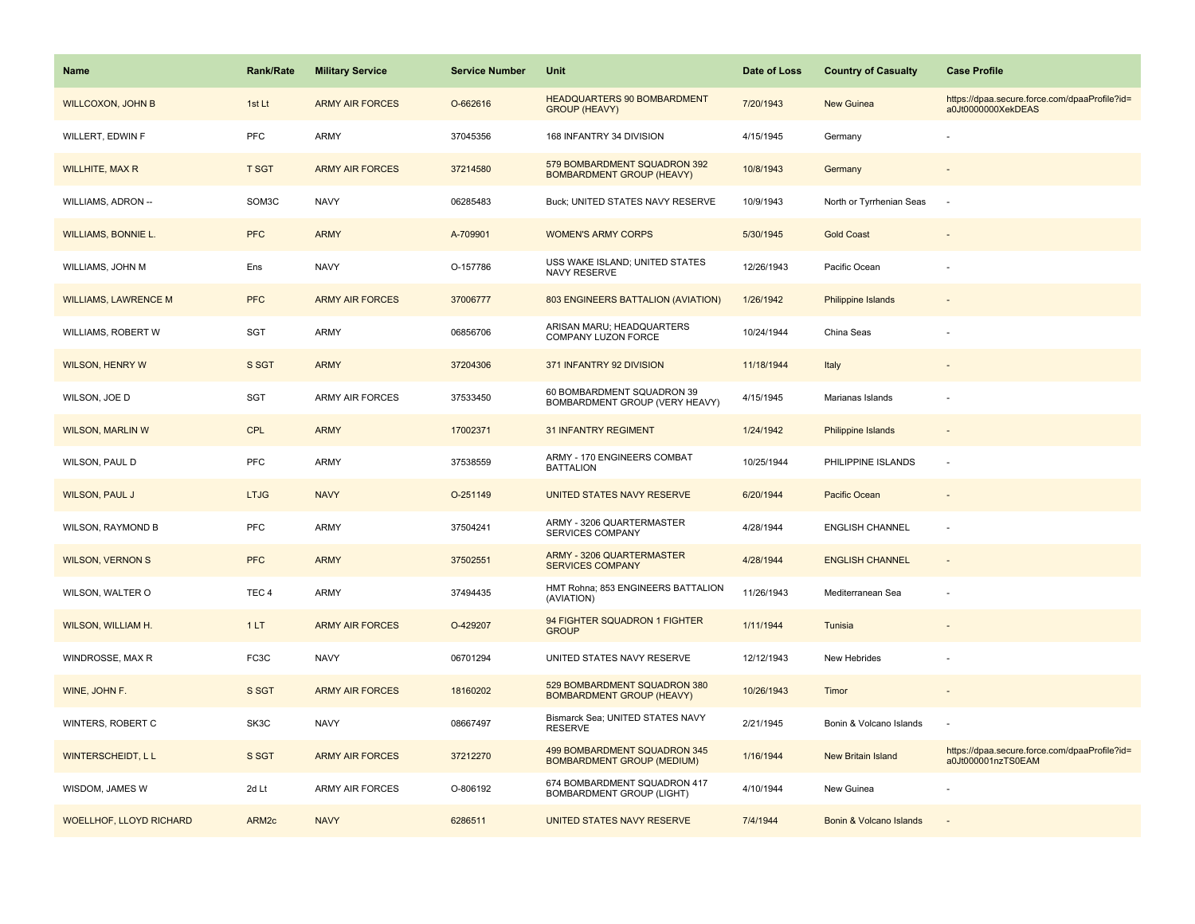| <b>Name</b>                    | <b>Rank/Rate</b>  | <b>Military Service</b> | <b>Service Number</b> | <b>Unit</b>                                                       | Date of Loss | <b>Country of Casualty</b> | <b>Case Profile</b>                                                 |
|--------------------------------|-------------------|-------------------------|-----------------------|-------------------------------------------------------------------|--------------|----------------------------|---------------------------------------------------------------------|
| <b>WILLCOXON, JOHN B</b>       | 1st Lt            | <b>ARMY AIR FORCES</b>  | O-662616              | HEADQUARTERS 90 BOMBARDMENT<br><b>GROUP (HEAVY)</b>               | 7/20/1943    | <b>New Guinea</b>          | https://dpaa.secure.force.com/dpaaProfile?id=<br>a0Jt0000000XekDEAS |
| WILLERT, EDWIN F               | PFC               | ARMY                    | 37045356              | 168 INFANTRY 34 DIVISION                                          | 4/15/1945    | Germany                    |                                                                     |
| <b>WILLHITE, MAX R</b>         | <b>T SGT</b>      | <b>ARMY AIR FORCES</b>  | 37214580              | 579 BOMBARDMENT SQUADRON 392<br><b>BOMBARDMENT GROUP (HEAVY)</b>  | 10/8/1943    | Germany                    |                                                                     |
| WILLIAMS, ADRON --             | SOM3C             | <b>NAVY</b>             | 06285483              | Buck; UNITED STATES NAVY RESERVE                                  | 10/9/1943    | North or Tyrrhenian Seas   |                                                                     |
| <b>WILLIAMS, BONNIE L.</b>     | <b>PFC</b>        | <b>ARMY</b>             | A-709901              | <b>WOMEN'S ARMY CORPS</b>                                         | 5/30/1945    | <b>Gold Coast</b>          |                                                                     |
| WILLIAMS, JOHN M               | Ens               | <b>NAVY</b>             | O-157786              | USS WAKE ISLAND; UNITED STATES<br>NAVY RESERVE                    | 12/26/1943   | Pacific Ocean              |                                                                     |
| <b>WILLIAMS, LAWRENCE M</b>    | <b>PFC</b>        | <b>ARMY AIR FORCES</b>  | 37006777              | 803 ENGINEERS BATTALION (AVIATION)                                | 1/26/1942    | Philippine Islands         |                                                                     |
| WILLIAMS, ROBERT W             | SGT               | <b>ARMY</b>             | 06856706              | ARISAN MARU; HEADQUARTERS<br>COMPANY LUZON FORCE                  | 10/24/1944   | China Seas                 |                                                                     |
| <b>WILSON, HENRY W</b>         | S SGT             | <b>ARMY</b>             | 37204306              | 371 INFANTRY 92 DIVISION                                          | 11/18/1944   | Italy                      |                                                                     |
| WILSON, JOE D                  | SGT               | <b>ARMY AIR FORCES</b>  | 37533450              | 60 BOMBARDMENT SQUADRON 39<br>BOMBARDMENT GROUP (VERY HEAVY)      | 4/15/1945    | Marianas Islands           |                                                                     |
| <b>WILSON, MARLIN W</b>        | <b>CPL</b>        | <b>ARMY</b>             | 17002371              | <b>31 INFANTRY REGIMENT</b>                                       | 1/24/1942    | Philippine Islands         |                                                                     |
| WILSON, PAUL D                 | PFC               | <b>ARMY</b>             | 37538559              | ARMY - 170 ENGINEERS COMBAT<br><b>BATTALION</b>                   | 10/25/1944   | PHILIPPINE ISLANDS         |                                                                     |
| <b>WILSON, PAUL J</b>          | <b>LTJG</b>       | <b>NAVY</b>             | O-251149              | UNITED STATES NAVY RESERVE                                        | 6/20/1944    | <b>Pacific Ocean</b>       |                                                                     |
| <b>WILSON, RAYMOND B</b>       | PFC               | <b>ARMY</b>             | 37504241              | ARMY - 3206 QUARTERMASTER<br>SERVICES COMPANY                     | 4/28/1944    | <b>ENGLISH CHANNEL</b>     | $\sim$                                                              |
| <b>WILSON, VERNON S</b>        | <b>PFC</b>        | <b>ARMY</b>             | 37502551              | ARMY - 3206 QUARTERMASTER<br><b>SERVICES COMPANY</b>              | 4/28/1944    | <b>ENGLISH CHANNEL</b>     | $\sim$                                                              |
| WILSON, WALTER O               | TEC <sub>4</sub>  | ARMY                    | 37494435              | HMT Rohna; 853 ENGINEERS BATTALION<br>(AVIATION)                  | 11/26/1943   | Mediterranean Sea          |                                                                     |
| <b>WILSON, WILLIAM H.</b>      | 1LT               | <b>ARMY AIR FORCES</b>  | O-429207              | 94 FIGHTER SQUADRON 1 FIGHTER<br><b>GROUP</b>                     | 1/11/1944    | Tunisia                    |                                                                     |
| WINDROSSE, MAX R               | FC3C              | <b>NAVY</b>             | 06701294              | UNITED STATES NAVY RESERVE                                        | 12/12/1943   | New Hebrides               |                                                                     |
| WINE, JOHN F.                  | S SGT             | <b>ARMY AIR FORCES</b>  | 18160202              | 529 BOMBARDMENT SQUADRON 380<br><b>BOMBARDMENT GROUP (HEAVY)</b>  | 10/26/1943   | Timor                      |                                                                     |
| WINTERS, ROBERT C              | SK3C              | <b>NAVY</b>             | 08667497              | Bismarck Sea; UNITED STATES NAVY<br><b>RESERVE</b>                | 2/21/1945    | Bonin & Volcano Islands    |                                                                     |
| <b>WINTERSCHEIDT, LL</b>       | S SGT             | <b>ARMY AIR FORCES</b>  | 37212270              | 499 BOMBARDMENT SQUADRON 345<br><b>BOMBARDMENT GROUP (MEDIUM)</b> | 1/16/1944    | <b>New Britain Island</b>  | https://dpaa.secure.force.com/dpaaProfile?id=<br>a0Jt000001nzTS0EAM |
| WISDOM, JAMES W                | 2d Lt             | ARMY AIR FORCES         | O-806192              | 674 BOMBARDMENT SQUADRON 417<br>BOMBARDMENT GROUP (LIGHT)         | 4/10/1944    | New Guinea                 |                                                                     |
| <b>WOELLHOF, LLOYD RICHARD</b> | ARM <sub>2c</sub> | <b>NAVY</b>             | 6286511               | UNITED STATES NAVY RESERVE                                        | 7/4/1944     | Bonin & Volcano Islands    |                                                                     |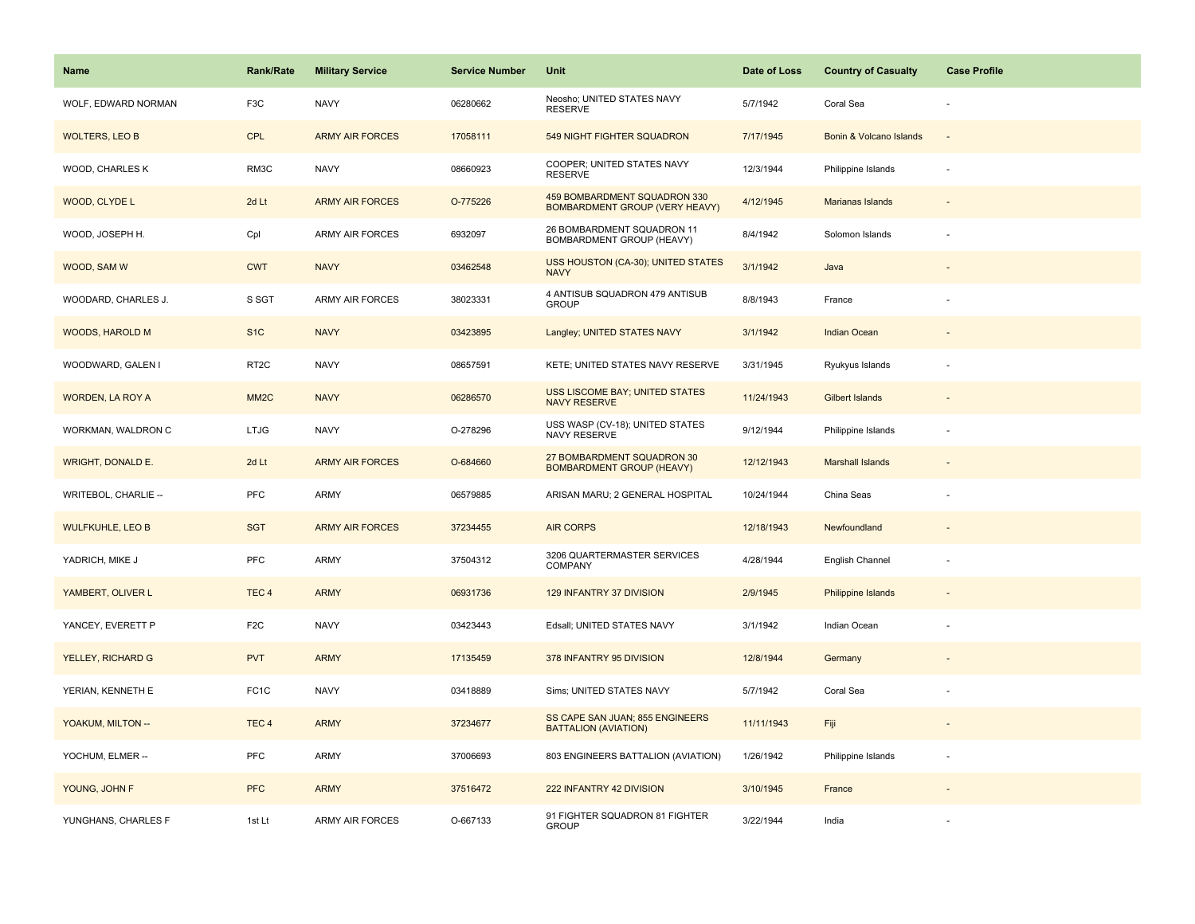| <b>Name</b>              | Rank/Rate         | <b>Military Service</b> | <b>Service Number</b> | Unit                                                                  | Date of Loss | <b>Country of Casualty</b> | <b>Case Profile</b>      |
|--------------------------|-------------------|-------------------------|-----------------------|-----------------------------------------------------------------------|--------------|----------------------------|--------------------------|
| WOLF, EDWARD NORMAN      | F3C               | <b>NAVY</b>             | 06280662              | Neosho; UNITED STATES NAVY<br><b>RESERVE</b>                          | 5/7/1942     | Coral Sea                  |                          |
| <b>WOLTERS, LEO B</b>    | <b>CPL</b>        | <b>ARMY AIR FORCES</b>  | 17058111              | 549 NIGHT FIGHTER SQUADRON                                            | 7/17/1945    | Bonin & Volcano Islands    | $\overline{\phantom{a}}$ |
| WOOD, CHARLES K          | RM3C              | <b>NAVY</b>             | 08660923              | COOPER; UNITED STATES NAVY<br><b>RESERVE</b>                          | 12/3/1944    | Philippine Islands         | $\overline{\phantom{a}}$ |
| WOOD, CLYDE L            | 2d Lt             | <b>ARMY AIR FORCES</b>  | O-775226              | 459 BOMBARDMENT SQUADRON 330<br><b>BOMBARDMENT GROUP (VERY HEAVY)</b> | 4/12/1945    | Marianas Islands           |                          |
| WOOD, JOSEPH H.          | Cpl               | <b>ARMY AIR FORCES</b>  | 6932097               | 26 BOMBARDMENT SQUADRON 11<br>BOMBARDMENT GROUP (HEAVY)               | 8/4/1942     | Solomon Islands            |                          |
| WOOD, SAM W              | <b>CWT</b>        | <b>NAVY</b>             | 03462548              | <b>USS HOUSTON (CA-30); UNITED STATES</b><br><b>NAVY</b>              | 3/1/1942     | Java                       | $\sim$                   |
| WOODARD, CHARLES J.      | S SGT             | <b>ARMY AIR FORCES</b>  | 38023331              | 4 ANTISUB SQUADRON 479 ANTISUB<br><b>GROUP</b>                        | 8/8/1943     | France                     |                          |
| WOODS, HAROLD M          | S <sub>1</sub> C  | <b>NAVY</b>             | 03423895              | Langley; UNITED STATES NAVY                                           | 3/1/1942     | Indian Ocean               |                          |
| WOODWARD, GALEN I        | RT <sub>2</sub> C | <b>NAVY</b>             | 08657591              | KETE; UNITED STATES NAVY RESERVE                                      | 3/31/1945    | Ryukyus Islands            | ÷,                       |
| <b>WORDEN, LA ROY A</b>  | MM <sub>2</sub> C | <b>NAVY</b>             | 06286570              | USS LISCOME BAY; UNITED STATES<br><b>NAVY RESERVE</b>                 | 11/24/1943   | <b>Gilbert Islands</b>     |                          |
| WORKMAN, WALDRON C       | <b>LTJG</b>       | <b>NAVY</b>             | O-278296              | USS WASP (CV-18); UNITED STATES<br><b>NAVY RESERVE</b>                | 9/12/1944    | Philippine Islands         |                          |
| <b>WRIGHT, DONALD E.</b> | 2d Lt             | <b>ARMY AIR FORCES</b>  | O-684660              | 27 BOMBARDMENT SQUADRON 30<br><b>BOMBARDMENT GROUP (HEAVY)</b>        | 12/12/1943   | <b>Marshall Islands</b>    |                          |
| WRITEBOL, CHARLIE --     | PFC               | <b>ARMY</b>             | 06579885              | ARISAN MARU; 2 GENERAL HOSPITAL                                       | 10/24/1944   | China Seas                 |                          |
| <b>WULFKUHLE, LEO B</b>  | <b>SGT</b>        | <b>ARMY AIR FORCES</b>  | 37234455              | <b>AIR CORPS</b>                                                      | 12/18/1943   | Newfoundland               | $\overline{\phantom{a}}$ |
| YADRICH, MIKE J          | <b>PFC</b>        | ARMY                    | 37504312              | 3206 QUARTERMASTER SERVICES<br>COMPANY                                | 4/28/1944    | English Channel            |                          |
| YAMBERT, OLIVER L        | TEC <sub>4</sub>  | <b>ARMY</b>             | 06931736              | 129 INFANTRY 37 DIVISION                                              | 2/9/1945     | <b>Philippine Islands</b>  |                          |
| YANCEY, EVERETT P        | F <sub>2</sub> C  | <b>NAVY</b>             | 03423443              | Edsall; UNITED STATES NAVY                                            | 3/1/1942     | Indian Ocean               |                          |
| YELLEY, RICHARD G        | <b>PVT</b>        | <b>ARMY</b>             | 17135459              | 378 INFANTRY 95 DIVISION                                              | 12/8/1944    | Germany                    |                          |
| YERIAN, KENNETH E        | FC <sub>1</sub> C | <b>NAVY</b>             | 03418889              | Sims; UNITED STATES NAVY                                              | 5/7/1942     | Coral Sea                  |                          |
| YOAKUM, MILTON --        | TEC <sub>4</sub>  | <b>ARMY</b>             | 37234677              | SS CAPE SAN JUAN; 855 ENGINEERS<br><b>BATTALION (AVIATION)</b>        | 11/11/1943   | Fiji                       | $\overline{\phantom{a}}$ |
| YOCHUM, ELMER --         | <b>PFC</b>        | ARMY                    | 37006693              | 803 ENGINEERS BATTALION (AVIATION)                                    | 1/26/1942    | Philippine Islands         | ÷,                       |
| YOUNG, JOHN F            | <b>PFC</b>        | <b>ARMY</b>             | 37516472              | 222 INFANTRY 42 DIVISION                                              | 3/10/1945    | France                     |                          |
| YUNGHANS, CHARLES F      | 1st Lt            | ARMY AIR FORCES         | O-667133              | 91 FIGHTER SQUADRON 81 FIGHTER<br><b>GROUP</b>                        | 3/22/1944    | India                      |                          |